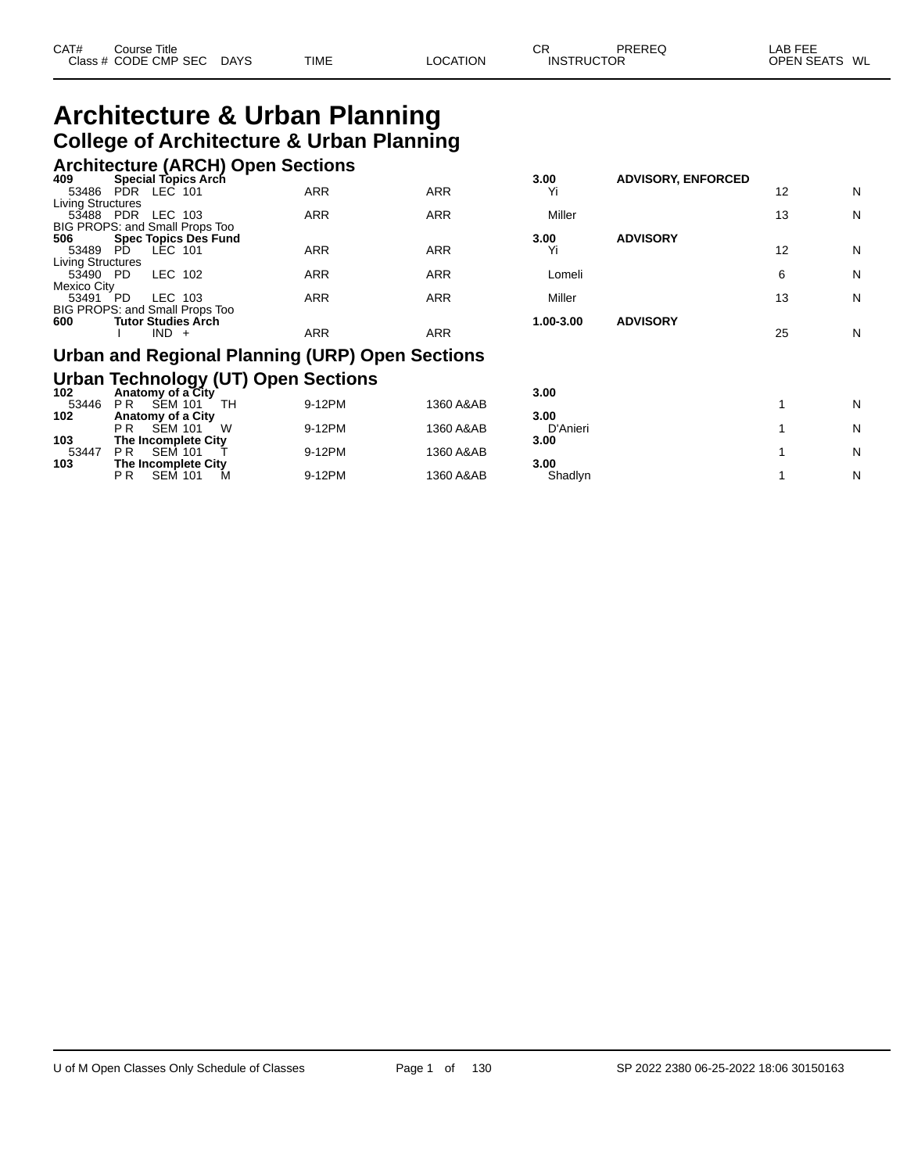### **Architecture & Urban Planning College of Architecture & Urban Planning**

|                                |             |         |                             | <b>Architecture (ARCH) Open Sections</b> |            |           |                           |    |   |
|--------------------------------|-------------|---------|-----------------------------|------------------------------------------|------------|-----------|---------------------------|----|---|
| 409                            |             |         | <b>Special Topics Arch</b>  |                                          |            | 3.00      | <b>ADVISORY, ENFORCED</b> |    |   |
| 53486                          | PDR LEC 101 |         |                             | <b>ARR</b>                               | <b>ARR</b> | Yi        |                           | 12 | N |
| <b>Living Structures</b>       |             |         |                             |                                          |            |           |                           |    |   |
| 53488 PDR LEC 103              |             |         |                             | <b>ARR</b>                               | <b>ARR</b> | Miller    |                           | 13 | N |
| BIG PROPS: and Small Props Too |             |         |                             |                                          |            |           |                           |    |   |
| 506                            |             |         | <b>Spec Topics Des Fund</b> |                                          |            | 3.00      | <b>ADVISORY</b>           |    |   |
| 53489                          | PD.         | LEC 101 |                             | <b>ARR</b>                               | ARR        | Yi        |                           | 12 | N |
| <b>Living Structures</b>       |             |         |                             |                                          |            |           |                           |    |   |
| 53490 PD                       |             | LEC 102 |                             | <b>ARR</b>                               | <b>ARR</b> | Lomeli    |                           | 6  | N |
| Mexico City                    |             |         |                             |                                          |            |           |                           |    |   |
| 53491 PD                       |             | LEC 103 |                             | <b>ARR</b>                               | <b>ARR</b> | Miller    |                           | 13 | N |
| BIG PROPS: and Small Props Too |             |         |                             |                                          |            |           |                           |    |   |
| 600                            |             |         | <b>Tutor Studies Arch</b>   |                                          |            | 1.00-3.00 | <b>ADVISORY</b>           |    |   |
|                                |             | $IND +$ |                             | ARR                                      | ARR        |           |                           | 25 | N |

| 3.00      | <b>ADVISORY, ENFORCED</b> |    |   |
|-----------|---------------------------|----|---|
| Yi        |                           | 12 | N |
| Miller    |                           | 13 | N |
| 3.00      | <b>ADVISORY</b>           |    |   |
| Yi        |                           | 12 | N |
| Lomeli    |                           | 6  | N |
| Miller    |                           | 13 | N |
| 1.00-3.00 | <b>ADVISORY</b>           | 25 | N |
|           |                           |    |   |
|           |                           |    |   |

### **Urban and Regional Planning (URP) Open Sections**

#### **Urban Technology (UT) Open Sections**

| 102   | Anatomy of a City                      |        |           | 3.00     |   |
|-------|----------------------------------------|--------|-----------|----------|---|
| 53446 | P <sub>R</sub><br>TН<br><b>SEM 101</b> | 9-12PM | 1360 A&AB |          | N |
| 102   | Anatomy of a City                      |        |           | 3.00     |   |
|       | W<br>РR<br><b>SEM 101</b>              | 9-12PM | 1360 A&AB | D'Anieri | N |
| 103   | The Incomplete City                    |        |           | 3.00     |   |
| 53447 | <b>SEM 101</b><br>РR                   | 9-12PM | 1360 A&AB |          | N |
| 103   | The Incomplete City                    |        |           | 3.00     |   |
|       | <b>SEM 101</b><br>РR                   | 9-12PM | 1360 A&AB | Shadlyn  | N |
|       |                                        |        |           |          |   |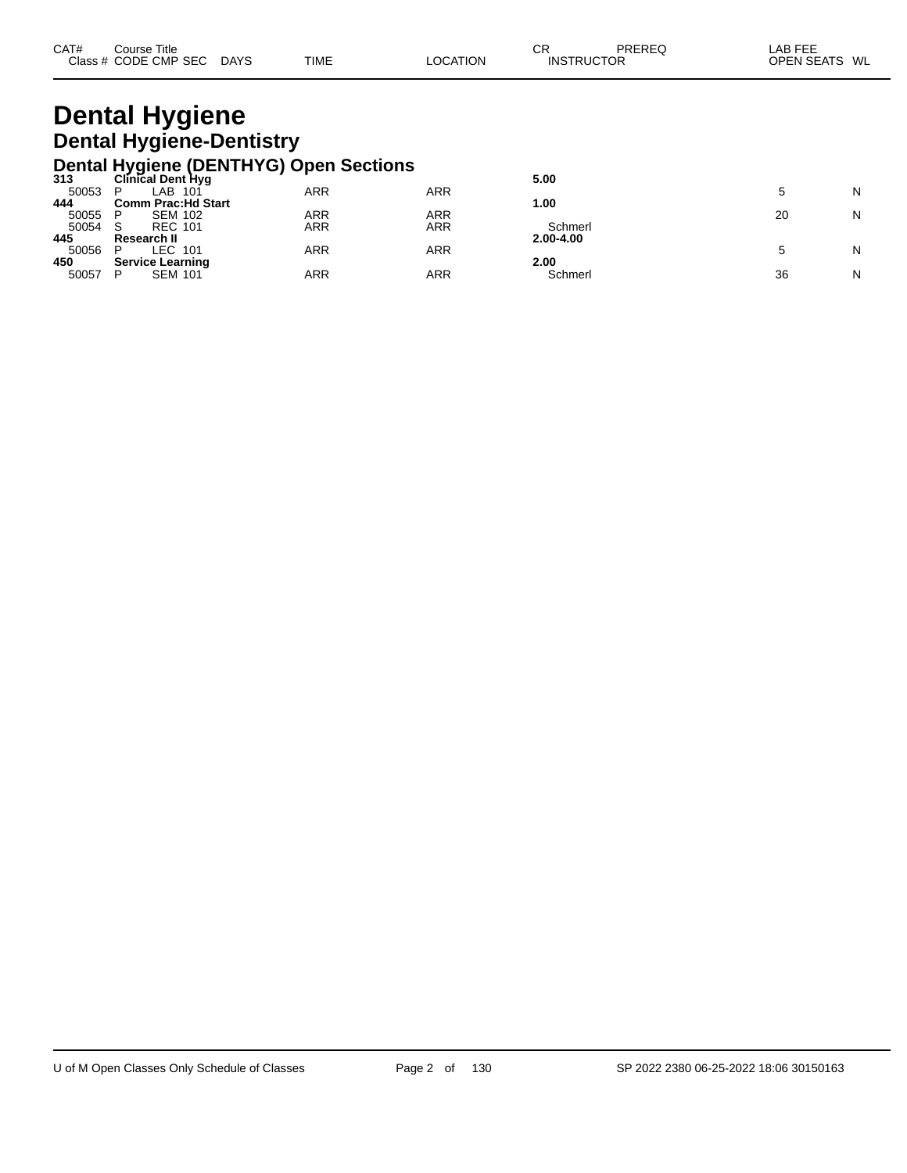| CAT# | Course Title<br>Class # CODE CMP SEC | <b>DAYS</b> | <b>TIME</b> | LOCATION | СF<br><b>INSTRUCTOR</b> | PREREQ | LAB FEE<br>OPEN SEATS WL |  |
|------|--------------------------------------|-------------|-------------|----------|-------------------------|--------|--------------------------|--|
|      |                                      |             |             |          |                         |        |                          |  |

## **Dental Hygiene Dental Hygiene-Dentistry**

# **Dental Hygiene (DENTHYG) Open Sections 313 Clinical Dent Hyg 5.00**

| 313   | <b>Clinical Dent Hyg</b>   |     |     | 5.00      |    |   |
|-------|----------------------------|-----|-----|-----------|----|---|
| 50053 | LAB<br>D<br>-101           | ARR | ARR |           |    | N |
| 444   | <b>Comm Prac: Hd Start</b> |     |     | 1.00      |    |   |
| 50055 | <b>SEM 102</b><br>D        | ARR | ARR |           | 20 | N |
| 50054 | <b>REC 101</b>             | ARR | ARR | Schmerl   |    |   |
| 445   | Research II                |     |     | 2.00-4.00 |    |   |
| 50056 | LEC 101                    | ARR | ARR |           |    | N |
| 450   | <b>Service Learning</b>    |     |     | 2.00      |    |   |
| 50057 | <b>SEM 101</b><br>D        | ARR | ARR | Schmerl   | 36 | N |
|       |                            |     |     |           |    |   |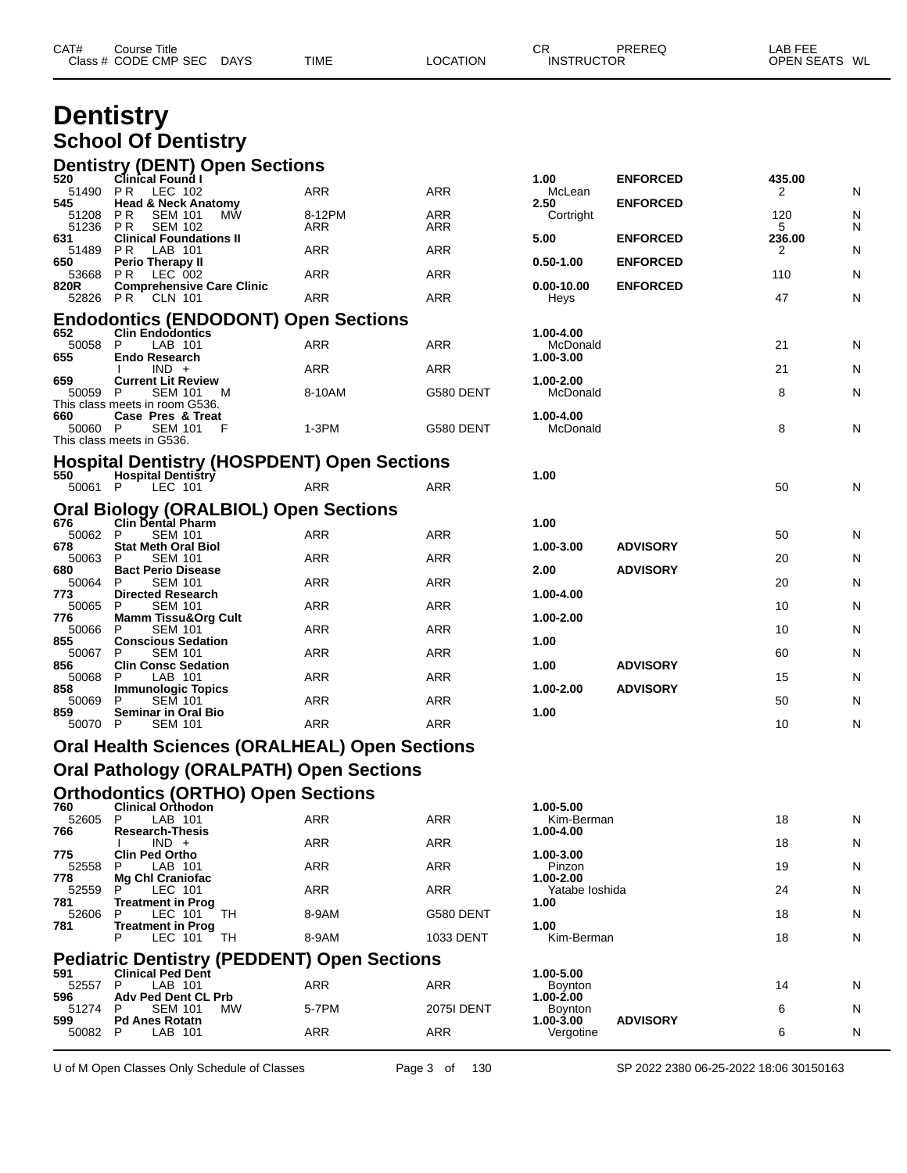| CAT#             | Course Title<br>Class # CODE CMP SEC<br>DAYS                                   | TIME       | LOCATION   | CR<br>PREREQ<br><b>INSTRUCTOR</b>         | LAB FEE<br>OPEN SEATS WL |   |
|------------------|--------------------------------------------------------------------------------|------------|------------|-------------------------------------------|--------------------------|---|
|                  | <b>Dentistry</b>                                                               |            |            |                                           |                          |   |
|                  | <b>School Of Dentistry</b>                                                     |            |            |                                           |                          |   |
|                  | <b>Dentistry (DENT) Open Sections</b>                                          |            |            |                                           |                          |   |
| 520<br>51490 PR  | <b>Clinical Found I</b><br>LEC 102                                             | ARR        | ARR        | 1.00<br><b>ENFORCED</b><br>McLean         | 435.00<br>2              | N |
| 545<br>51208     | <b>Head &amp; Neck Anatomy</b><br>P R<br><b>SEM 101</b><br><b>MW</b>           | 8-12PM     | <b>ARR</b> | <b>ENFORCED</b><br>2.50<br>Cortright      | 120                      | N |
| 51236<br>631     | P R<br><b>SEM 102</b><br><b>Clinical Foundations II</b>                        | ARR        | ARR        | 5.00<br><b>ENFORCED</b>                   | 5<br>236.00              | N |
| 51489            | P R<br>LAB 101                                                                 | ARR        | <b>ARR</b> |                                           | 2                        | N |
| 650<br>53668     | <b>Perio Therapy II</b><br>LEC 002<br>PR.                                      | ARR        | ARR        | <b>ENFORCED</b><br>$0.50 - 1.00$          | 110                      | N |
| 820R<br>52826 PR | <b>Comprehensive Care Clinic</b><br>CLN 101                                    | ARR        | <b>ARR</b> | <b>ENFORCED</b><br>0.00-10.00<br>Heys     | 47                       | N |
|                  | <b>Endodontics (ENDODONT) Open Sections</b>                                    |            |            |                                           |                          |   |
| 652<br>50058     | <b>Clin Endodontics</b><br>P<br>LAB 101                                        | ARR        | ARR        | 1.00-4.00<br>McDonald                     | 21                       | N |
| 655              | <b>Endo Research</b><br>$IND +$                                                | ARR        | ARR        | 1.00-3.00                                 | 21                       | N |
| 659<br>50059     | <b>Current Lit Review</b><br>P<br><b>SEM 101</b><br>м                          | 8-10AM     | G580 DENT  | 1.00-2.00<br>McDonald                     | 8                        | N |
| 660              | This class meets in room G536.<br>Case Pres & Treat                            |            |            | 1.00-4.00                                 |                          |   |
| 50060 P          | <b>SEM 101</b><br>F<br>This class meets in G536.                               | $1-3PM$    | G580 DENT  | McDonald                                  | 8                        | N |
|                  | <b>Hospital Dentistry (HOSPDENT) Open Sections</b>                             |            |            |                                           |                          |   |
| 550              | <b>Hospital Dentistry</b>                                                      |            |            | 1.00                                      |                          |   |
| 50061 P          | LEC 101                                                                        | ARR        | ARR        |                                           | 50                       | N |
| 676              | <b>Oral Biology (ORALBIOL) Open Sections</b><br><b>Clin Dental Pharm</b>       |            |            | 1.00                                      |                          |   |
| 50062 P<br>678   | <b>SEM 101</b><br><b>Stat Meth Oral Biol</b>                                   | ARR        | <b>ARR</b> | <b>ADVISORY</b><br>1.00-3.00              | 50                       | N |
| 50063<br>680     | P<br><b>SEM 101</b><br><b>Bact Perio Disease</b>                               | ARR        | <b>ARR</b> | <b>ADVISORY</b><br>2.00                   | 20                       | N |
| 50064<br>773     | P<br><b>SEM 101</b><br><b>Directed Research</b>                                | ARR        | <b>ARR</b> | 1.00-4.00                                 | 20                       | N |
| 50065<br>776     | P<br><b>SEM 101</b>                                                            | ARR        | <b>ARR</b> | 1.00-2.00                                 | 10                       | N |
| 50066            | <b>Mamm Tissu&amp;Org Cult</b><br><b>SEM 101</b><br>P                          | ARR        | <b>ARR</b> |                                           | 10                       | N |
| 855<br>50067 P   | <b>Conscious Sedation</b><br><b>SEM 101</b>                                    | ARR        | <b>ARR</b> | 1.00                                      | 60                       | N |
| 856<br>50068     | <b>Clin Consc Sedation</b><br>P<br>LAB 101                                     | ARR        | <b>ARR</b> | <b>ADVISORY</b><br>1.00                   | 15                       | N |
| 858<br>50069     | <b>Immunologic Topics</b><br>- P<br><b>SEM 101</b>                             | ARR        | <b>ARR</b> | <b>ADVISORY</b><br>1.00-2.00              | 50                       | N |
| 859<br>50070 P   | Seminar in Oral Bio<br><b>SEM 101</b>                                          | ARR        | ARR        | 1.00                                      | 10                       | N |
|                  | <b>Oral Health Sciences (ORALHEAL) Open Sections</b>                           |            |            |                                           |                          |   |
|                  | <b>Oral Pathology (ORALPATH) Open Sections</b>                                 |            |            |                                           |                          |   |
|                  | <b>Orthodontics (ORTHO) Open Sections</b>                                      |            |            |                                           |                          |   |
| 760<br>52605     | <b>Clinical Orthodon</b><br>LAB 101<br>P                                       | ARR        | <b>ARR</b> | 1.00-5.00<br>Kim-Berman                   | 18                       | N |
| 766              | <b>Research-Thesis</b>                                                         |            |            | 1.00-4.00                                 |                          |   |
| 775              | $IND +$<br><b>Clin Ped Ortho</b>                                               | ARR        | <b>ARR</b> | 1.00-3.00                                 | 18                       | N |
| 52558<br>778     | LAB 101<br>Mg Chl Craniofac                                                    | ARR        | ARR        | Pinzon<br>1.00-2.00                       | 19                       | N |
| 52559<br>781     | P<br>LEC 101<br><b>Treatment in Prog</b>                                       | ARR        | <b>ARR</b> | Yatabe Ioshida<br>1.00                    | 24                       | N |
| 52606<br>781     | LEC 101<br>TН<br>P<br><b>Treatment in Prog</b>                                 | 8-9AM      | G580 DENT  | 1.00                                      | 18                       | N |
|                  | P<br>LEC 101<br>TН                                                             | 8-9AM      | 1033 DENT  | Kim-Berman                                | 18                       | N |
| 591              | <b>Pediatric Dentistry (PEDDENT) Open Sections</b><br><b>Clinical Ped Dent</b> |            |            | 1.00-5.00                                 |                          |   |
| 52557<br>596     | LAB 101<br>-P<br><b>Adv Ped Dent CL Prb</b>                                    | ARR        | ARR        | <b>Boynton</b><br>1.00-2.00               | 14                       | N |
| 51274            | P<br><b>SEM 101</b><br>МW                                                      | 5-7PM      | 2075I DENT | Boynton                                   | 6                        | N |
| 599<br>50082     | <b>Pd Anes Rotatn</b><br>P<br>LAB 101                                          | <b>ARR</b> | <b>ARR</b> | <b>ADVISORY</b><br>1.00-3.00<br>Vergotine | 6                        | N |

U of M Open Classes Only Schedule of Classes Page 3 of 130 SP 2022 2380 06-25-2022 18:06 30150163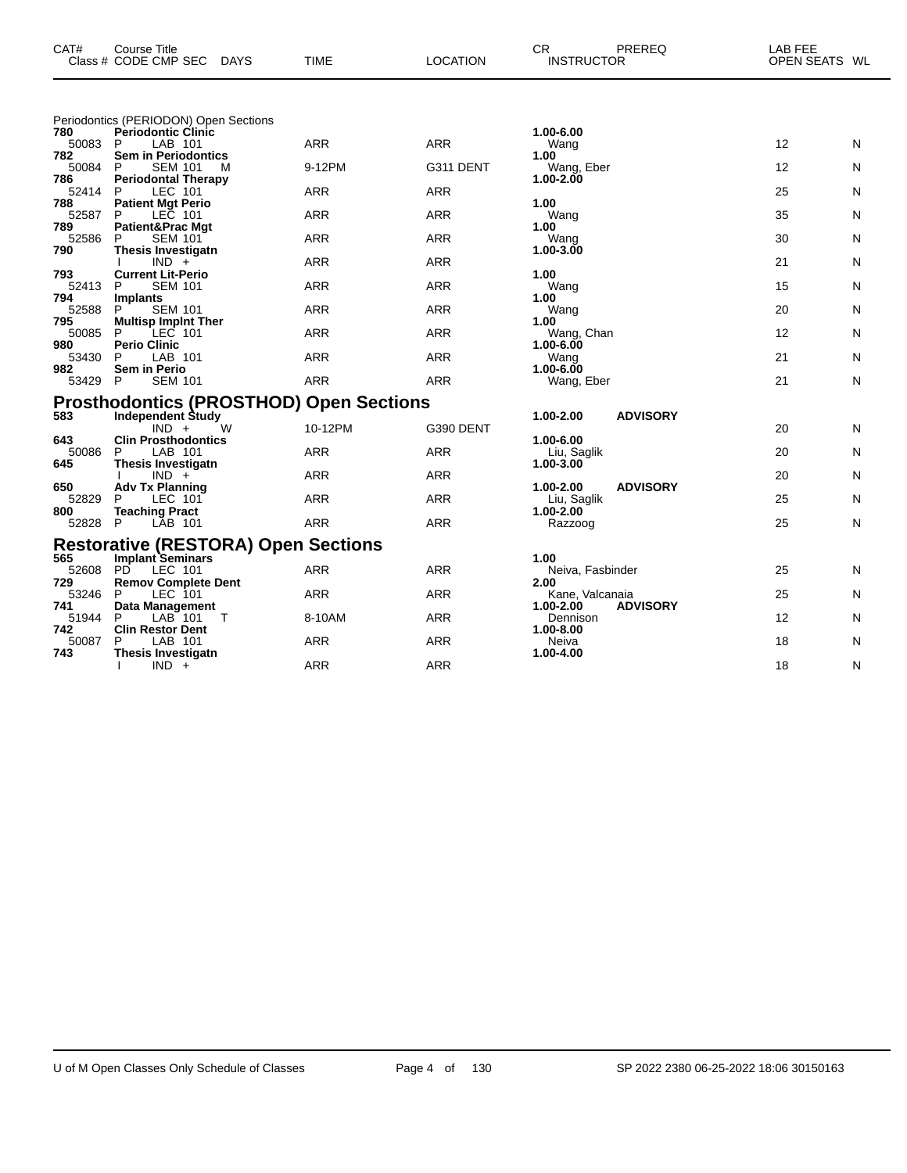| CAT#         | Course Title<br>Class # CODE CMP SEC DAYS              | <b>TIME</b> | <b>LOCATION</b> | CR<br>PREREQ<br><b>INSTRUCTOR</b> | LAB FEE<br>OPEN SEATS WL |              |
|--------------|--------------------------------------------------------|-------------|-----------------|-----------------------------------|--------------------------|--------------|
|              | Periodontics (PERIODON) Open Sections                  |             |                 |                                   |                          |              |
| 780<br>50083 | <b>Periodontic Clinic</b><br>P<br>LAB 101              | <b>ARR</b>  | <b>ARR</b>      | 1.00-6.00<br>Wang                 | $12 \overline{ }$        | N            |
| 782          | <b>Sem in Periodontics</b>                             |             |                 | 1.00                              |                          |              |
| 50084<br>786 | P<br><b>SEM 101</b><br>м<br><b>Periodontal Therapy</b> | 9-12PM      | G311 DENT       | Wang, Eber<br>1.00-2.00           | 12                       | N            |
| 52414        | LEC 101<br>P                                           | <b>ARR</b>  | <b>ARR</b>      |                                   | 25                       | N            |
| 788<br>52587 | <b>Patient Mgt Perio</b><br>LEC 101<br>P               | <b>ARR</b>  | <b>ARR</b>      | 1.00<br>Wang                      | 35                       | N            |
| 789          | <b>Patient&amp;Prac Mgt</b>                            |             |                 | 1.00                              |                          |              |
| 52586<br>790 | <b>SEM 101</b><br>P<br><b>Thesis Investigatn</b>       | <b>ARR</b>  | <b>ARR</b>      | Wang<br>1.00-3.00                 | 30                       | N            |
|              | $IND +$                                                | <b>ARR</b>  | <b>ARR</b>      |                                   | 21                       | N            |
| 793<br>52413 | <b>Current Lit-Perio</b><br><b>SEM 101</b><br>P        | <b>ARR</b>  | <b>ARR</b>      | 1.00<br>Wang                      | 15                       | N            |
| 794          | Implants                                               |             |                 | 1.00                              |                          |              |
| 52588        | P<br><b>SEM 101</b>                                    | <b>ARR</b>  | <b>ARR</b>      | Wang                              | 20                       | N            |
| 795<br>50085 | <b>Multisp Implnt Ther</b><br>LEC 101<br>P             | <b>ARR</b>  | <b>ARR</b>      | 1.00<br>Wang, Chan                | 12                       | N            |
| 980          | <b>Perio Clinic</b>                                    |             |                 | 1.00-6.00                         |                          |              |
| 53430<br>982 | P<br>LAB 101<br>Sem in Perio                           | <b>ARR</b>  | <b>ARR</b>      | Wang<br>1.00-6.00                 | 21                       | N            |
| 53429        | P<br><b>SEM 101</b>                                    | <b>ARR</b>  | <b>ARR</b>      | Wang, Eber                        | 21                       | N            |
|              | <b>Prosthodontics (PROSTHOD) Open Sections</b>         |             |                 |                                   |                          |              |
| 583          | <b>Independent Study</b>                               |             |                 | <b>ADVISORY</b><br>1.00-2.00      |                          |              |
| 643          | $IND +$<br>w<br><b>Clin Prosthodontics</b>             | 10-12PM     | G390 DENT       | 1.00-6.00                         | 20                       | N            |
| 50086        | P<br>LAB 101                                           | <b>ARR</b>  | <b>ARR</b>      | Liu, Saglik                       | 20                       | N            |
| 645          | <b>Thesis Investigatn</b><br>$IND +$                   | <b>ARR</b>  | <b>ARR</b>      | 1.00-3.00                         | 20                       | N            |
| 650          | <b>Adv Tx Planning</b>                                 |             |                 | <b>ADVISORY</b><br>1.00-2.00      |                          |              |
| 52829<br>800 | LEC 101<br>P<br><b>Teaching Pract</b>                  | <b>ARR</b>  | <b>ARR</b>      | Liu, Saglik<br>1.00-2.00          | 25                       | N            |
| 52828        | LAB 101<br>P                                           | <b>ARR</b>  | <b>ARR</b>      | <b>Razzoog</b>                    | 25                       | $\mathsf{N}$ |
|              | <b>Restorative (RESTORA) Open Sections</b>             |             |                 |                                   |                          |              |
| 565          | <b>Implant Seminars</b>                                |             |                 | 1.00                              |                          |              |
| 52608        | <b>PD</b><br>LEC 101                                   | <b>ARR</b>  | <b>ARR</b>      | Neiva, Fasbinder                  | 25                       | N            |
| 729<br>53246 | <b>Remov Complete Dent</b><br>P<br>LEC 101             | <b>ARR</b>  | <b>ARR</b>      | 2.00<br>Kane, Valcanaia           | 25                       | N            |
| 741          | <b>Data Management</b>                                 |             |                 | 1.00-2.00<br><b>ADVISORY</b>      |                          |              |
| 51944<br>742 | P<br>$LAB- 101$<br>$\top$<br><b>Clin Restor Dent</b>   | 8-10AM      | <b>ARR</b>      | Dennison<br>1.00-8.00             | 12                       | N            |
| 50087        | P<br>LAB 101                                           | ARR         | <b>ARR</b>      | Neiva                             | 18                       | N            |
| 743          | Thesis Investigatn<br>$IND +$                          | <b>ARR</b>  | <b>ARR</b>      | 1.00-4.00                         | 18                       | N            |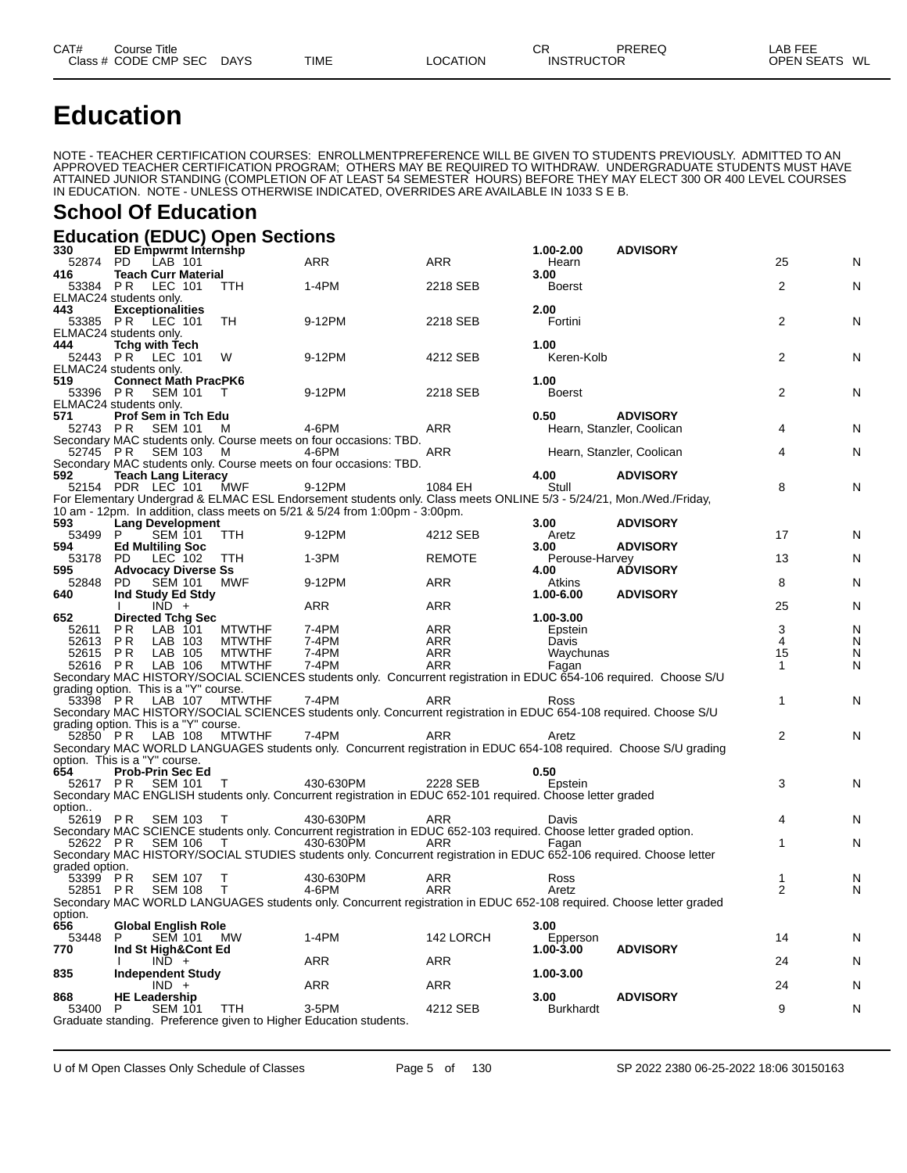# **Education**

NOTE - TEACHER CERTIFICATION COURSES: ENROLLMENTPREFERENCE WILL BE GIVEN TO STUDENTS PREVIOUSLY. ADMITTED TO AN APPROVED TEACHER CERTIFICATION PROGRAM; OTHERS MAY BE REQUIRED TO WITHDRAW. UNDERGRADUATE STUDENTS MUST HAVE ATTAINED JUNIOR STANDING (COMPLETION OF AT LEAST 54 SEMESTER HOURS) BEFORE THEY MAY ELECT 300 OR 400 LEVEL COURSES IN EDUCATION. NOTE - UNLESS OTHERWISE INDICATED, OVERRIDES ARE AVAILABLE IN 1033 S E B.

### **School Of Education**

|                                       |                             |                |        | <b>Education (EDUC) Open Sections</b> |                                                                                                                     |               |                  |                           |                |   |
|---------------------------------------|-----------------------------|----------------|--------|---------------------------------------|---------------------------------------------------------------------------------------------------------------------|---------------|------------------|---------------------------|----------------|---|
| 330                                   | <b>ED Empwrmt Internshp</b> |                |        |                                       |                                                                                                                     |               | 1.00-2.00        | <b>ADVISORY</b>           |                |   |
| 52874                                 | PD.                         | LAB 101        |        |                                       | ARR                                                                                                                 | ARR           | Hearn            |                           | 25             | N |
| 416                                   | <b>Teach Curr Material</b>  |                |        |                                       |                                                                                                                     |               | 3.00             |                           |                |   |
| 53384 PR                              |                             | <b>LEC 101</b> |        | TTH                                   | 1-4PM                                                                                                               | 2218 SEB      | Boerst           |                           | 2              | N |
| ELMAC24 students only.                |                             |                |        |                                       |                                                                                                                     |               |                  |                           |                |   |
| 443                                   | <b>Exceptionalities</b>     |                |        |                                       |                                                                                                                     |               | 2.00             |                           |                |   |
| 53385 PR                              |                             | LEC 101        |        | TН                                    | 9-12PM                                                                                                              | 2218 SEB      | Fortini          |                           | 2              | N |
| ELMAC24 students only.                |                             |                |        |                                       |                                                                                                                     |               |                  |                           |                |   |
|                                       |                             |                |        |                                       |                                                                                                                     |               | 1.00             |                           |                |   |
| 444                                   | <b>Tchg with Tech</b>       |                |        |                                       |                                                                                                                     |               |                  |                           |                |   |
| 52443 PR LEC 101                      |                             |                |        | W                                     | 9-12PM                                                                                                              | 4212 SEB      | Keren-Kolb       |                           | $\overline{2}$ | N |
| ELMAC24 students only.                |                             |                |        |                                       |                                                                                                                     |               |                  |                           |                |   |
| 519                                   | <b>Connect Math PracPK6</b> |                |        |                                       |                                                                                                                     |               | 1.00             |                           |                |   |
| 53396 PR                              |                             | SEM 101        | $\top$ |                                       | 9-12PM                                                                                                              | 2218 SEB      | <b>Boerst</b>    |                           | 2              | N |
| ELMAC24 students only.                |                             |                |        |                                       |                                                                                                                     |               |                  |                           |                |   |
| 571                                   | Prof Sem in Tch Edu         |                |        |                                       |                                                                                                                     |               | 0.50             | <b>ADVISORY</b>           |                |   |
| 52743 PR                              |                             | SEM 101        |        | M                                     | 4-6PM                                                                                                               | ARR           |                  | Hearn, Stanzler, Coolican | 4              | N |
|                                       |                             |                |        |                                       | Secondary MAC students only. Course meets on four occasions: TBD.                                                   |               |                  |                           |                |   |
| 52745 PR                              |                             | SEM 103        |        | M                                     | 4-6PM                                                                                                               | ARR           |                  | Hearn, Stanzler, Coolican | 4              | N |
|                                       |                             |                |        |                                       | Secondary MAC students only. Course meets on four occasions: TBD.                                                   |               |                  |                           |                |   |
| 592                                   | Teach Lang Literacy         |                |        |                                       |                                                                                                                     |               | 4.00             | <b>ADVISORY</b>           |                |   |
| 52154 PDR LEC 101                     |                             |                |        | MWF                                   | 9-12PM                                                                                                              | 1084 EH       | Stull            |                           | 8              | N |
|                                       |                             |                |        |                                       |                                                                                                                     |               |                  |                           |                |   |
|                                       |                             |                |        |                                       | For Elementary Undergrad & ELMAC ESL Endorsement students only. Class meets ONLINE 5/3 - 5/24/21, Mon./Wed./Friday, |               |                  |                           |                |   |
|                                       |                             |                |        |                                       | 10 am - 12pm. In addition, class meets on 5/21 & 5/24 from 1:00pm - 3:00pm.                                         |               |                  |                           |                |   |
| 593                                   | <b>Lang Development</b>     |                |        |                                       |                                                                                                                     |               | 3.00             | <b>ADVISORY</b>           |                |   |
| 53499                                 | P.                          | <b>SEM 101</b> |        | <b>TTH</b>                            | 9-12PM                                                                                                              | 4212 SEB      | Aretz            |                           | 17             | N |
| 594                                   | <b>Ed Multiling Soc</b>     |                |        |                                       |                                                                                                                     |               | 3.00             | <b>ADVISORY</b>           |                |   |
| 53178                                 | PD.                         | LEC 102        |        | TTH                                   | 1-3PM                                                                                                               | <b>REMOTE</b> | Perouse-Harvey   |                           | 13             | N |
| 595                                   | <b>Advocacy Diverse Ss</b>  |                |        |                                       |                                                                                                                     |               | 4.00             | <b>ADVISORY</b>           |                |   |
| 52848                                 | PD.                         | SEM 101        |        | MWF                                   | 9-12PM                                                                                                              | ARR           | Atkins           |                           | 8              | N |
| 640                                   | Ind Study Ed Stdy           |                |        |                                       |                                                                                                                     |               | 1.00-6.00        | <b>ADVISORY</b>           |                |   |
|                                       |                             | $IND +$        |        |                                       | ARR                                                                                                                 | ARR           |                  |                           | 25             | N |
| 652                                   | <b>Directed Tchg Sec</b>    |                |        |                                       |                                                                                                                     |               | 1.00-3.00        |                           |                |   |
|                                       | P R                         | LAB 101        |        | <b>MTWTHF</b>                         | 7-4PM                                                                                                               | ARR           |                  |                           | 3              | N |
| 52611                                 |                             |                |        |                                       |                                                                                                                     |               | Epstein          |                           | 4              |   |
| 52613                                 | P R                         | LAB 103        |        | <b>MTWTHF</b>                         | 7-4PM                                                                                                               | ARR           | Davis            |                           |                | N |
| 52615                                 | P R                         | LAB 105        |        | <b>MTWTHF</b>                         | 7-4PM                                                                                                               | ARR           | Waychunas        |                           | 15             | N |
| 52616 PR                              |                             | LAB 106        |        | <b>MTWTHF</b>                         | 7-4PM                                                                                                               | ARR           | Fagan            |                           | 1              | N |
|                                       |                             |                |        |                                       | Secondary MAC HISTORY/SOCIAL SCIENCES students only. Concurrent registration in EDUC 654-106 required. Choose S/U   |               |                  |                           |                |   |
| grading option. This is a "Y" course. |                             |                |        |                                       |                                                                                                                     |               |                  |                           |                |   |
| 53398 PR                              |                             | LAB 107        |        | <b>MTWTHF</b>                         | 7-4PM                                                                                                               | ARR           | Ross             |                           | $\mathbf{1}$   | N |
|                                       |                             |                |        |                                       | Secondary MAC HISTORY/SOCIAL SCIENCES students only. Concurrent registration in EDUC 654-108 required. Choose S/U   |               |                  |                           |                |   |
| grading option. This is a "Y" course. |                             |                |        |                                       |                                                                                                                     |               |                  |                           |                |   |
| 52850 PR                              |                             | LAB 108        |        | <b>MTWTHF</b>                         | 7-4PM                                                                                                               | ARR           | Aretz            |                           | 2              | N |
|                                       |                             |                |        |                                       | Secondary MAC WORLD LANGUAGES students only. Concurrent registration in EDUC 654-108 required. Choose S/U grading   |               |                  |                           |                |   |
| option. This is a "Y" course.         |                             |                |        |                                       |                                                                                                                     |               |                  |                           |                |   |
|                                       |                             |                |        |                                       |                                                                                                                     |               |                  |                           |                |   |
| 654                                   | <b>Prob-Prin Sec Ed</b>     |                |        |                                       |                                                                                                                     |               | 0.50             |                           |                |   |
| 52617 PR SEM 101                      |                             |                |        | $\top$                                | 430-630PM                                                                                                           | 2228 SEB      | Epstein          |                           | 3              | N |
|                                       |                             |                |        |                                       | Secondary MAC ENGLISH students only. Concurrent registration in EDUC 652-101 required. Choose letter graded         |               |                  |                           |                |   |
| option                                |                             |                |        |                                       |                                                                                                                     |               |                  |                           |                |   |
| 52619 PR SEM 103                      |                             |                |        | $\top$                                | 430-630PM                                                                                                           | ARR           | Davis            |                           | 4              | N |
|                                       |                             |                |        |                                       | Secondary MAC SCIENCE students only. Concurrent registration in EDUC 652-103 required. Choose letter graded option. |               |                  |                           |                |   |
| 52622 PR                              |                             | SEM 106        |        | $\top$                                | 430-630PM                                                                                                           | ARR           | Fagan            |                           | 1              | N |
|                                       |                             |                |        |                                       | Secondary MAC HISTORY/SOCIAL STUDIES students only. Concurrent registration in EDUC 652-106 required. Choose letter |               |                  |                           |                |   |
| graded option.                        |                             |                |        |                                       |                                                                                                                     |               |                  |                           |                |   |
| 53399 PR                              |                             | <b>SEM 107</b> |        | T                                     | 430-630PM                                                                                                           | ARR           | Ross             |                           | 1              | N |
| 52851 PR SEM 108                      |                             |                |        | T                                     | 4-6PM                                                                                                               | ARR           | Aretz            |                           | 2              | N |
|                                       |                             |                |        |                                       | Secondary MAC WORLD LANGUAGES students only. Concurrent registration in EDUC 652-108 required. Choose letter graded |               |                  |                           |                |   |
|                                       |                             |                |        |                                       |                                                                                                                     |               |                  |                           |                |   |
| option.                               |                             |                |        |                                       |                                                                                                                     |               |                  |                           |                |   |
| 656                                   | <b>Global English Role</b>  |                |        |                                       |                                                                                                                     |               | 3.00             |                           |                |   |
| 53448                                 | P                           | SEM 101        |        | <b>MW</b>                             | 1-4PM                                                                                                               | 142 LORCH     | Epperson         |                           | 14             | N |
| 770                                   | Ind St High&Cont Ed         |                |        |                                       |                                                                                                                     |               | 1.00-3.00        | <b>ADVISORY</b>           |                |   |
|                                       |                             | $IND +$        |        |                                       | <b>ARR</b>                                                                                                          | ARR           |                  |                           | 24             | N |
| 835                                   | <b>Independent Study</b>    |                |        |                                       |                                                                                                                     |               | 1.00-3.00        |                           |                |   |
|                                       |                             | $IND +$        |        |                                       | <b>ARR</b>                                                                                                          | ARR           |                  |                           | 24             | N |
| 868                                   | <b>HE Leadership</b>        |                |        |                                       |                                                                                                                     |               | 3.00             | <b>ADVISORY</b>           |                |   |
| 53400                                 | P                           | <b>SEM 101</b> |        | TTH                                   | 3-5PM                                                                                                               | 4212 SEB      | <b>Burkhardt</b> |                           | 9              | N |
|                                       |                             |                |        |                                       | Graduate standing. Preference given to Higher Education students.                                                   |               |                  |                           |                |   |
|                                       |                             |                |        |                                       |                                                                                                                     |               |                  |                           |                |   |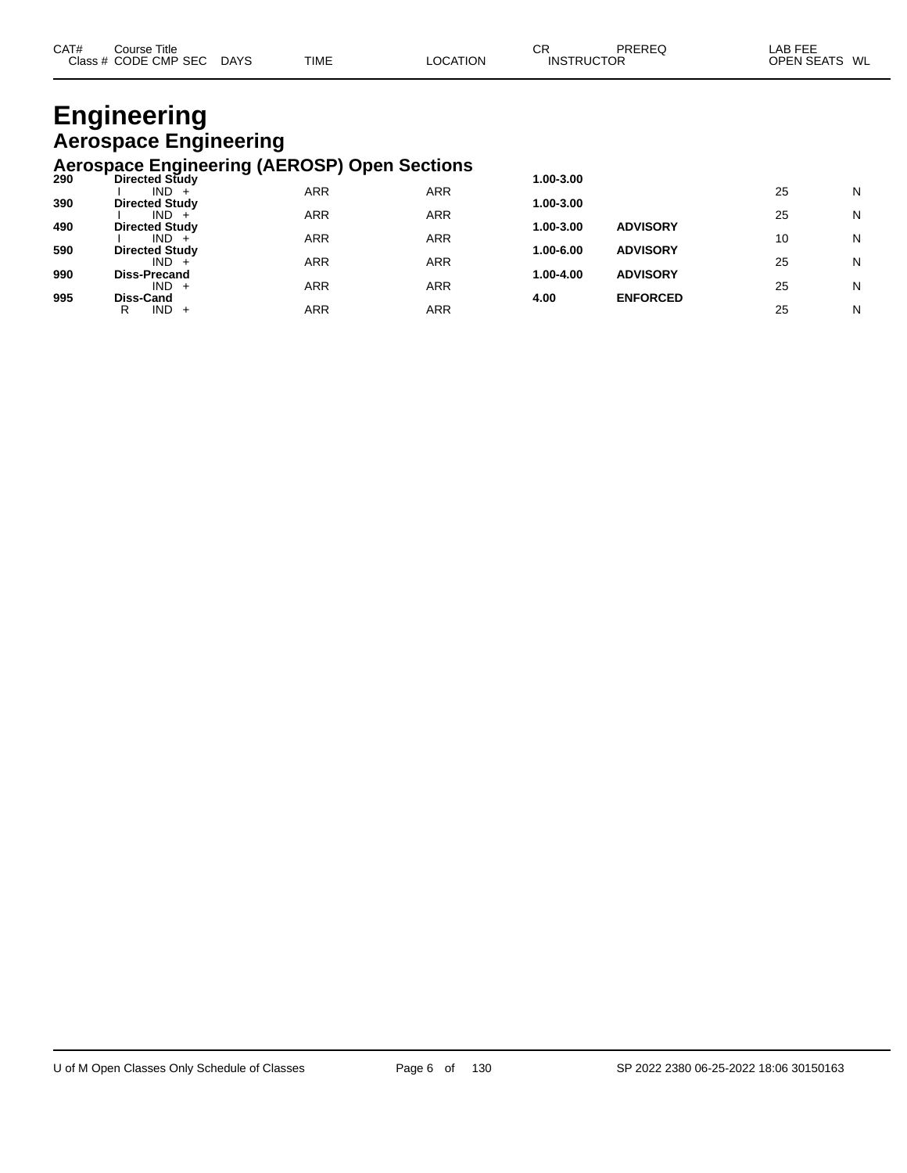| CAT# | Title<br>Course      |             |             |                | oг<br>◡           | PREREQ | _AB FEE          |
|------|----------------------|-------------|-------------|----------------|-------------------|--------|------------------|
|      | Class # CODE CMP SEC | <b>DAYS</b> | <b>TIME</b> | <b>OCATION</b> | <b>INSTRUCTOR</b> |        | OPEN SEATS<br>WL |

# **Engineering Aerospace Engineering**

### **Aerospace Engineering (AEROSP) Open Sections**

| 290 | <b>Directed Study</b> |            |            | 1.00-3.00 |                 |    |   |
|-----|-----------------------|------------|------------|-----------|-----------------|----|---|
|     | $IND +$               | <b>ARR</b> | <b>ARR</b> |           |                 | 25 | N |
| 390 | <b>Directed Study</b> |            |            | 1.00-3.00 |                 |    |   |
|     | IND.                  | <b>ARR</b> | <b>ARR</b> |           |                 | 25 | N |
| 490 | <b>Directed Study</b> |            |            | 1.00-3.00 | <b>ADVISORY</b> |    |   |
|     | IND.                  | <b>ARR</b> | <b>ARR</b> |           |                 | 10 | N |
| 590 | <b>Directed Study</b> |            |            | 1.00-6.00 | <b>ADVISORY</b> |    |   |
|     | $IND +$               | <b>ARR</b> | <b>ARR</b> |           |                 | 25 | N |
| 990 | <b>Diss-Precand</b>   |            |            | 1.00-4.00 | <b>ADVISORY</b> |    |   |
|     | $IND +$               | ARR        | <b>ARR</b> |           |                 | 25 | N |
| 995 | Diss-Cand             |            |            | 4.00      | <b>ENFORCED</b> |    |   |
|     | $IND +$<br>R          | ARR        | <b>ARR</b> |           |                 | 25 | N |
|     |                       |            |            |           |                 |    |   |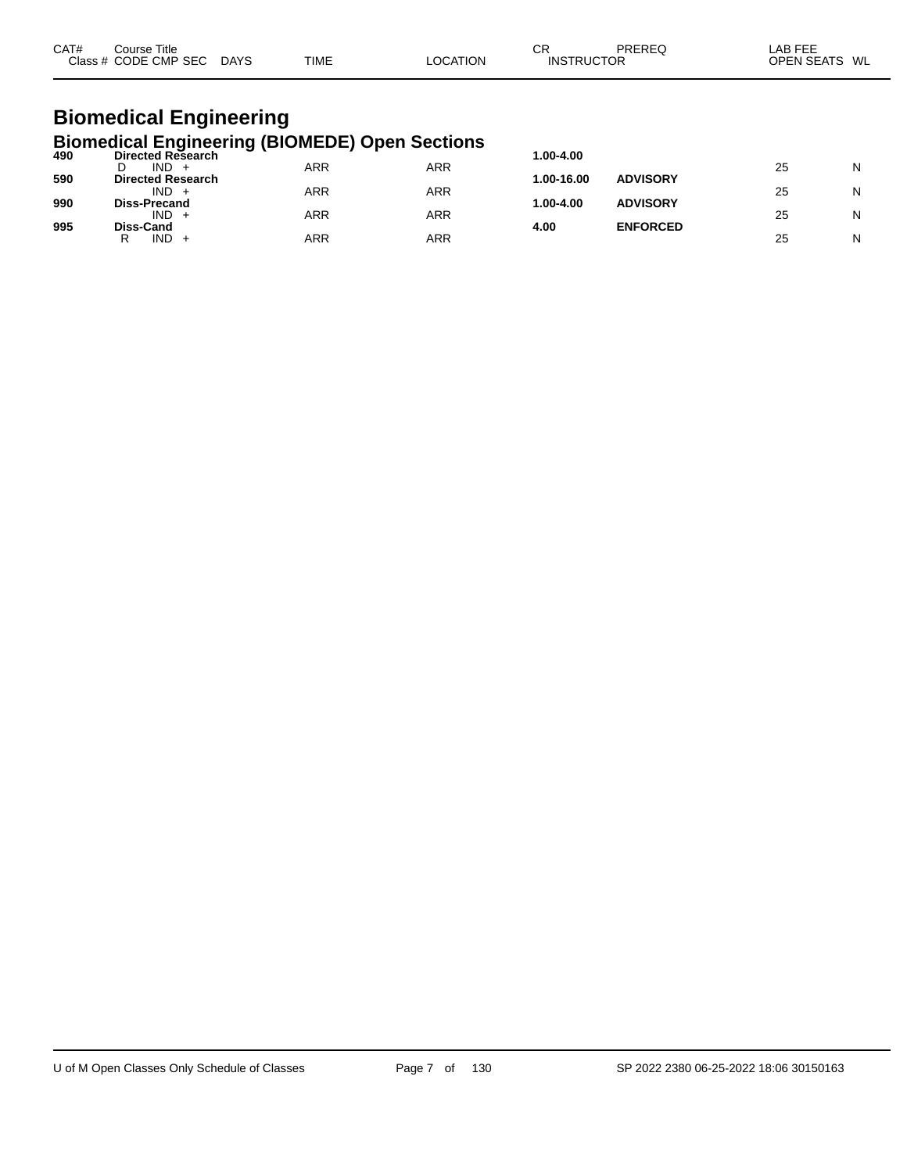| CAT#<br>Class . | Title<br>Course<br>CODE.<br><b>CMP</b><br>-SEC | DAYS | TIME |  | $\sim$<br>-UN<br>INS. | ЮF | ____<br>AЬ<br>WI<br>וטו<br><u>в.</u> |
|-----------------|------------------------------------------------|------|------|--|-----------------------|----|--------------------------------------|
|-----------------|------------------------------------------------|------|------|--|-----------------------|----|--------------------------------------|

# **Biomedical Engineering**

|     | <b>Biomedical Engineering (BIOMEDE) Open Sections</b> |     |     |            |                 |    |   |
|-----|-------------------------------------------------------|-----|-----|------------|-----------------|----|---|
| 490 | <b>Directed Research</b>                              |     |     | 1.00-4.00  |                 |    |   |
|     | IND.                                                  | ARR | ARR |            |                 | 25 | N |
| 590 | <b>Directed Research</b>                              |     |     | 1.00-16.00 | <b>ADVISORY</b> |    |   |
|     | $IND +$                                               | ARR | ARR |            |                 | 25 | N |
| 990 | <b>Diss-Precand</b>                                   |     |     | 1.00-4.00  | <b>ADVISORY</b> |    |   |
|     | $IND +$                                               | ARR | ARR |            |                 | 25 | N |
| 995 | Diss-Cand<br>$IND +$                                  | ARR | ARR | 4.00       | <b>ENFORCED</b> | 25 | N |
|     |                                                       |     |     |            |                 |    |   |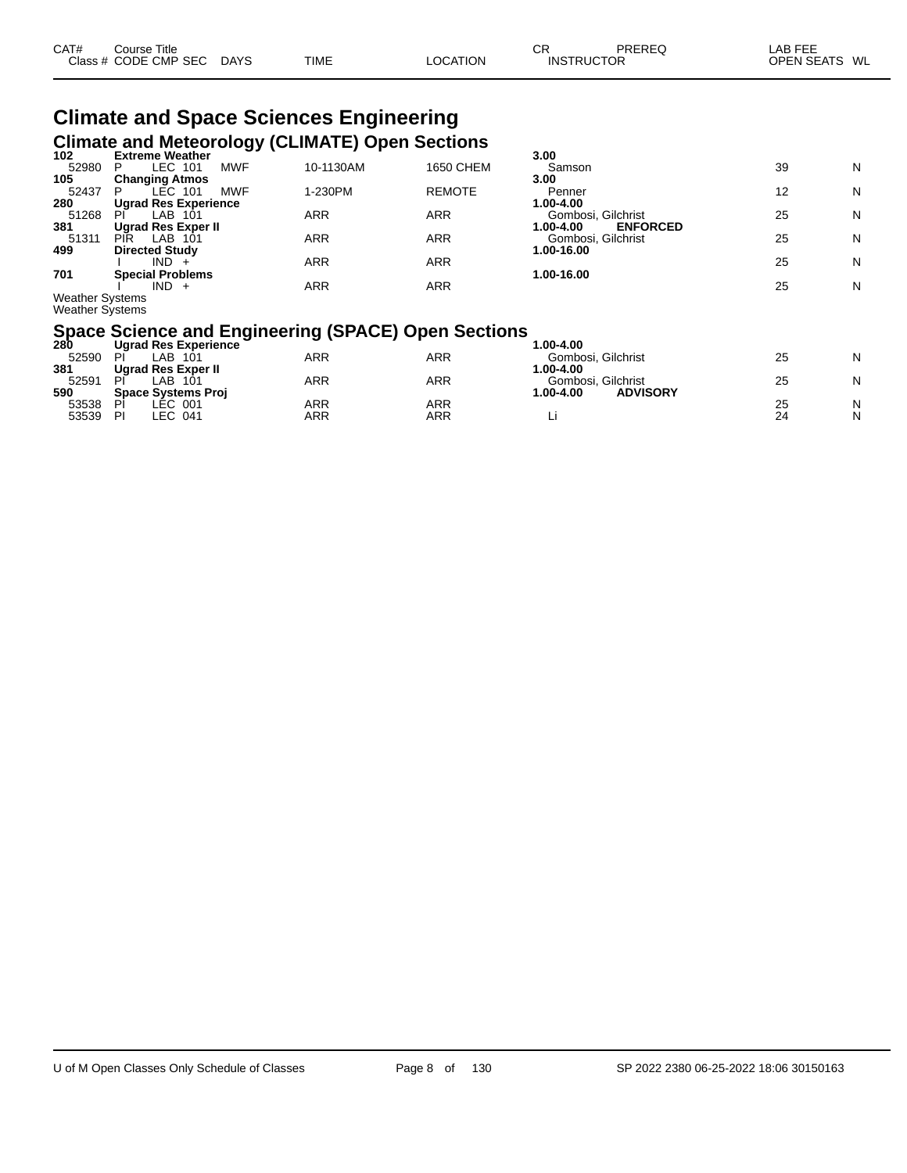| CAT# | Course Title<br>Class # CODE CMP SEC | <b>DAYS</b> | <b>TIME</b> | LOCATION | СF<br><b>INSTRUCTOR</b> | PREREQ | LAB FEE<br>OPEN SEATS WL |  |
|------|--------------------------------------|-------------|-------------|----------|-------------------------|--------|--------------------------|--|
|      |                                      |             |             |          |                         |        |                          |  |

# **Climate and Space Sciences Engineering Climate and Meteorology (CLIMATE) Open Sections 102 Extreme Weather 3.00**

| 102                    | <b>Extreme weather</b>      |           |               | 3.00                         |    |   |
|------------------------|-----------------------------|-----------|---------------|------------------------------|----|---|
| 52980                  | LEC 101<br><b>MWF</b><br>P  | 10-1130AM | 1650 CHEM     | Samson                       | 39 | N |
| 105                    | <b>Changing Atmos</b>       |           |               | 3.00                         |    |   |
| 52437                  | LEC 101<br><b>MWF</b><br>P  | 1-230PM   | <b>REMOTE</b> | Penner                       | 12 | N |
| 280                    | <b>Ugrad Res Experience</b> |           |               | 1.00-4.00                    |    |   |
| 51268                  | LAB 101<br>ΡI               | ARR       | ARR           | Gombosi, Gilchrist           | 25 | N |
| 381                    | Ugrad Res Exper II          |           |               | <b>ENFORCED</b><br>1.00-4.00 |    |   |
| 51311                  | PIR<br>LAB 101              | ARR       | <b>ARR</b>    | Gombosi, Gilchrist           | 25 | N |
| 499                    | <b>Directed Study</b>       |           |               | 1.00-16.00                   |    |   |
|                        | $IND +$                     | ARR       | <b>ARR</b>    |                              | 25 | N |
| 701                    | <b>Special Problems</b>     |           |               | 1.00-16.00                   |    |   |
|                        | $IND +$                     | ARR       | ARR           |                              | 25 | N |
| <b>Weather Systems</b> |                             |           |               |                              |    |   |
| <b>Weather Systems</b> |                             |           |               |                              |    |   |
|                        |                             |           |               |                              |    |   |

# **Space Science and Engineering (SPACE) Open Sections 280 Ugrad Res Experience 1.00-4.00**

| 280   | Ugrad Res Experience      |     |     | 1.00-4.00                    |    |   |
|-------|---------------------------|-----|-----|------------------------------|----|---|
| 52590 | _AB<br>PI<br>101          | ARR | ARR | Gombosi, Gilchrist           | 25 | N |
| 381   | <b>Ugrad Res Exper II</b> |     |     | 1.00-4.00                    |    |   |
| 52591 | LAB<br>PI<br>-101         | ARR | ARR | Gombosi, Gilchrist           | 25 | N |
| 590   | <b>Space Systems Proj</b> |     |     | <b>ADVISORY</b><br>1.00-4.00 |    |   |
| 53538 | LEC 001<br>PÌ             | ARR | ARR |                              | 25 | Ν |
| 53539 | LEC 041<br>PI             | ARR | ARR |                              | 24 | Ν |
|       |                           |     |     |                              |    |   |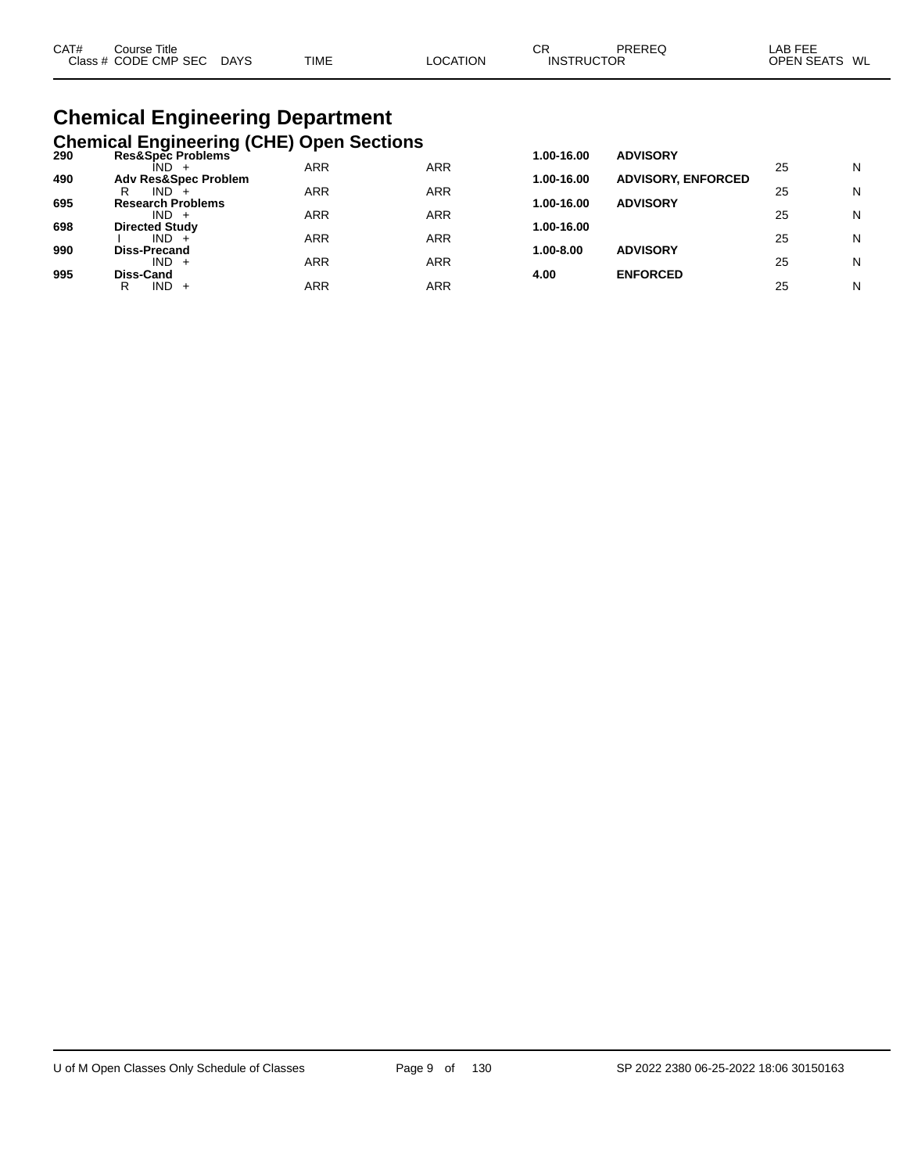| CAT# | Course Title         |             |             |          | ◠⊏<br>◡┎          | PREREQ | LAB FEE          |
|------|----------------------|-------------|-------------|----------|-------------------|--------|------------------|
|      | Class # CODE CMP SEC | <b>DAYS</b> | <b>TIME</b> | LOCATION | <b>INSTRUCTOR</b> |        | OPEN SEATS<br>WL |
|      |                      |             |             |          |                   |        |                  |

# **Chemical Engineering Department**

|     | <b>Chemical Engineering (CHE) Open Sections</b> |            |            |            |                           |    |   |
|-----|-------------------------------------------------|------------|------------|------------|---------------------------|----|---|
| 290 | Res&Spec Problems<br>IND.                       | <b>ARR</b> | <b>ARR</b> | 1.00-16.00 | <b>ADVISORY</b>           | 25 | N |
| 490 | <b>Adv Res&amp;Spec Problem</b>                 |            |            | 1.00-16.00 | <b>ADVISORY, ENFORCED</b> |    |   |
| 695 | IND.<br>R<br><b>Research Problems</b>           | ARR        | ARR        | 1.00-16.00 | <b>ADVISORY</b>           | 25 | N |
|     | $IND +$                                         | ARR        | ARR        |            |                           | 25 | N |
| 698 | <b>Directed Study</b><br>$IND +$                | ARR        | ARR        | 1.00-16.00 |                           | 25 | N |
| 990 | Diss-Precand                                    |            |            | 1.00-8.00  | <b>ADVISORY</b>           |    |   |
| 995 | $IND +$<br>Diss-Cand                            | <b>ARR</b> | ARR        | 4.00       | <b>ENFORCED</b>           | 25 | N |
|     | $IND +$<br>R                                    | ARR        | ARR        |            |                           | 25 | N |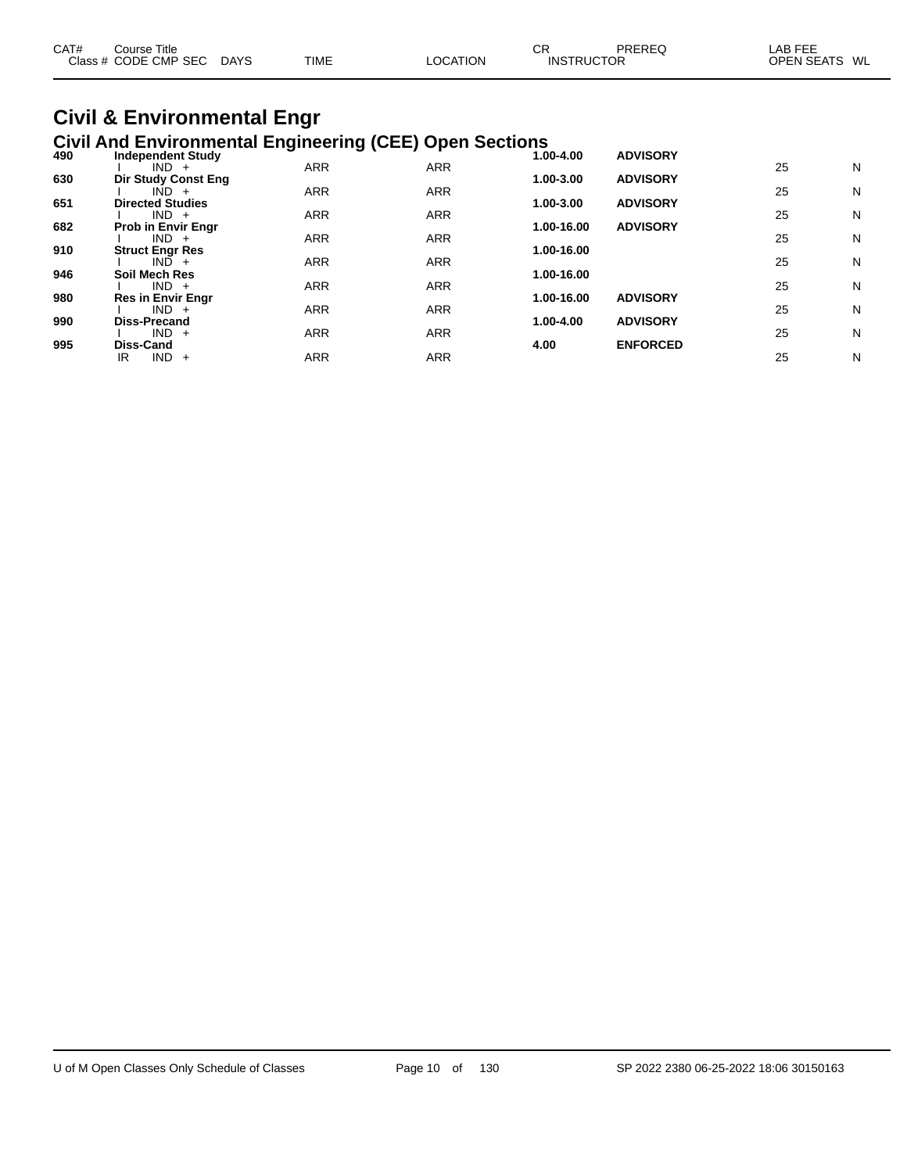| CAT# | Course Title<br>Class # CODE CMP SEC | DAYS | <b>TIME</b> | LOCATION | СF<br><b>INSTRUCTOR</b> | PREREQ | LAB FEE<br>OPEN SEATS WL |
|------|--------------------------------------|------|-------------|----------|-------------------------|--------|--------------------------|
|      |                                      |      |             |          |                         |        |                          |

### **Civil & Environmental Engr Civil And Environmental Engineering (CEE) Open Sections**

| 490 | <u>sini zina mirin sinilohaar mig</u> inosinig (smm <i>)</i> spoli sosasilo<br><b>Independent Study</b> |            |            | 1.00-4.00  | <b>ADVISORY</b> |    |   |
|-----|---------------------------------------------------------------------------------------------------------|------------|------------|------------|-----------------|----|---|
|     | $IND +$                                                                                                 | <b>ARR</b> | <b>ARR</b> |            |                 | 25 | N |
| 630 | <b>Dir Study Const Eng</b>                                                                              |            |            | 1.00-3.00  | <b>ADVISORY</b> |    |   |
|     | $IND +$                                                                                                 | <b>ARR</b> | <b>ARR</b> |            |                 | 25 | N |
| 651 | <b>Directed Studies</b>                                                                                 |            |            | 1.00-3.00  | <b>ADVISORY</b> |    |   |
|     | $IND +$                                                                                                 | <b>ARR</b> | <b>ARR</b> |            |                 | 25 | N |
| 682 | <b>Prob in Envir Engr</b>                                                                               | <b>ARR</b> | <b>ARR</b> | 1.00-16.00 | <b>ADVISORY</b> | 25 | N |
| 910 | $IND +$<br><b>Struct Engr Res</b>                                                                       |            |            | 1.00-16.00 |                 |    |   |
|     | $IND +$                                                                                                 | <b>ARR</b> | <b>ARR</b> |            |                 | 25 | N |
| 946 | Soil Mech Res                                                                                           |            |            | 1.00-16.00 |                 |    |   |
|     | $IND +$                                                                                                 | <b>ARR</b> | <b>ARR</b> |            |                 | 25 | N |
| 980 | <b>Res in Envir Engr</b>                                                                                |            |            | 1.00-16.00 | <b>ADVISORY</b> |    |   |
|     | $IND +$                                                                                                 | <b>ARR</b> | <b>ARR</b> |            |                 | 25 | N |
| 990 | <b>Diss-Precand</b>                                                                                     |            |            | 1.00-4.00  | <b>ADVISORY</b> |    |   |
|     | $IND +$                                                                                                 | <b>ARR</b> | <b>ARR</b> |            |                 | 25 | N |
| 995 | Diss-Cand                                                                                               |            |            | 4.00       | <b>ENFORCED</b> |    |   |
|     | IND.<br>IR.<br>$+$                                                                                      | <b>ARR</b> | ARR        |            |                 | 25 | N |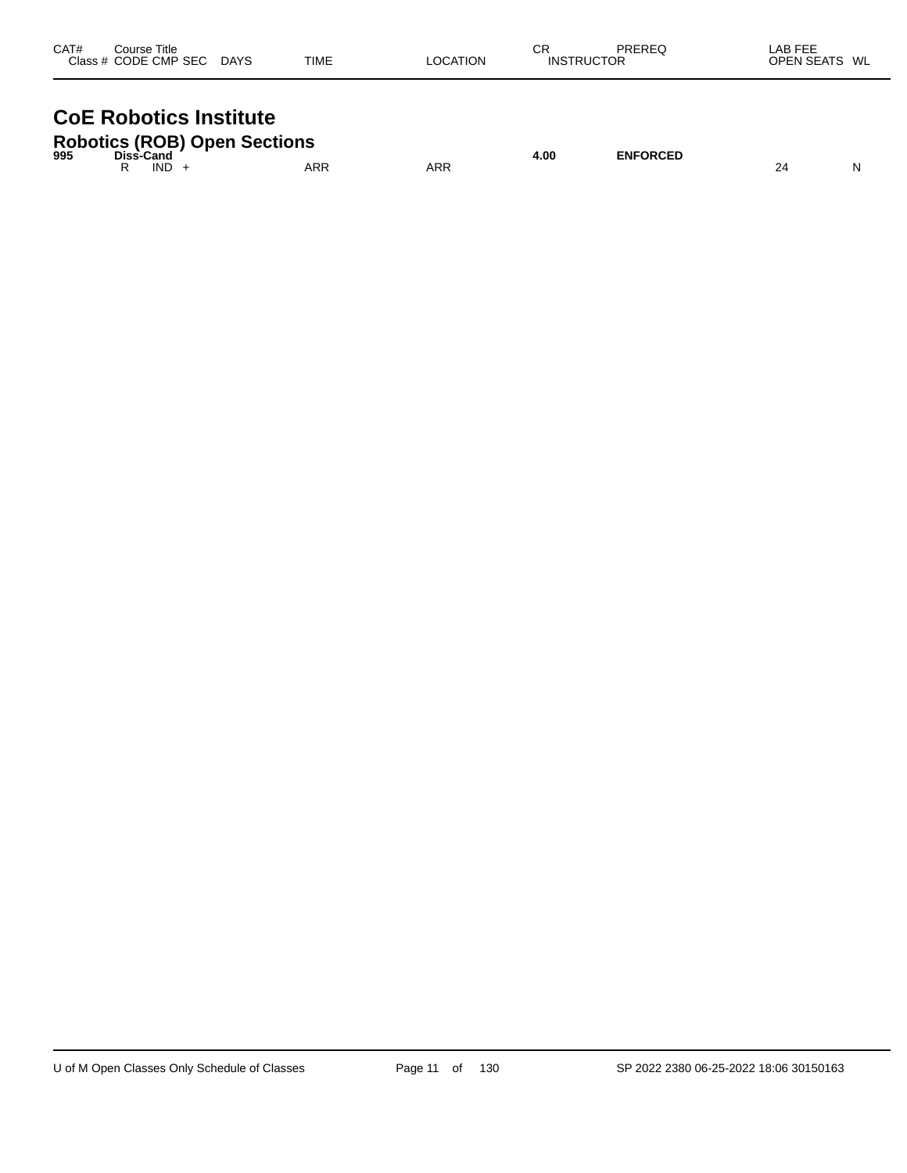| CAT#<br>Class # | ેourse Title<br><b>CODE CMP SEC</b> | <b>DAYS</b> | <b>TIME</b> | <b>OCATION</b><br>∟∪ບr | СR<br><b>INSTRUCTOR</b> | PREREG | LAB FEE<br><b>OPEN SEATS</b> | WL |
|-----------------|-------------------------------------|-------------|-------------|------------------------|-------------------------|--------|------------------------------|----|
|                 |                                     |             |             |                        |                         |        |                              |    |

# **CoE Robotics Institute**

|     |                   | <b>Robotics (ROB) Open Sections</b> |     |      |                 |    |
|-----|-------------------|-------------------------------------|-----|------|-----------------|----|
| 995 | Diss-Cand<br>IND. | ARR                                 | ARR | 4.00 | <b>ENFORCED</b> | N. |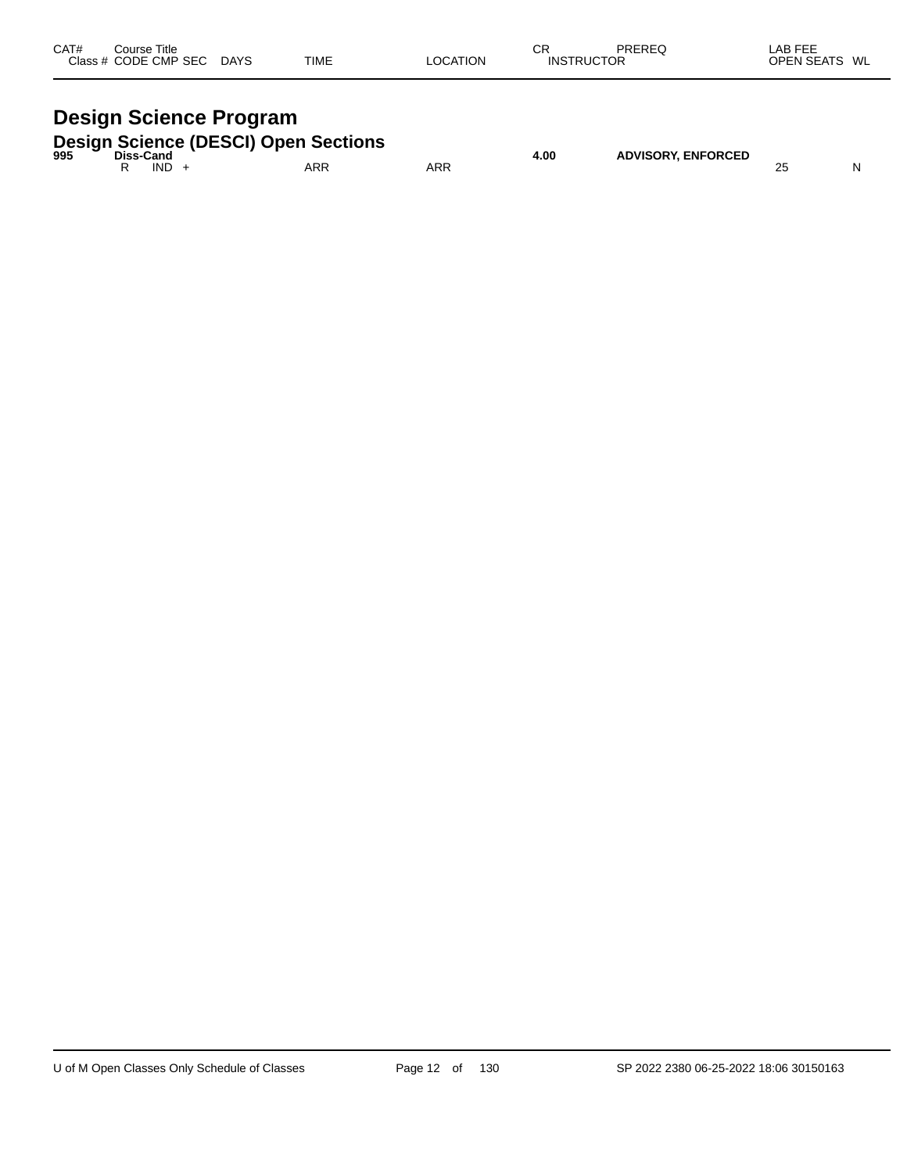| CAT#<br>Class # | Course Title<br><b>CODE CMP SEC</b> | <b>DAYS</b> | <b>TIME</b> | LOCATION | СR<br><b>INSTRUCTOR</b> | <b>DDEDEC</b><br>nenev | ---<br>ΔR<br>ᆍ<br>-no<br><b>OPEN SEATS</b> | WL |
|-----------------|-------------------------------------|-------------|-------------|----------|-------------------------|------------------------|--------------------------------------------|----|
|                 |                                     |             |             |          |                         |                        |                                            |    |

# **Design Science Program**

| <b>Design Science (DESCI) Open Sections</b> |  |
|---------------------------------------------|--|
|                                             |  |

| 995 | Diss-c | Cand       |            |     | 4.00<br>$ -$ | <b>ADVISORY, ENFORCED</b> |         |    |
|-----|--------|------------|------------|-----|--------------|---------------------------|---------|----|
|     |        | <b>IND</b> | <b>ARR</b> | ARR |              |                           | ້<br>__ | NI |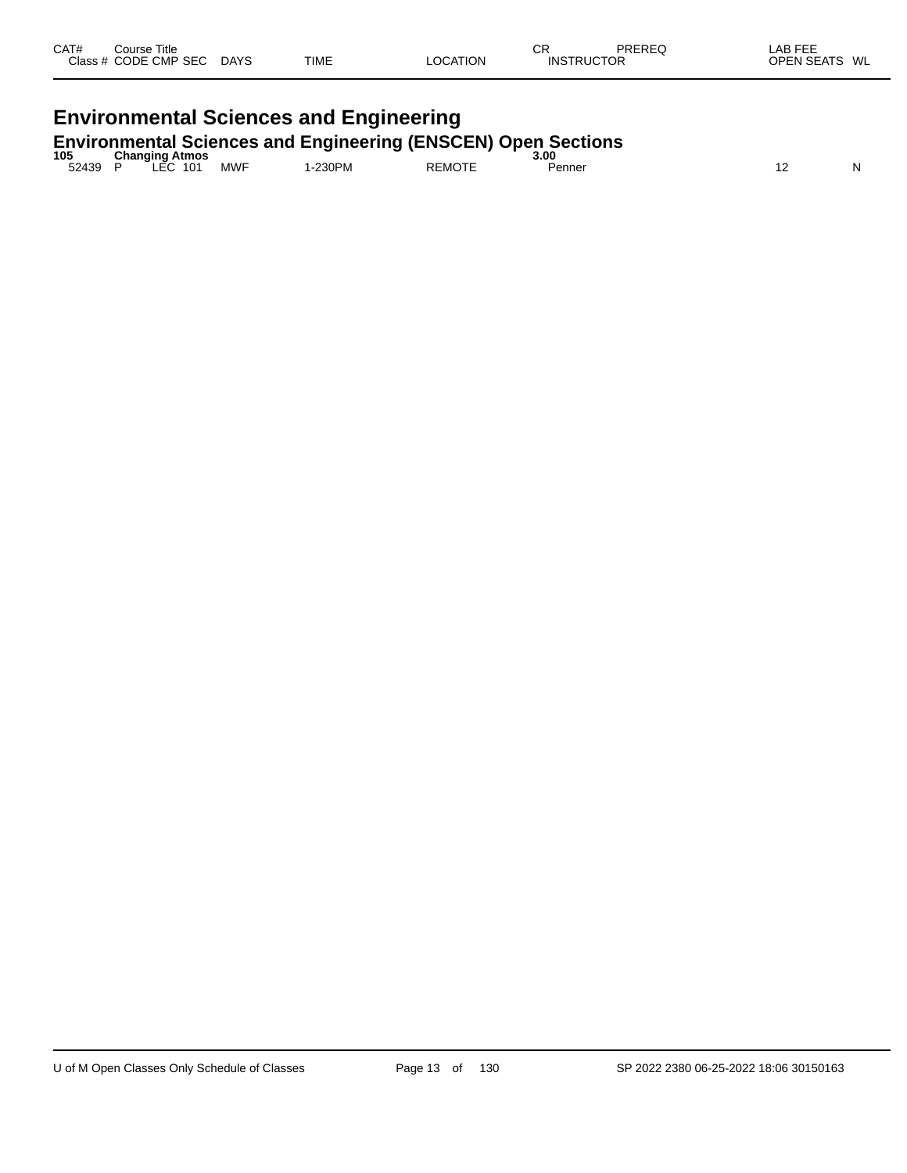| CAT#<br>Class | Title<br>Course<br><b>CODE</b><br><b>CMP</b><br><b>SEC</b> | DAYS<br>$\sim$ | <b>TIME</b> | LOCATION | СR<br><b>RUCTOR</b><br>INS<br>____ | PREREC<br>⊓⊏⊾ | ----<br>LAB<br>--<br>$\sim$ $\sim$ $\sim$ $\sim$<br>WL<br>OPEN<br>$5F^{\mu}$<br>'N |
|---------------|------------------------------------------------------------|----------------|-------------|----------|------------------------------------|---------------|------------------------------------------------------------------------------------|
|               |                                                            |                |             |          |                                    |               |                                                                                    |

### **Environmental Sciences and Engineering Environmental Sciences and Engineering (ENSCEN) Open Sections**

| 105   | <b>Changing Atmos</b><br>. . |            | . .   | $ -$    | 3.00                                                                                     |  |    |
|-------|------------------------------|------------|-------|---------|------------------------------------------------------------------------------------------|--|----|
| 52439 | 10 <sup>7</sup><br>∟EC       | <b>MWF</b> | 230PN | - 1\/IC | ennei<br>the contract of the contract of the contract of the contract of the contract of |  | NL |
|       |                              |            |       |         |                                                                                          |  |    |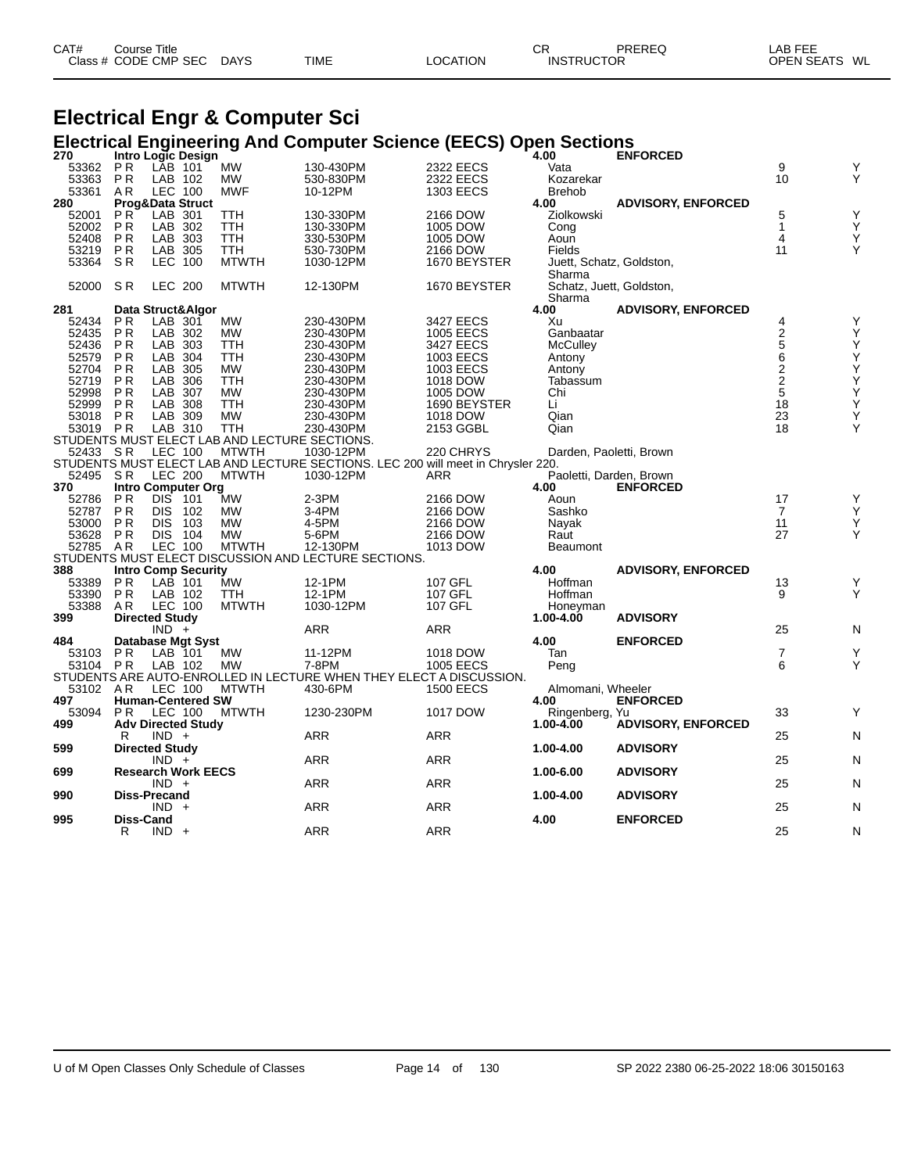| CAT# | Course Title         |             |             |          | ⌒冖<br>◡◠          | PREREQ | AB FEE.           |    |
|------|----------------------|-------------|-------------|----------|-------------------|--------|-------------------|----|
|      | Class # CODE CMP SEC | <b>DAYS</b> | <b>TIME</b> | LOCATION | <b>INSTRUCTOR</b> |        | <b>OPEN SEATS</b> | WL |
|      |                      |             |             |          |                   |        |                   |    |

## **Electrical Engr & Computer Sci**

# **Electrical Engineering And Computer Science (EECS) Open Sections 270 Intro Logic Design 4.00 ENFORCED**

| 270      |                       |                | Intro Logic Design          |                                               |                                                                                  |                  | 4.00                               | <b>ENFORCED</b>           |                                              |                                                    |
|----------|-----------------------|----------------|-----------------------------|-----------------------------------------------|----------------------------------------------------------------------------------|------------------|------------------------------------|---------------------------|----------------------------------------------|----------------------------------------------------|
| 53362    | P R                   | LAB 101        |                             | <b>MW</b>                                     | 130-430PM                                                                        | 2322 EECS        | Vata                               |                           | 9                                            | Υ                                                  |
| 53363    | PR                    | LAB 102        |                             | <b>MW</b>                                     | 530-830PM                                                                        | 2322 EECS        | Kozarekar                          |                           | 10                                           | Υ                                                  |
| 53361    | AR                    | <b>LEC 100</b> |                             | <b>MWF</b>                                    | 10-12PM                                                                          | 1303 EECS        | <b>Brehob</b>                      |                           |                                              |                                                    |
| 280      |                       |                | <b>Prog&amp;Data Struct</b> |                                               |                                                                                  |                  | 4.00                               | <b>ADVISORY, ENFORCED</b> |                                              |                                                    |
| 52001    | <b>PR</b>             | LAB            | 301                         | TTH                                           | 130-330PM                                                                        | 2166 DOW         | Ziolkowski                         |                           | 5                                            | Υ                                                  |
| 52002    | P <sub>R</sub>        | LAB 302        |                             | TTH                                           | 130-330PM                                                                        | 1005 DOW         | Cong                               |                           | $\mathbf{1}$                                 | Ý                                                  |
| 52408    | <b>PR</b>             | LAB 303        |                             | TTH                                           | 330-530PM                                                                        | 1005 DOW         | Aoun                               |                           | 4                                            | Ý                                                  |
| 53219    | <b>PR</b>             | LAB 305        |                             | <b>TTH</b>                                    | 530-730PM                                                                        | 2166 DOW         | Fields                             |                           | 11                                           | Υ                                                  |
| 53364    | SR                    | <b>LEC 100</b> |                             | <b>MTWTH</b>                                  | 1030-12PM                                                                        | 1670 BEYSTER     | Juett, Schatz, Goldston,           |                           |                                              |                                                    |
|          |                       |                |                             |                                               |                                                                                  |                  | Sharma                             |                           |                                              |                                                    |
| 52000    | <b>SR</b>             | <b>LEC 200</b> |                             | <b>MTWTH</b>                                  | 12-130PM                                                                         | 1670 BEYSTER     |                                    |                           |                                              |                                                    |
|          |                       |                |                             |                                               |                                                                                  |                  | Schatz, Juett, Goldston,<br>Sharma |                           |                                              |                                                    |
| 281      |                       |                | Data Struct&Algor           |                                               |                                                                                  |                  | 4.00                               | <b>ADVISORY, ENFORCED</b> |                                              |                                                    |
| 52434    | <b>PR</b>             |                |                             | <b>MW</b>                                     |                                                                                  |                  |                                    |                           | 4                                            |                                                    |
|          |                       | LAB 301        |                             |                                               | 230-430PM                                                                        | 3427 EECS        | Xu                                 |                           |                                              | Υ                                                  |
| 52435    | P <sub>R</sub>        | LAB 302        |                             | <b>MW</b>                                     | 230-430PM                                                                        | <b>1005 EECS</b> | Ganbaatar                          |                           | $\frac{2}{5}$                                | $\mathop{\mathsf{Y}}\limits_{\mathop{\mathsf{Y}}}$ |
| 52436    | <b>PR</b>             | LAB 303        |                             | TTH                                           | 230-430PM                                                                        | 3427 EECS        | <b>McCulley</b>                    |                           |                                              |                                                    |
| 52579    | P <sub>R</sub>        | LAB 304        |                             | TTH                                           | 230-430PM                                                                        | 1003 EECS        | Antony                             |                           | 6                                            | メメス人人                                              |
| 52704    | P <sub>R</sub>        | LAB 305        |                             | <b>MW</b>                                     | 230-430PM                                                                        | 1003 EECS        | Antony                             |                           | $\begin{array}{c}\n2 \\ 2 \\ 5\n\end{array}$ |                                                    |
| 52719    | P <sub>R</sub>        | LAB            | 306                         | <b>TTH</b>                                    | 230-430PM                                                                        | 1018 DOW         | Tabassum                           |                           |                                              |                                                    |
| 52998    | P <sub>R</sub>        | LAB 307        |                             | <b>MW</b>                                     | 230-430PM                                                                        | 1005 DOW         | Chi                                |                           |                                              |                                                    |
| 52999    | <b>PR</b>             | <b>LAB</b>     | 308                         | <b>TTH</b>                                    | 230-430PM                                                                        | 1690 BEYSTER     | Li                                 |                           | 18                                           |                                                    |
| 53018    | PR                    | LAB 309        |                             | <b>MW</b>                                     | 230-430PM                                                                        | 1018 DOW         | Qian                               |                           | 23                                           | Υ                                                  |
| 53019 PR |                       | LAB 310        |                             | <b>TTH</b>                                    | 230-430PM                                                                        | 2153 GGBL        | Qian                               |                           | 18                                           | Υ                                                  |
|          |                       |                |                             | STUDENTS MUST ELECT LAB AND LECTURE SECTIONS. |                                                                                  |                  |                                    |                           |                                              |                                                    |
| 52433 SR |                       | LEC 100        |                             | <b>MTWTH</b>                                  | 1030-12PM                                                                        | 220 CHRYS        | Darden, Paoletti, Brown            |                           |                                              |                                                    |
|          |                       |                |                             |                                               | STUDENTS MUST ELECT LAB AND LECTURE SECTIONS. LEC 200 will meet in Chrysler 220. |                  |                                    |                           |                                              |                                                    |
|          |                       |                |                             |                                               |                                                                                  |                  |                                    |                           |                                              |                                                    |
| 52495 SR |                       | <b>LEC 200</b> |                             | <b>MTWTH</b>                                  | 1030-12PM                                                                        | <b>ARR</b>       | Paoletti, Darden, Brown            |                           |                                              |                                                    |
| 370      |                       |                | <b>Intro Computer Org</b>   |                                               |                                                                                  |                  | 4.00                               | <b>ENFORCED</b>           |                                              |                                                    |
| 52786    | PR.                   | <b>DIS</b>     | 101                         | МW                                            | 2-3PM                                                                            | 2166 DOW         | Aoun                               |                           | 17                                           | Υ                                                  |
| 52787    | P <sub>R</sub>        | DIS.           | 102                         | <b>MW</b>                                     | 3-4PM                                                                            | 2166 DOW         | Sashko                             |                           | 7                                            | Υ                                                  |
| 53000    | <b>PR</b>             | <b>DIS</b>     | 103                         | MW                                            | 4-5PM                                                                            | 2166 DOW         | Nayak                              |                           | 11                                           | Υ                                                  |
| 53628    | <b>PR</b>             | <b>DIS 104</b> |                             | <b>MW</b>                                     | 5-6PM                                                                            | 2166 DOW         | Raut                               |                           | 27                                           | Y                                                  |
| 52785    | AR                    | <b>LEC 100</b> |                             | <b>MTWTH</b>                                  | 12-130PM                                                                         | 1013 DOW         | Beaumont                           |                           |                                              |                                                    |
|          |                       |                |                             |                                               | STUDENTS MUST ELECT DISCUSSION AND LECTURE SECTIONS.                             |                  |                                    |                           |                                              |                                                    |
| 388      |                       |                | <b>Intro Comp Security</b>  |                                               |                                                                                  |                  | 4.00                               | <b>ADVISORY, ENFORCED</b> |                                              |                                                    |
| 53389    | PR.                   | LAB 101        |                             | MW                                            | 12-1PM                                                                           | 107 GFL          | Hoffman                            |                           | 13                                           | Υ                                                  |
| 53390    | P R                   | LAB 102        |                             | <b>TTH</b>                                    | 12-1PM                                                                           | 107 GFL          | Hoffman                            |                           | 9                                            | Υ                                                  |
|          |                       |                |                             |                                               |                                                                                  |                  |                                    |                           |                                              |                                                    |
| 53388    | A <sub>R</sub>        | <b>LEC 100</b> |                             | <b>MTWTH</b>                                  | 1030-12PM                                                                        | 107 GFL          | Honeyman                           |                           |                                              |                                                    |
| 399      | <b>Directed Study</b> |                |                             |                                               |                                                                                  |                  | 1.00-4.00                          | <b>ADVISORY</b>           |                                              |                                                    |
|          |                       | $IND +$        |                             |                                               | ARR                                                                              | <b>ARR</b>       |                                    |                           | 25                                           | N                                                  |
| 484      |                       |                | <b>Database Mgt Syst</b>    |                                               |                                                                                  |                  | 4.00                               | <b>ENFORCED</b>           |                                              |                                                    |
| 53103    | P R                   | LAB 101        |                             | МW                                            | 11-12PM                                                                          | 1018 DOW         | Tan                                |                           | $\overline{7}$                               | Υ                                                  |
| 53104 PR |                       | LAB 102        |                             | MW                                            | 7-8PM                                                                            | <b>1005 EECS</b> | Peng                               |                           | 6                                            | Y                                                  |
|          |                       |                |                             |                                               | STUDENTS ARE AUTO-ENROLLED IN LECTURE WHEN THEY ELECT A DISCUSSION.              |                  |                                    |                           |                                              |                                                    |
| 53102 AR |                       | LEC 100        |                             | <b>MTWTH</b>                                  | 430-6PM                                                                          | <b>1500 EECS</b> | Almomani, Wheeler                  |                           |                                              |                                                    |
| 497      |                       |                | <b>Human-Centered SW</b>    |                                               |                                                                                  |                  | 4.00                               | <b>ENFORCED</b>           |                                              |                                                    |
| 53094    | <b>PR</b>             | LEC 100        |                             | <b>MTWTH</b>                                  | 1230-230PM                                                                       | 1017 DOW         | Ringenberg, Yu                     |                           | 33                                           | Y                                                  |
| 499      |                       |                | <b>Adv Directed Study</b>   |                                               |                                                                                  |                  | 1.00-4.00                          | <b>ADVISORY, ENFORCED</b> |                                              |                                                    |
|          | R                     | $IND +$        |                             |                                               | ARR                                                                              | <b>ARR</b>       |                                    |                           | 25                                           | N                                                  |
| 599      | <b>Directed Study</b> |                |                             |                                               |                                                                                  |                  | 1.00-4.00                          | <b>ADVISORY</b>           |                                              |                                                    |
|          |                       |                |                             |                                               |                                                                                  |                  |                                    |                           | 25                                           |                                                    |
|          |                       | $IND +$        |                             |                                               | ARR                                                                              | <b>ARR</b>       |                                    |                           |                                              | N                                                  |
| 699      |                       |                | <b>Research Work EECS</b>   |                                               |                                                                                  |                  | 1.00-6.00                          | <b>ADVISORY</b>           |                                              |                                                    |
|          |                       | $IND +$        |                             |                                               | ARR                                                                              | <b>ARR</b>       |                                    |                           | 25                                           | N                                                  |
| 990      | <b>Diss-Precand</b>   |                |                             |                                               |                                                                                  |                  | 1.00-4.00                          | <b>ADVISORY</b>           |                                              |                                                    |
|          |                       | $IND +$        |                             |                                               | ARR                                                                              | ARR              |                                    |                           | 25                                           | N                                                  |
| 995      | Diss-Cand             |                |                             |                                               |                                                                                  |                  | 4.00                               | <b>ENFORCED</b>           |                                              |                                                    |
|          | R                     | $IND +$        |                             |                                               | <b>ARR</b>                                                                       | <b>ARR</b>       |                                    |                           | 25                                           | N                                                  |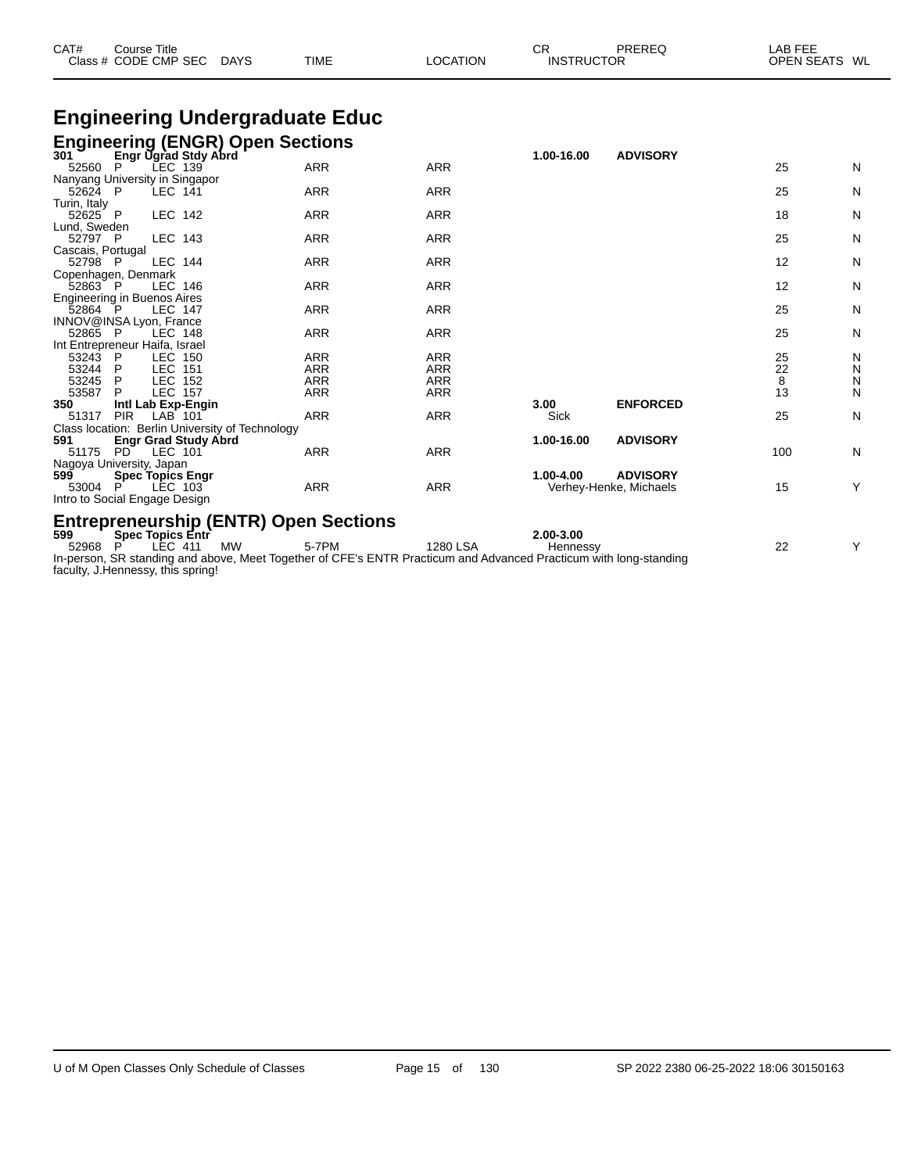| CAT# | Course Title         |             |             |          | СF                | PREREQ | LAB FEE                 |  |
|------|----------------------|-------------|-------------|----------|-------------------|--------|-------------------------|--|
|      | Class # CODE CMP SEC | <b>DAYS</b> | <b>TIME</b> | LOCATION | <b>INSTRUCTOR</b> |        | <b>OPEN SEATS</b><br>WL |  |

# **Engineering Undergraduate Educ**

| <b>Engineering (ENGR) Open Sections</b> |  |
|-----------------------------------------|--|
|                                         |  |

| 301                            |                         |                | Engr Ugrad Stdy Abrd                            |            |            | 1.00-16.00 | <b>ADVISORY</b>        |     |   |
|--------------------------------|-------------------------|----------------|-------------------------------------------------|------------|------------|------------|------------------------|-----|---|
| 52560                          | P                       | LEC 139        |                                                 | <b>ARR</b> | <b>ARR</b> |            |                        | 25  | N |
| Nanyang University in Singapor |                         |                |                                                 |            |            |            |                        |     |   |
| 52624 P                        |                         | LEC 141        |                                                 | ARR        | <b>ARR</b> |            |                        | 25  | N |
| Turin, Italy                   |                         |                |                                                 |            |            |            |                        |     |   |
| 52625 P                        |                         | LEC 142        |                                                 | ARR        | <b>ARR</b> |            |                        | 18  | N |
| Lund, Sweden                   |                         |                |                                                 |            |            |            |                        |     |   |
| 52797 P                        |                         | LEC 143        |                                                 | <b>ARR</b> | <b>ARR</b> |            |                        | 25  | N |
| Cascais, Portugal              |                         |                |                                                 |            |            |            |                        |     |   |
| 52798 P                        |                         | <b>LEC 144</b> |                                                 | ARR        | <b>ARR</b> |            |                        | 12  | N |
| Copenhagen, Denmark            |                         |                |                                                 |            |            |            |                        |     |   |
| 52863 P                        |                         | LEC 146        |                                                 | ARR        | <b>ARR</b> |            |                        | 12  | N |
| Engineering in Buenos Aires    |                         |                |                                                 |            |            |            |                        |     |   |
| 52864 P                        |                         | <b>LEC 147</b> |                                                 | ARR        | <b>ARR</b> |            |                        | 25  | N |
| INNOV@INSA Lyon, France        |                         |                |                                                 |            |            |            |                        |     |   |
| 52865 P                        |                         | LEC 148        |                                                 | ARR        | <b>ARR</b> |            |                        | 25  | N |
| Int Entrepreneur Haifa, Israel |                         |                |                                                 |            |            |            |                        |     |   |
| 53243 P                        |                         | LEC 150        |                                                 | ARR        | <b>ARR</b> |            |                        | 25  | N |
| 53244                          | P.                      | LEC 151        |                                                 | ARR        | <b>ARR</b> |            |                        | 22  | N |
| 53245                          | P.                      | LEC 152        |                                                 | ARR        | <b>ARR</b> |            |                        | 8   | N |
| 53587                          | P.                      | <b>LEC 157</b> |                                                 | ARR        | ARR        |            |                        | 13  | N |
| 350                            |                         |                | Intl Lab Exp-Engin                              |            |            | 3.00       | <b>ENFORCED</b>        |     |   |
| 51317                          | <b>PIR</b>              | LAB 101        |                                                 | ARR        | <b>ARR</b> | Sick       |                        | 25  | N |
|                                |                         |                | Class location: Berlin University of Technology |            |            |            |                        |     |   |
| 591                            |                         |                | Engr Grad Study Abrd                            |            |            | 1.00-16.00 | <b>ADVISORY</b>        |     |   |
| 51175 PD                       |                         | <b>LEC 101</b> |                                                 | ARR        | <b>ARR</b> |            |                        | 100 | N |
| Nagoya University, Japan       |                         |                |                                                 |            |            |            |                        |     |   |
| 599                            | <b>Spec Topics Engr</b> |                |                                                 |            |            | 1.00-4.00  | <b>ADVISORY</b>        |     |   |
| 53004 P                        |                         | LEC 103        |                                                 | ARR        | ARR        |            | Verhey-Henke, Michaels | 15  | Υ |
| Intro to Social Engage Design  |                         |                |                                                 |            |            |            |                        |     |   |
|                                |                         |                |                                                 |            |            |            |                        |     |   |
|                                |                         |                | <b>Entrepreneurship (ENTR) Open Sections</b>    |            |            |            |                        |     |   |
| 599                            | <b>Spec Topics Entr</b> |                |                                                 |            |            | 2.00-3.00  |                        |     |   |

52968 P LEC 411 MW 5-7PM 1280 LSA Hennessy 22 Y In-person, SR standing and above, Meet Together of CFE's ENTR Practicum and Advanced Practicum with long-standing faculty, J.Hennessy, this spring!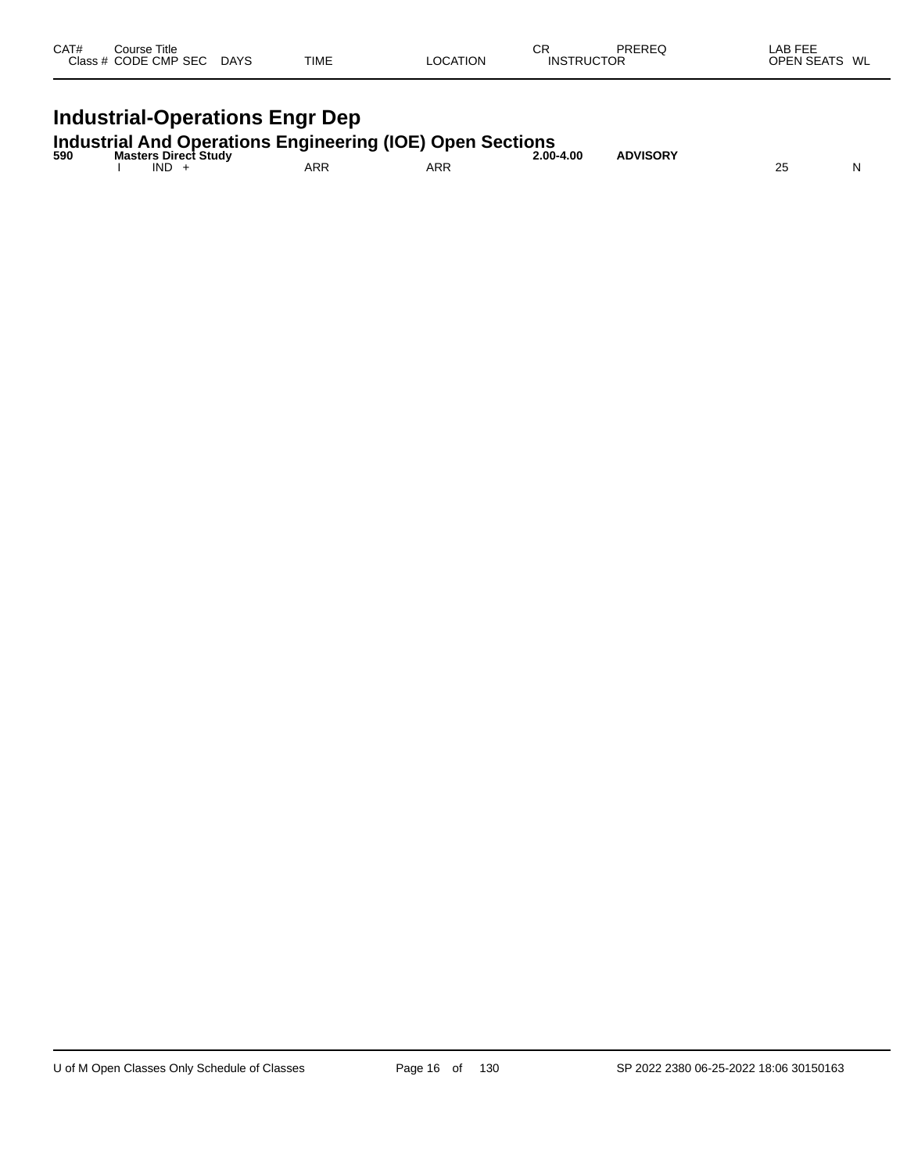| CAT# | ourse Titleٽ<br>Class # CODE CMP SEC | <b>DAYS</b> | <b>TIME</b> | <b>LOCATION</b> | СR<br><b>INSTRUCTOR</b> | PREREQ | LAB FEE<br><b>OPEN SEATS</b><br>WL |
|------|--------------------------------------|-------------|-------------|-----------------|-------------------------|--------|------------------------------------|
|      |                                      |             |             |                 |                         |        |                                    |

## **Industrial-Operations Engr Dep**

**Industrial And Operations Engineering (IOE) Open Sections**

| 590 | <b>Masters Direct Study</b> |     |            | $2.00 - 4.00$ | <b>ADVISORY</b><br>____ |         |   |
|-----|-----------------------------|-----|------------|---------------|-------------------------|---------|---|
|     | <b>IND</b>                  | ARR | <b>ARR</b> |               |                         | ົ<br>L. | N |
|     |                             |     |            |               |                         |         |   |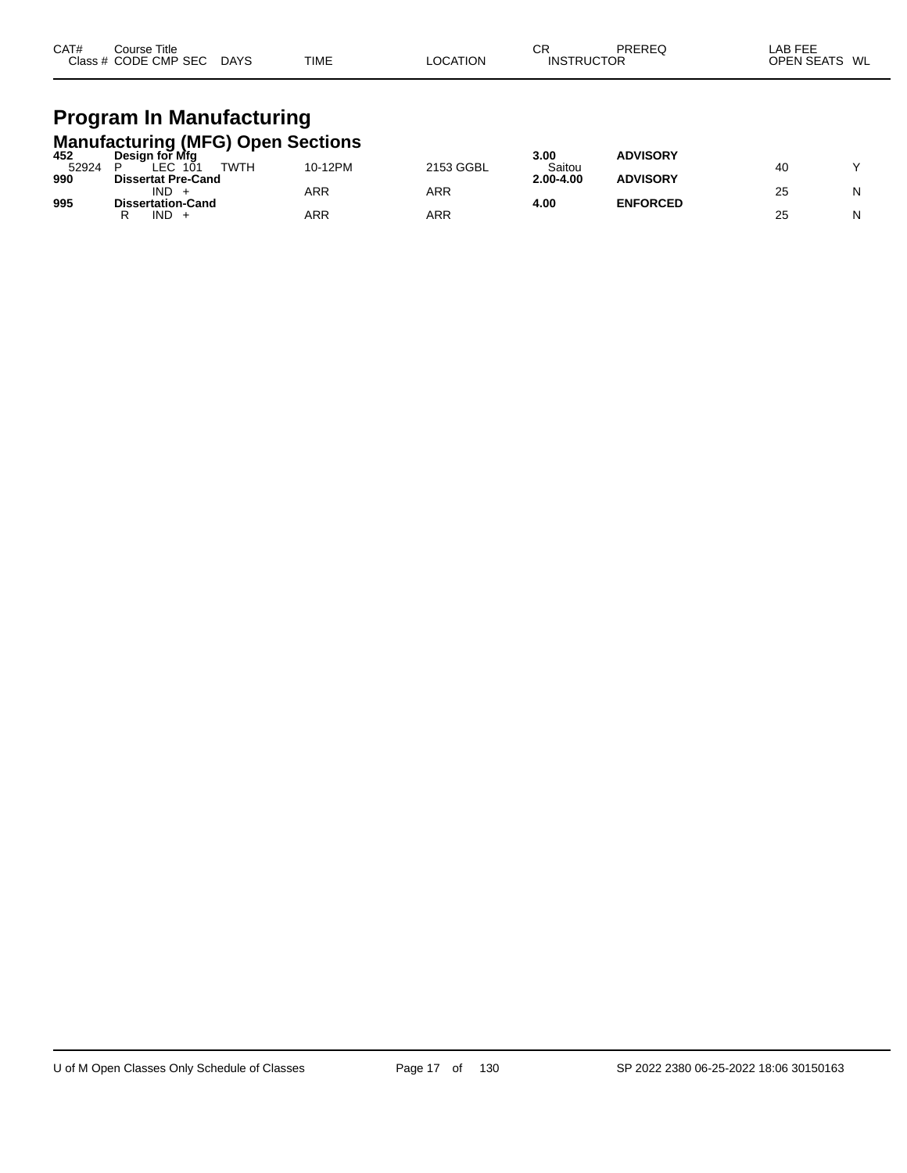| CAT# | Course Title<br>Class # CODE CMP SEC | <b>DAYS</b> | <b>TIME</b> | LOCATION | СR<br><b>INSTRUCTOR</b> | PREREQ | LAB FEE<br><b>OPEN SEATS</b><br>WL |
|------|--------------------------------------|-------------|-------------|----------|-------------------------|--------|------------------------------------|
|      |                                      |             |             |          |                         |        |                                    |

# **Program In Manufacturing**

|       | <b>Manufacturing (MFG) Open Sections</b> |            |           |           |                 |    |              |
|-------|------------------------------------------|------------|-----------|-----------|-----------------|----|--------------|
| 452   | Desian for Mfa                           |            |           | 3.00      | <b>ADVISORY</b> |    |              |
| 52924 | .EC<br><b>TWTH</b><br>101                | 10-12PM    | 2153 GGBL | Saitou    |                 | 40 | $\checkmark$ |
| 990   | <b>Dissertat Pre-Cand</b>                |            |           | 2.00-4.00 | <b>ADVISORY</b> |    |              |
|       | IND.                                     | ARR        | ARR       |           |                 | 25 | N            |
| 995   | <b>Dissertation-Cand</b>                 |            |           | 4.00      | <b>ENFORCED</b> |    |              |
|       | IND.                                     | <b>ARR</b> | ARR       |           |                 | 25 | N            |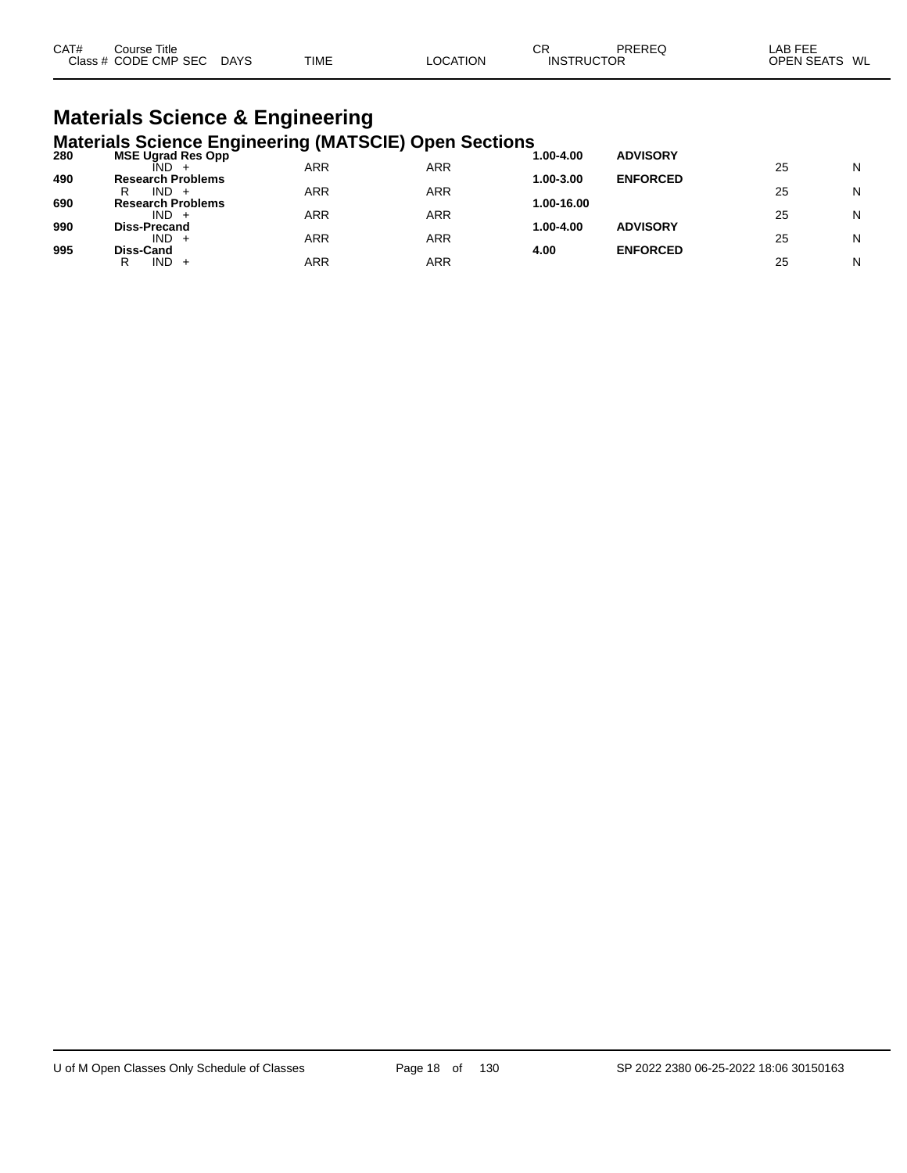| CAT# | Course Title<br>Class # CODE CMP SEC | DAYS | <b>TIME</b> | <b>LOCATION</b> | СR<br><b>INSTRUCTOR</b> | PREREQ | LAB FEE<br>OPEN SEATS WL |  |
|------|--------------------------------------|------|-------------|-----------------|-------------------------|--------|--------------------------|--|
|      |                                      |      |             |                 |                         |        |                          |  |

### **Materials Science & Engineering Materials Science Engineering (MATSCIE) Open Sections**

| 280 | <b>MSE Ugrad Res Opp</b><br>IND.    | ARR | ARR | 1.00-4.00  | <b>ADVISORY</b> | 25 | N |
|-----|-------------------------------------|-----|-----|------------|-----------------|----|---|
| 490 | <b>Research Problems</b>            |     |     | 1.00-3.00  | <b>ENFORCED</b> |    |   |
|     | $IND +$<br>R                        | ARR | ARR |            |                 | 25 | N |
| 690 | <b>Research Problems</b><br>$IND +$ | ARR | ARR | 1.00-16.00 |                 | 25 | N |
| 990 | <b>Diss-Precand</b>                 |     |     | 1.00-4.00  | <b>ADVISORY</b> |    |   |
|     | $IND +$                             | ARR | ARR |            |                 | 25 | N |
| 995 | Diss-Cand<br>$IND +$<br>R           | ARR | ARR | 4.00       | <b>ENFORCED</b> | 25 | N |
|     |                                     |     |     |            |                 |    |   |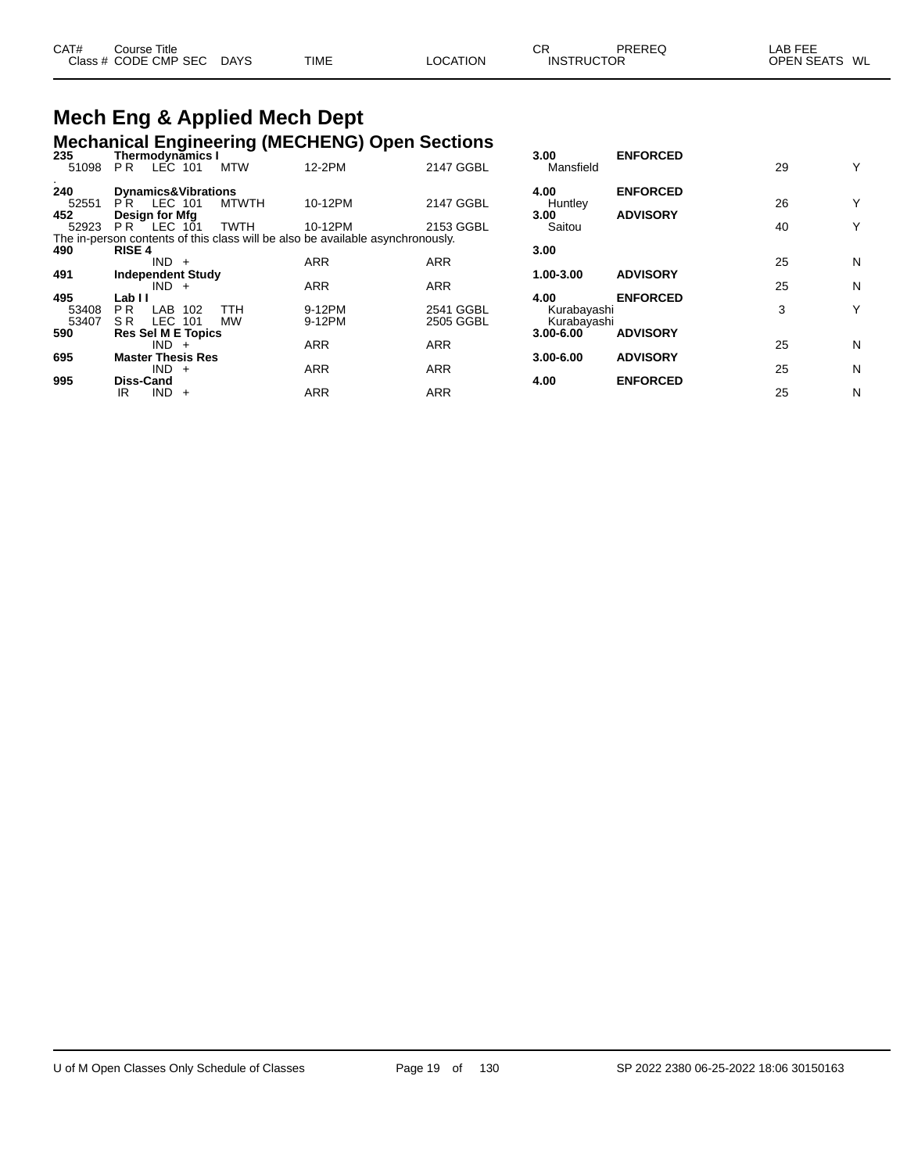| CAT# | Course Title         |             |             |                 | СF                | PREREQ | _AB FEE       |
|------|----------------------|-------------|-------------|-----------------|-------------------|--------|---------------|
|      | Class # CODE CMP SEC | <b>DAYS</b> | <b>TIME</b> | <b>LOCATION</b> | <b>INSTRUCTOR</b> |        | OPEN SEATS WL |

### **Mech Eng & Applied Mech Dept Mechanical Engineering (MECHENG) Open Sections**

| 235   | Thermodynamics I               | ັ            |                                                                                |            | 3.00          | <b>ENFORCED</b> |    |   |
|-------|--------------------------------|--------------|--------------------------------------------------------------------------------|------------|---------------|-----------------|----|---|
| 51098 | LEC 101<br>PR.                 | <b>MTW</b>   | 12-2PM                                                                         | 2147 GGBL  | Mansfield     |                 | 29 | Υ |
| 240   | <b>Dynamics&amp;Vibrations</b> |              |                                                                                |            | 4.00          | <b>ENFORCED</b> |    |   |
| 52551 | <b>LEC 101</b><br>PR.          | <b>MTWTH</b> | 10-12PM                                                                        | 2147 GGBL  | Huntley       |                 | 26 | Υ |
| 452   | Design for Mfg                 |              |                                                                                |            | 3.00          | <b>ADVISORY</b> |    |   |
| 52923 | $PR$ LEC $101$                 | <b>TWTH</b>  | 10-12PM                                                                        | 2153 GGBL  | Saitou        |                 | 40 | Υ |
|       |                                |              | The in-person contents of this class will be also be available asynchronously. |            |               |                 |    |   |
| 490   | <b>RISE 4</b>                  |              |                                                                                |            | 3.00          |                 |    |   |
|       | $IND +$                        |              | <b>ARR</b>                                                                     | <b>ARR</b> |               |                 | 25 | N |
| 491   | <b>Independent Study</b>       |              |                                                                                |            | 1.00-3.00     | <b>ADVISORY</b> |    |   |
|       | $IND +$                        |              | <b>ARR</b>                                                                     | <b>ARR</b> |               |                 | 25 | N |
| 495   | Lab I I                        |              |                                                                                |            | 4.00          | <b>ENFORCED</b> |    |   |
| 53408 | P <sub>R</sub><br>LAB 102      | TTH          | 9-12PM                                                                         | 2541 GGBL  | Kurabayashi   |                 | 3  | Υ |
| 53407 | LEC 101<br>SR.                 | <b>MW</b>    | 9-12PM                                                                         | 2505 GGBL  | Kurabayashi   |                 |    |   |
| 590   | <b>Res Sel M E Topics</b>      |              |                                                                                |            | $3.00 - 6.00$ | <b>ADVISORY</b> |    |   |
|       | $IND +$                        |              | <b>ARR</b>                                                                     | <b>ARR</b> |               |                 | 25 | N |
| 695   | <b>Master Thesis Res</b>       |              |                                                                                |            | $3.00 - 6.00$ | <b>ADVISORY</b> |    |   |
|       | $IND +$                        |              | <b>ARR</b>                                                                     | <b>ARR</b> |               |                 | 25 | N |
| 995   | <b>Diss-Cand</b>               |              |                                                                                |            | 4.00          | <b>ENFORCED</b> |    |   |
|       | $IND +$<br>IR.                 |              | <b>ARR</b>                                                                     | <b>ARR</b> |               |                 | 25 | N |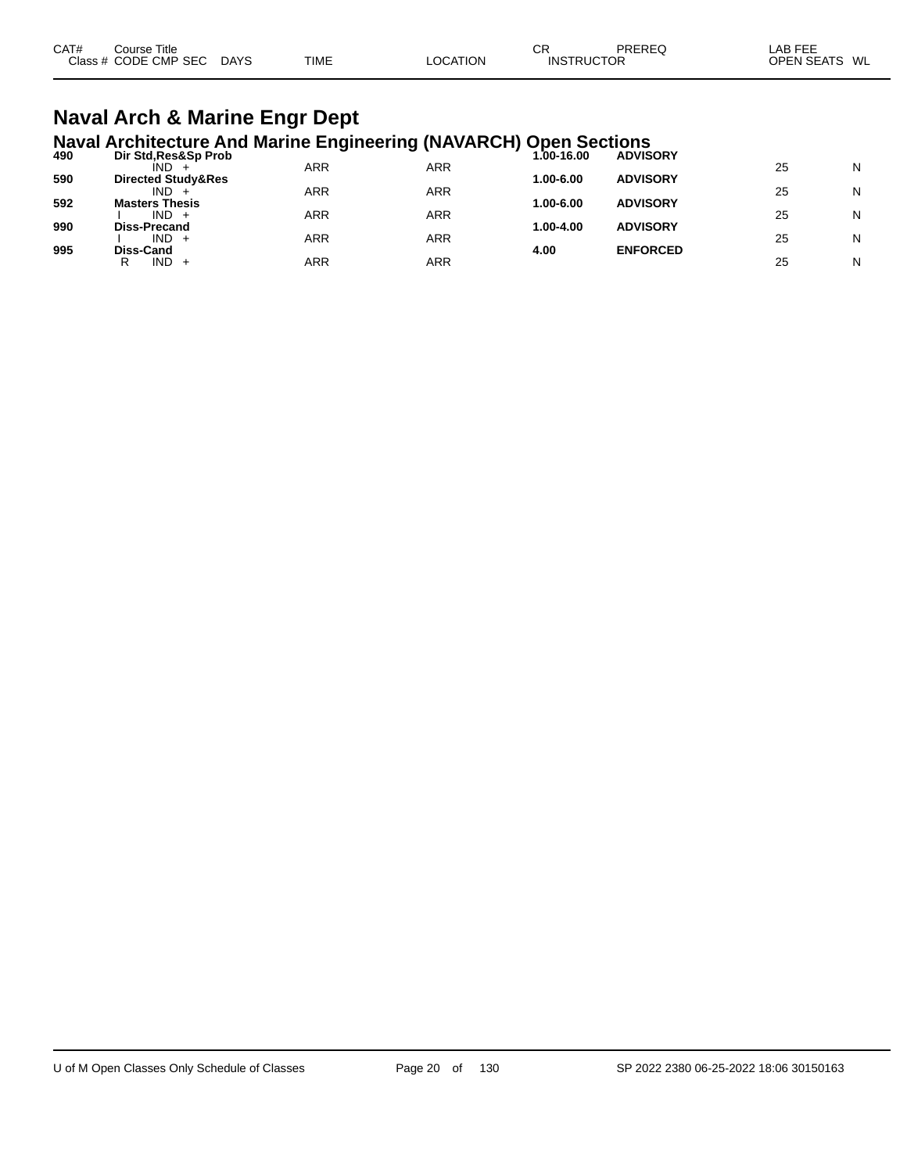| CAT#<br>$C$ lass | Title<br>Course<br><b>CMP</b><br>CODE<br>∕ SFC | DAYS | TIME | .UM | СF<br>או∩<br>-10 | <b>DDEDE</b><br>OR | ---<br>Αŀ<br>$-2$<br>WL<br>ח⊐סר<br>n. |  |
|------------------|------------------------------------------------|------|------|-----|------------------|--------------------|---------------------------------------|--|
|------------------|------------------------------------------------|------|------|-----|------------------|--------------------|---------------------------------------|--|

# **Naval Arch & Marine Engr Dept**

|                          | Naval Architecture And Marine Engineering (NAVARCH) Open Sections |  |  |  |
|--------------------------|-------------------------------------------------------------------|--|--|--|
| $\overline{\phantom{a}}$ | .                                                                 |  |  |  |

|     | ARR                                                                                                                                                                  | ARR |           |                 | 25              | N |
|-----|----------------------------------------------------------------------------------------------------------------------------------------------------------------------|-----|-----------|-----------------|-----------------|---|
|     |                                                                                                                                                                      |     | 1.00-6.00 | <b>ADVISORY</b> |                 |   |
|     | ARR                                                                                                                                                                  | ARR |           |                 | 25              | N |
|     |                                                                                                                                                                      |     | 1.00-6.00 | <b>ADVISORY</b> |                 |   |
|     | ARR                                                                                                                                                                  | ARR |           |                 | 25              | N |
|     |                                                                                                                                                                      |     | 1.00-4.00 | <b>ADVISORY</b> |                 |   |
|     | ARR                                                                                                                                                                  | ARR |           |                 | 25              | N |
|     |                                                                                                                                                                      |     | 4.00      | <b>ENFORCED</b> |                 |   |
| $+$ | ARR                                                                                                                                                                  | ARR |           |                 | 25              | N |
|     | Dir Std, Res&Sp Prob<br>IND.<br><b>Directed Study&amp;Res</b><br>IND.<br><b>Masters Thesis</b><br>IND.<br><b>Diss-Precand</b><br>$IND +$<br><b>Diss-Cand</b><br>IND. |     | - -       | 1,00-16.00      | <b>ADVISORY</b> |   |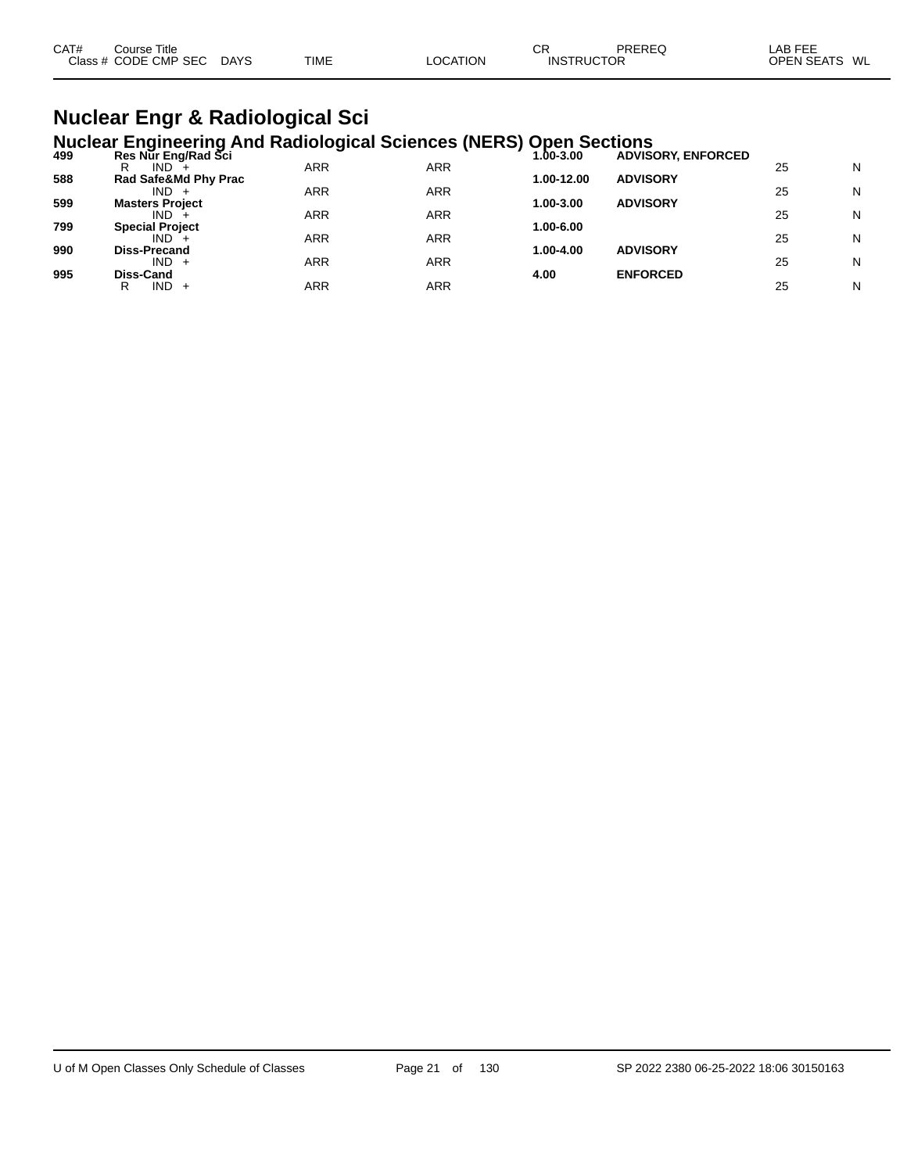| CAT# | Course Title              |             |                 | СF                | PREREQ | LAB FEE       |  |
|------|---------------------------|-------------|-----------------|-------------------|--------|---------------|--|
|      | Class # CODE CMP SEC DAYS | <b>TIME</b> | <b>LOCATION</b> | <b>INSTRUCTOR</b> |        | OPEN SEATS WL |  |
|      |                           |             |                 |                   |        |               |  |

### **Nuclear Engr & Radiological Sci Nuclear Engineering And Radiological Sciences (NERS) Open Sections**

|     | $11401041$ anginooning? the riderorogroup colonious $(112110)$ |            |            | $\sim$ $\sim$ $\sim$ $\sim$ $\sim$ $\sim$ $\sim$ $\sim$ |                           |    |   |
|-----|----------------------------------------------------------------|------------|------------|---------------------------------------------------------|---------------------------|----|---|
| 499 | Res Nur Eng/Rad Sci                                            |            |            | 1.00-3.00                                               | <b>ADVISORY, ENFORCED</b> |    |   |
|     | IND.<br>R                                                      | ARR        | ARR        |                                                         |                           | 25 | N |
| 588 | Rad Safe&Md Phy Prac                                           |            |            | 1.00-12.00                                              | <b>ADVISORY</b>           |    |   |
|     | $IND +$                                                        | ARR        | <b>ARR</b> |                                                         |                           | 25 | N |
| 599 | <b>Masters Project</b>                                         |            |            | 1.00-3.00                                               | <b>ADVISORY</b>           |    |   |
|     | $IND +$                                                        | ARR        | <b>ARR</b> |                                                         |                           | 25 | N |
| 799 | <b>Special Project</b>                                         |            |            | 1.00-6.00                                               |                           |    |   |
|     | $IND +$                                                        | ARR        | <b>ARR</b> |                                                         |                           | 25 | N |
| 990 | <b>Diss-Precand</b>                                            |            |            | 1.00-4.00                                               | <b>ADVISORY</b>           |    |   |
|     | $IND +$                                                        | ARR        | <b>ARR</b> |                                                         |                           | 25 | N |
| 995 | <b>Diss-Cand</b>                                               |            |            | 4.00                                                    | <b>ENFORCED</b>           |    |   |
|     | $IND +$<br>R                                                   | <b>ARR</b> | ARR        |                                                         |                           | 25 | N |
|     |                                                                |            |            |                                                         |                           |    |   |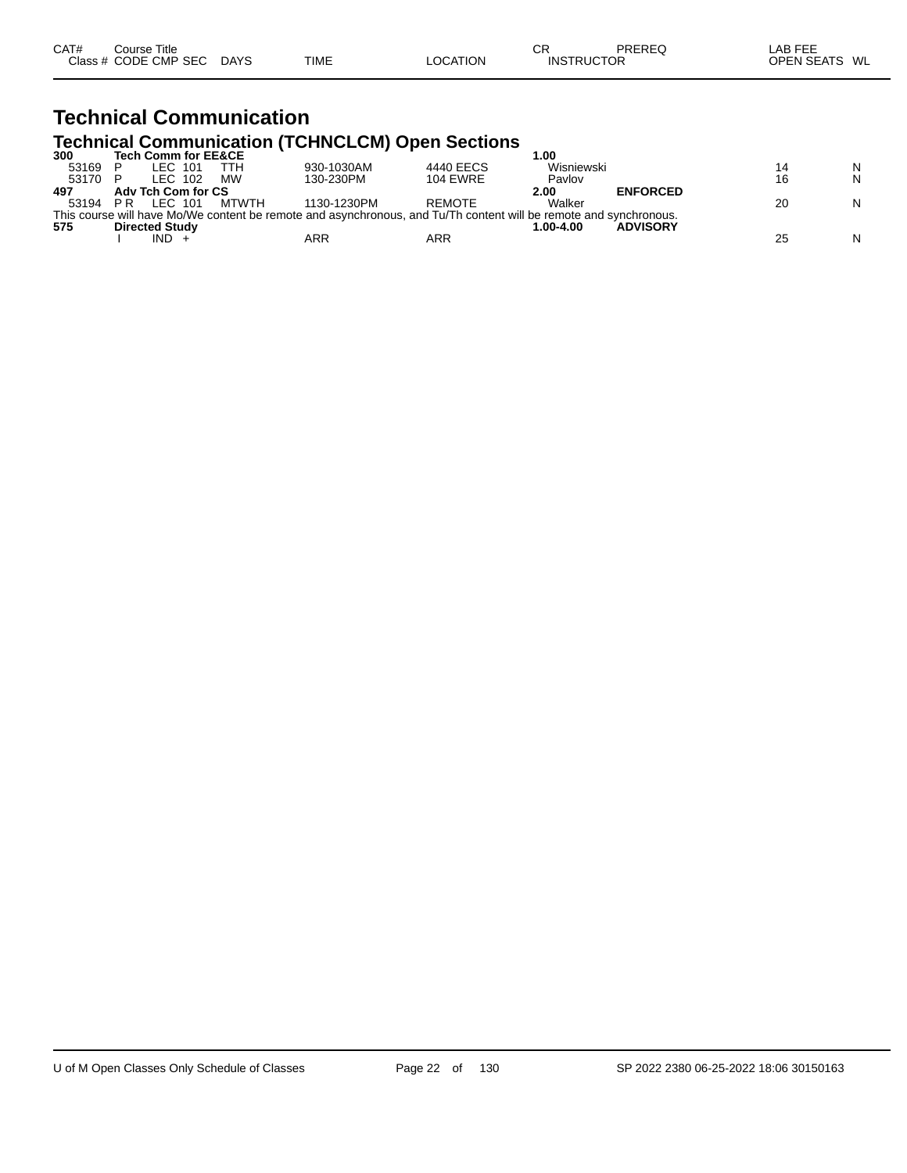| CAT# | Course Title         |             |             |          | СF                | PREREQ | _AB FEE       |
|------|----------------------|-------------|-------------|----------|-------------------|--------|---------------|
|      | Class # CODE CMP SEC | <b>DAYS</b> | <b>TIME</b> | LOCATION | <b>INSTRUCTOR</b> |        | OPEN SEATS WL |
|      |                      |             |             |          |                   |        |               |

# **Technical Communication Technical Communication (TCHNCLCM) Open Sections 300 Tech Comm for EE&CE 1.00**

| 300   | <b>Tech Comm for EE&amp;CE</b> |           |                                                                                                                   |                 | .00        |                 |    |   |
|-------|--------------------------------|-----------|-------------------------------------------------------------------------------------------------------------------|-----------------|------------|-----------------|----|---|
| 53169 | _EC_<br>101                    | ттн       | 930-1030AM                                                                                                        | 4440 EECS       | Wisniewski |                 | 14 | N |
| 53170 | ' EC<br>102                    | <b>MW</b> | 130-230PM                                                                                                         | <b>104 EWRE</b> | Pavlov     |                 | 16 | N |
| 497   | Adv Tch Com for CS             |           |                                                                                                                   |                 | 2.00       | <b>ENFORCED</b> |    |   |
| 53194 | LEC 101<br>P R                 | MTWTH     | 1130-1230PM                                                                                                       | <b>REMOTE</b>   | Walker     |                 | 20 | N |
|       |                                |           | This course will have Mo/We content be remote and asynchronous, and Tu/Th content will be remote and synchronous. |                 |            |                 |    |   |
| 575   | <b>Directed Study</b>          |           |                                                                                                                   |                 | 1.00-4.00  | <b>ADVISORY</b> |    |   |
|       | IND.                           |           | ARR                                                                                                               | ARR             |            |                 | 25 | N |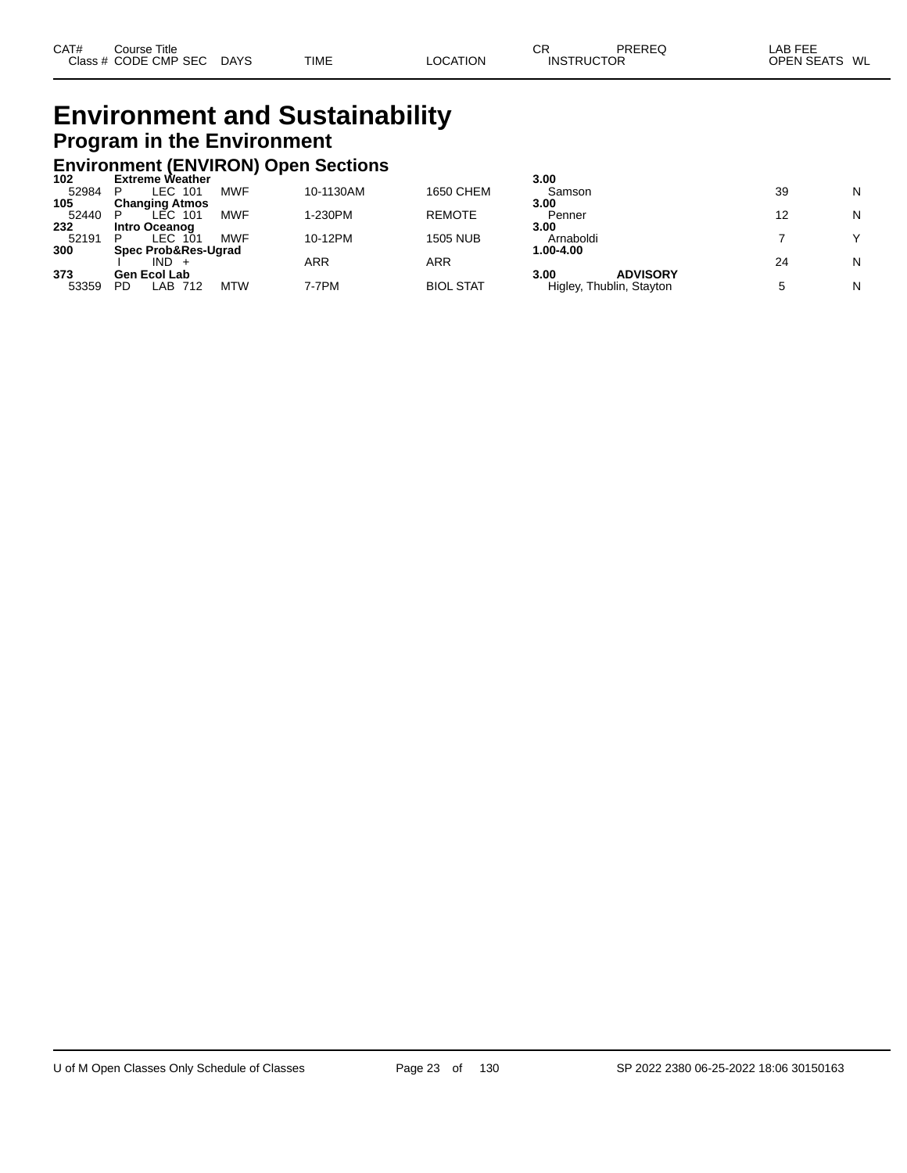## **Environment and Sustainability Program in the Environment**

# **Environment (ENVIRON) Open Sections 102 Extreme Weather 3.00**

| 102   | <b>Extreme weather</b>      |           |                  | 3.UU                     |    |   |
|-------|-----------------------------|-----------|------------------|--------------------------|----|---|
| 52984 | <b>MWF</b><br>LEC 101       | 10-1130AM | 1650 CHEM        | Samson                   | 39 | N |
| 105   | <b>Changing Atmos</b>       |           |                  | 3.00                     |    |   |
| 52440 | <b>MWF</b><br>LEC 101       | 1-230PM   | <b>REMOTE</b>    | Penner                   |    | N |
| 232   | Intro Oceanog               |           |                  | 3.00                     |    |   |
| 52191 | <b>MWF</b><br>LEC 101       | 10-12PM   | <b>1505 NUB</b>  | Arnaboldi                |    |   |
| 300   | Spec Prob&Res-Ugrad         |           |                  | 1.00-4.00                |    |   |
|       | IND.                        | ARR       | ARR              |                          | 24 | N |
| 373   | <b>Gen Ecol Lab</b>         |           |                  | <b>ADVISORY</b><br>3.00  |    |   |
| 53359 | <b>MTW</b><br>PD<br>LAB 712 | 7-7PM     | <b>BIOL STAT</b> | Higley, Thublin, Stayton |    | N |
|       |                             |           |                  |                          |    |   |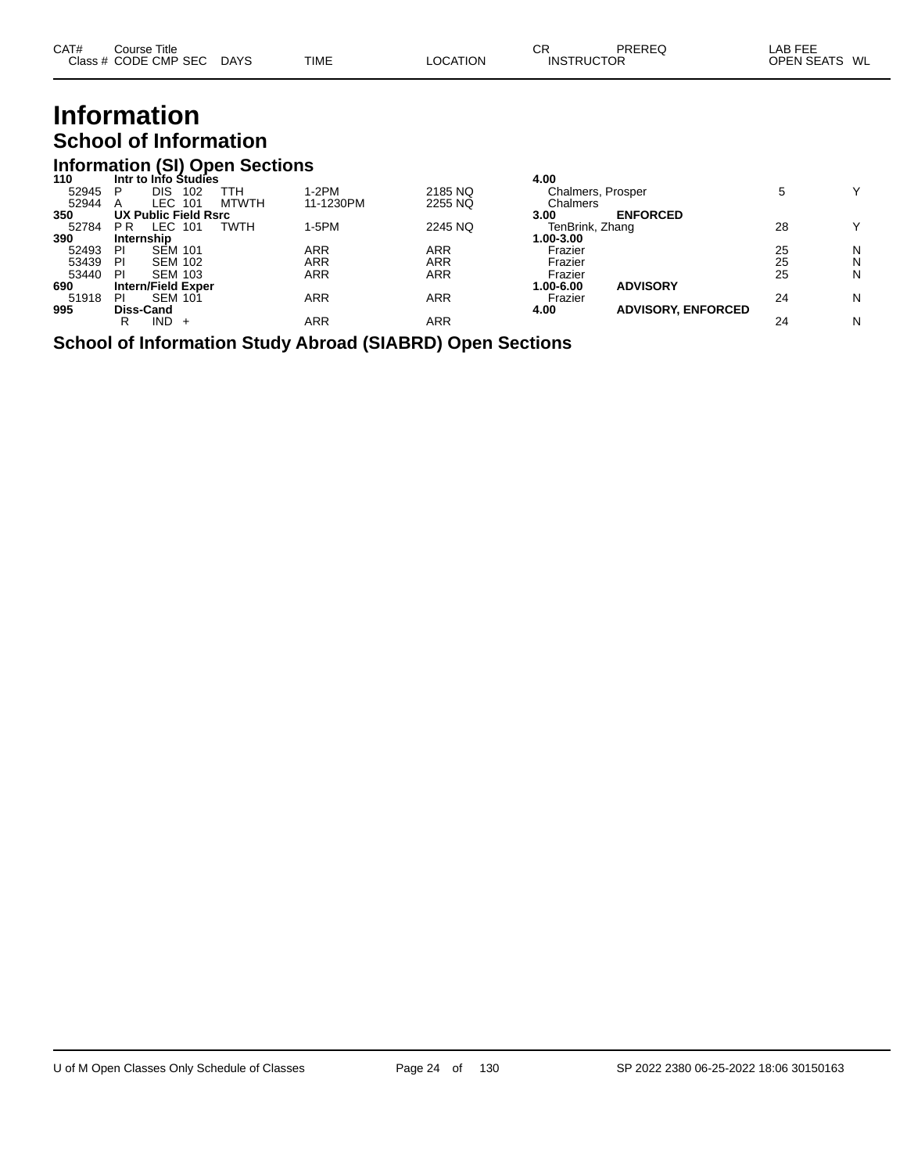| CAT# | ourse Titleٽ         |             |             |          | СR                | <b>PREREQ</b> | _AB FEE       |  |
|------|----------------------|-------------|-------------|----------|-------------------|---------------|---------------|--|
|      | Class # CODE CMP SEC | <b>DAYS</b> | <b>TIME</b> | LOCATION | <b>INSTRUCTOR</b> |               | OPEN SEATS WL |  |

### **Information School of Information**

#### **Information (SI) Open Sections**

| 110   | Intr to Info Studies          |                           |            | 4.00                              |    |              |
|-------|-------------------------------|---------------------------|------------|-----------------------------------|----|--------------|
| 52945 | <b>DIS</b><br>102<br>TTH<br>P | 1-2PM                     | 2185 NQ    | Chalmers, Prosper                 |    | v            |
| 52944 | LEC 101<br>A                  | 11-1230PM<br><b>MTWTH</b> | 2255 NQ    | Chalmers                          |    |              |
| 350   | <b>UX Public Field Rsrc</b>   |                           |            | <b>ENFORCED</b><br>3.00           |    |              |
| 52784 | LEC 101<br>P R                | 1-5PM<br><b>TWTH</b>      | 2245 NQ    | TenBrink, Zhang                   | 28 | $\checkmark$ |
| 390   | Internship                    |                           |            | 1.00-3.00                         |    |              |
| 52493 | <b>SEM 101</b><br>ΡI          | ARR                       | ARR        | Frazier                           | 25 | N            |
| 53439 | <b>SEM 102</b><br>PI          | ARR                       | ARR        | Frazier                           | 25 | N            |
| 53440 | <b>SEM 103</b><br>-PI         | ARR                       | <b>ARR</b> | Frazier                           | 25 | N            |
| 690   | <b>Intern/Field Exper</b>     |                           |            | <b>ADVISORY</b><br>1.00-6.00      |    |              |
| 51918 | <b>SEM 101</b><br>ΡI          | ARR                       | <b>ARR</b> | Frazier                           | 24 | N            |
| 995   | <b>Diss-Cand</b>              |                           |            | <b>ADVISORY, ENFORCED</b><br>4.00 |    |              |
|       | IND<br>R<br>$+$               | ARR                       | ARR        |                                   | 24 | N            |
|       |                               |                           |            |                                   |    |              |

**School of Information Study Abroad (SIABRD) Open Sections**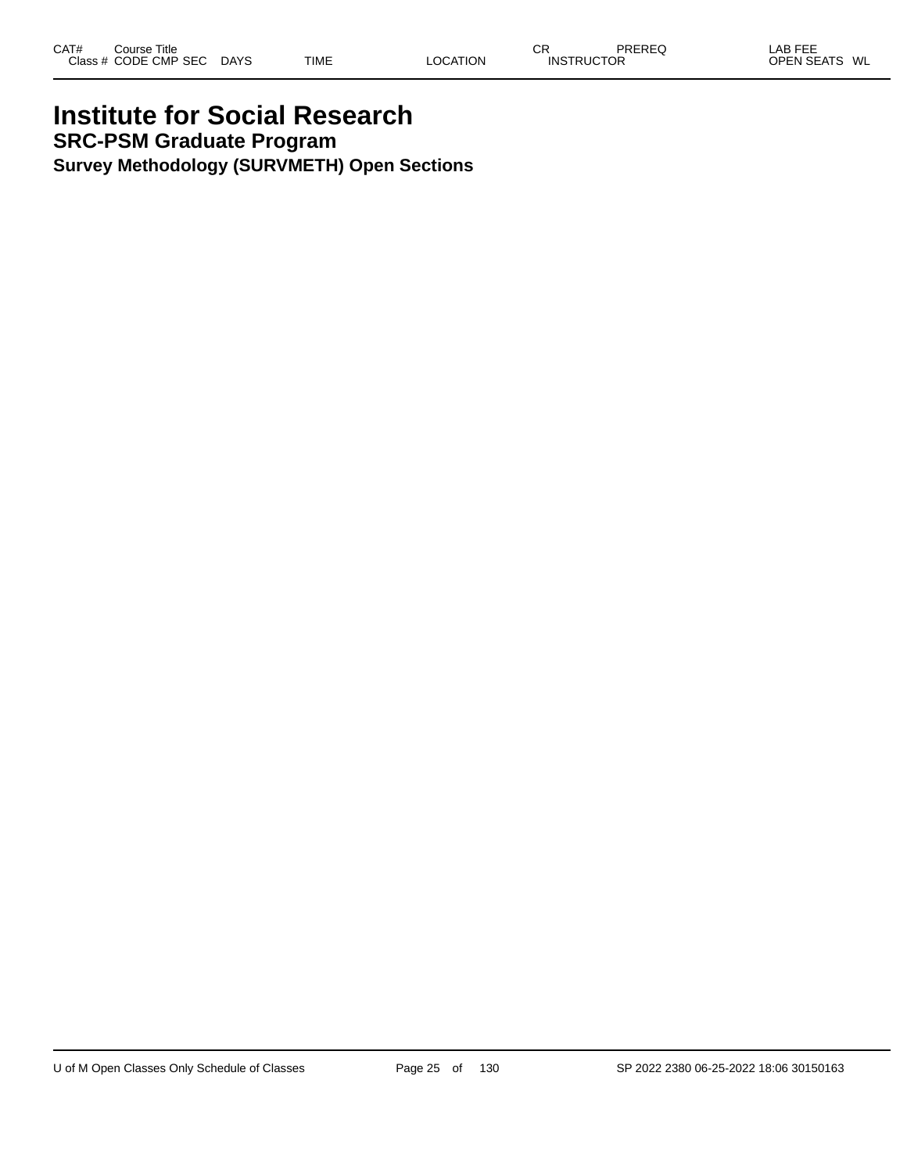### **Institute for Social Research SRC-PSM Graduate Program Survey Methodology (SURVMETH) Open Sections**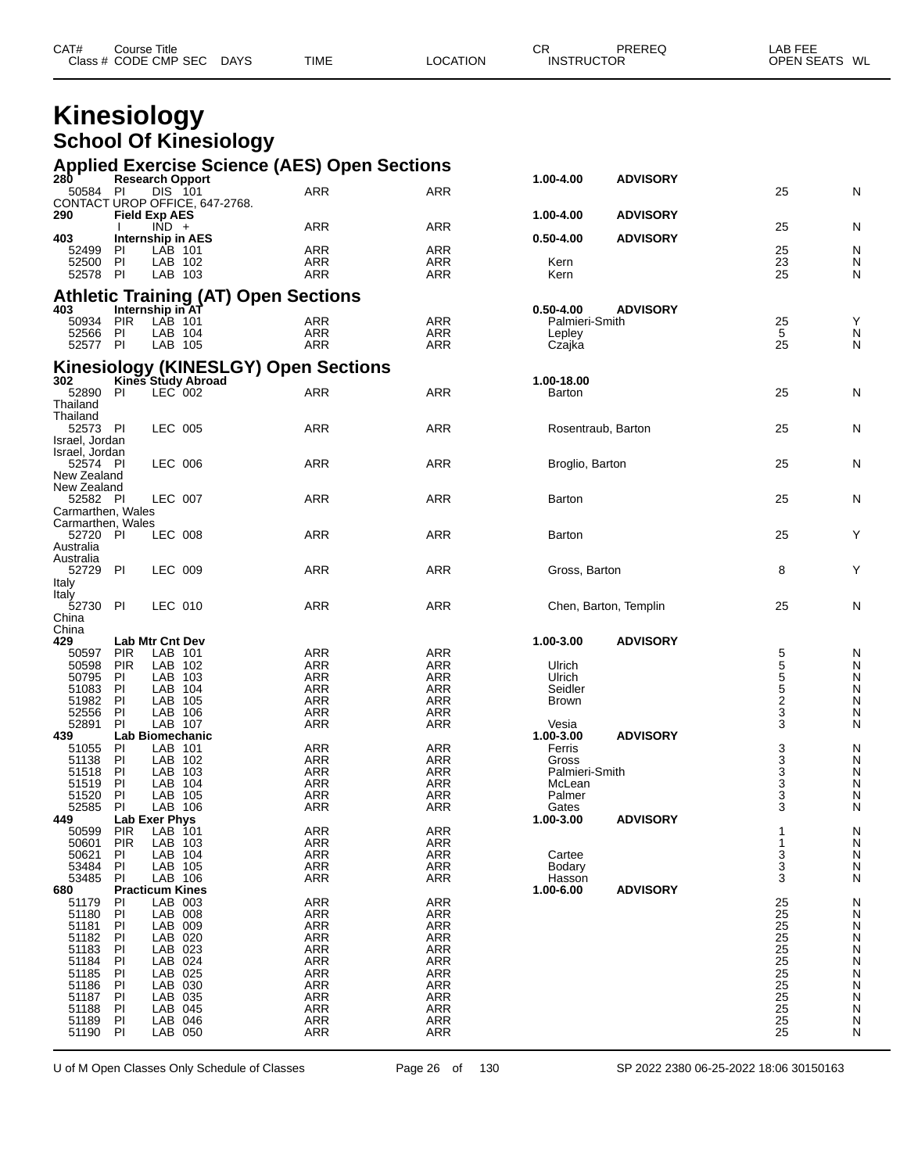| CAT# | Course Title         |             |             |                 | СR                | PREREQ | ∟AB FEE       |  |
|------|----------------------|-------------|-------------|-----------------|-------------------|--------|---------------|--|
|      | Class # CODE CMP SEC | <b>DAYS</b> | <b>TIME</b> | <b>LOCATION</b> | <b>INSTRUCTOR</b> |        | OPEN SEATS WL |  |

### **Kinesiology School Of Kinesiology**

|                            |                          |                                   |                                             | <b>Applied Exercise Science (AES) Open Sections</b> |                          |                         |                       |                 |        |
|----------------------------|--------------------------|-----------------------------------|---------------------------------------------|-----------------------------------------------------|--------------------------|-------------------------|-----------------------|-----------------|--------|
| 28Ò<br>50584 PI            | <b>Research Opport</b>   | DIS 101                           |                                             | ARR                                                 | ARR                      | 1.00-4.00               | <b>ADVISORY</b>       | 25              | N      |
|                            |                          |                                   | CONTACT UROP OFFICE, 647-2768.              |                                                     |                          |                         |                       |                 |        |
| 290                        | <b>Field Exp AES</b>     |                                   |                                             |                                                     |                          | 1.00-4.00               | <b>ADVISORY</b>       |                 |        |
| 403                        | <b>Internship in AES</b> | $IND +$                           |                                             | <b>ARR</b>                                          | ARR                      | $0.50 - 4.00$           | <b>ADVISORY</b>       | 25              | N      |
| 52499                      | -PI                      | LAB 101                           |                                             | ARR                                                 | <b>ARR</b>               |                         |                       | 25              | Ν      |
| 52500                      | PI                       | LAB 102                           |                                             | <b>ARR</b>                                          | <b>ARR</b>               | Kern                    |                       | 23              | N      |
| 52578                      | - PI                     | LAB 103                           |                                             | ARR                                                 | <b>ARR</b>               | Kern                    |                       | 25              | Ν      |
|                            |                          |                                   | <b>Athletic Training (AT) Open Sections</b> |                                                     |                          |                         |                       |                 |        |
| 403                        |                          | Internship in AT                  |                                             |                                                     |                          | $0.50 - 4.00$           | <b>ADVISORY</b>       |                 |        |
| 50934                      | <b>PIR</b>               | LAB 101                           |                                             | ARR                                                 | <b>ARR</b>               | Palmieri-Smith          |                       | 25              | Υ      |
| 52566<br>52577 PI          | PI                       | LAB 104<br>LAB 105                |                                             | <b>ARR</b><br>ARR                                   | <b>ARR</b><br><b>ARR</b> | Lepley<br>Czajka        |                       | 5<br>25         | N<br>N |
|                            |                          |                                   |                                             |                                                     |                          |                         |                       |                 |        |
|                            |                          |                                   | <b>Kinesiology (KINESLGY) Open Sections</b> |                                                     |                          |                         |                       |                 |        |
| 302<br>52890               | <b>PI</b>                | LEC 002                           | Kines Study Abroad                          | <b>ARR</b>                                          | ARR                      | 1.00-18.00<br>Barton    |                       | 25              | N      |
| Thailand                   |                          |                                   |                                             |                                                     |                          |                         |                       |                 |        |
| Thailand                   |                          |                                   |                                             |                                                     |                          |                         |                       |                 |        |
| 52573 PI<br>Israel, Jordan |                          | LEC 005                           |                                             | <b>ARR</b>                                          | ARR                      | Rosentraub, Barton      |                       | 25              | N      |
| Israel, Jordan             |                          |                                   |                                             |                                                     |                          |                         |                       |                 |        |
| 52574 PI                   |                          | LEC 006                           |                                             | <b>ARR</b>                                          | <b>ARR</b>               | Broglio, Barton         |                       | 25              | N      |
| New Zealand                |                          |                                   |                                             |                                                     |                          |                         |                       |                 |        |
| New Zealand<br>52582 PI    |                          | LEC 007                           |                                             | <b>ARR</b>                                          | ARR                      | Barton                  |                       | 25              | N      |
| Carmarthen, Wales          |                          |                                   |                                             |                                                     |                          |                         |                       |                 |        |
| Carmarthen, Wales          |                          |                                   |                                             |                                                     |                          |                         |                       |                 |        |
| 52720 PI<br>Australia      |                          | LEC 008                           |                                             | <b>ARR</b>                                          | ARR                      | Barton                  |                       | 25              | Y      |
| Australia                  |                          |                                   |                                             |                                                     |                          |                         |                       |                 |        |
| 52729 PI                   |                          | LEC 009                           |                                             | <b>ARR</b>                                          | ARR                      | Gross, Barton           |                       | 8               | Υ      |
| Italy                      |                          |                                   |                                             |                                                     |                          |                         |                       |                 |        |
| Italy<br>52730 PI          |                          | LEC 010                           |                                             | <b>ARR</b>                                          | ARR                      |                         | Chen, Barton, Templin | 25              | N      |
| China                      |                          |                                   |                                             |                                                     |                          |                         |                       |                 |        |
| China                      |                          |                                   |                                             |                                                     |                          |                         |                       |                 |        |
| 429<br>50597               | <b>PIR</b>               | <b>Lab Mtr Cnt Dev</b><br>LAB 101 |                                             | <b>ARR</b>                                          | <b>ARR</b>               | 1.00-3.00               | <b>ADVISORY</b>       | 5               | N      |
| 50598                      | <b>PIR</b>               | LAB 102                           |                                             | ARR                                                 | <b>ARR</b>               | Ulrich                  |                       |                 | N      |
| 50795                      | PI                       | LAB 103                           |                                             | <b>ARR</b>                                          | <b>ARR</b>               | Ulrich                  |                       |                 | N      |
| 51083<br>51982             | PI<br>PI                 | LAB 104<br>LAB 105                |                                             | <b>ARR</b><br><b>ARR</b>                            | ARR<br><b>ARR</b>        | Seidler<br><b>Brown</b> |                       | 5552            | N<br>N |
| 52556                      | PI                       | LAB 106                           |                                             | <b>ARR</b>                                          | <b>ARR</b>               |                         |                       | 3               | N      |
| 52891                      | PI                       | LAB 107                           |                                             | <b>ARR</b>                                          | ARR                      | Vesia                   |                       | 3               | N      |
| 439                        |                          | Lab Biomechanic                   |                                             |                                                     |                          | 1.00-3.00               | <b>ADVISORY</b>       |                 |        |
| 51055<br>51138             | PI<br>PI                 | LAB 101<br>LAB 102                |                                             | ARR<br><b>ARR</b>                                   | <b>ARR</b><br><b>ARR</b> | Ferris<br>Gross         |                       | 3               | N<br>N |
| 51518                      | PI                       | LAB 103                           |                                             | ARR                                                 | <b>ARR</b>               | Palmieri-Smith          |                       |                 | N      |
| 51519                      | ΡI                       | LAB 104                           |                                             | <b>ARR</b>                                          | <b>ARR</b>               | McLean                  |                       |                 | N      |
| 51520<br>52585             | PI<br>PI                 | LAB 105<br>LAB 106                |                                             | <b>ARR</b><br>ARR                                   | ARR<br><b>ARR</b>        | Palmer<br>Gates         |                       | 33333           | N<br>N |
| 449                        |                          | <b>Lab Exer Phys</b>              |                                             |                                                     |                          | 1.00-3.00               | <b>ADVISORY</b>       |                 |        |
| 50599                      | <b>PIR</b>               | LAB 101                           |                                             | <b>ARR</b>                                          | <b>ARR</b>               |                         |                       | 1               | N      |
| 50601                      | <b>PIR</b>               | LAB 103                           |                                             | <b>ARR</b>                                          | ARR                      |                         |                       | 1               | N      |
| 50621<br>53484             | PI<br>PI                 | LAB 104<br>LAB 105                |                                             | <b>ARR</b><br><b>ARR</b>                            | ARR<br>ARR               | Cartee<br><b>Bodary</b> |                       | 3               | N<br>N |
| 53485                      | PI                       | LAB 106                           |                                             | ARR                                                 | <b>ARR</b>               | Hasson                  |                       | 3<br>3          | N      |
| 680                        |                          | <b>Practicum Kines</b>            |                                             |                                                     |                          | 1.00-6.00               | <b>ADVISORY</b>       |                 |        |
| 51179                      | PI                       | LAB 003<br>LAB 008                |                                             | <b>ARR</b><br><b>ARR</b>                            | <b>ARR</b><br><b>ARR</b> |                         |                       | 25<br>25        | N<br>N |
| 51180<br>51181             | PI<br>PI                 | LAB 009                           |                                             | <b>ARR</b>                                          | ARR                      |                         |                       | 25              | N      |
| 51182                      | PI                       | LAB 020                           |                                             | <b>ARR</b>                                          | ARR                      |                         |                       | 25              | N      |
| 51183                      | PI                       | LAB 023                           |                                             | <b>ARR</b>                                          | <b>ARR</b>               |                         |                       | 25              | N      |
| 51184<br>51185             | PI<br>PI                 | LAB 024<br>LAB 025                |                                             | <b>ARR</b><br><b>ARR</b>                            | ARR<br>ARR               |                         |                       | $\frac{25}{25}$ | N<br>N |
| 51186                      | PI                       | LAB 030                           |                                             | <b>ARR</b>                                          | <b>ARR</b>               |                         |                       | 25              | N      |
| 51187                      | PI                       | LAB 035                           |                                             | <b>ARR</b>                                          | <b>ARR</b>               |                         |                       | $\frac{25}{25}$ | N      |
| 51188                      | PI                       | LAB 045                           |                                             | <b>ARR</b>                                          | ARR                      |                         |                       | 25              | N      |
| 51189                      | PI<br>P                  | LAB 046<br>LAB 050                |                                             | ARR<br><b>ARR</b>                                   | <b>ARR</b><br><b>ARR</b> |                         |                       | 25              | N<br>N |
| 51190                      |                          |                                   |                                             |                                                     |                          |                         |                       |                 |        |

| 1.00-4.00                                            | <b>ADVISORY</b>       |                                                          | N                                              |
|------------------------------------------------------|-----------------------|----------------------------------------------------------|------------------------------------------------|
| 1.00-4.00                                            | <b>ADVISORY</b>       | 25                                                       |                                                |
| 0.50-4.00                                            | <b>ADVISORY</b>       | 25                                                       | N                                              |
| Kern<br>Kern                                         |                       | 25<br>23<br>25                                           | Ν<br>N<br>Ν                                    |
| 0.50-4.00<br>Palmieri-Smith<br>Lepley<br>Czajka      | <b>ADVISORY</b>       | 25<br>5<br>25                                            | Y<br>N<br>Ν                                    |
| 1.00-18.00<br>Barton                                 |                       | 25                                                       | N                                              |
| Rosentraub, Barton                                   |                       | 25                                                       | N                                              |
| Broglio, Barton                                      |                       | 25                                                       | N                                              |
| Barton                                               |                       | 25                                                       | N                                              |
| Barton                                               |                       | 25                                                       | Υ                                              |
| Gross, Barton                                        |                       | 8                                                        | Υ                                              |
|                                                      | Chen, Barton, Templin | 25                                                       | N                                              |
| 1.00-3.00                                            | <b>ADVISORY</b>       |                                                          |                                                |
| Ulrich<br>Ulrich<br>Seidler<br><b>Brown</b><br>Vesia |                       | 555233                                                   | N<br>Ν<br>Ν<br>N<br>Ν<br>Ν<br>N                |
| 1.00-3.00<br>Ferris                                  | <b>ADVISORY</b>       |                                                          | Ν                                              |
| Gross<br>Palmieri-Smith<br>McLean<br>Palmer<br>Gates |                       | 333333                                                   | N<br>Ν<br>N<br>N<br>Ν                          |
| 1.00-3.00                                            | <b>ADVISORY</b>       | 1                                                        | Ν                                              |
| Cartee<br>Bodary<br>Hasson                           |                       | $\begin{array}{c} 1 \\ 3 \\ 3 \\ 3 \end{array}$          | Ν<br>N<br>N<br>Ν                               |
| 1.00-6.00                                            | <b>ADVISORY</b>       | 25<br>25<br>25<br>25<br>25<br>25<br>25<br>25<br>25<br>ንድ | Ν<br>N<br>N<br>N<br>N<br>N<br>N<br>N<br>N<br>M |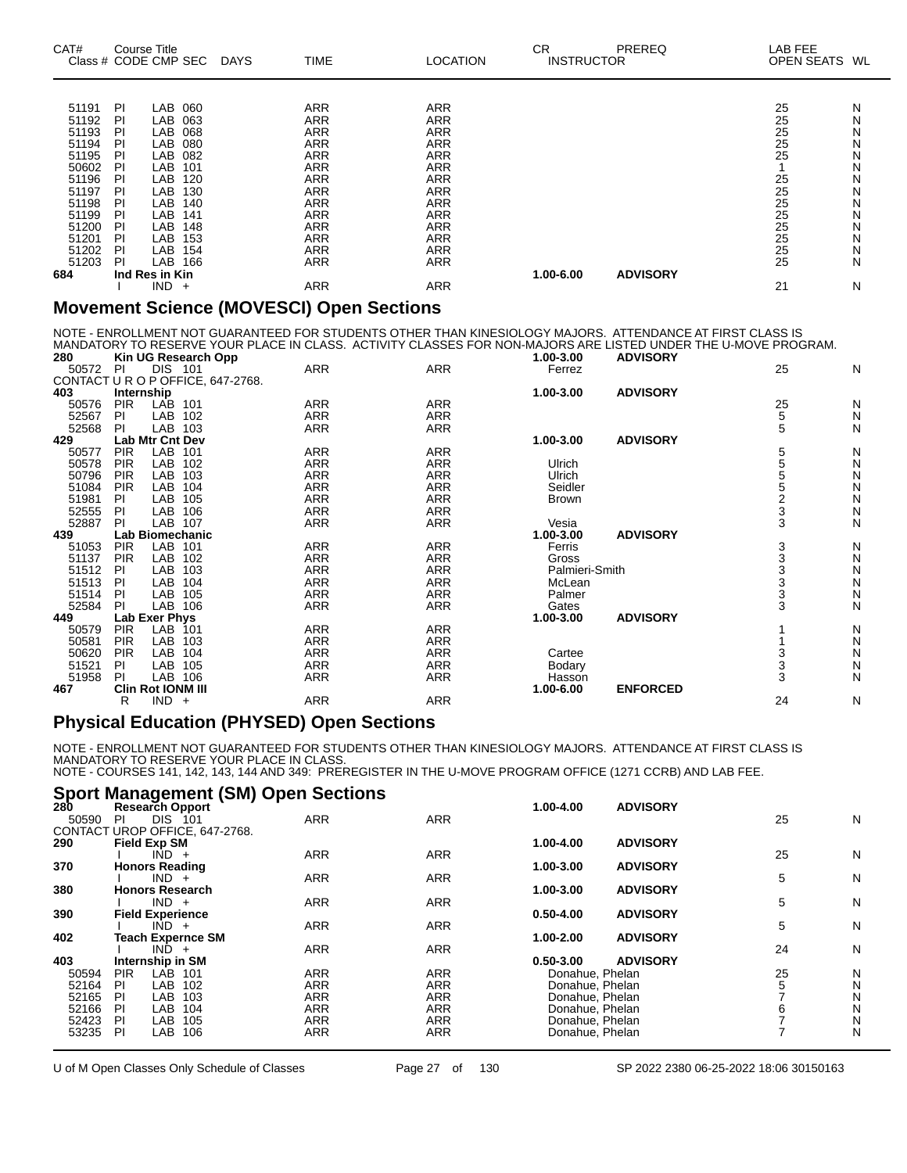| CAT#<br>Class # CODE CMP SEC |    | Course Title   |     | <b>DAYS</b> | <b>TIME</b> | <b>LOCATION</b> | CR<br><b>INSTRUCTOR</b> | PREREQ          | LAB FEE<br>OPEN SEATS WL |   |
|------------------------------|----|----------------|-----|-------------|-------------|-----------------|-------------------------|-----------------|--------------------------|---|
|                              |    |                |     |             |             |                 |                         |                 |                          |   |
| 51191                        | PI | LAB            | 060 |             | <b>ARR</b>  | <b>ARR</b>      |                         |                 | 25                       | N |
| 51192                        | PI | LAB            | 063 |             | <b>ARR</b>  | <b>ARR</b>      |                         |                 | 25                       | N |
| 51193                        | PI | LAB            | 068 |             | <b>ARR</b>  | <b>ARR</b>      |                         |                 | 25                       | N |
| 51194                        | PI | LAB            | 080 |             | ARR         | ARR             |                         |                 | $\frac{25}{25}$          | N |
| 51195                        | PI | LAB            | 082 |             | <b>ARR</b>  | <b>ARR</b>      |                         |                 |                          | N |
| 50602                        | ΡI | LAB            | 101 |             | <b>ARR</b>  | ARR             |                         |                 |                          | N |
| 51196                        | PI | LAB            | 120 |             | <b>ARR</b>  | <b>ARR</b>      |                         |                 |                          | N |
| 51197                        | PI | LAB            | 130 |             | <b>ARR</b>  | ARR             |                         |                 | $\frac{25}{25}$          | N |
| 51198                        | ΡI | LAB            | 140 |             | <b>ARR</b>  | <b>ARR</b>      |                         |                 | 25                       | N |
| 51199                        | PI | LAB            | 141 |             | <b>ARR</b>  | <b>ARR</b>      |                         |                 | 25                       | N |
| 51200                        | ΡI | LAB            | 148 |             | <b>ARR</b>  | <b>ARR</b>      |                         |                 | 25                       | N |
| 51201                        | PI | LAB            | 153 |             | <b>ARR</b>  | ARR             |                         |                 | 25                       | N |
| 51202                        | PI | LAB            | 154 |             | <b>ARR</b>  | <b>ARR</b>      |                         |                 | 25                       | N |
| 51203                        | PI | LAB            | 166 |             | <b>ARR</b>  | <b>ARR</b>      |                         |                 | 25                       | N |
| 684                          |    | Ind Res in Kin |     |             |             |                 | 1.00-6.00               | <b>ADVISORY</b> |                          |   |
|                              |    | $IND +$        |     |             | <b>ARR</b>  | <b>ARR</b>      |                         |                 | 21                       | N |

#### **Movement Science (MOVESCI) Open Sections**

NOTE - ENROLLMENT NOT GUARANTEED FOR STUDENTS OTHER THAN KINESIOLOGY MAJORS. ATTENDANCE AT FIRST CLASS IS MANDATORY TO RESERVE YOUR PLACE IN CLASS. ACTIVITY CLASSES FOR NON-MAJORS ARE LISTED UNDER THE U-MOVE PROGRAM.

|            |            |                                                                                                                                                                                    |            | 1.00-3.00     | <b>ADVISORY</b>        |                |                      |
|------------|------------|------------------------------------------------------------------------------------------------------------------------------------------------------------------------------------|------------|---------------|------------------------|----------------|----------------------|
| <b>PI</b>  |            |                                                                                                                                                                                    |            | Ferrez        |                        |                | N                    |
|            |            |                                                                                                                                                                                    |            |               |                        |                |                      |
|            |            |                                                                                                                                                                                    |            | 1.00-3.00     | <b>ADVISORY</b>        |                |                      |
| <b>PIR</b> | LAB<br>101 | <b>ARR</b>                                                                                                                                                                         | ARR        |               |                        |                | N                    |
| PI         | LAB<br>102 | <b>ARR</b>                                                                                                                                                                         | <b>ARR</b> |               |                        |                | N                    |
| PI         | LAB<br>103 | ARR                                                                                                                                                                                | ARR        |               |                        | 5              | N                    |
|            |            |                                                                                                                                                                                    |            | 1.00-3.00     | <b>ADVISORY</b>        |                |                      |
| <b>PIR</b> | LAB<br>101 | <b>ARR</b>                                                                                                                                                                         | ARR        |               |                        | 5              | N                    |
| <b>PIR</b> | LAB<br>102 | <b>ARR</b>                                                                                                                                                                         | <b>ARR</b> | Ulrich        |                        |                | N                    |
| <b>PIR</b> | LAB<br>103 | <b>ARR</b>                                                                                                                                                                         | <b>ARR</b> | <b>Ulrich</b> |                        |                | N                    |
| <b>PIR</b> | LAB<br>104 | <b>ARR</b>                                                                                                                                                                         | ARR        | Seidler       |                        |                | N                    |
| PI         | LAB<br>105 | ARR                                                                                                                                                                                | ARR        |               |                        |                | N                    |
| PI         | LAB<br>106 | <b>ARR</b>                                                                                                                                                                         | <b>ARR</b> |               |                        | 3              | N                    |
| PI         | LAB<br>107 | <b>ARR</b>                                                                                                                                                                         | <b>ARR</b> | Vesia         |                        | 3              | N                    |
|            |            |                                                                                                                                                                                    |            | 1.00-3.00     | <b>ADVISORY</b>        |                |                      |
| <b>PIR</b> | LAB<br>101 | <b>ARR</b>                                                                                                                                                                         | <b>ARR</b> | Ferris        |                        | 3              | N                    |
| <b>PIR</b> | LAB<br>102 | <b>ARR</b>                                                                                                                                                                         | <b>ARR</b> | Gross         |                        | 3              | N                    |
| PI         | LAB<br>103 | ARR                                                                                                                                                                                | ARR        |               |                        |                | N                    |
| PI         | LAB<br>104 | <b>ARR</b>                                                                                                                                                                         | <b>ARR</b> | McLean        |                        |                | N                    |
| PI         | LAB<br>105 | <b>ARR</b>                                                                                                                                                                         | <b>ARR</b> | Palmer        |                        | 3              | N                    |
| PI         | LAB<br>106 | <b>ARR</b>                                                                                                                                                                         | <b>ARR</b> | Gates         |                        | 3              | N                    |
|            |            |                                                                                                                                                                                    |            | 1.00-3.00     | <b>ADVISORY</b>        |                |                      |
| <b>PIR</b> | LAB<br>101 | <b>ARR</b>                                                                                                                                                                         | <b>ARR</b> |               |                        |                | N                    |
| <b>PIR</b> | LAB<br>103 | <b>ARR</b>                                                                                                                                                                         | <b>ARR</b> |               |                        |                | N                    |
| <b>PIR</b> | LAB<br>104 | <b>ARR</b>                                                                                                                                                                         | <b>ARR</b> | Cartee        |                        |                | N                    |
| PI         | LAB<br>105 | ARR                                                                                                                                                                                | ARR        |               |                        | 3              | N                    |
| PI         | LAB<br>106 | ARR                                                                                                                                                                                | ARR        | Hasson        |                        | 3              | N                    |
|            |            |                                                                                                                                                                                    |            | 1.00-6.00     | <b>ENFORCED</b>        |                |                      |
| R          | $IND +$    | <b>ARR</b>                                                                                                                                                                         | <b>ARR</b> |               |                        | 24             | N                    |
|            |            | Kin UG Research Opp<br><b>DIS 101</b><br>CONTACT U R O P OFFICE, 647-2768.<br>Internship<br>Lab Mtr Cnt Dev<br><b>Lab Biomechanic</b><br>Lab Exer Phys<br><b>Clin Rot IONM III</b> | <b>ARR</b> | <b>ARR</b>    | <b>Brown</b><br>Bodary | Palmieri-Smith | 25<br>$\frac{25}{5}$ |

#### **Physical Education (PHYSED) Open Sections**

NOTE - ENROLLMENT NOT GUARANTEED FOR STUDENTS OTHER THAN KINESIOLOGY MAJORS. ATTENDANCE AT FIRST CLASS IS MANDATORY TO RESERVE YOUR PLACE IN CLASS.

NOTE - COURSES 141, 142, 143, 144 AND 349: PREREGISTER IN THE U-MOVE PROGRAM OFFICE (1271 CCRB) AND LAB FEE.

|     | <b>Sport Management (SM) Open Sections</b> |  |  |
|-----|--------------------------------------------|--|--|
| 28D | <b>Research Opport</b>                     |  |  |

| 280   | <b>Research Opport</b>         |            |            | 1.00-4.00       | <b>ADVISORY</b> |    |   |
|-------|--------------------------------|------------|------------|-----------------|-----------------|----|---|
| 50590 | <b>DIS 101</b><br>PI           | <b>ARR</b> | <b>ARR</b> |                 |                 | 25 | N |
|       | CONTACT UROP OFFICE, 647-2768. |            |            |                 |                 |    |   |
| 290   | <b>Field Exp SM</b>            |            |            | 1.00-4.00       | <b>ADVISORY</b> |    |   |
|       | $IND +$                        | <b>ARR</b> | <b>ARR</b> |                 |                 | 25 | N |
| 370   | <b>Honors Reading</b>          |            |            | 1.00-3.00       | <b>ADVISORY</b> |    |   |
|       | $IND +$                        | <b>ARR</b> | <b>ARR</b> |                 |                 | 5  | N |
| 380   | <b>Honors Research</b>         |            |            | 1.00-3.00       | <b>ADVISORY</b> |    |   |
|       | $IND +$                        | <b>ARR</b> | <b>ARR</b> |                 |                 | 5  | N |
| 390   | <b>Field Experience</b>        |            |            | $0.50 - 4.00$   | <b>ADVISORY</b> |    |   |
|       | $IND +$                        | <b>ARR</b> | <b>ARR</b> |                 |                 | 5  | N |
| 402   | <b>Teach Expernce SM</b>       |            |            | 1.00-2.00       | <b>ADVISORY</b> |    |   |
|       | $IND +$                        | <b>ARR</b> | <b>ARR</b> |                 |                 | 24 | N |
| 403   | Internship in SM               |            |            | $0.50 - 3.00$   | <b>ADVISORY</b> |    |   |
| 50594 | <b>PIR</b><br>LAB<br>101       | <b>ARR</b> | <b>ARR</b> | Donahue, Phelan |                 | 25 | N |
| 52164 | LAB<br>102<br>ΡI               | <b>ARR</b> | <b>ARR</b> | Donahue, Phelan |                 |    | N |
| 52165 | PI<br>103<br>LAB.              | <b>ARR</b> | <b>ARR</b> | Donahue, Phelan |                 |    | N |
| 52166 | LAB<br>PI<br>104               | <b>ARR</b> | <b>ARR</b> | Donahue, Phelan |                 |    | N |
| 52423 | LAB<br>PI<br>105               | <b>ARR</b> | <b>ARR</b> | Donahue, Phelan |                 |    | N |
| 53235 | LAB<br>PI<br>106               | ARR        | <b>ARR</b> | Donahue, Phelan |                 |    | N |
|       |                                |            |            |                 |                 |    |   |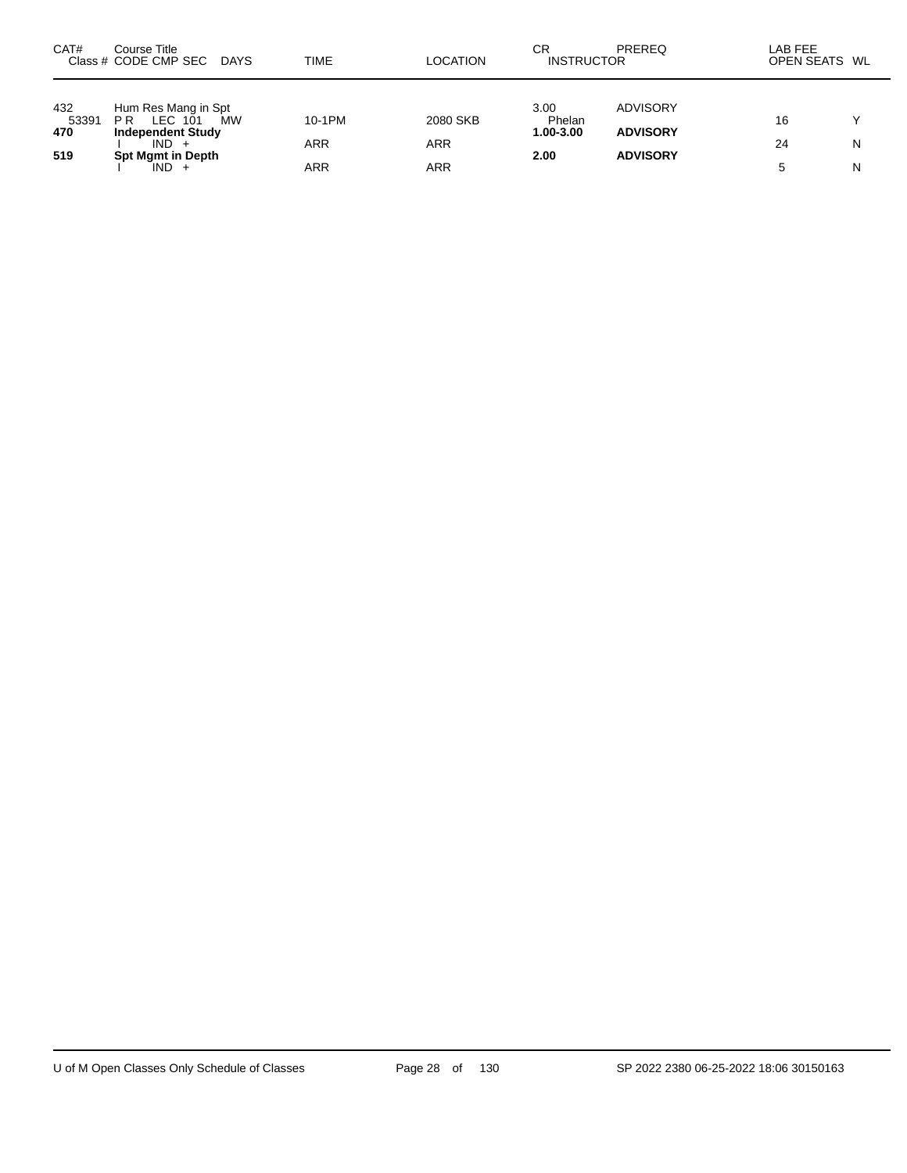| CAT#                | Course Title<br>Class # CODE CMP SEC<br>DAYS                                              | TIME   | <b>LOCATION</b> | СR<br><b>INSTRUCTOR</b>     | PREREQ                             | LAB FEE<br>OPEN SEATS WL |              |
|---------------------|-------------------------------------------------------------------------------------------|--------|-----------------|-----------------------------|------------------------------------|--------------------------|--------------|
| 432<br>53391<br>470 | Hum Res Mang in Spt<br>LEC 101<br>P <sub>R</sub><br><b>MW</b><br><b>Independent Study</b> | 10-1PM | 2080 SKB        | 3.00<br>Phelan<br>1.00-3.00 | <b>ADVISORY</b><br><b>ADVISORY</b> | 16                       | $\checkmark$ |
| 519                 | $IND +$<br><b>Spt Mgmt in Depth</b>                                                       | ARR    | <b>ARR</b>      | 2.00                        | <b>ADVISORY</b>                    | 24                       | N            |
|                     | $IND +$                                                                                   | ARR    | ARR             |                             |                                    |                          | Ν            |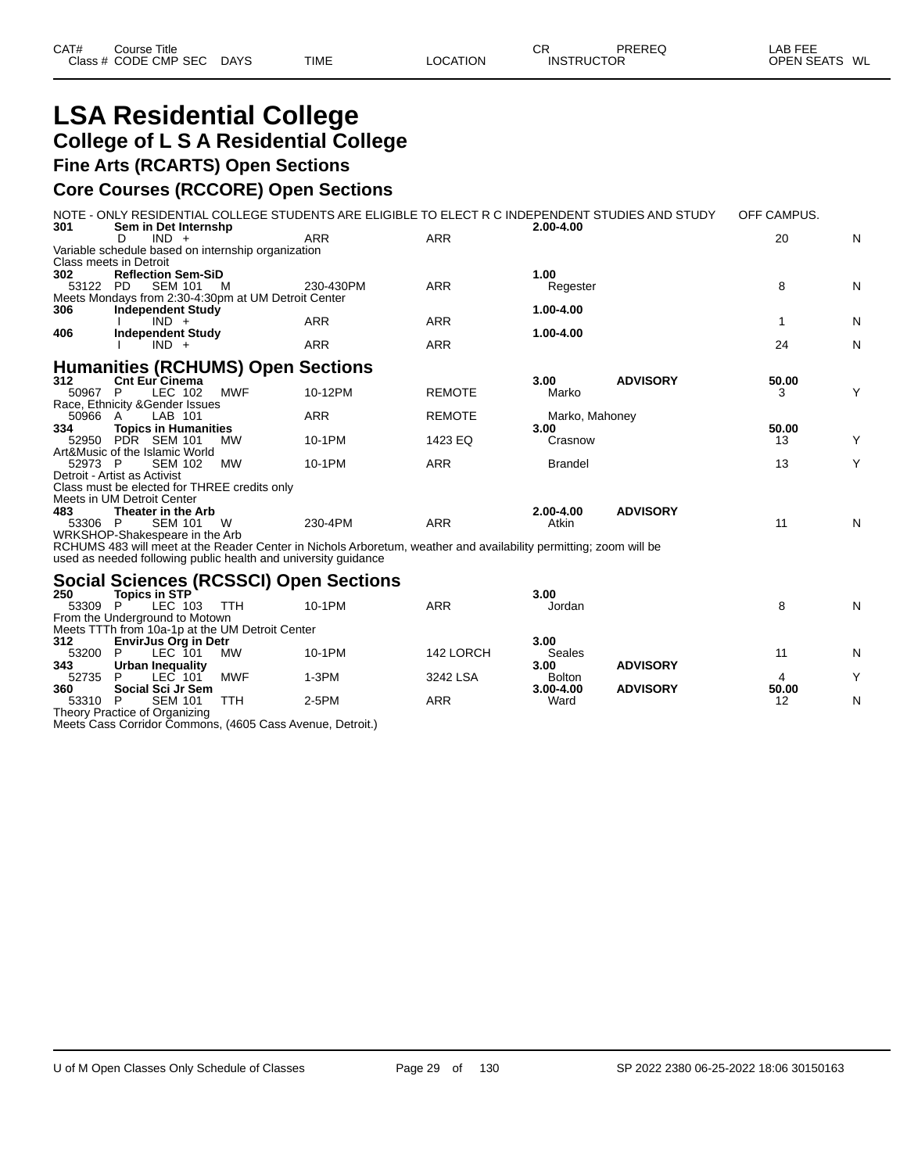### **LSA Residential College College of L S A Residential College**

**Fine Arts (RCARTS) Open Sections**

#### **Core Courses (RCCORE) Open Sections**

|          |                                                                              |            | NOTE - ONLY RESIDENTIAL COLLEGE STUDENTS ARE ELIGIBLE TO ELECT R C INDEPENDENT STUDIES AND STUDY                  |               |                |                 | OFF CAMPUS. |   |
|----------|------------------------------------------------------------------------------|------------|-------------------------------------------------------------------------------------------------------------------|---------------|----------------|-----------------|-------------|---|
| 301      | Sem in Det Internshp<br>$IND +$<br>D.                                        |            | <b>ARR</b>                                                                                                        | <b>ARR</b>    | 2.00-4.00      |                 | 20          | N |
|          | Variable schedule based on internship organization<br>Class meets in Detroit |            |                                                                                                                   |               |                |                 |             |   |
| 302      | <b>Reflection Sem-SiD</b>                                                    |            |                                                                                                                   |               | 1.00           |                 |             |   |
| 53122    | <b>SEM 101</b><br>PD.                                                        | M          | 230-430PM                                                                                                         | <b>ARR</b>    | Regester       |                 | 8           | N |
|          | Meets Mondays from 2:30-4:30pm at UM Detroit Center                          |            |                                                                                                                   |               |                |                 |             |   |
| 306      | <b>Independent Study</b>                                                     |            |                                                                                                                   |               | 1.00-4.00      |                 |             |   |
|          | $IND +$                                                                      |            | <b>ARR</b>                                                                                                        | <b>ARR</b>    |                |                 | 1           | N |
| 406      | <b>Independent Study</b>                                                     |            |                                                                                                                   |               | 1.00-4.00      |                 |             |   |
|          | $IND +$                                                                      |            | <b>ARR</b>                                                                                                        | <b>ARR</b>    |                |                 | 24          | N |
|          |                                                                              |            |                                                                                                                   |               |                |                 |             |   |
|          | <b>Humanities (RCHUMS) Open Sections</b>                                     |            |                                                                                                                   |               |                |                 |             |   |
| 312      | <b>Cnt Eur Cinema</b>                                                        |            |                                                                                                                   |               | 3.00           | <b>ADVISORY</b> | 50.00       |   |
| 50967    | LEC 102<br>P                                                                 | <b>MWF</b> | 10-12PM                                                                                                           | <b>REMOTE</b> | Marko          |                 | 3           | Y |
|          | Race, Ethnicity & Gender Issues                                              |            |                                                                                                                   |               |                |                 |             |   |
| 50966    | LAB 101<br>A                                                                 |            | <b>ARR</b>                                                                                                        | <b>REMOTE</b> | Marko, Mahoney |                 |             |   |
| 334      | <b>Topics in Humanities</b>                                                  |            |                                                                                                                   |               | 3.00           |                 | 50.00       |   |
| 52950    | PDR SEM 101                                                                  | <b>MW</b>  | 10-1PM                                                                                                            | 1423 EQ       | Crasnow        |                 | 13          | Y |
|          | Art&Music of the Islamic World                                               |            |                                                                                                                   |               |                |                 |             |   |
| 52973 P  | <b>SEM 102</b>                                                               | <b>MW</b>  | 10-1PM                                                                                                            | <b>ARR</b>    | <b>Brandel</b> |                 | 13          | Y |
|          | Detroit - Artist as Activist                                                 |            |                                                                                                                   |               |                |                 |             |   |
|          | Class must be elected for THREE credits only                                 |            |                                                                                                                   |               |                |                 |             |   |
|          | Meets in UM Detroit Center                                                   |            |                                                                                                                   |               |                |                 |             |   |
| 483      | Theater in the Arb                                                           |            |                                                                                                                   |               | 2.00-4.00      | <b>ADVISORY</b> |             |   |
| 53306    | <b>SEM 101</b><br>- P                                                        | W          | 230-4PM                                                                                                           | <b>ARR</b>    | Atkin          |                 | 11          | N |
|          | WRKSHOP-Shakespeare in the Arb                                               |            |                                                                                                                   |               |                |                 |             |   |
|          |                                                                              |            | RCHUMS 483 will meet at the Reader Center in Nichols Arboretum, weather and availability permitting; zoom will be |               |                |                 |             |   |
|          | used as needed following public health and university guidance               |            |                                                                                                                   |               |                |                 |             |   |
|          |                                                                              |            |                                                                                                                   |               |                |                 |             |   |
|          | <b>Social Sciences (RCSSCI) Open Sections</b>                                |            |                                                                                                                   |               |                |                 |             |   |
| 250      | <b>Topics in STP</b>                                                         |            |                                                                                                                   |               | 3.00           |                 |             |   |
| EDDAO D. |                                                                              |            | 40.4 <sub>DBA</sub>                                                                                               | ADD           | $l$ andan      |                 | $\Omega$    |   |

| ---   | .                              |                |                                                 |        |           |               |                 |       |              |
|-------|--------------------------------|----------------|-------------------------------------------------|--------|-----------|---------------|-----------------|-------|--------------|
| 53309 |                                | LEC 103        | TTH                                             | 10-1PM | ARR       | Jordan        |                 |       | N            |
|       | From the Underground to Motown |                |                                                 |        |           |               |                 |       |              |
|       |                                |                | Meets TTTh from 10a-1p at the UM Detroit Center |        |           |               |                 |       |              |
| 312   | <b>EnvirJus Org in Detr</b>    |                |                                                 |        |           | 3.00          |                 |       |              |
| 53200 | LEC                            | 101            | MW                                              | 10-1PM | 142 LORCH | Seales        |                 |       | N            |
| 343   | Urban Inequality               |                |                                                 |        |           | 3.00          | <b>ADVISORY</b> |       |              |
| 52735 | LEC.                           | 101            | <b>MWF</b>                                      | 1-3PM  | 3242 LSA  | <b>Bolton</b> |                 |       | $\checkmark$ |
| 360   | Social Sci Jr Sem              |                |                                                 |        |           | $3.00 - 4.00$ | <b>ADVISORY</b> | 50.00 |              |
| 53310 |                                | <b>SEM 101</b> | TTH                                             | 2-5PM  | ARR       | Ward          |                 |       | N            |
|       | Theory Practice of Organizing  |                |                                                 |        |           |               |                 |       |              |
|       |                                |                |                                                 |        |           |               |                 |       |              |

Meets Cass Corridor Commons, (4605 Cass Avenue, Detroit.)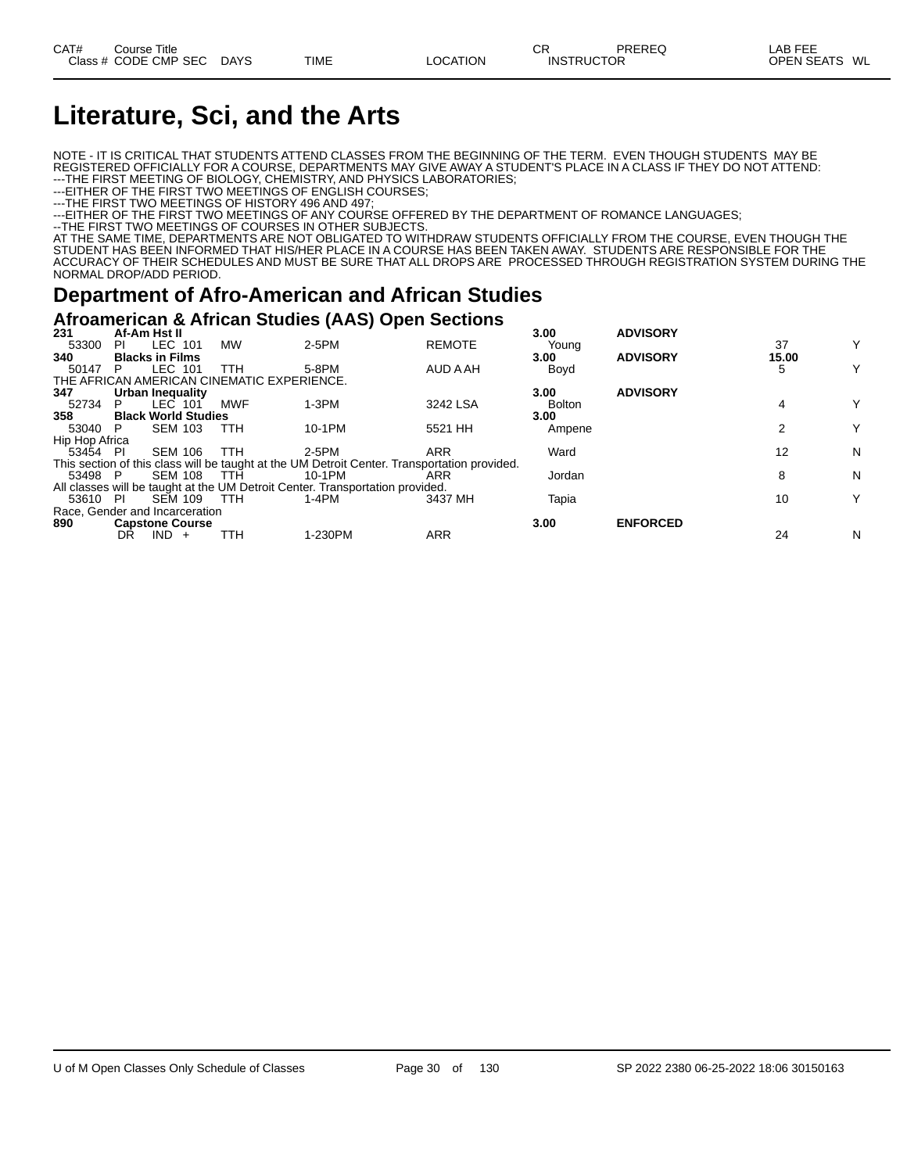# **Literature, Sci, and the Arts**

NOTE - IT IS CRITICAL THAT STUDENTS ATTEND CLASSES FROM THE BEGINNING OF THE TERM. EVEN THOUGH STUDENTS MAY BE REGISTERED OFFICIALLY FOR A COURSE, DEPARTMENTS MAY GIVE AWAY A STUDENT'S PLACE IN A CLASS IF THEY DO NOT ATTEND: ---THE FIRST MEETING OF BIOLOGY, CHEMISTRY, AND PHYSICS LABORATORIES;

---EITHER OF THE FIRST TWO MEETINGS OF ENGLISH COURSES;

---THE FIRST TWO MEETINGS OF HISTORY 496 AND 497;

---EITHER OF THE FIRST TWO MEETINGS OF ANY COURSE OFFERED BY THE DEPARTMENT OF ROMANCE LANGUAGES;

--THE FIRST TWO MEETINGS OF COURSES IN OTHER SUBJECTS.

AT THE SAME TIME, DEPARTMENTS ARE NOT OBLIGATED TO WITHDRAW STUDENTS OFFICIALLY FROM THE COURSE, EVEN THOUGH THE STUDENT HAS BEEN INFORMED THAT HIS/HER PLACE IN A COURSE HAS BEEN TAKEN AWAY. STUDENTS ARE RESPONSIBLE FOR THE ACCURACY OF THEIR SCHEDULES AND MUST BE SURE THAT ALL DROPS ARE PROCESSED THROUGH REGISTRATION SYSTEM DURING THE NORMAL DROP/ADD PERIOD.

### **Department of Afro-American and African Studies**

#### **Afroamerican & African Studies (AAS) Open Sections**

| 231                            |      | Af-Am Hst II               |                                            |                                                                                              |               | 3.00              | <b>ADVISORY</b> |       |   |
|--------------------------------|------|----------------------------|--------------------------------------------|----------------------------------------------------------------------------------------------|---------------|-------------------|-----------------|-------|---|
| 53300                          | PL   | LEC 101                    | <b>MW</b>                                  | 2-5PM                                                                                        | <b>REMOTE</b> | Young             |                 | 37    | Y |
| 340                            |      | <b>Blacks in Films</b>     |                                            |                                                                                              |               | 3.00 <sub>1</sub> | <b>ADVISORY</b> | 15.00 |   |
| 50147                          | P    | LEC 101                    | TTH                                        | 5-8PM                                                                                        | AUD A AH      | Boyd              |                 |       | v |
|                                |      |                            | THE AFRICAN AMERICAN CINEMATIC EXPERIENCE. |                                                                                              |               |                   |                 |       |   |
| 347                            |      | Urban Inequality           |                                            |                                                                                              |               | 3.00              | <b>ADVISORY</b> |       |   |
| 52734                          | P.   | LEC 101                    | <b>MWF</b>                                 | $1-3PM$                                                                                      | 3242 LSA      | <b>Bolton</b>     |                 |       | Y |
| 358                            |      | <b>Black World Studies</b> |                                            |                                                                                              |               | 3.00              |                 |       |   |
| 53040                          | P    | <b>SEM 103</b>             | <b>TTH</b>                                 | 10-1PM                                                                                       | 5521 HH       | Ampene            |                 |       | Y |
| Hip Hop Africa                 |      |                            |                                            |                                                                                              |               |                   |                 |       |   |
| 53454 PI                       |      | <b>SEM 106</b>             | TTH                                        | 2-5PM                                                                                        | <b>ARR</b>    | Ward              |                 | 12    | N |
|                                |      |                            |                                            | This section of this class will be taught at the UM Detroit Center. Transportation provided. |               |                   |                 |       |   |
| 53498 P                        |      | <b>SEM 108</b>             | - TTH                                      | 10-1PM                                                                                       | ARR           | Jordan            |                 | 8     | N |
|                                |      |                            |                                            | All classes will be taught at the UM Detroit Center. Transportation provided.                |               |                   |                 |       |   |
| 53610                          | - PI | <b>SEM 109</b>             | TTH                                        | $1-4PM$                                                                                      | 3437 MH       | Tapia             |                 | 10    | Y |
| Race, Gender and Incarceration |      |                            |                                            |                                                                                              |               |                   |                 |       |   |
| 890                            |      | <b>Capstone Course</b>     |                                            |                                                                                              |               | 3.00              | <b>ENFORCED</b> |       |   |
|                                | DR   | IND.<br>$+$                | ттн                                        | 1-230PM                                                                                      | ARR           |                   |                 | 24    | N |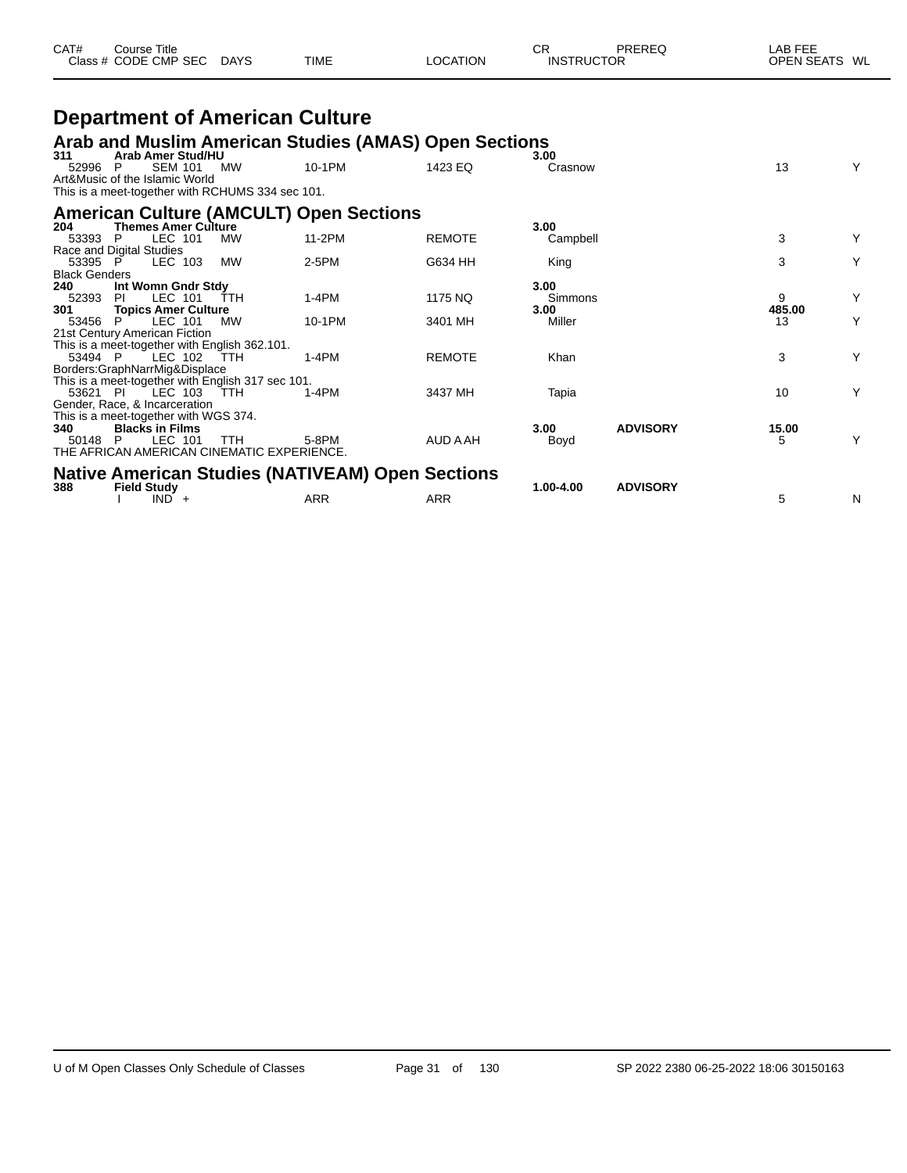| CAT# | Course Title         |      |             |          | СF                | PREREQ | _AB FEE           |    |
|------|----------------------|------|-------------|----------|-------------------|--------|-------------------|----|
|      | Class # CODE CMP SEC | DAYS | <b>TIME</b> | ∟OCATION | <b>INSTRUCTOR</b> |        | <b>OPEN SEATS</b> | WL |

| <b>Department of American Culture</b>                                                            |         |               |                  |                 |        |   |
|--------------------------------------------------------------------------------------------------|---------|---------------|------------------|-----------------|--------|---|
| Arab and Muslim American Studies (AMAS) Open Sections                                            |         |               |                  |                 |        |   |
| Arab Amer Stud/HU<br>311<br><b>SEM 101</b><br>P<br>MW<br>52996<br>Art&Music of the Islamic World | 10-1PM  | 1423 EQ       | 3.00<br>Crasnow  |                 | 13     | Υ |
| This is a meet-together with RCHUMS 334 sec 101.                                                 |         |               |                  |                 |        |   |
| <b>American Culture (AMCULT) Open Sections</b>                                                   |         |               |                  |                 |        |   |
| <b>Themes Amer Culture</b><br>204<br>LEC 101<br>53393<br>- P<br>МW                               | 11-2PM  | <b>REMOTE</b> | 3.00<br>Campbell |                 | 3      | Υ |
| Race and Digital Studies<br>53395<br>LEC 103<br>МW<br>P                                          | 2-5PM   | G634 HH       |                  |                 | 3      | Υ |
| <b>Black Genders</b>                                                                             |         |               | King             |                 |        |   |
| Int Womn Gndr Stdy<br>240<br>LEC 101<br>52393<br><b>TTH</b><br>- PI                              | $1-4PM$ | 1175 NQ       | 3.00<br>Simmons  |                 | 9      | Υ |
| <b>Topics Amer Culture</b><br>301                                                                |         |               | 3.00             |                 | 485.00 |   |
| LEC 101<br>53456<br>P<br>МW                                                                      | 10-1PM  | 3401 MH       | Miller           |                 | 13     | Υ |
| 21st Century American Fiction                                                                    |         |               |                  |                 |        |   |
| This is a meet-together with English 362.101.                                                    |         |               |                  |                 |        |   |
| 53494 P<br>LEC 102 TTH                                                                           | $1-4PM$ | <b>REMOTE</b> | Khan             |                 | 3      | Υ |
| Borders:GraphNarrMig&Displace                                                                    |         |               |                  |                 |        |   |
| This is a meet-together with English 317 sec 101.                                                |         |               |                  |                 |        |   |
| 53621 PI<br>LEC 103<br>TTH                                                                       | 1-4PM   | 3437 MH       | Tapia            |                 | 10     | Υ |
| Gender, Race, & Incarceration                                                                    |         |               |                  |                 |        |   |
| This is a meet-together with WGS 374.<br><b>Blacks in Films</b><br>340                           |         |               | 3.00             | <b>ADVISORY</b> | 15.00  |   |
| LEC 101<br>50148<br>- P<br><b>TTH</b>                                                            | 5-8PM   | AUD A AH      | Boyd             |                 | 5      | Υ |
| THE AFRICAN AMERICAN CINEMATIC EXPERIENCE.                                                       |         |               |                  |                 |        |   |
| <b>Native American Studies (NATIVEAM) Open Sections</b>                                          |         |               |                  |                 |        |   |
| <b>Field Study</b><br>วฉฉ                                                                        |         |               | 1 በቢ.ብ በበ        | <b>ADVISORY</b> |        |   |

| 388 | <b>Field Study</b> |            |            | 1.00-4.00 | <b>ADVISORY</b> |   |
|-----|--------------------|------------|------------|-----------|-----------------|---|
|     | IND                | <b>ARR</b> | <b>ARR</b> |           |                 | N |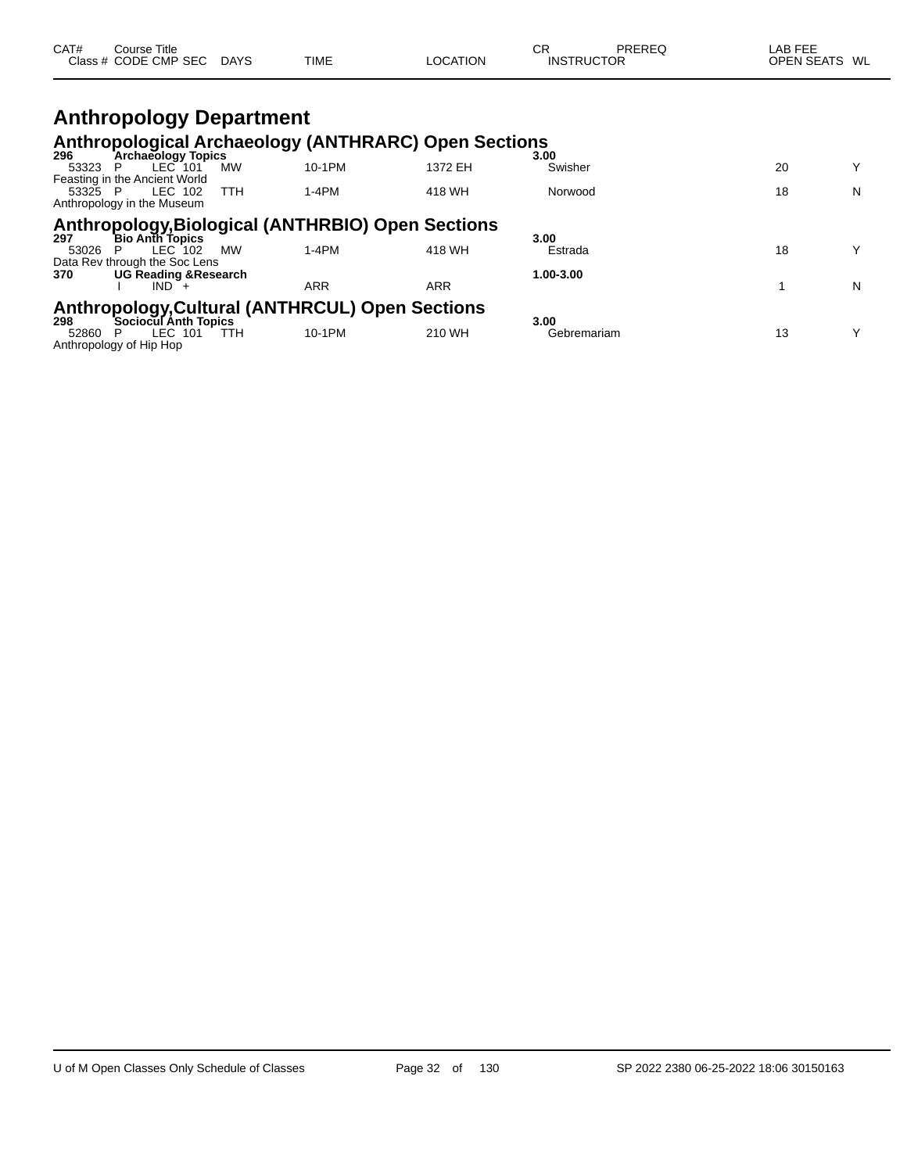| CAT#         | <b>Course Title</b><br>Class # CODE CMP SEC DAYS                       |            | TIME                                                        | LOCATION   | <b>CR</b><br>PREREQ<br><b>INSTRUCTOR</b> | LAB FEE<br>OPEN SEATS WL |              |
|--------------|------------------------------------------------------------------------|------------|-------------------------------------------------------------|------------|------------------------------------------|--------------------------|--------------|
|              | <b>Anthropology Department</b>                                         |            |                                                             |            |                                          |                          |              |
|              |                                                                        |            | <b>Anthropological Archaeology (ANTHRARC) Open Sections</b> |            |                                          |                          |              |
| 296<br>53323 | <b>Archaeology Topics</b><br>LEC <sup>-101</sup><br>P                  | МW         | 10-1PM                                                      | 1372 EH    | 3.00<br>Swisher                          | 20                       | $\checkmark$ |
| 53325 P      | Feasting in the Ancient World<br>LEC 102<br>Anthropology in the Museum | <b>TTH</b> | 1-4PM                                                       | 418 WH     | Norwood                                  | 18                       | N            |
| 297          | Bio Anth Topics                                                        |            | <b>Anthropology, Biological (ANTHRBIO) Open Sections</b>    |            | 3.00                                     |                          |              |
| 53026        | LEC 102<br>P<br>Data Rev through the Soc Lens                          | <b>MW</b>  | 1-4PM                                                       | 418 WH     | Estrada                                  | 18                       | Υ            |
| 370          | <b>UG Reading &amp; Research</b><br>$IND +$                            |            | <b>ARR</b>                                                  | <b>ARR</b> | 1.00-3.00                                |                          | N            |
| 298          | <b>Sociocul Anth Topics</b>                                            |            | <b>Anthropology, Cultural (ANTHRCUL) Open Sections</b>      |            | 3.00                                     |                          |              |

| 230                     | <b>SUCIUCUI ANNI TUDICS</b> |       |              |        | v.vv        |    |  |
|-------------------------|-----------------------------|-------|--------------|--------|-------------|----|--|
| 52860                   | ∟EC-<br>101                 | TTH . | <b>0-1PM</b> | 210 WH | Gebremariam | ںו |  |
| Anthropology of Hip Hop |                             |       |              |        |             |    |  |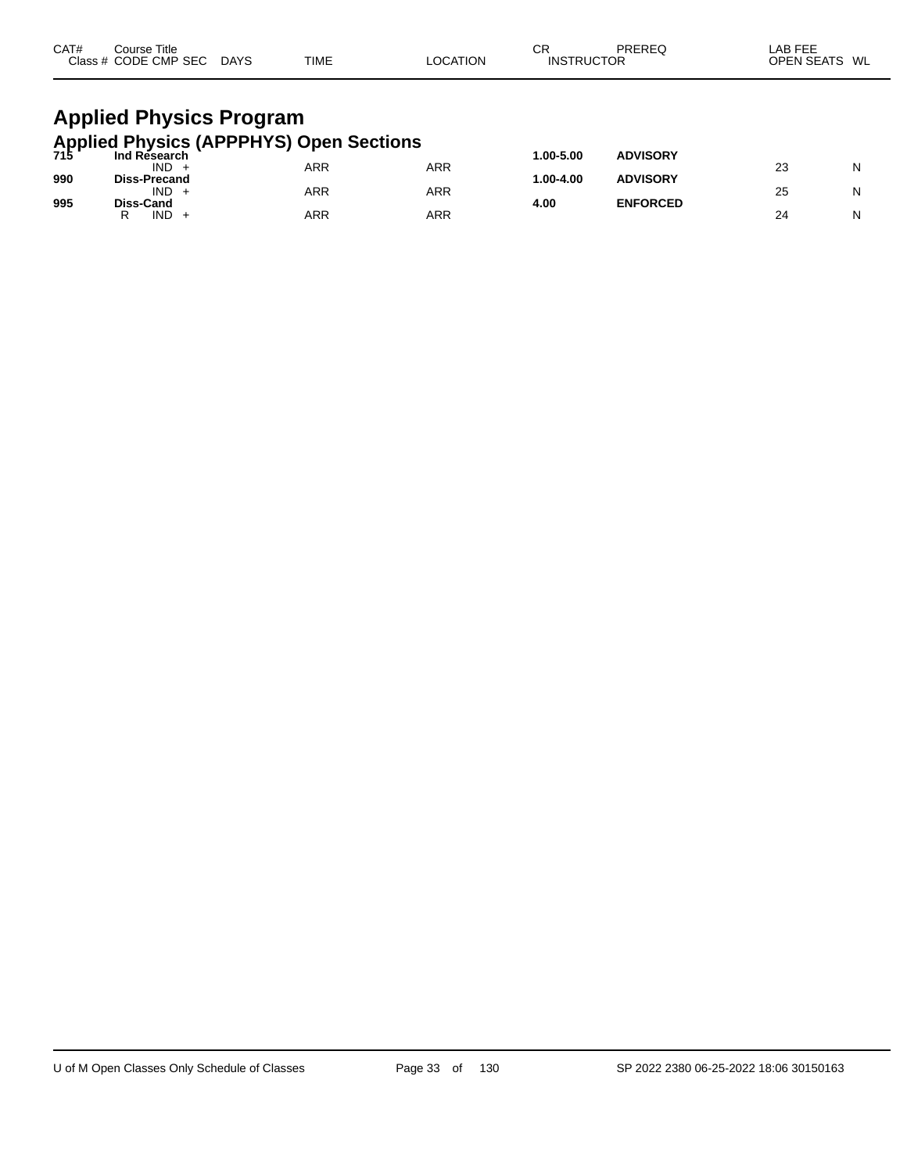| CAT#<br>Course Title<br>Class # CODE CMP SEC DAYS<br><b>TIME</b>                              |  |  | <b>LOCATION</b> | СR<br><b>INSTRUCTOR</b> | PREREQ          | LAB FEE<br>OPEN SEATS WL |
|-----------------------------------------------------------------------------------------------|--|--|-----------------|-------------------------|-----------------|--------------------------|
| <b>Applied Physics Program</b><br>Applied Physics (APPPHYS) Open Sections<br>715 Ind Research |  |  |                 | 1.00-5.00               | <b>ADVISORY</b> |                          |

| 715 | ing Research        |     |            | טט.כ-טט.ו    | <b>ADVISURT</b> |              |   |
|-----|---------------------|-----|------------|--------------|-----------------|--------------|---|
|     | IND.                | ARR | ARR        |              |                 | $\sim$<br>ںے | Ν |
| 990 | <b>Diss-Precand</b> |     |            | $.00 - 4.00$ | <b>ADVISORY</b> |              |   |
|     | IND.                | ARR | ARR        |              |                 | 25           | Ν |
| 995 | <b>Diss-Cand</b>    |     |            | 4.00         | <b>ENFORCED</b> |              |   |
|     |                     |     |            |              |                 |              |   |
|     | IND.                | ARR | <b>ARR</b> |              |                 | 24           | Ν |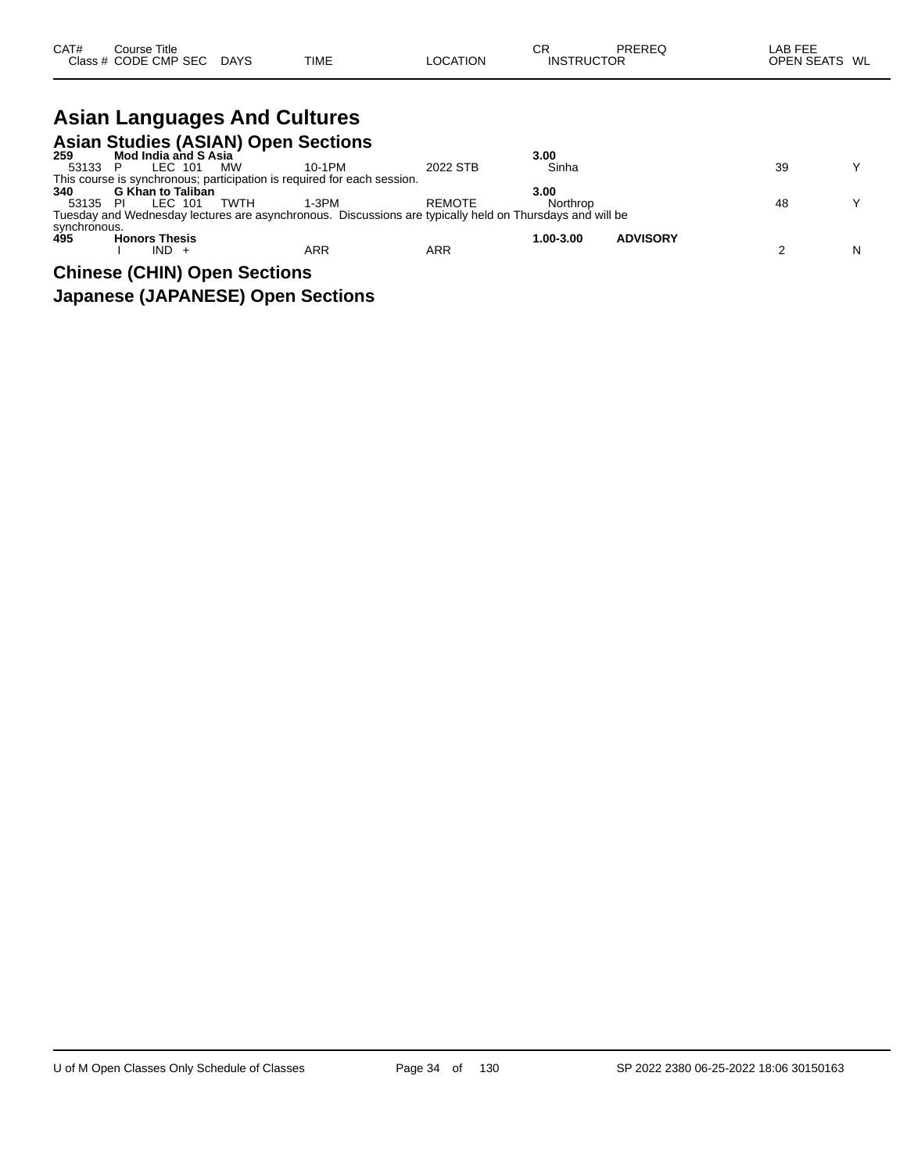| CAT# | Course Title         |             |             |                 | СR                | PREREQ | _AB FEE       |  |
|------|----------------------|-------------|-------------|-----------------|-------------------|--------|---------------|--|
|      | Class # CODE CMP SEC | <b>DAYS</b> | <b>TIME</b> | <b>LOCATION</b> | <b>INSTRUCTOR</b> |        | OPEN SEATS WL |  |

# **Asian Languages And Cultures**

|              |                          |         |                              | <b>Asian Studies (ASIAN) Open Sections</b>                              |                                                                                                          |           |                 |    |   |
|--------------|--------------------------|---------|------------------------------|-------------------------------------------------------------------------|----------------------------------------------------------------------------------------------------------|-----------|-----------------|----|---|
| 259          | Mod India and S Asia     |         |                              |                                                                         |                                                                                                          | 3.00      |                 |    |   |
| 53133 P      |                          | LEC 101 | MW                           | 10-1PM                                                                  | 2022 STB                                                                                                 | Sinha     |                 | 39 |   |
|              |                          |         |                              | This course is synchronous; participation is required for each session. |                                                                                                          |           |                 |    |   |
| 340          | <b>G Khan to Taliban</b> |         |                              |                                                                         |                                                                                                          | 3.00      |                 |    |   |
| 53135 PI     |                          | LEC 101 | TWTH                         | 1-3PM                                                                   | <b>REMOTE</b>                                                                                            | Northrop  |                 | 48 |   |
|              |                          |         |                              |                                                                         | Tuesday and Wednesday lectures are asynchronous. Discussions are typically held on Thursdays and will be |           |                 |    |   |
| synchronous. |                          |         |                              |                                                                         |                                                                                                          |           |                 |    |   |
| 495          | <b>Honors Thesis</b>     |         |                              |                                                                         |                                                                                                          | 1.00-3.00 | <b>ADVISORY</b> |    |   |
|              |                          | $IND +$ |                              | ARR                                                                     | ARR                                                                                                      |           |                 |    | N |
|              |                          |         | Chinese (CUBI) Onen Cestiano |                                                                         |                                                                                                          |           |                 |    |   |

#### **Chinese (CHIN) Open Sections**

**Japanese (JAPANESE) Open Sections**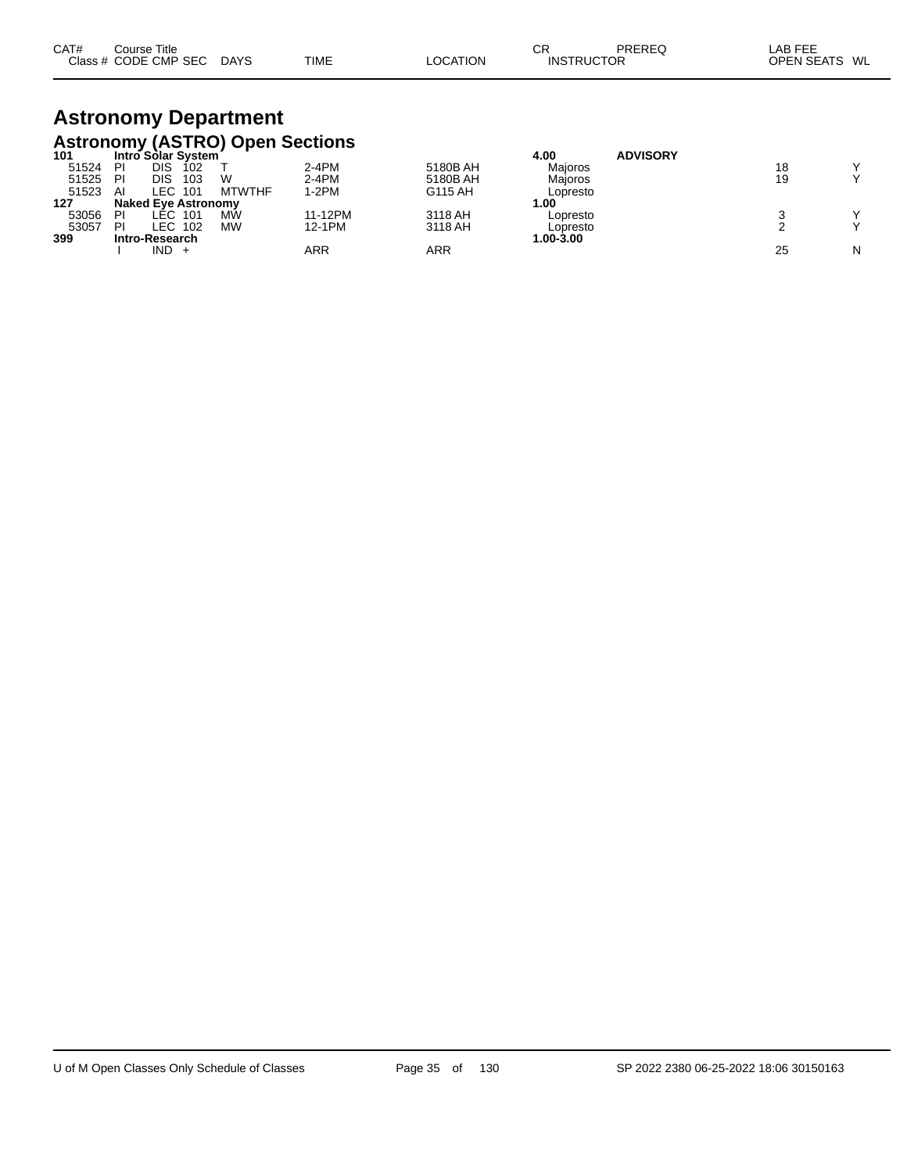| CAT# | ourse Titleٽ         |             |             |          | СR                | PREREQ | LAB FEE                 |  |
|------|----------------------|-------------|-------------|----------|-------------------|--------|-------------------------|--|
|      | Class # CODE CMP SEC | <b>DAYS</b> | <b>TIME</b> | LOCATION | <b>INSTRUCTOR</b> |        | <b>OPEN SEATS</b><br>WL |  |

# **Astronomy Department**

|       |    |                            |               | <b>Astronomy (ASTRO) Open Sections</b> |          |           |                 |    |   |
|-------|----|----------------------------|---------------|----------------------------------------|----------|-----------|-----------------|----|---|
| 101   |    | Intro Solar System         |               |                                        |          | 4.00      | <b>ADVISORY</b> |    |   |
| 51524 | PI | DIS<br>102                 |               | $2-4PM$                                | 5180B AH | Maioros   |                 | 18 |   |
| 51525 | PI | 103<br>DIS                 | W             | $2-4PM$                                | 5180B AH | Maioros   |                 | 19 |   |
| 51523 | Al | 101<br>LEC                 | <b>MTWTHF</b> | $1-2PM$                                | G115 AH  | Lopresto  |                 |    |   |
| 127   |    | <b>Naked Eve Astronomy</b> |               |                                        |          | 00. ا     |                 |    |   |
| 53056 | PI | LEC .<br>101               | <b>MW</b>     | 11-12PM                                | 3118 AH  | Lopresto  |                 |    |   |
| 53057 | PI | LEC .<br>102               | <b>MW</b>     | 12-1PM                                 | 3118 AH  | Lopresto  |                 |    |   |
| 399   |    | Intro-Research             |               |                                        |          | 1.00-3.00 |                 |    |   |
|       |    | IND.                       |               | ARR                                    | ARR      |           |                 | 25 | N |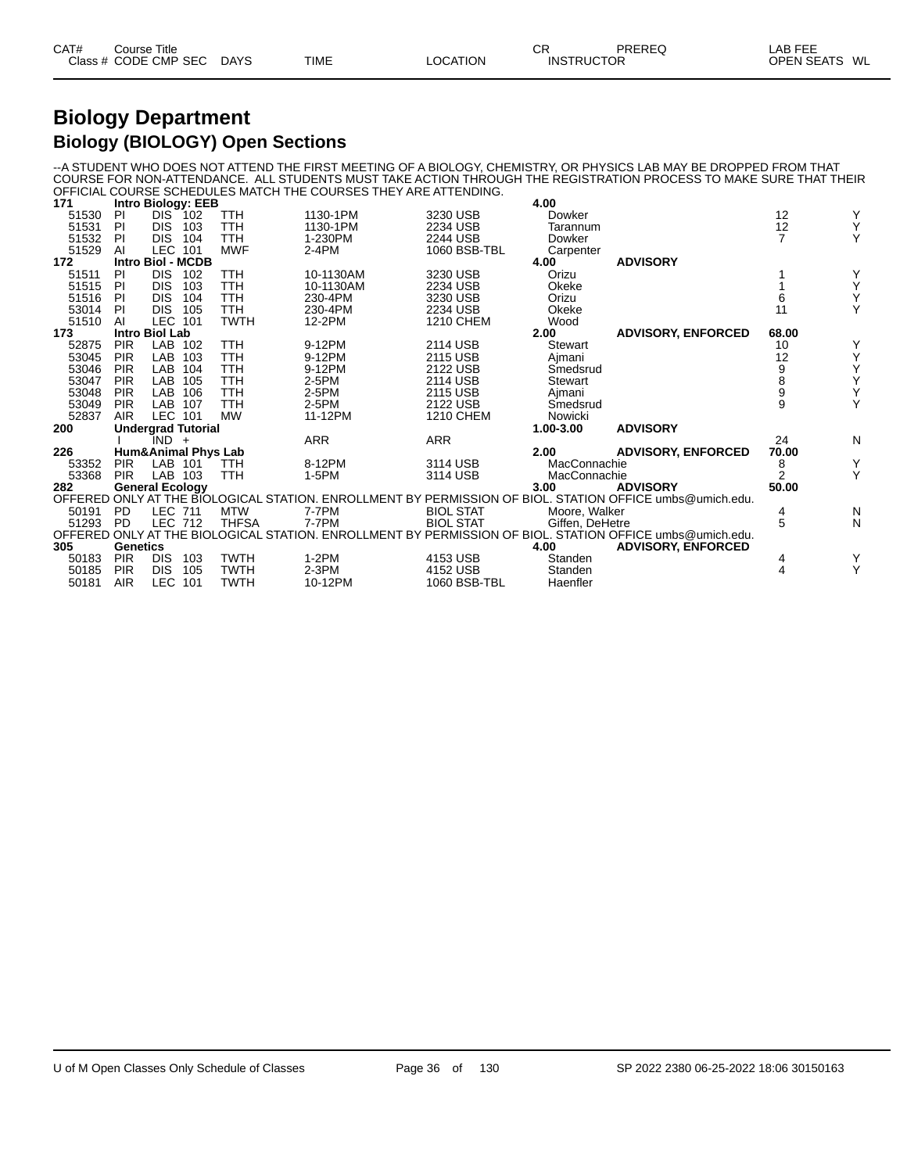| CAT#    | Title<br>Course |             |             |          | ⌒冖<br>◡┌          | PREREQ | _AB FEE<br>---    |    |
|---------|-----------------|-------------|-------------|----------|-------------------|--------|-------------------|----|
| Class # | CODE CMP<br>SEC | <b>DAYS</b> | <b>TIME</b> | LOCATION | <b>INSTRUCTOR</b> |        | <b>OPEN SEATS</b> | WL |

### **Biology Department Biology (BIOLOGY) Open Sections**

--A STUDENT WHO DOES NOT ATTEND THE FIRST MEETING OF A BIOLOGY, CHEMISTRY, OR PHYSICS LAB MAY BE DROPPED FROM THAT COURSE FOR NON-ATTENDANCE. ALL STUDENTS MUST TAKE ACTION THROUGH THE REGISTRATION PROCESS TO MAKE SURE THAT THEIR OFFICIAL COURSE SCHEDULES MATCH THE COURSES THEY ARE ATTENDING.

| 171                                                                                                      | <b>Intro Biology: EEB</b>                            |                                |              |           |                  | 4.00            |                           |                |   |
|----------------------------------------------------------------------------------------------------------|------------------------------------------------------|--------------------------------|--------------|-----------|------------------|-----------------|---------------------------|----------------|---|
| 51530                                                                                                    | PI                                                   | DIS.<br>102                    | TTH          | 1130-1PM  | 3230 USB         | Dowker          |                           | 12             | Y |
| 51531                                                                                                    | PI                                                   | <b>DIS</b><br>103              | <b>TTH</b>   | 1130-1PM  | 2234 USB         | Tarannum        |                           | 12             | Υ |
| 51532                                                                                                    | PI                                                   | <b>DIS</b><br>104              | <b>TTH</b>   | 1-230PM   | 2244 USB         | Dowker          |                           | 7              | Y |
| 51529                                                                                                    | AI                                                   | <b>LEC</b><br>101              | <b>MWF</b>   | 2-4PM     | 1060 BSB-TBL     | Carpenter       |                           |                |   |
| <b>Intro Biol - MCDB</b><br>172                                                                          |                                                      |                                |              |           |                  | 4.00            | <b>ADVISORY</b>           |                |   |
| 51511                                                                                                    | <b>PI</b>                                            | <b>DIS</b><br>102              | TTH          | 10-1130AM | 3230 USB         | Orizu           |                           |                | Y |
| 51515                                                                                                    | PI                                                   | <b>DIS</b><br>103              | <b>TTH</b>   | 10-1130AM | 2234 USB         | Okeke           |                           |                | Υ |
| 51516                                                                                                    | <b>PI</b>                                            | <b>DIS</b><br>104              | TTH          | 230-4PM   | 3230 USB         | Orizu           |                           | 6              | Υ |
| 53014                                                                                                    | PI                                                   | <b>DIS</b><br>105              | TTH          | 230-4PM   | 2234 USB         | Okeke           |                           | 11             | Υ |
| 51510                                                                                                    | AI                                                   | LEC 101                        | <b>TWTH</b>  | 12-2PM    | <b>1210 CHEM</b> | Wood            |                           |                |   |
| 173                                                                                                      | <b>Intro Biol Lab</b>                                |                                |              |           |                  | 2.00            | <b>ADVISORY, ENFORCED</b> | 68.00          |   |
| 52875                                                                                                    | <b>PIR</b>                                           | LAB<br>102                     | <b>TTH</b>   | 9-12PM    | 2114 USB         | Stewart         |                           | 10             |   |
| 53045                                                                                                    | <b>PIR</b>                                           | LAB<br>103                     | TTH          | 9-12PM    | 2115 USB         | Aimani          |                           | 12             |   |
| 53046                                                                                                    | <b>PIR</b>                                           | LAB<br>104                     | <b>TTH</b>   | 9-12PM    | 2122 USB         | Smedsrud        |                           | 9              | Y |
| 53047                                                                                                    | <b>PIR</b>                                           | <b>LAB</b><br>105              | TTH          | 2-5PM     | 2114 USB         | Stewart         |                           | 8              | Υ |
| 53048                                                                                                    | <b>PIR</b>                                           | <b>LAB</b><br>106              | TTH          | $2-5PM$   | 2115 USB         | Ajmani          |                           | 9              | Υ |
| 53049                                                                                                    | <b>PIR</b>                                           | LAB<br>107                     | TTH          | 2-5PM     | 2122 USB         | Smedsrud        |                           | 9              | Y |
| 52837                                                                                                    | <b>AIR</b>                                           | LEC 101                        | <b>MW</b>    | 11-12PM   | 1210 CHEM        | Nowicki         |                           |                |   |
| 200                                                                                                      |                                                      | <b>Undergrad Tutorial</b>      |              |           |                  | 1.00-3.00       | <b>ADVISORY</b>           |                |   |
|                                                                                                          |                                                      | IND +                          |              | ARR       | <b>ARR</b>       |                 |                           | 24             | N |
| 226                                                                                                      |                                                      | <b>Hum&amp;Animal Phys Lab</b> |              |           |                  | 2.00            | <b>ADVISORY, ENFORCED</b> | 70.00          |   |
| 53352                                                                                                    | <b>PIR</b>                                           | LAB 101                        | <b>TTH</b>   | 8-12PM    | 3114 USB         | MacConnachie    |                           | 8              | Y |
| 53368                                                                                                    | <b>PIR</b>                                           | LAB 103                        | <b>TTH</b>   | 1-5PM     | 3114 USB         | MacConnachie    |                           | $\overline{2}$ | Y |
| 282                                                                                                      |                                                      | <b>General Ecology</b>         |              |           |                  | 3.00            | <b>ADVISORY</b>           | 50.00          |   |
| OFFERED ONLY AT THE BIOLOGICAL STATION. ENROLLMENT BY PERMISSION OF BIOL. STATION OFFICE umbs@umich.edu. |                                                      |                                |              |           |                  |                 |                           |                |   |
| 50191                                                                                                    | <b>PD</b>                                            | <b>LEC 711</b>                 | <b>MTW</b>   | 7-7PM     | <b>BIOL STAT</b> | Moore, Walker   |                           | 4              | N |
| 51293                                                                                                    | <b>PD</b>                                            | <b>LEC 712</b>                 | <b>THFSA</b> | 7-7PM     | <b>BIOL STAT</b> | Giffen, DeHetre |                           | 5              | N |
| OFFERED ONLY AT THE BIOLOGICAL STATION. ENROLLMENT BY PERMISSION OF BIOL. STATION OFFICE umbs@umich.edu. |                                                      |                                |              |           |                  |                 |                           |                |   |
| 305                                                                                                      | <b>Genetics</b><br>4.00<br><b>ADVISORY, ENFORCED</b> |                                |              |           |                  |                 |                           |                |   |
| 50183                                                                                                    | <b>PIR</b>                                           | <b>DIS</b><br>103              | <b>TWTH</b>  | $1-2PM$   | 4153 USB         | Standen         |                           | 4              |   |
| 50185                                                                                                    | <b>PIR</b>                                           | <b>DIS</b><br>105              | <b>TWTH</b>  | $2-3PM$   | 4152 USB         | Standen         |                           | 4              | Υ |
| 50181                                                                                                    | <b>AIR</b>                                           | <b>LEC</b><br>101              | TWTH         | 10-12PM   | 1060 BSB-TBL     | Haenfler        |                           |                |   |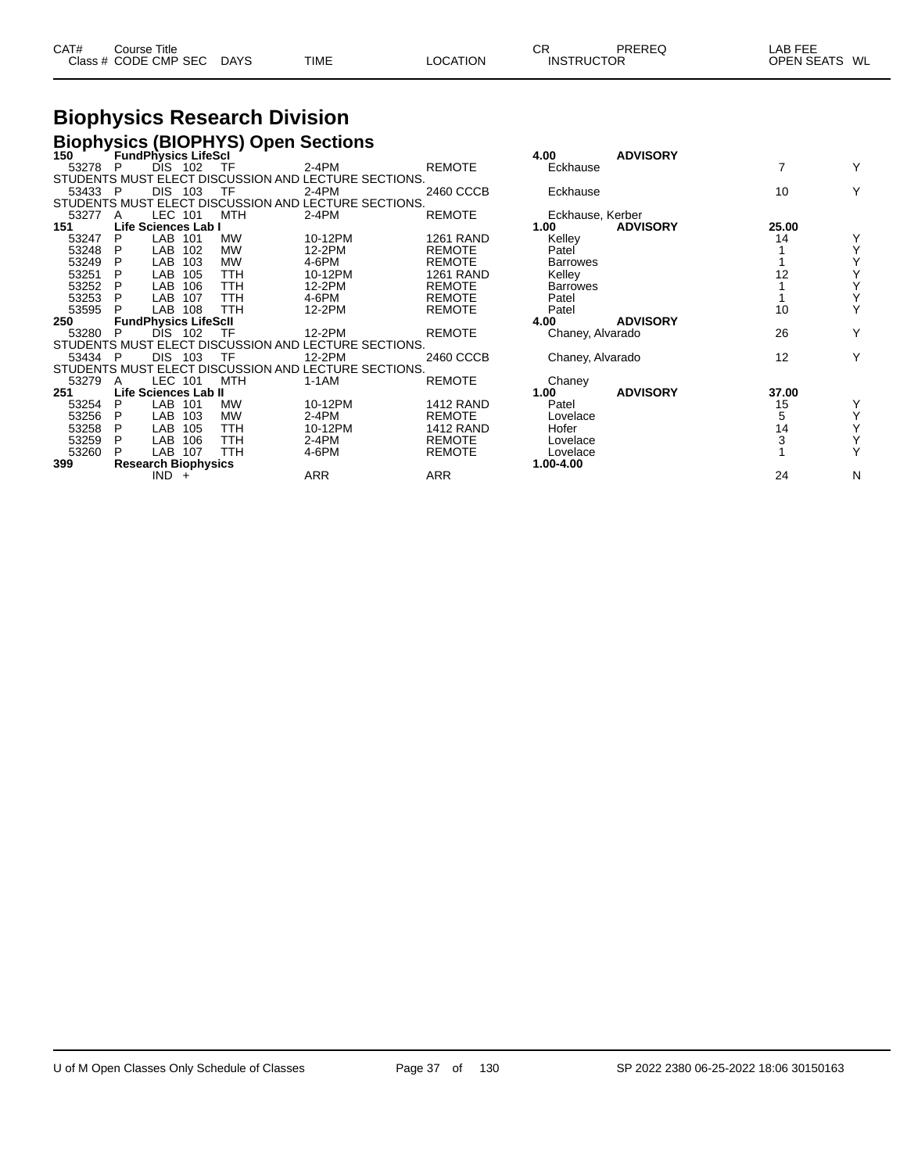| CAT# | ourse Titleٽ         |             |             |                 | СR                | PREREQ | _AB FEE       |  |
|------|----------------------|-------------|-------------|-----------------|-------------------|--------|---------------|--|
|      | Class # CODE CMP SEC | <b>DAYS</b> | <b>TIME</b> | <b>LOCATION</b> | <b>INSTRUCTOR</b> |        | OPEN SEATS WL |  |

### **Biophysics Research Division**

|  |  |  | <b>Biophysics (BIOPHYS) Open Sections</b> |
|--|--|--|-------------------------------------------|
|  |  |  |                                           |

| 150     |   | <b>FundPhysics LifeScl</b>            |            |                                                      |                  | 4.00             | <b>ADVISORY</b> |       |   |
|---------|---|---------------------------------------|------------|------------------------------------------------------|------------------|------------------|-----------------|-------|---|
| 53278   | P | DIS 102                               | - TF       | $2-4PM$                                              | <b>REMOTE</b>    | Eckhause         |                 | 7     |   |
|         |   |                                       |            | STUDENTS MUST ELECT DISCUSSION AND LECTURE SECTIONS. |                  |                  |                 |       |   |
| 53433 P |   | <b>DIS 103</b>                        | TF         | $2-4PM$                                              | 2460 CCCB        | Eckhause         |                 | 10    |   |
|         |   |                                       |            | STUDENTS MUST ELECT DISCUSSION AND LECTURE SECTIONS. |                  |                  |                 |       |   |
| 53277   | A | LEC 101                               | MTH        | 2-4PM                                                | <b>REMOTE</b>    | Eckhause, Kerber |                 |       |   |
| 151     |   | Life Sciences Lab I                   |            |                                                      |                  | 1.00             | <b>ADVISORY</b> | 25.00 |   |
| 53247   | P | LAB 101                               | <b>MW</b>  | 10-12PM                                              | <b>1261 RAND</b> | Kelley           |                 | 14    |   |
| 53248   | P | <b>LAB</b><br>102                     | <b>MW</b>  | 12-2PM                                               | <b>REMOTE</b>    | Patel            |                 |       |   |
| 53249   | P | LAB<br>103                            | <b>MW</b>  | 4-6PM                                                | <b>REMOTE</b>    | <b>Barrowes</b>  |                 |       |   |
| 53251   | P | <b>LAB</b><br>105                     | TTH        | 10-12PM                                              | <b>1261 RAND</b> | Kelley           |                 | 12    |   |
| 53252   | P | <b>LAB</b><br>106                     | TTH.       | 12-2PM                                               | <b>REMOTE</b>    | <b>Barrowes</b>  |                 |       |   |
| 53253   |   | LAB<br>107                            | TTH        | 4-6PM                                                | <b>REMOTE</b>    | Patel            |                 |       |   |
| 53595   |   | LAB 108                               | <b>TTH</b> | 12-2PM                                               | <b>REMOTE</b>    | Patel            |                 | 10    |   |
| 250     |   | <b>FundPhysics LifeScII</b>           |            |                                                      |                  | 4.00             | <b>ADVISORY</b> |       |   |
| 53280   |   | DIS 102                               | TF         | 12-2PM                                               | <b>REMOTE</b>    | Chaney, Alvarado |                 | 26    |   |
|         |   |                                       |            | STUDENTS MUST ELECT DISCUSSION AND LECTURE SECTIONS. |                  |                  |                 |       |   |
| 53434 P |   | DIS 103                               | TF         | 12-2PM                                               | 2460 CCCB        | Chaney, Alvarado |                 | 12    |   |
|         |   |                                       |            | STUDENTS MUST ELECT DISCUSSION AND LECTURE SECTIONS. |                  |                  |                 |       |   |
| 53279   | A | LEC 101                               | MTH        | $1-1AM$                                              | <b>REMOTE</b>    | Chaney           |                 |       |   |
|         |   |                                       |            |                                                      |                  |                  |                 |       |   |
| 251     |   | Life Sciences Lab II                  |            |                                                      |                  | 1.00             | <b>ADVISORY</b> | 37.00 |   |
| 53254   | P | LAB 101                               | <b>MW</b>  | 10-12PM                                              | <b>1412 RAND</b> | Patel            |                 | 15    |   |
| 53256   | P | <b>LAB</b><br>103                     | <b>MW</b>  | $2-4PM$                                              | <b>REMOTE</b>    | Lovelace         |                 | 5     |   |
| 53258   | P | LAB<br>105                            | TTH        | 10-12PM                                              | <b>1412 RAND</b> | Hofer            |                 | 14    |   |
| 53259   | P | LAB<br>106                            | TTH.       | 2-4PM                                                | <b>REMOTE</b>    | Lovelace         |                 |       |   |
| 53260   | P | LAB<br>107                            | <b>TTH</b> | 4-6PM                                                | <b>REMOTE</b>    | Lovelace         |                 |       |   |
| 399     |   | <b>Research Biophysics</b><br>$IND +$ |            | ARR                                                  | ARR              | 1.00-4.00        |                 | 24    | Ν |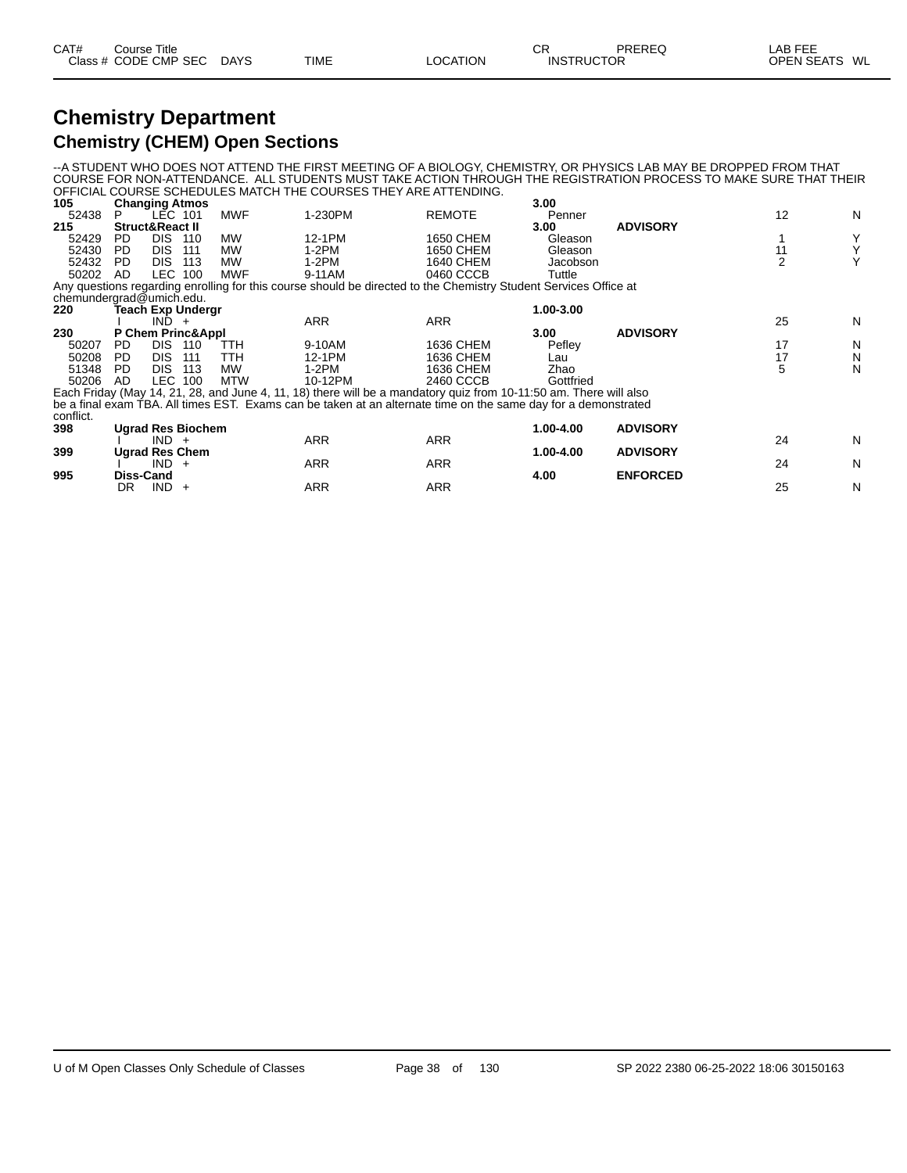### **Chemistry Department Chemistry (CHEM) Open Sections**

--A STUDENT WHO DOES NOT ATTEND THE FIRST MEETING OF A BIOLOGY, CHEMISTRY, OR PHYSICS LAB MAY BE DROPPED FROM THAT COURSE FOR NON-ATTENDANCE. ALL STUDENTS MUST TAKE ACTION THROUGH THE REGISTRATION PROCESS TO MAKE SURE THAT THEIR OFFICIAL COURSE SCHEDULES MATCH THE COURSES THEY ARE ATTENDING.

| 105                      | <b>Changing Atmos</b>      |            |                          |            |                                                                                                                   |               | 3.00      |                 |    |   |
|--------------------------|----------------------------|------------|--------------------------|------------|-------------------------------------------------------------------------------------------------------------------|---------------|-----------|-----------------|----|---|
| 52438                    | P                          | LEC 101    |                          | <b>MWF</b> | 1-230PM                                                                                                           | <b>REMOTE</b> | Penner    |                 | 12 | N |
| 215                      | <b>Struct&amp;React II</b> |            |                          |            |                                                                                                                   |               | 3.00      | <b>ADVISORY</b> |    |   |
| 52429                    | PD.                        | DIS.       | 110                      | <b>MW</b>  | 12-1PM                                                                                                            | 1650 CHEM     | Gleason   |                 |    | Υ |
| 52430                    | PD.                        | <b>DIS</b> | 111                      | MW         | 1-2PM                                                                                                             | 1650 CHEM     | Gleason   |                 | 11 | Υ |
| 52432                    | PD.                        | DIS.       | 113                      | <b>MW</b>  | 1-2PM                                                                                                             | 1640 CHEM     | Jacobson  |                 | 2  | Υ |
| 50202                    | AD                         | <b>LEC</b> | 100                      | <b>MWF</b> | 9-11AM                                                                                                            | 0460 CCCB     | Tuttle    |                 |    |   |
|                          |                            |            |                          |            | Any questions regarding enrolling for this course should be directed to the Chemistry Student Services Office at  |               |           |                 |    |   |
| chemundergrad@umich.edu. |                            |            |                          |            |                                                                                                                   |               |           |                 |    |   |
| 220                      |                            |            | Teach Exp Undergr        |            |                                                                                                                   |               | 1.00-3.00 |                 |    |   |
|                          |                            | $IND +$    |                          |            | ARR                                                                                                               | <b>ARR</b>    |           |                 | 25 | N |
| 230                      |                            |            | P Chem Princ&Appl        |            |                                                                                                                   |               | 3.00      | <b>ADVISORY</b> |    |   |
| 50207                    | PD.                        | DIS.       | 110                      | ттн        | 9-10AM                                                                                                            | 1636 CHEM     | Pefley    |                 | 17 | N |
| 50208                    | PD.                        | <b>DIS</b> | 111                      | TTH        | 12-1PM                                                                                                            | 1636 CHEM     | Lau       |                 | 17 | N |
| 51348                    | PD.                        | DIS.       | 113                      | <b>MW</b>  | $1-2PM$                                                                                                           | 1636 CHEM     | Zhao      |                 | 5  | N |
| 50206                    | AD.                        | <b>LEC</b> | 100                      | <b>MTW</b> | 10-12PM                                                                                                           | 2460 CCCB     | Gottfried |                 |    |   |
|                          |                            |            |                          |            | Each Friday (May 14, 21, 28, and June 4, 11, 18) there will be a mandatory quiz from 10-11:50 am. There will also |               |           |                 |    |   |
|                          |                            |            |                          |            | be a final exam TBA. All times EST. Exams can be taken at an alternate time on the same day for a demonstrated    |               |           |                 |    |   |
| conflict.                |                            |            |                          |            |                                                                                                                   |               |           |                 |    |   |
| 398                      |                            |            | <b>Ugrad Res Biochem</b> |            |                                                                                                                   |               | 1.00-4.00 | <b>ADVISORY</b> |    |   |
|                          |                            | $IND +$    |                          |            | <b>ARR</b>                                                                                                        | ARR           |           |                 | 24 | N |
| 399                      |                            |            | <b>Ugrad Res Chem</b>    |            |                                                                                                                   |               | 1.00-4.00 | <b>ADVISORY</b> |    |   |
|                          |                            | $IND +$    |                          |            | ARR                                                                                                               | ARR           |           |                 | 24 | N |
| 995                      | <b>Diss-Cand</b>           |            |                          |            |                                                                                                                   |               | 4.00      | <b>ENFORCED</b> |    |   |
|                          | <b>DR</b>                  | IND.       | $+$                      |            | <b>ARR</b>                                                                                                        | <b>ARR</b>    |           |                 | 25 | N |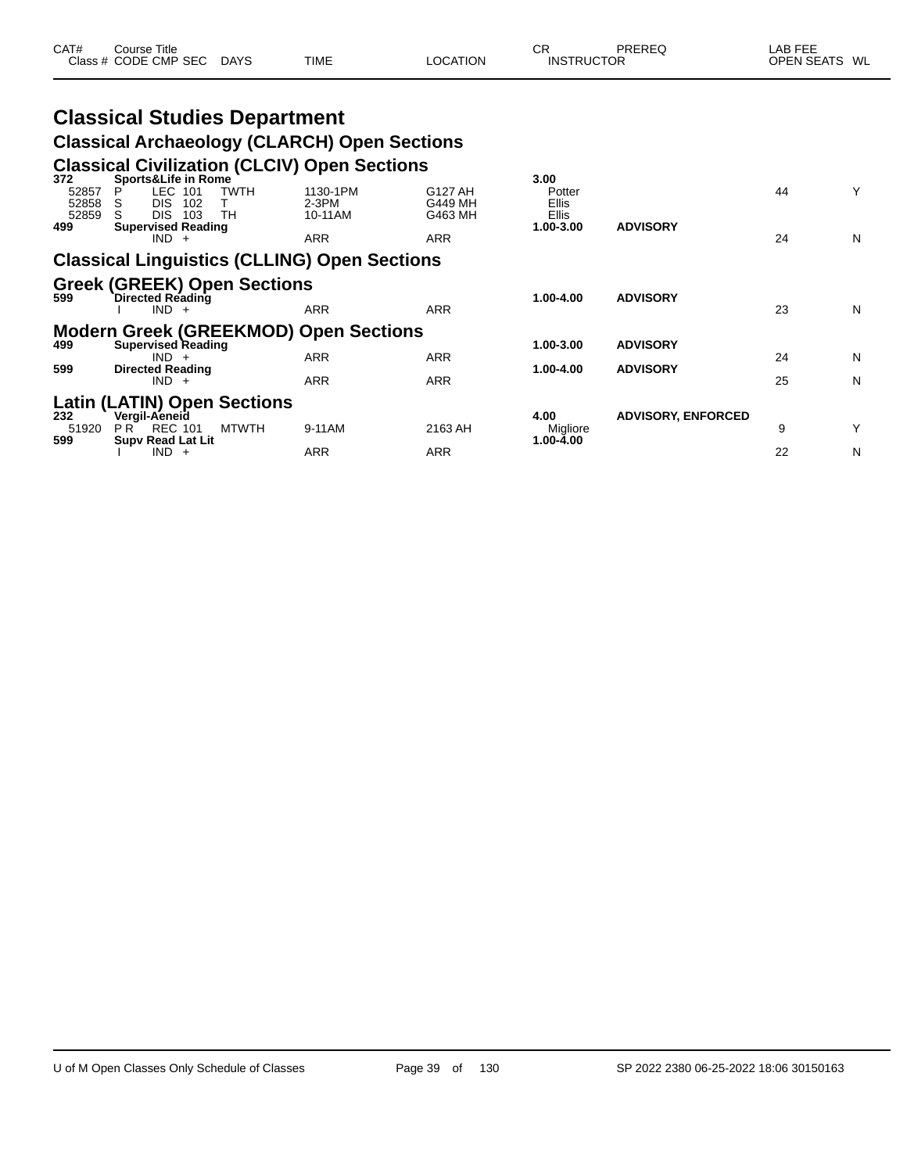| CAT# | Course Title         |             |             |          | СR                | PREREQ | _AB FEE       |  |
|------|----------------------|-------------|-------------|----------|-------------------|--------|---------------|--|
|      | Class # CODE CMP SEC | <b>DAYS</b> | <b>TIME</b> | LOCATION | <b>INSTRUCTOR</b> |        | OPEN SEATS WL |  |

#### **Classical Studies Department Classical Archaeology (CLARCH) Open Sections Classical Civilization (CLCIV) Open Sections**

| 372<br>52857<br>52858 | <b>Sports&amp;Life in Rome</b><br>LEC 101<br>P<br>TWTH<br>102<br>S<br><b>DIS</b> | 1130-1PM<br>$2-3PM$ | G127 AH<br>G449 MH | 3.00<br>Potter<br><b>Ellis</b> |                           | 44 | Y |
|-----------------------|----------------------------------------------------------------------------------|---------------------|--------------------|--------------------------------|---------------------------|----|---|
| 52859<br>499          | DIS.<br>103<br>TH<br><b>Supervised Reading</b>                                   | 10-11AM             | G463 MH            | <b>Ellis</b><br>1.00-3.00      | <b>ADVISORY</b>           |    |   |
|                       | $IND +$                                                                          | ARR                 | ARR                |                                |                           | 24 | N |
|                       | <b>Classical Linguistics (CLLING) Open Sections</b>                              |                     |                    |                                |                           |    |   |
| 599                   | <b>Greek (GREEK) Open Sections</b><br>Directed Reading                           |                     |                    | 1.00-4.00                      | <b>ADVISORY</b>           |    |   |
|                       | $IND +$                                                                          | ARR                 | ARR                |                                |                           | 23 | N |
|                       | <b>Modern Greek (GREEKMOD) Open Sections</b>                                     |                     |                    |                                |                           |    |   |
| 499                   | <b>Supervised Reading</b><br>$IND +$                                             | ARR                 | ARR                | 1.00-3.00                      | <b>ADVISORY</b>           | 24 | N |
| 599                   | <b>Directed Reading</b>                                                          |                     |                    | 1.00-4.00                      | <b>ADVISORY</b>           |    |   |
|                       | $IND +$                                                                          | ARR                 | <b>ARR</b>         |                                |                           | 25 | N |
|                       | <b>Latin (LATIN) Open Sections</b>                                               |                     |                    |                                |                           |    |   |
| 232<br>51920          | Vergil-Aeneid<br><b>REC 101</b><br><b>MTWTH</b><br>P <sub>R</sub>                | 9-11AM              | 2163 AH            | 4.00<br>Migliore               | <b>ADVISORY, ENFORCED</b> | 9  | Y |
| 599                   | <b>Supy Read Lat Lit</b>                                                         |                     |                    | 1.00-4.00                      |                           |    |   |
|                       | IND<br>$+$                                                                       | ARR                 | <b>ARR</b>         |                                |                           | 22 | N |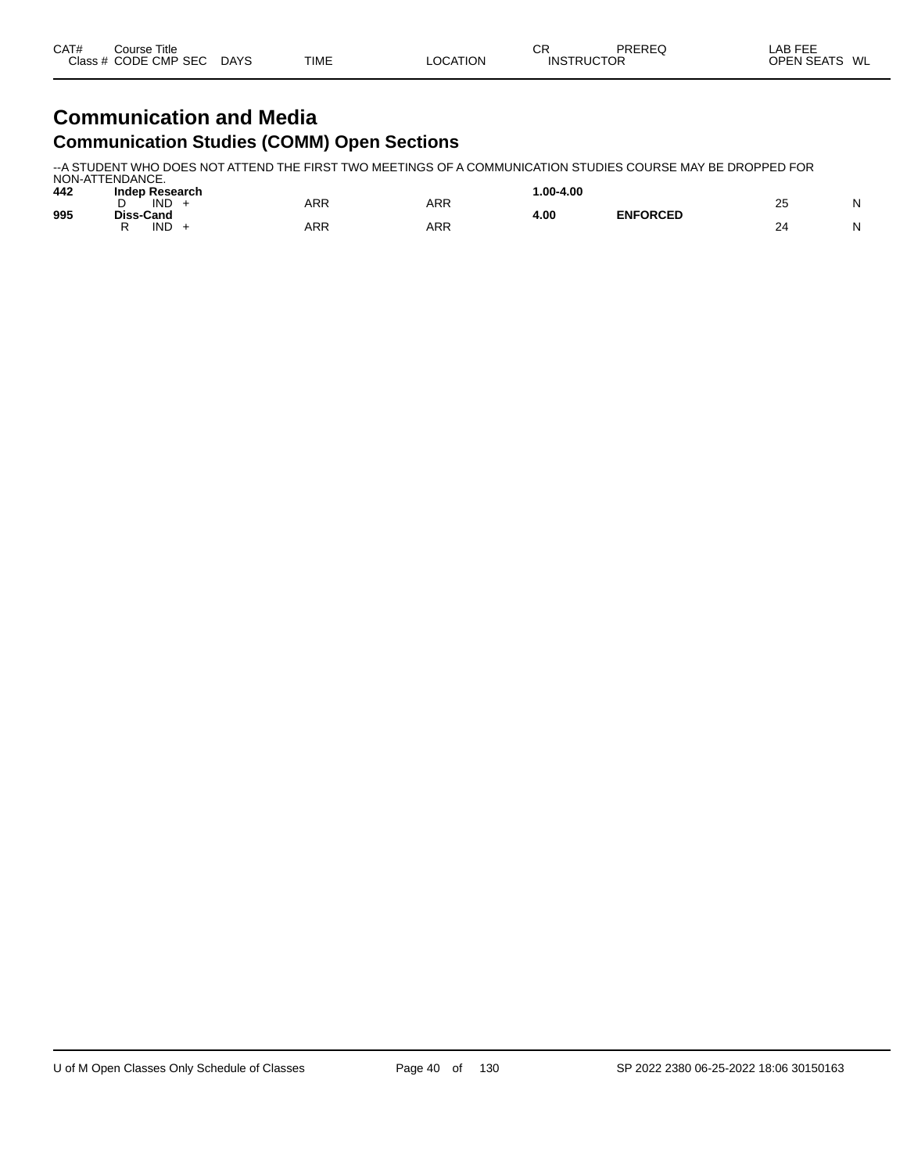| CAT# | Course Title              |      |                 | СR                | PREREQ | LAB FEE       |  |
|------|---------------------------|------|-----------------|-------------------|--------|---------------|--|
|      | Class # CODE CMP SEC DAYS | TIME | <b>LOCATION</b> | <b>INSTRUCTOR</b> |        | OPEN SEATS WL |  |

### **Communication and Media Communication Studies (COMM) Open Sections**

--A STUDENT WHO DOES NOT ATTEND THE FIRST TWO MEETINGS OF A COMMUNICATION STUDIES COURSE MAY BE DROPPED FOR NON-ATTENDANCE.

| 442 | <b>Indep Research</b> |            |            | $1.00 - 4.00$ |                 |    |   |
|-----|-----------------------|------------|------------|---------------|-----------------|----|---|
|     | <b>IND</b>            | ARR        | ARR        |               |                 | 25 | N |
| 995 | Diss-Cand             |            |            | $+00$         | <b>ENFORCED</b> |    |   |
|     | <b>IND</b><br>D       | <b>ARR</b> | <b>ARR</b> |               |                 | ∠  | N |
|     |                       |            |            |               |                 |    |   |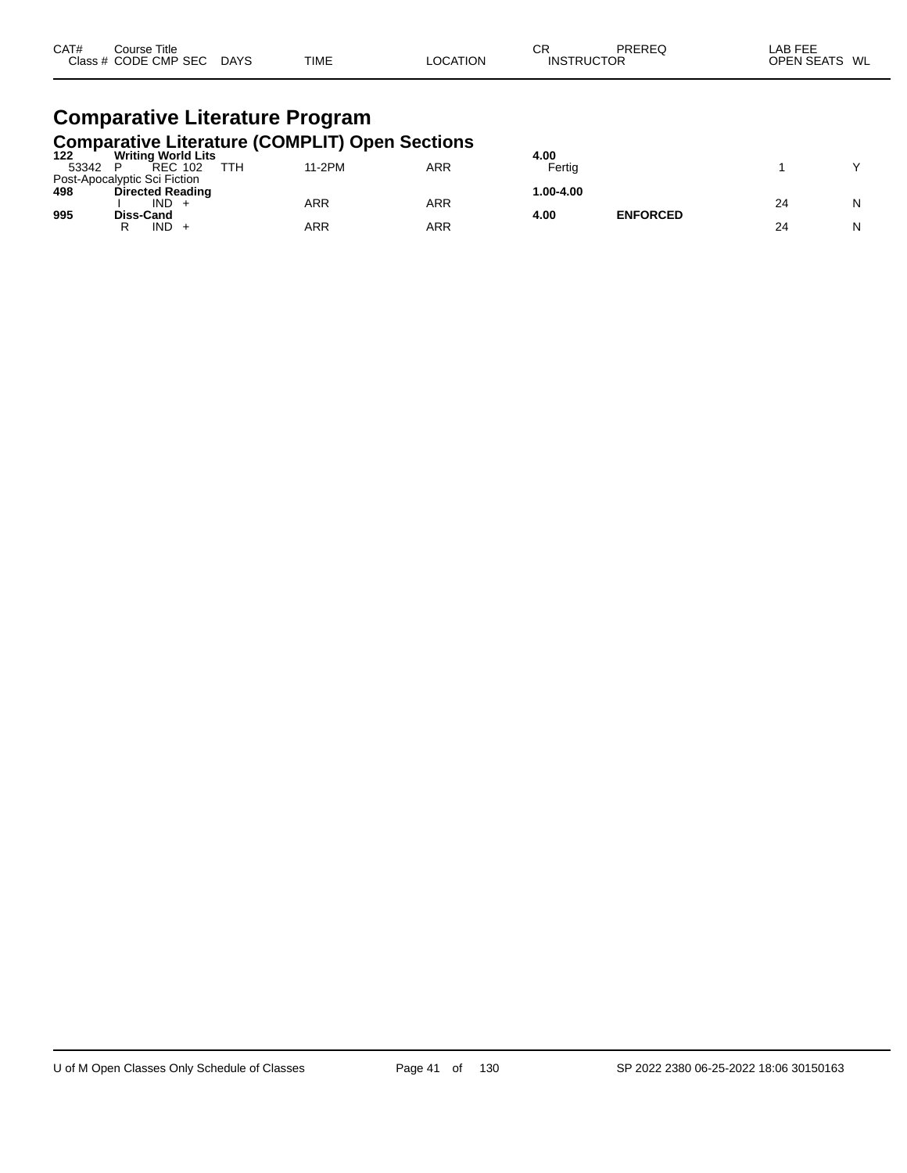| CAT#<br>Title<br>Course |             |             |          | СR | PREREQ            | AR FFF<br>LAB FEE       |
|-------------------------|-------------|-------------|----------|----|-------------------|-------------------------|
| Class # CODE CMP SEC    | <b>DAYS</b> | <b>TIME</b> | LOCATION |    | <b>INSTRUCTOR</b> | WL<br><b>OPEN SEATS</b> |

# **Comparative Literature Program**

|       |                              | <b>Comparative Literature (COMPLIT) Open Sections</b> |     |           |                 |    |   |
|-------|------------------------------|-------------------------------------------------------|-----|-----------|-----------------|----|---|
| 122   | <b>Writing World Lits</b>    |                                                       |     | 4.00      |                 |    |   |
| 53342 | <b>REC 102</b>               | TTH<br>11-2PM                                         | ARR | Fertig    |                 |    |   |
|       | Post-Apocalyptic Sci Fiction |                                                       |     |           |                 |    |   |
| 498   | <b>Directed Reading</b>      |                                                       |     | 1.00-4.00 |                 |    |   |
|       | $IND +$                      | ARR                                                   | ARR |           |                 | 24 | N |
| 995   | <b>Diss-Cand</b>             |                                                       |     | 4.00      | <b>ENFORCED</b> |    |   |
|       | IND.                         | ARR                                                   | ARR |           |                 | 24 | N |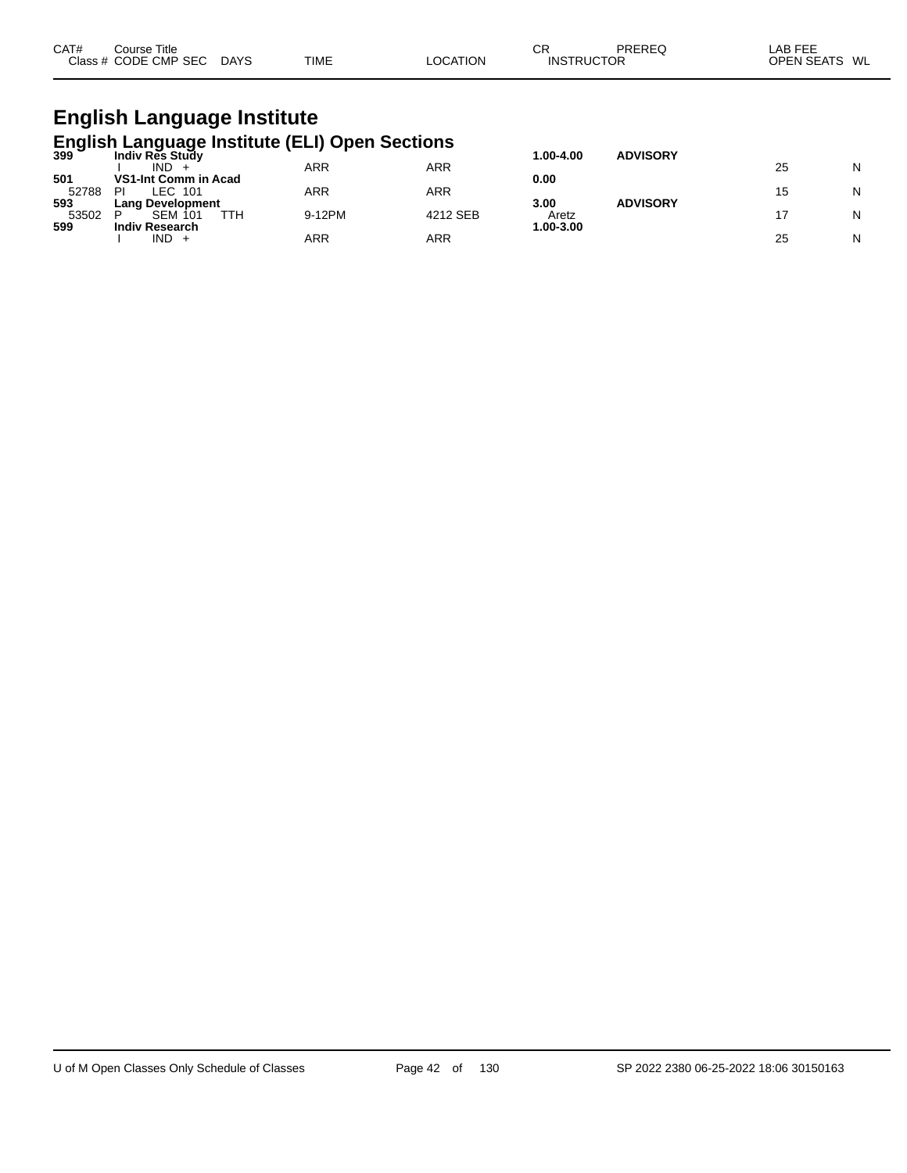| CAT#<br>$C^{\text{lace}}$ | Title<br>Course<br>CODE.<br><b>CMP</b><br>-SEC | DAYS | TIME |  | $\sim$<br>- UN<br>INS. | ЮF | ____<br>AЬ<br>WI<br>וטו<br><u>в.</u> |
|---------------------------|------------------------------------------------|------|------|--|------------------------|----|--------------------------------------|
|---------------------------|------------------------------------------------|------|------|--|------------------------|----|--------------------------------------|

### **English Language Institute English Language Institute (ELI) Open Sections**

| 399   | Indiv Res Study<br>---------- |        |          | 1.00-4.00 | <b>ADVISORY</b> |    |   |
|-------|-------------------------------|--------|----------|-----------|-----------------|----|---|
|       | IND.                          | ARR    | ARR      |           |                 | 25 | N |
| 501   | <b>VS1-Int Comm in Acad</b>   |        |          | 0.00      |                 |    |   |
| 52788 | LEC 101<br>PI                 | ARR    | ARR      |           |                 | 15 | N |
| 593   | <b>Lang Development</b>       |        |          | 3.00      | <b>ADVISORY</b> |    |   |
| 53502 | ттн<br><b>SEM 101</b>         | 9-12PM | 4212 SEB | Aretz     |                 |    | N |
| 599   | <b>Indiv Research</b>         |        |          | 1.00-3.00 |                 |    |   |
|       | IND.                          | ARR    | ARR      |           |                 | 25 | N |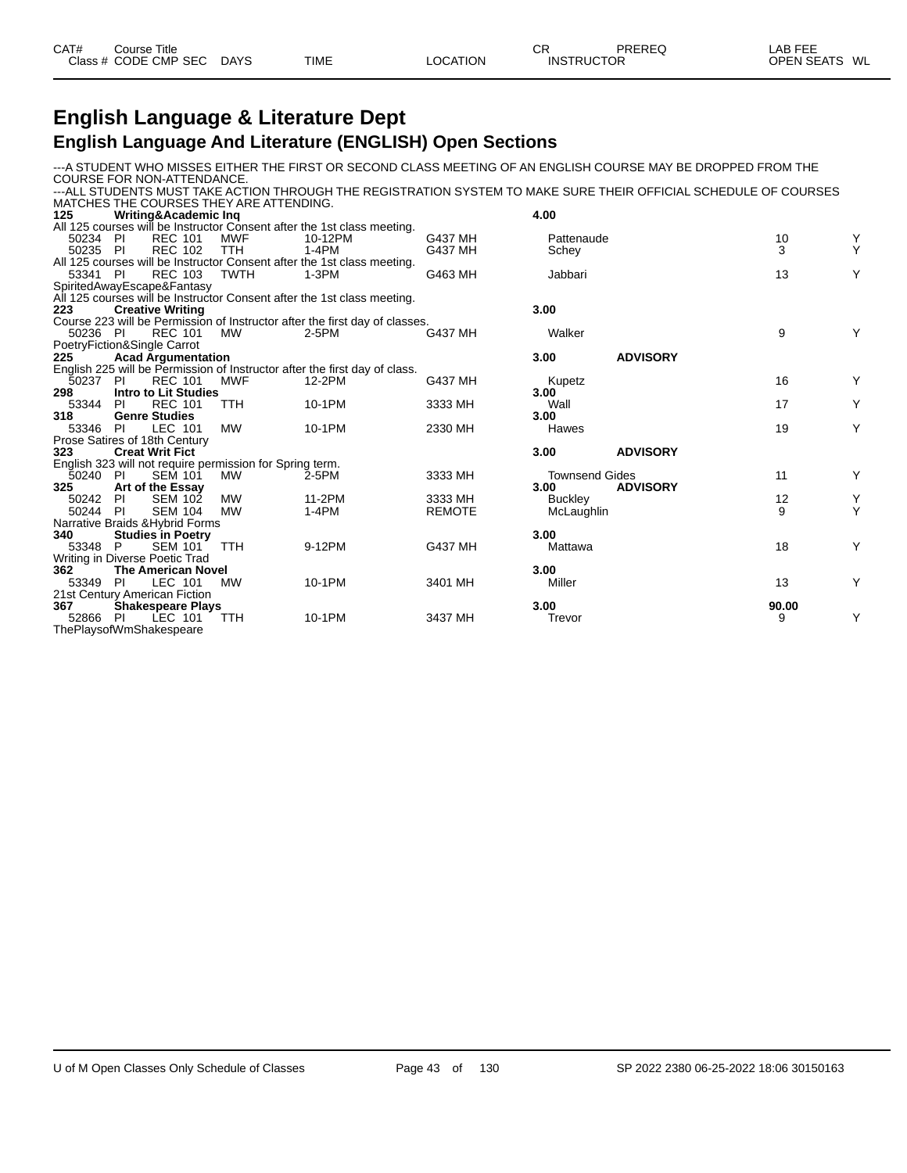| CAT#   | Title<br>Course   |                       |      |                | СR                             | DDEDEC | AR FEF                  |
|--------|-------------------|-----------------------|------|----------------|--------------------------------|--------|-------------------------|
| Class, | CODE CMP<br>' SEC | <b>DAYS</b><br>$\sim$ | TIME | <b>OCATION</b> | TRUCTOR<br><b>INS</b><br>$  -$ |        | <b>OPEN SEATS</b><br>WL |
|        |                   |                       |      |                |                                |        |                         |

#### **English Language & Literature Dept English Language And Literature (ENGLISH) Open Sections**

-A STUDENT WHO MISSES EITHER THE FIRST OR SECOND CLASS MEETING OF AN ENGLISH COURSE MAY BE DROPPED FROM THE COURSE FOR NON-ATTENDANCE. ---ALL STUDENTS MUST TAKE ACTION THROUGH THE REGISTRATION SYSTEM TO MAKE SURE THEIR OFFICIAL SCHEDULE OF COURSES MATCHES THE COURSES THEY ARE ATTENDING.<br>125 Writing&Academic Ing **125 Writing&Academic Inq 4.00** All 125 courses will be Instructor Consent after the 1st class meeting.<br>50234 PI REC 101 MWF 10-12PM<br>50235 PI REC 102 TTH 1-4PM 50234 PI REC 101 MWF 10-12PM G437 MH Pattenaude 10 Y 50235 PI REC 102 TTH 1-4PM G437 MH Schey 3 Y All 125 courses will be Instructor Consent after the 1st class meeting. 53341 PI REC 103 TWTH 1-3PM G463 MH Jabbari 13 Y SpiritedAwayEscape&Fantasy All 125 courses will be Instructor Consent after the 1st class meeting.<br>223 **Creative Writing 223 Creative Writing 3.00** Course 223 will be Permission of Instructor after the first day of classes. 50236 PI REC 101 MW 2-5PM G437 MH Walker 9 Y PoetryFiction&Single Carrot **225 Acad Argumentation 3.00 ADVISORY** English 225 will be Permission of Instructor after the first day of class.<br>50237 PI REC 101 MWF 12-2PM 50237 PI REC 101 MWF 12-2PM G437 MH Kupetz 16 Y **298 Intro to Lit Studies 3.00** 53344 PI REC 101 TTH 10-1PM 3333 MH Wall 17 Y Y **318 Genre Studies 3.00** 53346 PI LEC 101 MW 10-1PM 2330 MH Hawes 19 Y Prose Satires of 18th Century<br>323 Creat Writ Fict **323 Creat Writ Fict 3.00 ADVISORY** English 323 will not require permission for Spring term. 50240 PI SEM 101 MW 2-5PM 3333 MH Townsend Gides 11 Y **325 Art of the Essay 3.00 ADVISORY** 50242 PI SEM 102 MW 11-2PM 3333 MH Buckley 12 Y 50244 PI SEM 104 MW 1-4PM REMOTE McLaughlin 9 Y Narrative Braids & Hybrid Forms<br>340 **Studies in Poetry 340 Studies in Poetry 3.00** 53348 P SEM 101 TTH 9-12PM G437 MH Mattawa 18 Y Writing in Diverse Poetic Trad<br>362 The American No **362 The American Novel 3.00** 53349 PI LEC 101 MW 10-1PM 3401 MH Miller 13 Y 21st Century American Fiction **367 Shakespeare Plays 3.00 90.00** 52866 PI LEC 101 TTH 10-1PM 3437 MH Trevor 9 Y ThePlaysofWmShakespeare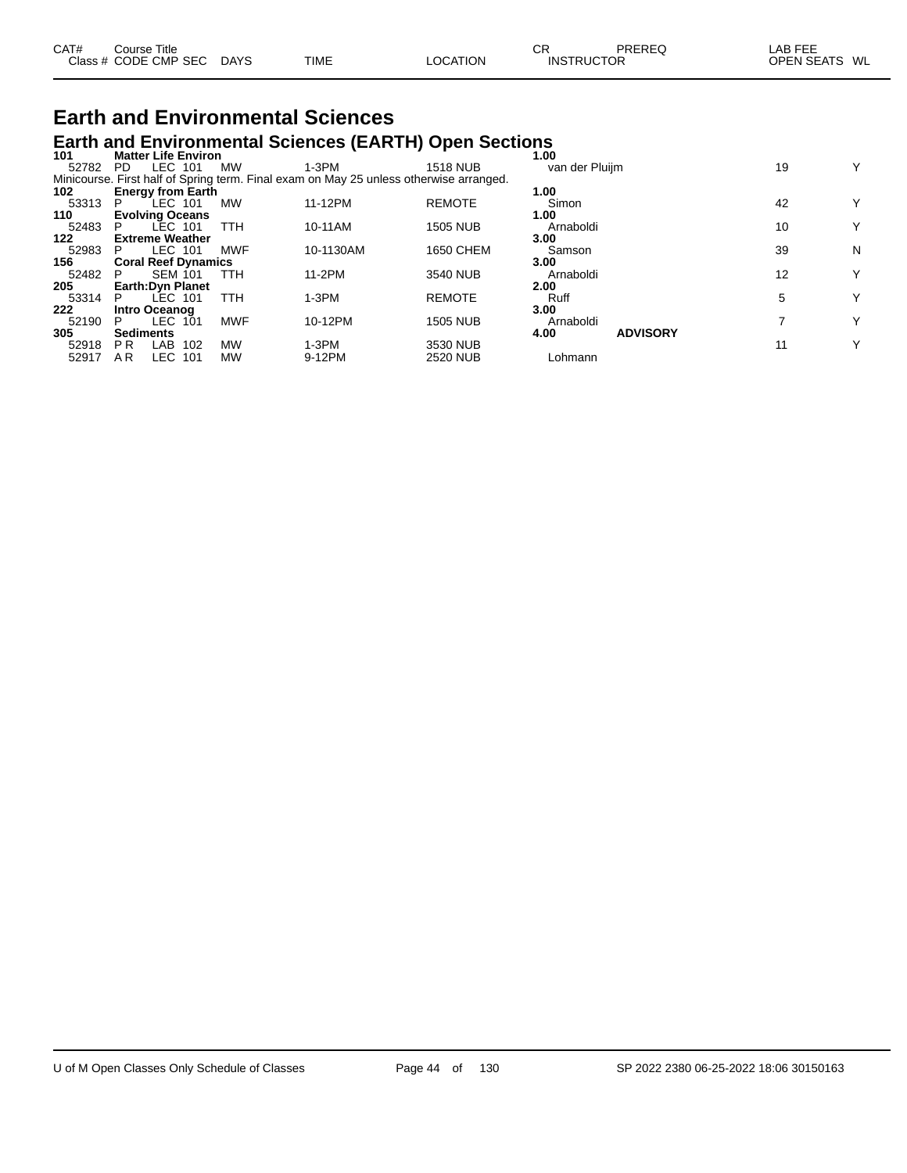| CAT# | Course Title         |             |             |          | СF | PREREQ            | LAB FEE       |
|------|----------------------|-------------|-------------|----------|----|-------------------|---------------|
|      | Class # CODE CMP SEC | <b>DAYS</b> | <b>TIME</b> | LOCATION |    | <b>INSTRUCTOR</b> | OPEN SEATS WL |

### **Earth and Environmental Sciences Earth and Environmental Sciences (EARTH) Open Sections**

| 101   | <b>Matter Life Environ</b> |            |                                                                                        |                  | 1.00           |                 |    |   |
|-------|----------------------------|------------|----------------------------------------------------------------------------------------|------------------|----------------|-----------------|----|---|
| 52782 | LEC 101<br>PD.             | MW         | $1-3PM$                                                                                | <b>1518 NUB</b>  | van der Pluijm |                 | 19 | Y |
|       |                            |            | Minicourse. First half of Spring term. Final exam on May 25 unless otherwise arranged. |                  |                |                 |    |   |
| 102   | <b>Energy from Earth</b>   |            |                                                                                        |                  | 1.00           |                 |    |   |
| 53313 | LEC 101                    | <b>MW</b>  | 11-12PM                                                                                | <b>REMOTE</b>    | Simon          |                 | 42 | Y |
| 110   | <b>Evolving Oceans</b>     |            |                                                                                        |                  | 1.00           |                 |    |   |
| 52483 | LEC 101                    | TTH        | 10-11AM                                                                                | <b>1505 NUB</b>  | Arnaboldi      |                 | 10 | Y |
| 122   | <b>Extreme Weather</b>     |            |                                                                                        |                  | 3.00           |                 |    |   |
| 52983 | LEC 101<br>P               | <b>MWF</b> | 10-1130AM                                                                              | <b>1650 CHEM</b> | Samson         |                 | 39 | N |
| 156   | <b>Coral Reef Dynamics</b> |            |                                                                                        |                  | 3.00           |                 |    |   |
| 52482 | <b>SEM 101</b><br>P        | TTH        | 11-2PM                                                                                 | 3540 NUB         | Arnaboldi      |                 | 12 | Y |
| 205   | <b>Earth:Dyn Planet</b>    |            |                                                                                        |                  | 2.00           |                 |    |   |
| 53314 | LEC 101<br>P               | TTH        | $1-3PM$                                                                                | <b>REMOTE</b>    | Ruff           |                 | 5  | Y |
| 222   | Intro Oceanog              |            |                                                                                        |                  | 3.00           |                 |    |   |
| 52190 | <b>LEC</b><br>101<br>P.    | <b>MWF</b> | 10-12PM                                                                                | <b>1505 NUB</b>  | Arnaboldi      |                 |    | Y |
| 305   | <b>Sediments</b>           |            |                                                                                        |                  | 4.00           | <b>ADVISORY</b> |    |   |
| 52918 | <b>LAB</b><br>102<br>P R   | <b>MW</b>  | $1-3PM$                                                                                | 3530 NUB         |                |                 | 11 | Y |
| 52917 | LEC-<br>A R<br>101         | MW         | 9-12PM                                                                                 | <b>2520 NUB</b>  | Lohmann        |                 |    |   |
|       |                            |            |                                                                                        |                  |                |                 |    |   |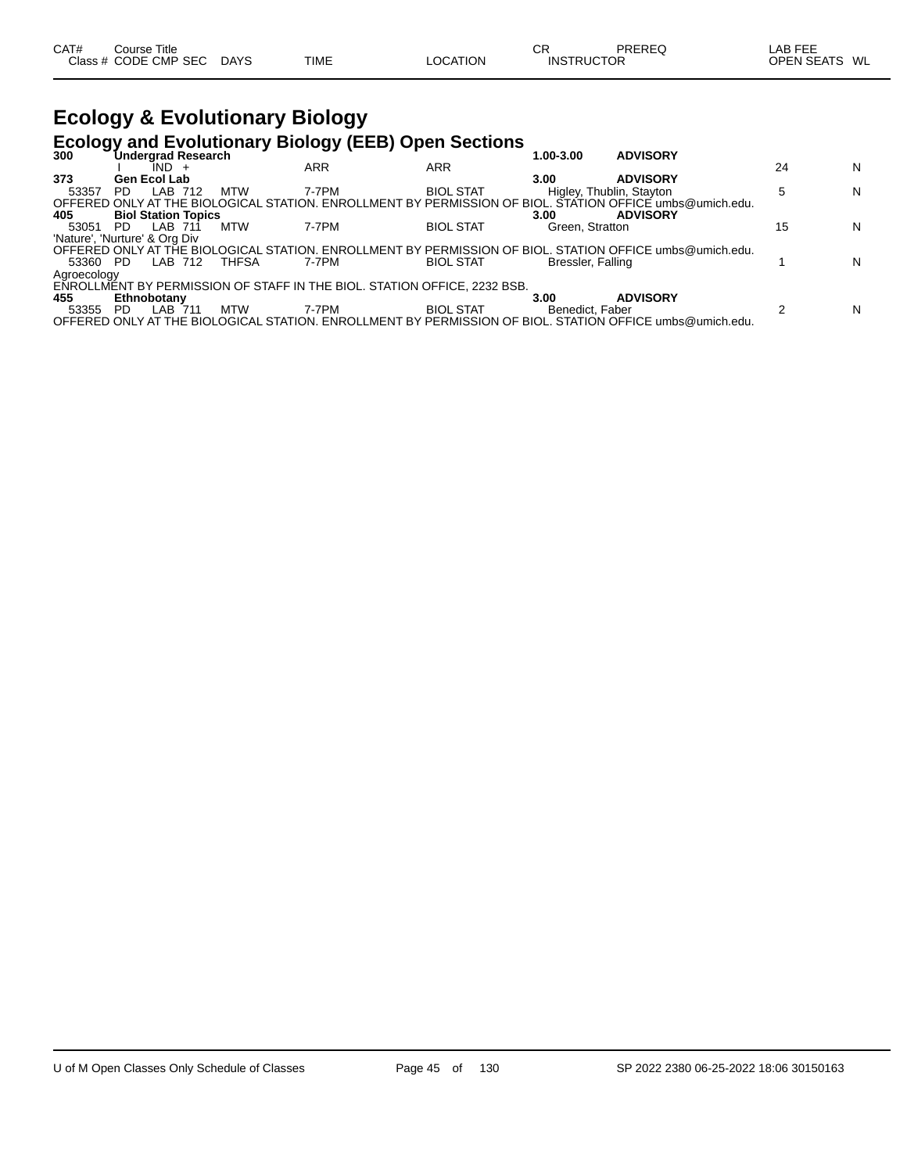| CAT# | Course Title         |             |             |          | СF                | PREREQ | LAB FEE       |
|------|----------------------|-------------|-------------|----------|-------------------|--------|---------------|
|      | Class # CODE CMP SEC | <b>DAYS</b> | <b>TIME</b> | LOCATION | <b>INSTRUCTOR</b> |        | OPEN SEATS WL |

### **Ecology & Evolutionary Biology**

#### **Ecology and Evolutionary Biology (EEB) Open Sections**

| 300         | Undergrad Research                                                                                       | . .                       |                  | 1.00-3.00         | <b>ADVISORY</b>                                    |    |   |
|-------------|----------------------------------------------------------------------------------------------------------|---------------------------|------------------|-------------------|----------------------------------------------------|----|---|
|             | $IND +$                                                                                                  | <b>ARR</b>                | <b>ARR</b>       |                   |                                                    | 24 | N |
| 373         | <b>Gen Ecol Lab</b>                                                                                      |                           |                  | 3.00              | <b>ADVISORY</b>                                    |    |   |
| 53357       | <b>MTW</b><br>LAB<br>PD.<br>-712                                                                         | 7-7PM                     | <b>BIOL STAT</b> |                   | Higley, Thublin, Stayton                           |    | N |
|             | OFFERED ONLY AT THE BIOLOGICAL STATION. ENROLLMENT BY PERMISSION OF BIOL.                                |                           |                  |                   | STATION OFFICE umbs@umich.edu.                     |    |   |
| 405         | <b>Biol Station Topics</b>                                                                               |                           |                  | 3.00              | <b>ADVISORY</b>                                    |    |   |
| 53051       | <b>MTW</b><br>I AB 711<br>PD.                                                                            | 7-7PM                     | <b>BIOL STAT</b> | Green. Stratton   |                                                    | 15 | N |
|             | 'Nature', 'Nurture' & Org Div                                                                            |                           |                  |                   |                                                    |    |   |
|             | OFFERED ONLY AT THE BIOLOGICAL STATI                                                                     | <b>FNROLI</b><br>_MENT BY |                  |                   | PERMISSION OF BIOL. STATION OFFICE umbs@umich.edu. |    |   |
| 53360 PD    | LAB 712<br><b>THFSA</b>                                                                                  | 7-7PM                     | <b>BIOL STAT</b> | Bressler, Falling |                                                    |    | N |
| Agroecology |                                                                                                          |                           |                  |                   |                                                    |    |   |
|             | ENROLLMENT BY PERMISSION OF STAFF IN THE BIOL. STATION OFFICE, 2232 BSB.                                 |                           |                  |                   |                                                    |    |   |
| 455         | Ethnobotany                                                                                              |                           |                  | 3.00              | <b>ADVISORY</b>                                    |    |   |
| 53355       | LAB<br><b>MTW</b><br>PD                                                                                  | 7-7PM                     | <b>BIOL STAT</b> | Benedict. Faber   |                                                    |    | N |
|             | OFFERED ONLY AT THE BIOLOGICAL STATION. ENROLLMENT BY PERMISSION OF BIOL. STATION OFFICE umbs@umich.edu. |                           |                  |                   |                                                    |    |   |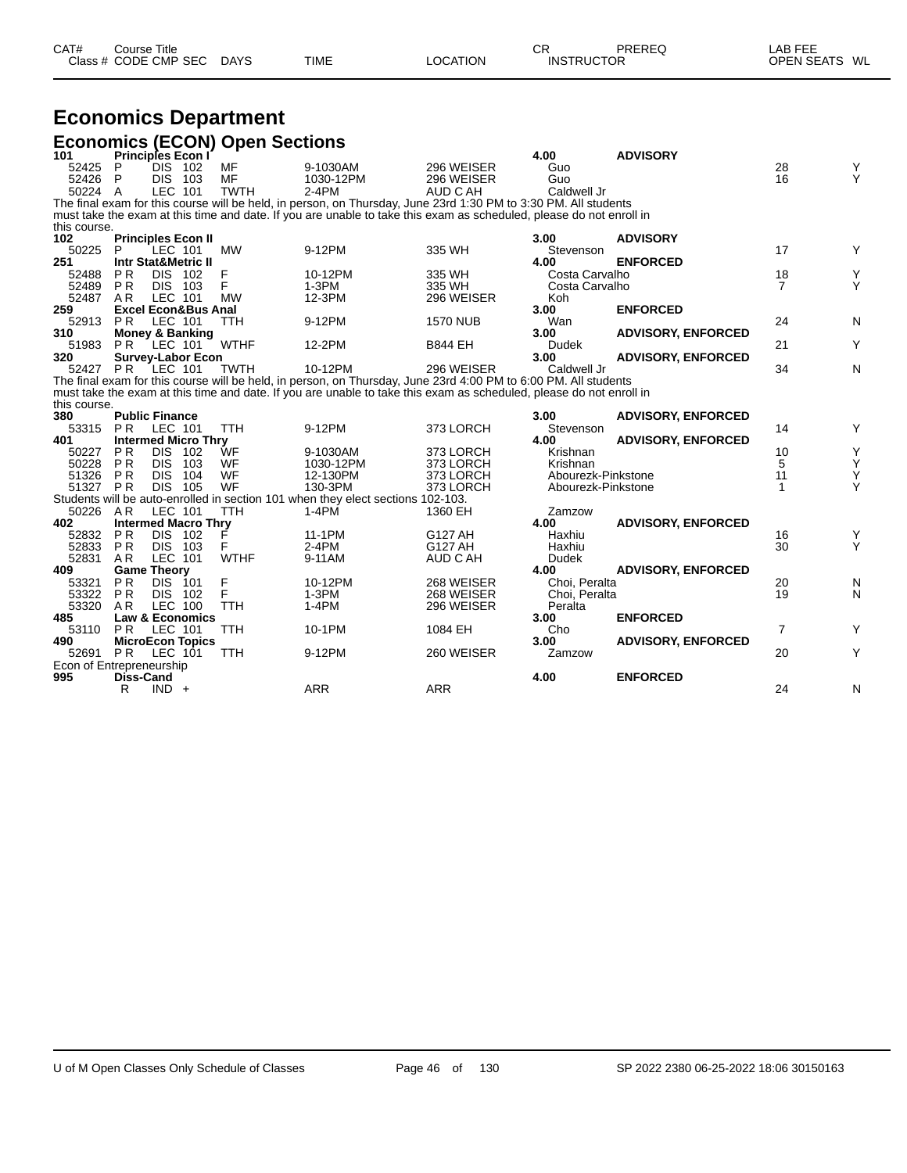| CAT# | ourse Titleٽ         |             |             |          | СR                | PREREQ | _AB FEE       |  |
|------|----------------------|-------------|-------------|----------|-------------------|--------|---------------|--|
|      | Class # CODE CMP SEC | <b>DAYS</b> | <b>TIME</b> | LOCATION | <b>INSTRUCTOR</b> |        | OPEN SEATS WL |  |

### **Economics Department Economics (ECON) Open Sections**

| 101                      |                             |                          | <b>Principles Econ I</b>       |                 |                                                                                                                     |                        | 4.00                           | <b>ADVISORY</b>           |                |        |
|--------------------------|-----------------------------|--------------------------|--------------------------------|-----------------|---------------------------------------------------------------------------------------------------------------------|------------------------|--------------------------------|---------------------------|----------------|--------|
| 52425                    | P                           | <b>DIS 102</b>           |                                | MF              | 9-1030AM                                                                                                            | 296 WEISER             | Guo                            |                           | 28             | Y      |
| 52426                    | P                           | <b>DIS 103</b>           |                                | MF              | 1030-12PM                                                                                                           | 296 WEISER             | Guo                            |                           | 16             | Y      |
| 50224 A                  |                             | LEC 101                  |                                | <b>TWTH</b>     | $2-4PM$                                                                                                             | AUD C AH               | Caldwell Jr                    |                           |                |        |
|                          |                             |                          |                                |                 | The final exam for this course will be held, in person, on Thursday, June 23rd 1:30 PM to 3:30 PM. All students     |                        |                                |                           |                |        |
|                          |                             |                          |                                |                 | must take the exam at this time and date. If you are unable to take this exam as scheduled, please do not enroll in |                        |                                |                           |                |        |
| this course.             |                             |                          |                                |                 |                                                                                                                     |                        |                                |                           |                |        |
| 102                      |                             |                          | <b>Principles Econ II</b>      |                 |                                                                                                                     |                        | 3.00                           | <b>ADVISORY</b>           |                |        |
| 50225                    | P                           | LEC 101                  |                                | <b>MW</b>       | 9-12PM                                                                                                              | 335 WH                 | Stevenson                      |                           | 17             | Y      |
| 251                      |                             |                          | <b>Intr Stat&amp;Metric II</b> |                 |                                                                                                                     |                        | 4.00                           | <b>ENFORCED</b>           |                |        |
| 52488                    | <b>PR</b>                   | DIS 102                  |                                |                 | 10-12PM                                                                                                             | 335 WH                 | Costa Carvalho                 |                           | 18             | Υ      |
| 52489                    | <b>PR</b>                   | <b>DIS 103</b>           |                                |                 | $1-3PM$                                                                                                             | 335 WH                 | Costa Carvalho                 |                           | $\overline{7}$ | Y      |
| 52487                    | A <sub>R</sub>              | LEC 101                  |                                | <b>MW</b>       | 12-3PM                                                                                                              | 296 WEISER             | Koh                            |                           |                |        |
| 259                      |                             |                          | <b>Excel Econ&amp;Bus Anal</b> |                 |                                                                                                                     |                        | 3.00                           | <b>ENFORCED</b>           |                |        |
| 52913                    | PR                          | LEC 101                  |                                | <b>TTH</b>      | 9-12PM                                                                                                              | <b>1570 NUB</b>        | Wan                            |                           | 24             | N      |
| 310                      |                             |                          | <b>Money &amp; Banking</b>     |                 |                                                                                                                     |                        | 3.00                           | <b>ADVISORY, ENFORCED</b> |                |        |
| 51983                    | P <sub>R</sub>              | $\degree$ LEC 101        |                                | <b>WTHF</b>     | 12-2PM                                                                                                              | <b>B844 EH</b>         | <b>Dudek</b>                   |                           | 21             | Y      |
| 320                      |                             |                          | <b>Survey-Labor Econ</b>       |                 |                                                                                                                     |                        | 3.00                           | <b>ADVISORY, ENFORCED</b> |                |        |
| 52427 PR LEC 101         |                             |                          |                                | <b>TWTH</b>     | 10-12PM                                                                                                             | 296 WEISER             | Caldwell Jr                    |                           | 34             | N      |
|                          |                             |                          |                                |                 | The final exam for this course will be held, in person, on Thursday, June 23rd 4:00 PM to 6:00 PM. All students     |                        |                                |                           |                |        |
|                          |                             |                          |                                |                 | must take the exam at this time and date. If you are unable to take this exam as scheduled, please do not enroll in |                        |                                |                           |                |        |
| this course.             |                             |                          |                                |                 |                                                                                                                     |                        |                                |                           |                |        |
| 380                      | <b>Public Finance</b>       |                          |                                |                 |                                                                                                                     |                        | 3.00                           | <b>ADVISORY, ENFORCED</b> |                |        |
| 53315                    | P <sub>R</sub>              | LEC 101                  |                                | <b>TTH</b>      | 9-12PM                                                                                                              | 373 LORCH              | Stevenson                      |                           | 14             | Y      |
| 401                      |                             |                          | <b>Intermed Micro Thry</b>     |                 |                                                                                                                     |                        | 4.00                           | <b>ADVISORY, ENFORCED</b> |                |        |
| 50227                    | <b>PR</b>                   | <b>DIS 102</b>           |                                | ŴF              | 9-1030AM                                                                                                            | 373 LORCH              | Krishnan                       |                           | 10             | Υ      |
| 50228<br>51326           | P <sub>R</sub><br><b>PR</b> | <b>DIS</b><br><b>DIS</b> | 103<br>104                     | WF<br><b>WF</b> | 1030-12PM                                                                                                           | 373 LORCH              | Krishnan<br>Abourezk-Pinkstone |                           | 5<br>11        | Υ<br>Υ |
| 51327 PR                 |                             | <b>DIS 105</b>           |                                | WF              | 12-130PM<br>130-3PM                                                                                                 | 373 LORCH<br>373 LORCH | Abourezk-Pinkstone             |                           | 1              | Υ      |
|                          |                             |                          |                                |                 | Students will be auto-enrolled in section 101 when they elect sections 102-103.                                     |                        |                                |                           |                |        |
| 50226                    | A R                         | LEC 101                  |                                | <b>TTH</b>      | $1-4PM$                                                                                                             | 1360 EH                | Zamzow                         |                           |                |        |
| 402                      |                             |                          | <b>Intermed Macro Thry</b>     |                 |                                                                                                                     |                        | 4.00                           | <b>ADVISORY, ENFORCED</b> |                |        |
| 52832                    | PR                          | <b>DIS 102</b>           |                                |                 | 11-1PM                                                                                                              | G127 AH                | Haxhiu                         |                           | 16             | Y      |
| 52833                    | <b>PR</b>                   | <b>DIS 103</b>           |                                | F               | $2-4PM$                                                                                                             | G127 AH                | Haxhiu                         |                           | 30             | Y      |
| 52831                    | A <sub>R</sub>              | LEC 101                  |                                | <b>WTHF</b>     | 9-11AM                                                                                                              | AUD C AH               | Dudek                          |                           |                |        |
| 409                      | <b>Game Theory</b>          |                          |                                |                 |                                                                                                                     |                        | 4.00                           | <b>ADVISORY, ENFORCED</b> |                |        |
| 53321                    | <b>PR</b>                   | DIS.                     | 101                            | F               | 10-12PM                                                                                                             | 268 WEISER             | Choi, Peralta                  |                           | 20             | N      |
| 53322                    | <b>PR</b>                   | DIS 102                  |                                | F               | $1-3PM$                                                                                                             | 268 WEISER             | Choi, Peralta                  |                           | 19             | N      |
| 53320                    | A <sub>R</sub>              | <b>LEC 100</b>           |                                | <b>TTH</b>      | $1-4PM$                                                                                                             | 296 WEISER             | Peralta                        |                           |                |        |
| 485                      |                             |                          | <b>Law &amp; Economics</b>     |                 |                                                                                                                     |                        | 3.00                           | <b>ENFORCED</b>           |                |        |
| 53110                    | <b>PR</b>                   | LEC 101                  |                                | <b>TTH</b>      | 10-1PM                                                                                                              | 1084 EH                | Cho                            |                           | $\overline{7}$ | Y      |
| 490                      |                             |                          | <b>MicroEcon Topics</b>        |                 |                                                                                                                     |                        | 3.00                           | <b>ADVISORY, ENFORCED</b> |                |        |
| 52691                    | P <sub>R</sub>              | LEC 101                  |                                | <b>TTH</b>      | 9-12PM                                                                                                              | 260 WEISER             | Zamzow                         |                           | 20             | Y      |
| Econ of Entrepreneurship |                             |                          |                                |                 |                                                                                                                     |                        |                                |                           |                |        |
| 995                      | <b>Diss-Cand</b>            |                          |                                |                 |                                                                                                                     |                        | 4.00                           | <b>ENFORCED</b>           |                |        |
|                          | R                           | $IND +$                  |                                |                 | <b>ARR</b>                                                                                                          | <b>ARR</b>             |                                |                           | 24             | N      |
|                          |                             |                          |                                |                 |                                                                                                                     |                        |                                |                           |                |        |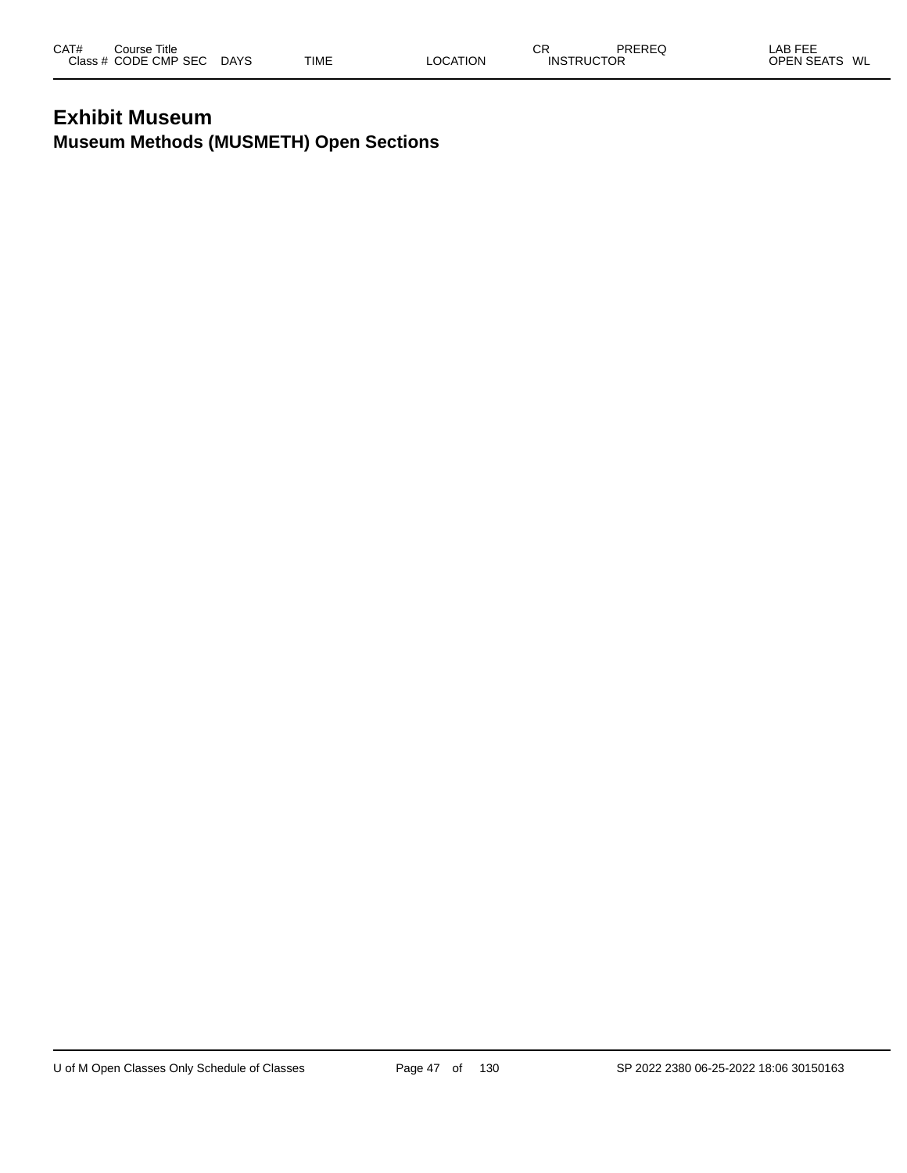### **Exhibit Museum Museum Methods (MUSMETH) Open Sections**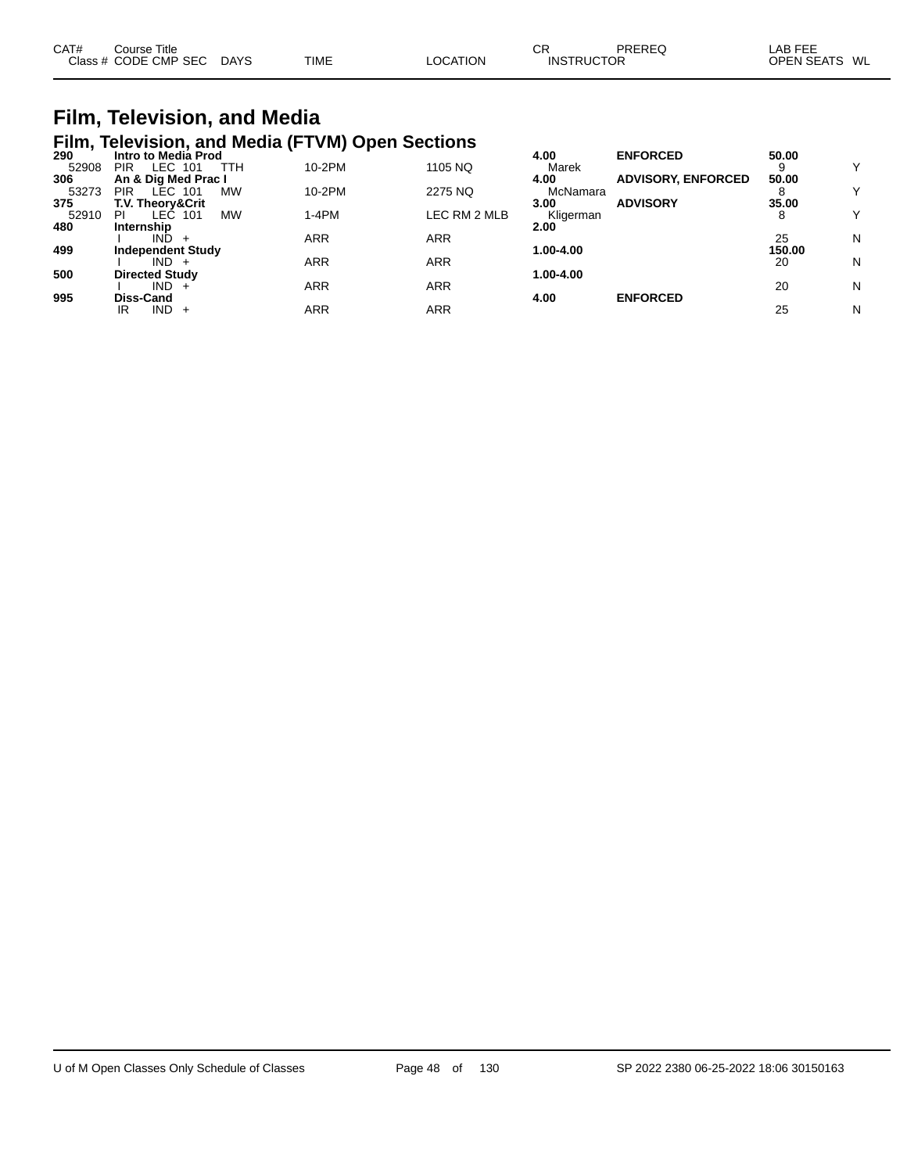| CAT#<br>Course Title |             |             |          | СR                | PREREQ | LAB FEE           |    |
|----------------------|-------------|-------------|----------|-------------------|--------|-------------------|----|
| Class # CODE CMP SEC | <b>DAYS</b> | <b>TIME</b> | LOCATION | <b>INSTRUCTOR</b> |        | <b>OPEN SEATS</b> | WL |

### **Film, Television, and Media Film, Television, and Media (FTVM) Open Sections**

| 290   | Intro to Media Prod                |            |              | 4.00      | <b>ENFORCED</b>           | 50.00  |   |
|-------|------------------------------------|------------|--------------|-----------|---------------------------|--------|---|
| 52908 | LEC 101<br>TTH<br><b>PIR</b>       | 10-2PM     | 1105 NQ      | Marek     |                           |        |   |
| 306   | An & Dig Med Prac I                |            |              | 4.00      | <b>ADVISORY, ENFORCED</b> | 50.00  |   |
| 53273 | LEC 101<br><b>MW</b><br><b>PIR</b> | 10-2PM     | 2275 NQ      | McNamara  |                           |        | v |
| 375   | <b>T.V. Theory&amp;Crit</b>        |            |              | 3.00      | <b>ADVISORY</b>           | 35.00  |   |
| 52910 | <b>MW</b><br>LEC 101<br>ΡI         | 1-4PM      | LEC RM 2 MLB | Kligerman |                           | 8      | v |
| 480   | Internship                         |            |              | 2.00      |                           |        |   |
|       | <b>IND</b>                         | ARR        | ARR          |           |                           | 25     | N |
| 499   | <b>Independent Study</b>           |            |              | 1.00-4.00 |                           | 150.00 |   |
|       | $IND +$                            | <b>ARR</b> | ARR          |           |                           | 20     | N |
| 500   | <b>Directed Study</b>              |            |              | 1.00-4.00 |                           |        |   |
|       | $IND +$                            | <b>ARR</b> | <b>ARR</b>   |           |                           | 20     | N |
| 995   | Diss-Cand                          |            |              | 4.00      | <b>ENFORCED</b>           |        |   |
|       | IND.<br>IR<br>$+$                  | ARR        | ARR          |           |                           | 25     | N |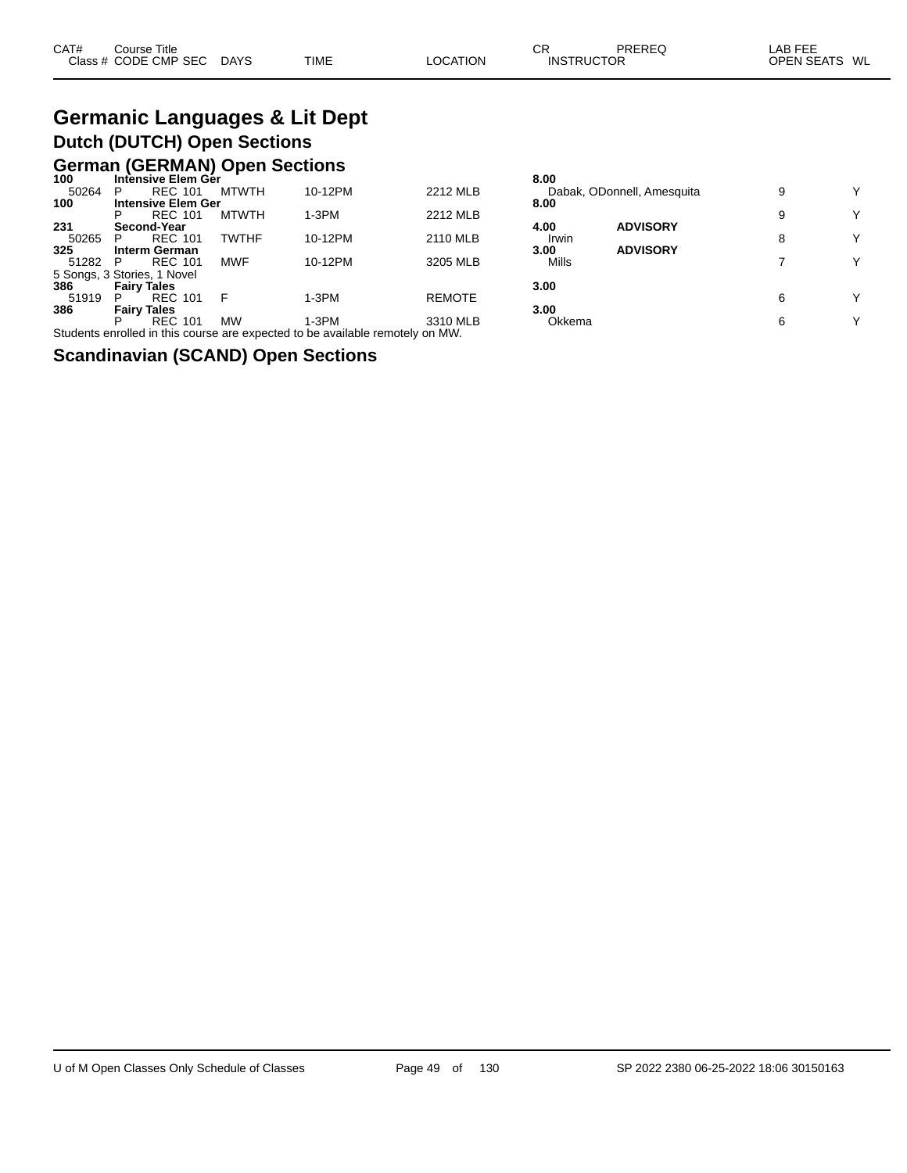### **Germanic Languages & Lit Dept Dutch (DUTCH) Open Sections**

### **German (GERMAN) Open Sections 100 Intensive Elem Ger 8.00**

| 100                         |                    | intensive Elem Ger        |              |                                                                               |               | 8.UU   |                            |   |             |
|-----------------------------|--------------------|---------------------------|--------------|-------------------------------------------------------------------------------|---------------|--------|----------------------------|---|-------------|
| 50264                       |                    | <b>REC 101</b>            | <b>MTWTH</b> | 10-12PM                                                                       | 2212 MLB      |        | Dabak, ODonnell, Amesquita | 9 | ν           |
| 100                         |                    | <b>Intensive Elem Ger</b> |              |                                                                               |               | 8.00   |                            |   |             |
|                             |                    | <b>REC 101</b>            | <b>MTWTH</b> | 1-3PM                                                                         | 2212 MLB      |        |                            | 9 | $\check{ }$ |
| 231                         |                    | Second-Year               |              |                                                                               |               | 4.00   | <b>ADVISORY</b>            |   |             |
| 50265                       | P                  | <b>REC 101</b>            | <b>TWTHF</b> | 10-12PM                                                                       | 2110 MLB      | Irwin  |                            | 8 | $\check{ }$ |
| 325                         |                    | Interm German             |              |                                                                               |               | 3.00   | <b>ADVISORY</b>            |   |             |
| 51282                       | P                  | <b>REC 101</b>            | <b>MWF</b>   | 10-12PM                                                                       | 3205 MLB      | Mills  |                            |   | ν           |
| 5 Songs, 3 Stories, 1 Novel |                    |                           |              |                                                                               |               |        |                            |   |             |
| 386                         | <b>Fairy Tales</b> |                           |              |                                                                               |               | 3.00   |                            |   |             |
| 51919                       | P                  | <b>REC 101</b>            |              | $1-3PM$                                                                       | <b>REMOTE</b> |        |                            | 6 | $\check{ }$ |
| 386                         | <b>Fairy Tales</b> |                           |              |                                                                               |               | 3.00   |                            |   |             |
|                             |                    | <b>REC 101</b>            | <b>MW</b>    | 1-3PM                                                                         | 3310 MLB      | Okkema |                            | 6 | ν           |
|                             |                    |                           |              | Students enrolled in this course are expected to be available remotely on MW. |               |        |                            |   |             |
|                             |                    |                           |              |                                                                               |               |        |                            |   |             |

| v.vv<br>8.00  | Dabak, ODonnell, Amesquita | 9 |
|---------------|----------------------------|---|
| 4.00          | <b>ADVISORY</b>            | 9 |
| Irwin<br>3.00 | <b>ADVISORY</b>            | 8 |
| Mills         |                            | 7 |
| 3.00          |                            | 6 |
| 3.00          |                            |   |
| Okkema        |                            | 6 |

#### **Scandinavian (SCAND) Open Sections**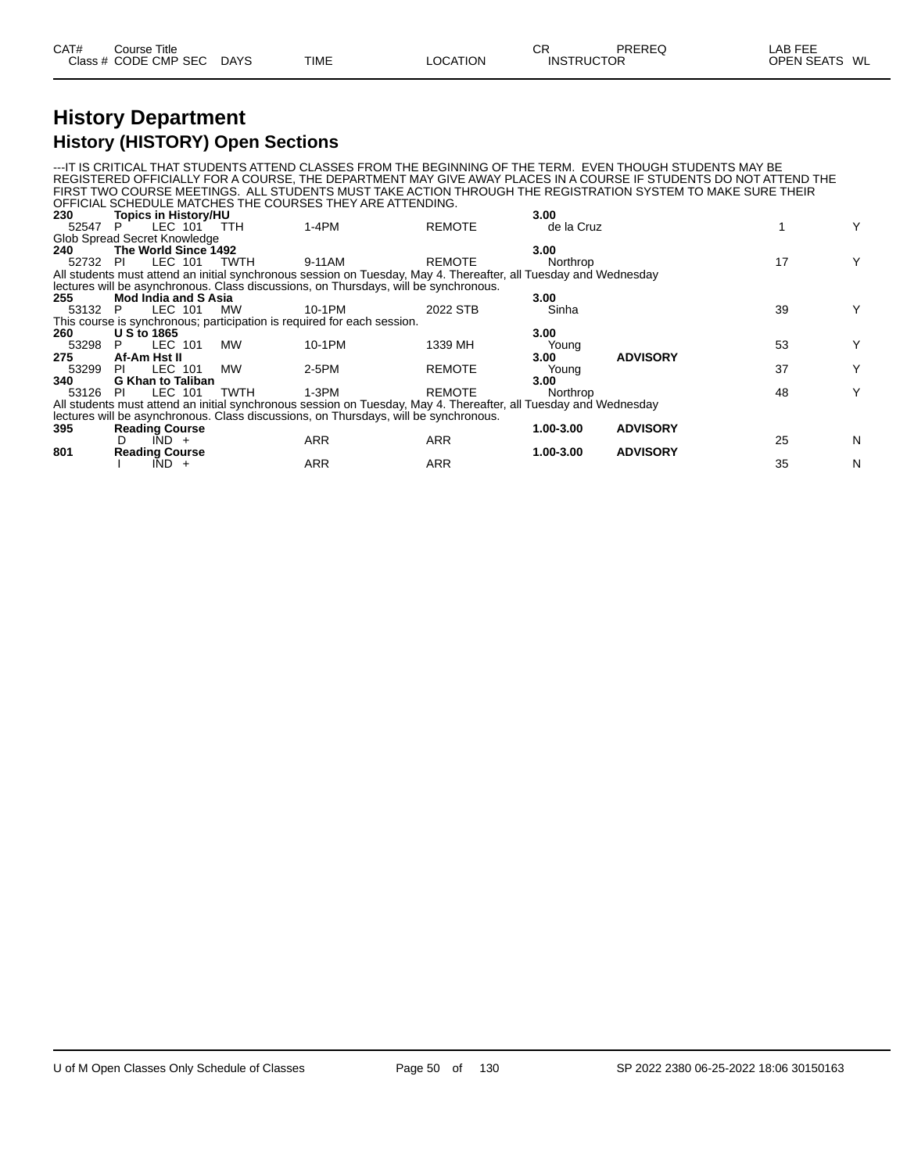### **History Department History (HISTORY) Open Sections**

|          |                              |             |                                                                                                                  |               |                   | ---IT IS CRITICAL THAT STUDENTS ATTEND CLASSES FROM THE BEGINNING OF THE TERM. EVEN THOUGH STUDENTS MAY BE        |    |   |
|----------|------------------------------|-------------|------------------------------------------------------------------------------------------------------------------|---------------|-------------------|-------------------------------------------------------------------------------------------------------------------|----|---|
|          |                              |             |                                                                                                                  |               |                   | REGISTERED OFFICIALLY FOR A COURSE, THE DEPARTMENT MAY GIVE AWAY PLACES IN A COURSE IF STUDENTS DO NOT ATTEND THE |    |   |
|          |                              |             |                                                                                                                  |               |                   | FIRST TWO COURSE MEETINGS. ALL STUDENTS MUST TAKE ACTION THROUGH THE REGISTRATION SYSTEM TO MAKE SURE THEIR       |    |   |
|          |                              |             | OFFICIAL SCHEDULE MATCHES THE COURSES THEY ARE ATTENDING.                                                        |               |                   |                                                                                                                   |    |   |
| 230      | <b>Topics in History/HU</b>  |             |                                                                                                                  |               | 3.00              |                                                                                                                   |    |   |
| 52547    | LEC 101 TTH<br>P             |             | 1-4PM                                                                                                            | <b>REMOTE</b> | de la Cruz        |                                                                                                                   |    | Y |
|          | Glob Spread Secret Knowledge |             |                                                                                                                  |               |                   |                                                                                                                   |    |   |
| 240      | The World Since 1492         |             |                                                                                                                  |               | 3.00              |                                                                                                                   |    |   |
| 52732 PI | LEC 101 TWTH                 |             | 9-11AM                                                                                                           | REMOTE        | Northrop          |                                                                                                                   | 17 | Y |
|          |                              |             | All students must attend an initial synchronous session on Tuesday, May 4. Thereafter, all Tuesday and Wednesday |               |                   |                                                                                                                   |    |   |
|          |                              |             | lectures will be asynchronous. Class discussions, on Thursdays, will be synchronous.                             |               |                   |                                                                                                                   |    |   |
| 255      | Mod India and S Asia         |             |                                                                                                                  |               | 3.00              |                                                                                                                   |    |   |
| 53132    | LEC 101<br>- P               | MW          | 10-1PM                                                                                                           | 2022 STB      | Sinha             |                                                                                                                   | 39 | Y |
|          |                              |             | This course is synchronous; participation is required for each session.                                          |               |                   |                                                                                                                   |    |   |
| 260      | <b>US to 1865</b>            |             |                                                                                                                  |               | 3.00 <sub>1</sub> |                                                                                                                   |    |   |
| 53298    | LEC 101<br>P.                | MW.         | 10-1PM                                                                                                           | 1339 MH       | Young             |                                                                                                                   | 53 | Y |
| 275      | Af-Am Hst II                 |             |                                                                                                                  |               | 3.00 <sub>1</sub> | <b>ADVISORY</b>                                                                                                   |    |   |
| 53299    | LEC 101<br>PL                | <b>MW</b>   | 2-5PM                                                                                                            | <b>REMOTE</b> | Young             |                                                                                                                   | 37 | Y |
| 340      | <b>G Khan to Taliban</b>     |             |                                                                                                                  |               | 3.00              |                                                                                                                   |    |   |
| 53126    | LEC 101<br>PL                | <b>TWTH</b> | 1-3PM                                                                                                            | <b>REMOTE</b> | Northrop          |                                                                                                                   | 48 | Y |
|          |                              |             | All students must attend an initial synchronous session on Tuesday, May 4. Thereafter, all Tuesday and Wednesday |               |                   |                                                                                                                   |    |   |
|          |                              |             | lectures will be asynchronous. Class discussions, on Thursdays, will be synchronous.                             |               |                   |                                                                                                                   |    |   |
| 395      | <b>Reading Course</b>        |             |                                                                                                                  |               | 1.00-3.00         | <b>ADVISORY</b>                                                                                                   |    |   |
|          | $\overline{IND}$ +           |             | <b>ARR</b>                                                                                                       | <b>ARR</b>    |                   |                                                                                                                   | 25 | N |
| 801      | <b>Reading Course</b>        |             |                                                                                                                  |               | 1.00-3.00         | <b>ADVISORY</b>                                                                                                   |    |   |
|          | $IND +$                      |             | ARR                                                                                                              | <b>ARR</b>    |                   |                                                                                                                   | 35 | N |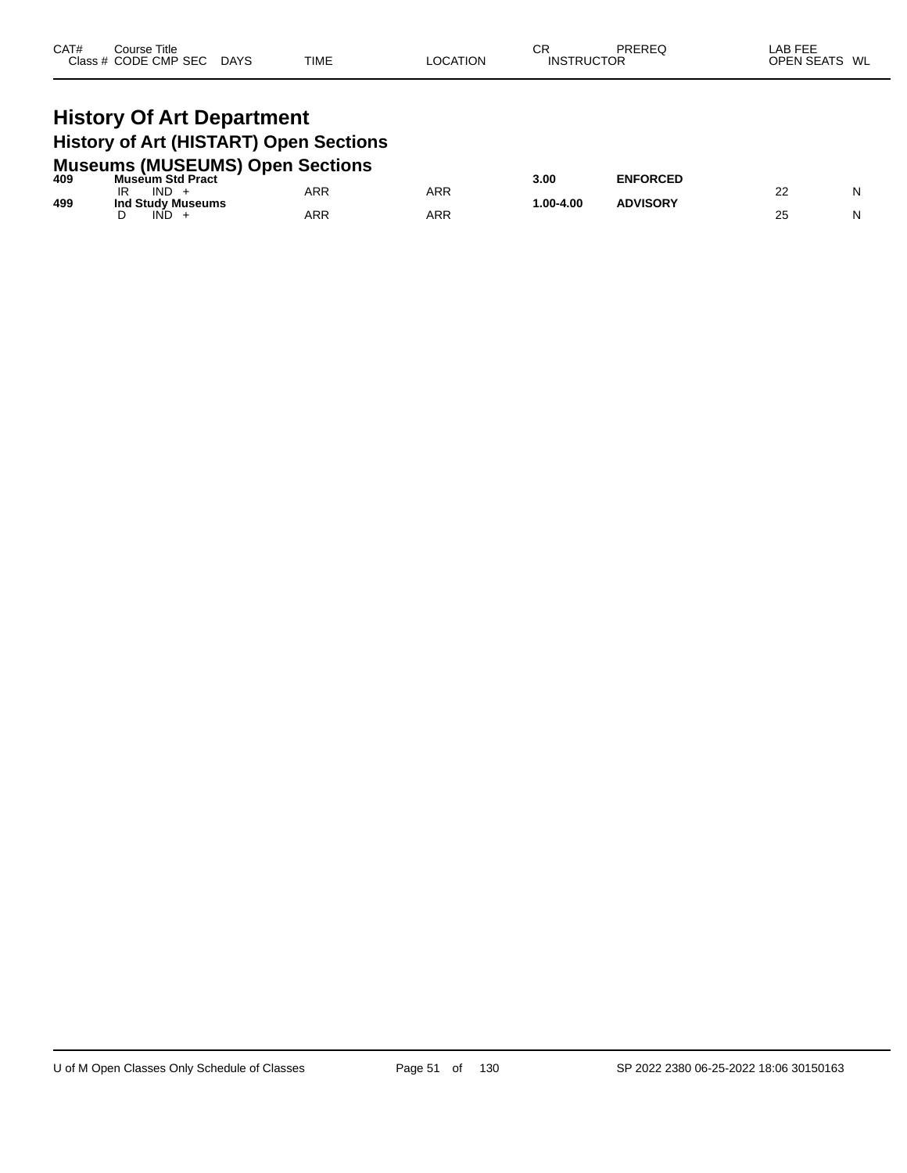| CAT# | Course Title<br>Class # CODE CMP SEC | <b>DAYS</b> | <b>TIME</b> | LOCATION | СR<br><b>INSTRUCTOR</b> | PREREQ | LAB FEE<br>OPEN SEATS WL |  |
|------|--------------------------------------|-------------|-------------|----------|-------------------------|--------|--------------------------|--|
|      |                                      |             |             |          |                         |        |                          |  |

### **History Of Art Department History of Art (HISTART) Open Sections Museums (MUSEUMS) Open Sections**

| 409 | <b>Museum Std Pract</b> |     |     | 3.00         | <b>ENFORCED</b> |   |   |
|-----|-------------------------|-----|-----|--------------|-----------------|---|---|
|     | IR<br>IND.              | ARR | ARR |              |                 | ے | N |
| 499 | Ind Study Museums       |     |     | $.00 - 4.00$ | <b>ADVISORY</b> |   |   |
|     | IND                     | ARR | ARR |              |                 |   | N |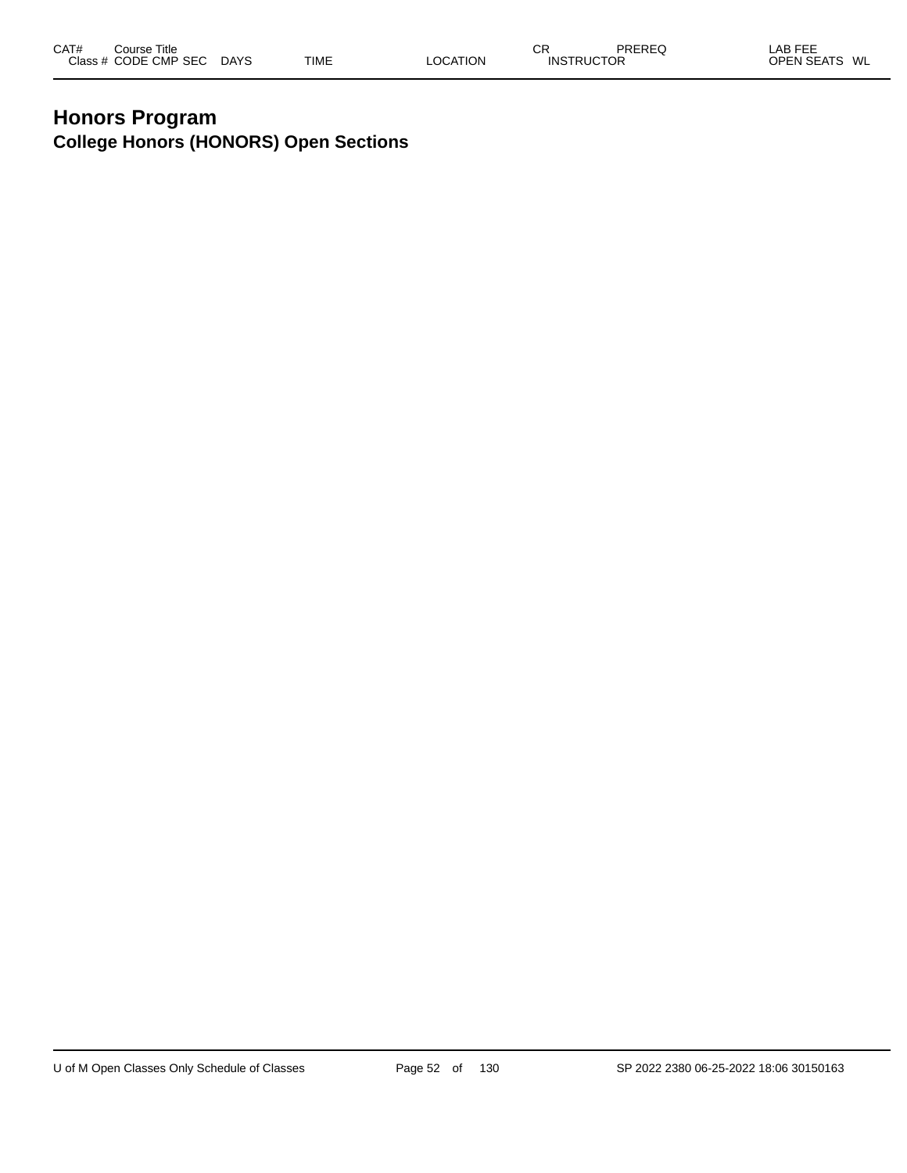### **Honors Program College Honors (HONORS) Open Sections**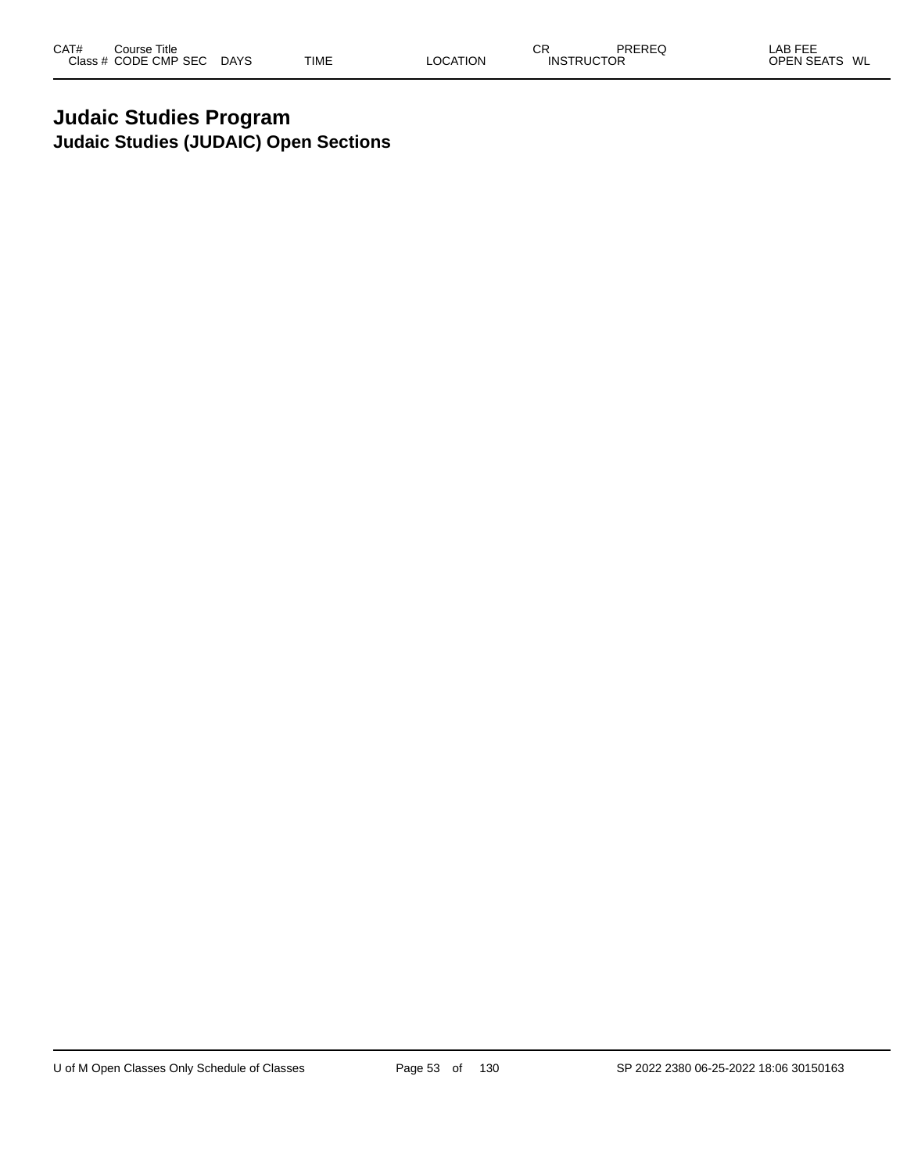### **Judaic Studies Program Judaic Studies (JUDAIC) Open Sections**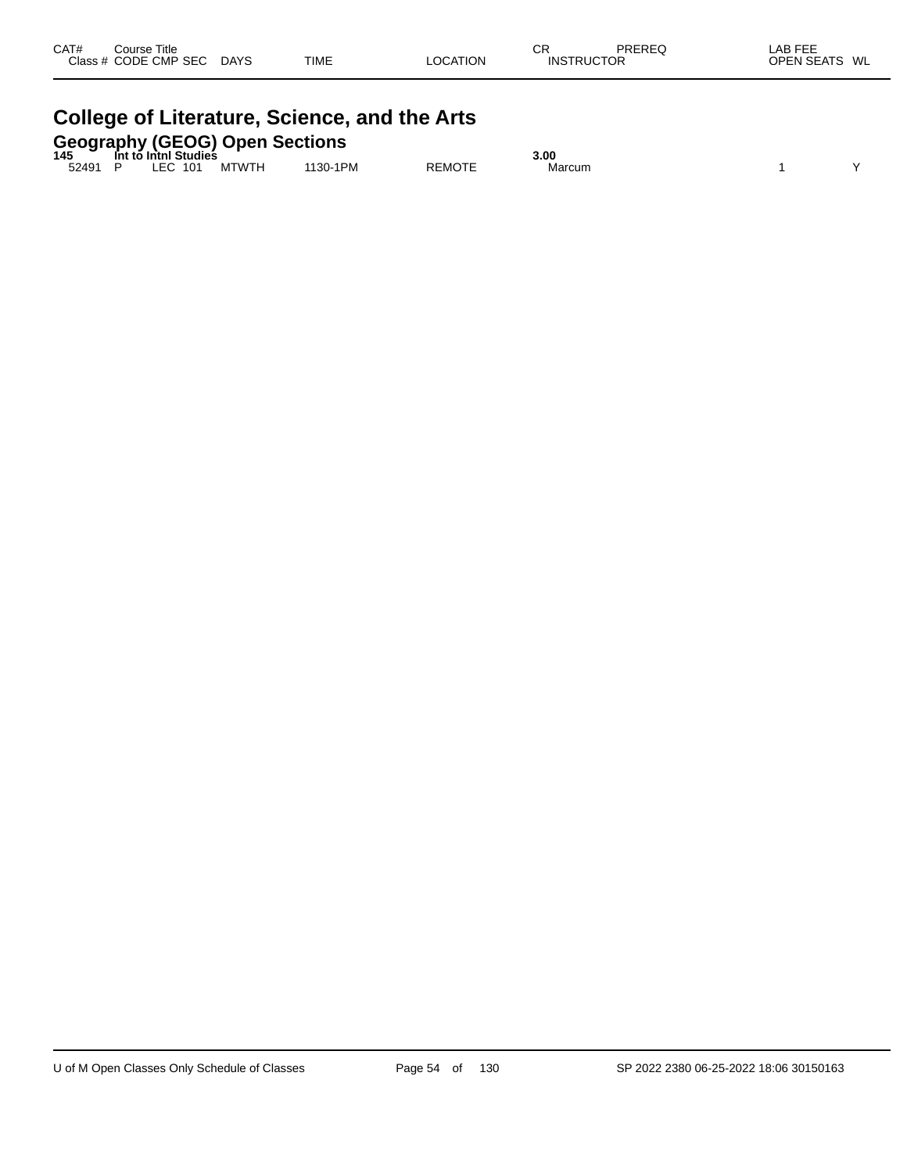|      |                                      |             | College of Literature, Science, and the Arts |          |                   |               |                          |
|------|--------------------------------------|-------------|----------------------------------------------|----------|-------------------|---------------|--------------------------|
| CAT# | Course Title<br>Class # CODE CMP SEC | <b>DAYS</b> | TIME                                         | LOCATION | <b>INSTRUCTOR</b> | <b>PRFRFQ</b> | LAB FEE<br>OPEN SEATS WL |

| Geography (GEOG) Open Sections<br>145 Int to Inthi Studies |      |
|------------------------------------------------------------|------|
|                                                            | 3.00 |

| $-1$  |           |                     |                              |      | v.vv        |  |  |  |
|-------|-----------|---------------------|------------------------------|------|-------------|--|--|--|
| 52491 | 101<br>__ | $\cdots$<br>. I'W ' | 1PM<br>$\overline{a}$<br>130 | REMU | Marcum<br>. |  |  |  |
|       |           |                     |                              |      |             |  |  |  |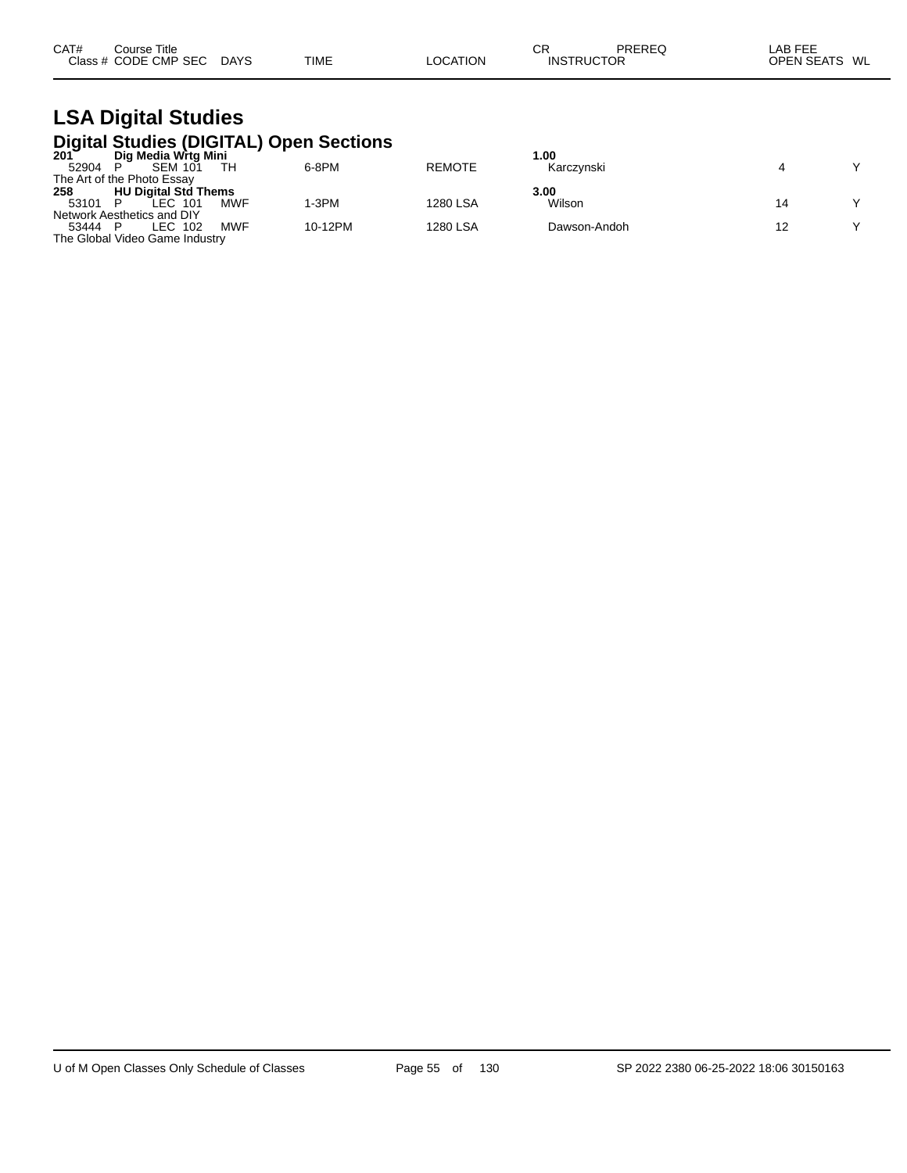| CAT# | Course Title              |             |          | СR                | PREREQ | LAB FEE       |
|------|---------------------------|-------------|----------|-------------------|--------|---------------|
|      | Class # CODE CMP SEC DAYS | <b>TIME</b> | LOCATION | <b>INSTRUCTOR</b> |        | OPEN SEATS WL |

### **LSA Digital Studies Digital Studies (DIGITAL) Open Sections 201 Dig Media Wrtg Mini 1.00**

| $201^{-}$ | Dig Media Wrtg Mini            |            |         |               | 1.00         |              |
|-----------|--------------------------------|------------|---------|---------------|--------------|--------------|
| 52904     | <b>SEM 101</b>                 |            | 6-8PM   | <b>REMOTE</b> | Karczvnski   | $\checkmark$ |
|           | The Art of the Photo Essay     |            |         |               |              |              |
| 258       | <b>HU Digital Std Thems</b>    |            |         |               | 3.00         |              |
| 53101 P   | LEC 101                        | <b>MWF</b> | 1-3PM   | 1280 LSA      | Wilson       | v            |
|           | Network Aesthetics and DIY     |            |         |               |              |              |
| 53444 P   | LEC 102                        | MWF        | 10-12PM | 1280 LSA      | Dawson-Andoh |              |
|           | The Global Video Game Industry |            |         |               |              |              |
|           |                                |            |         |               |              |              |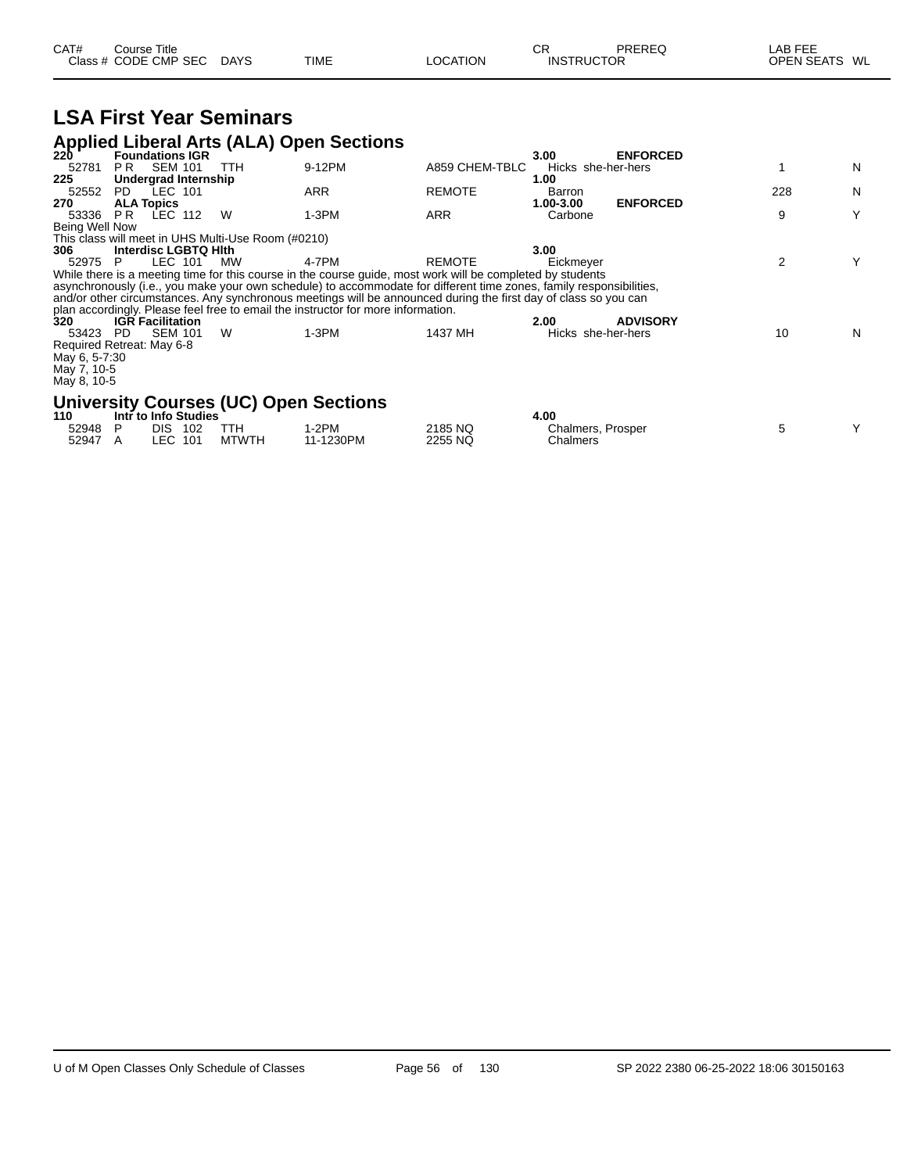| CAT# | Course Title              |             |                 | СF                | PREREQ | _AB FEE       |  |
|------|---------------------------|-------------|-----------------|-------------------|--------|---------------|--|
|      | Class # CODE CMP SEC DAYS | <b>TIME</b> | <b>LOCATION</b> | <b>INSTRUCTOR</b> |        | OPEN SEATS WL |  |

#### **LSA First Year Seminars Applied Liberal Arts (ALA) Open Sections 2 Foundations IGR 1 1 2 2 2 3.00 ENFORCED**<br>52781 PR SEM 101 TTH 9-12PM **A859 CHEM-TBLC** Hicks she-her-hers 52781 P.R. SEM 101 TTH G-12PM A859 CHEM-TBLC Hicks she-her-hers 1 1 N<br>1.00 1.00 **22552 PD LEC 101**<br> **22552 PD LEC 101**<br> **22552 PD LEC 101** 52552 PD LEC 101 ARR REMOTE Barron 228 N **270 ALA Topics 1.00-3.00 ENFORCED** 53336 PR LEC 112 W 1-3PM ARR Carbone 9 Y Being Well Now This class will meet in UHS Multi-Use Room (#0210) **306 Interdisc LGBTQ Hlth 3.00** 52975 P LEC 101 MW 4-7PM REMOTE Eickmeyer 2 Y While there is a meeting time for this course in the course guide, most work will be completed by students asynchronously (i.e., you make your own schedule) to accommodate for different time zones, family responsibilities, and/or other circumstances. Any synchronous meetings will be announced during the first day of class so you can plan accordingly. Please feel free to email the instructor for more information. **320 IGR Facilitation 2.00 ADVISORY** of the coolumpy. Frederic to enter the motion of motion and the motion and the coolumpy.<br>The coolumpy of the state of the term is the state of the coolumpy of the Hicks she-her-hers the SEM 10 N N N Required Retreat: May 6-8 May 6, 5-7:30 May 7, 10-5 May 8, 10-5 **University Courses (UC) Open Sections 110 Intr to Info Studies 4.00** 52948 P DIS 102 TTH 1-2PM 2185 NQ Chalmers, Prosper 5 Y 52947 A LEC 101 MTWTH 11-1230PM 2255 NQ Chalmers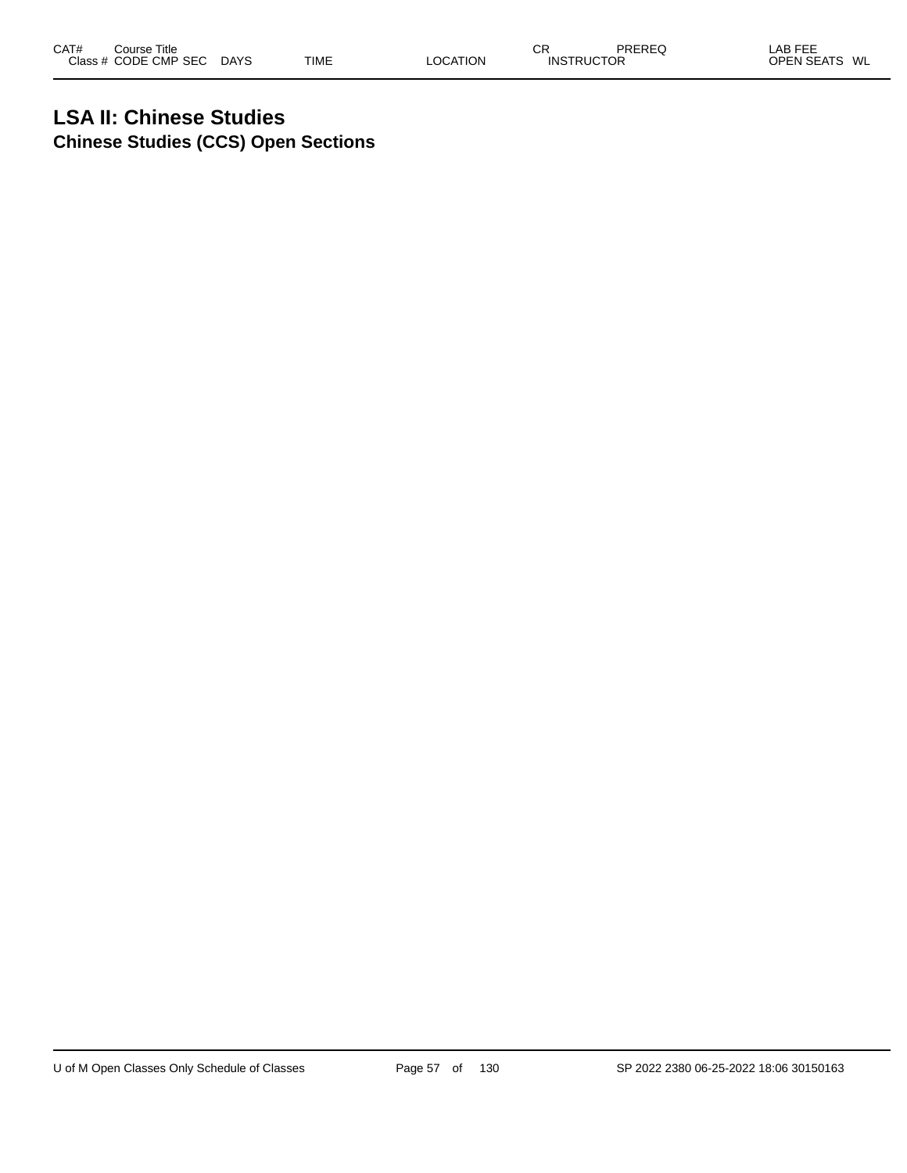### **LSA II: Chinese Studies Chinese Studies (CCS) Open Sections**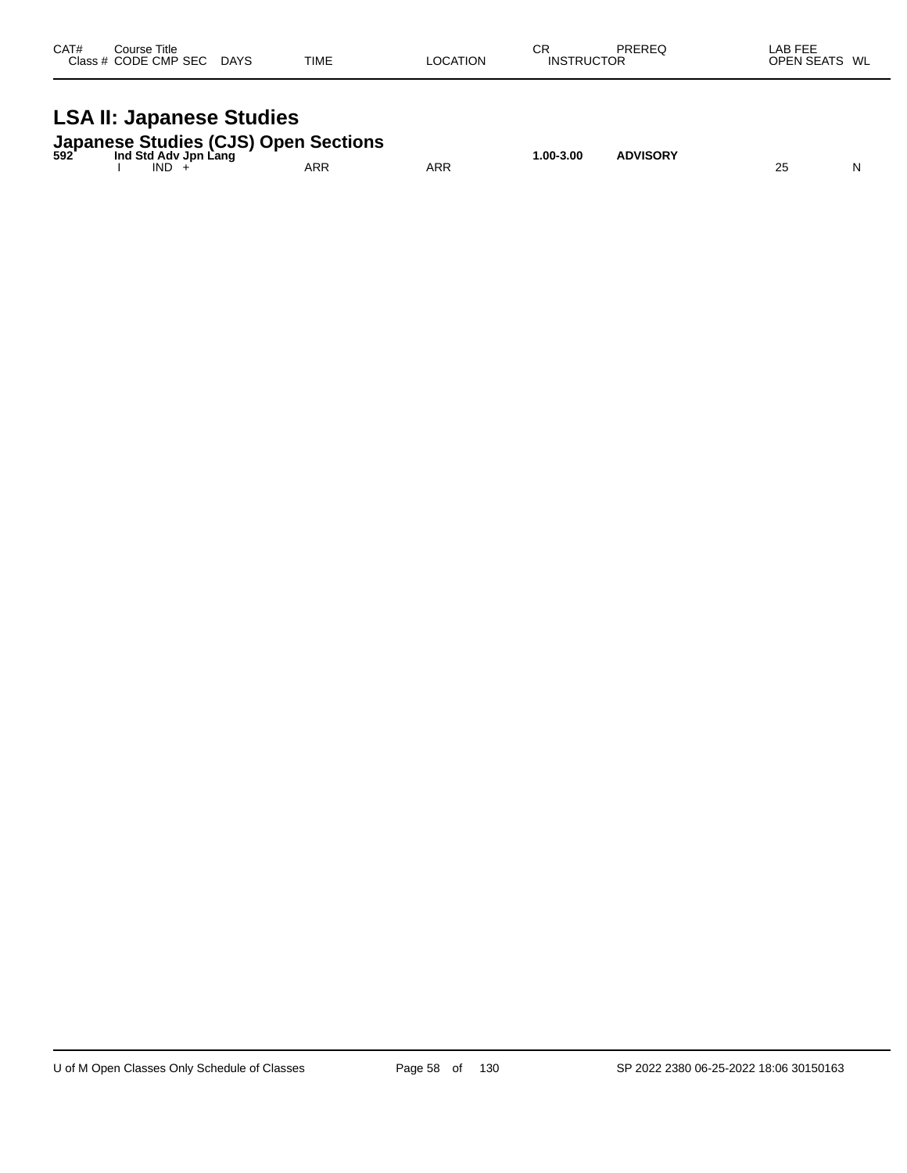| CAT#<br>Course Title<br>Class # CODE CMP SEC DAYS                                        | <b>TIME</b> | <b>LOCATION</b> | CR<br><b>INSTRUCTOR</b> | PREREQ          | LAB FEE<br>OPEN SEATS WL |
|------------------------------------------------------------------------------------------|-------------|-----------------|-------------------------|-----------------|--------------------------|
| <b>LSA II: Japanese Studies</b>                                                          |             |                 |                         |                 |                          |
| Japanese Studies (CJS) Open Sections<br>592 Ind Std Adv Jpn Lang<br>Ind Std Adv Jpn Lang |             |                 | 1.00-3.00               | <b>ADVISORY</b> |                          |

I IND + ARR ARR 25 N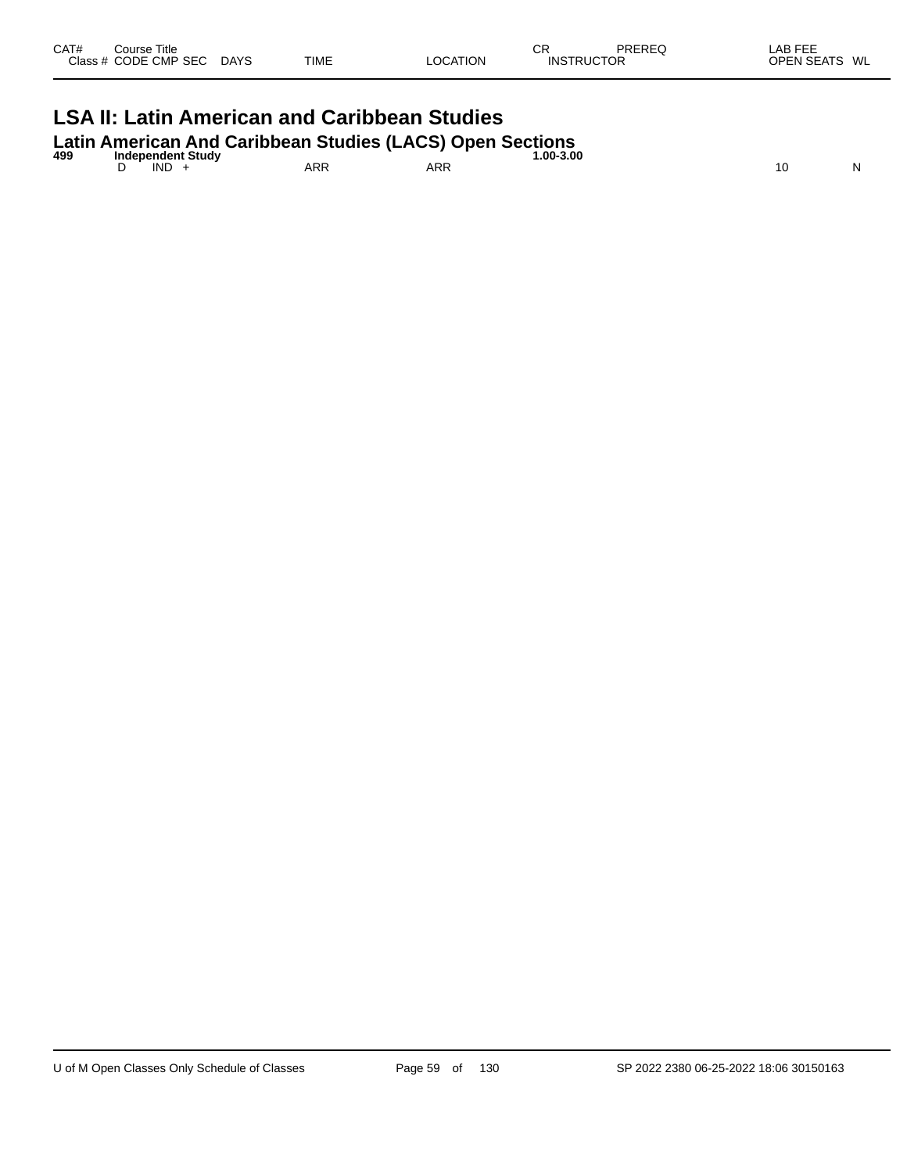| CAT#<br>Course Title<br>Class # CODE CMP SEC | <b>DAYS</b> | TIME | LOCATION | СR<br><b>INSTRUCTOR</b> | PREREQ | LAB FEE<br>OPEN SEATS WL |
|----------------------------------------------|-------------|------|----------|-------------------------|--------|--------------------------|
| .                                            |             | .    | - -      |                         |        |                          |

### **LSA II: Latin American and Caribbean Studies**

|                          |   | Latin American And Caribbean Studies (LACS) Open Sections |  |  |
|--------------------------|---|-----------------------------------------------------------|--|--|
| $\overline{\phantom{a}}$ | . |                                                           |  |  |

| 499 | <b>Independent Study</b> |            |     | $.00 - 3.00$ |              |   |
|-----|--------------------------|------------|-----|--------------|--------------|---|
|     | IND                      | <b>ARR</b> | ARR |              | $\sim$<br>ι∪ | w |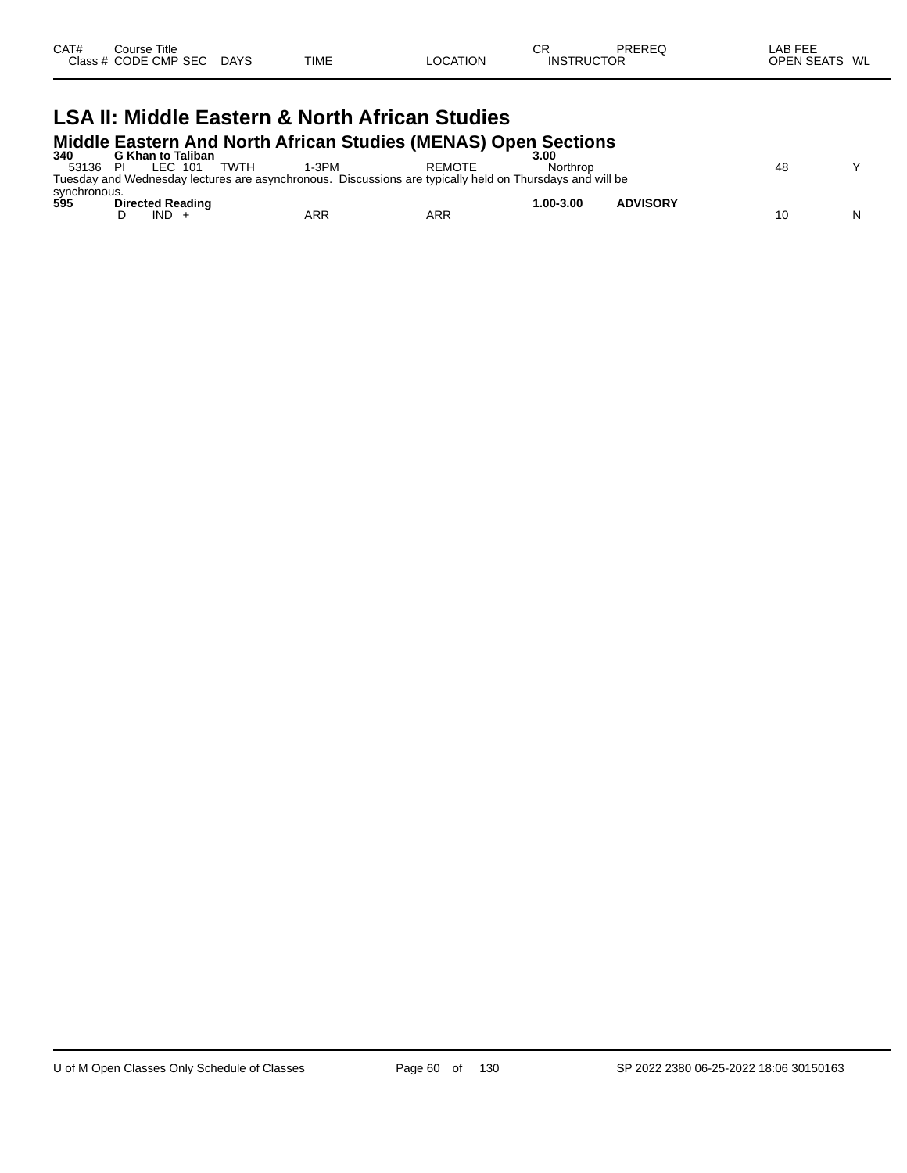| CAT# | $\mathop{\mathsf{course}}$ Title<br>Class # CODE CMP SEC | <b>DAYS</b> | <b>TIME</b> | <b>LOCATION</b> | СF<br><b>INSTRUCTOR</b> | PREREQ | <b>LAB FEE</b><br><b>OPEN SEATS</b><br>WL |  |
|------|----------------------------------------------------------|-------------|-------------|-----------------|-------------------------|--------|-------------------------------------------|--|
|      |                                                          |             |             |                 |                         |        |                                           |  |

### **LSA II: Middle Eastern & North African Studies Middle Eastern And North African Studies (MENAS) Open Sections**

| 340          | <b>G Khan to Taliban</b>                                                                                 |       |               | 3.00          |                 |    |           |
|--------------|----------------------------------------------------------------------------------------------------------|-------|---------------|---------------|-----------------|----|-----------|
| 53136        | TWTH<br>LEC 101                                                                                          | 1-3PM | <b>REMOTE</b> | Northrop      |                 | 48 | $\lambda$ |
|              | Tuesday and Wednesday lectures are asynchronous. Discussions are typically held on Thursdays and will be |       |               |               |                 |    |           |
| synchronous. |                                                                                                          |       |               |               |                 |    |           |
| 595          | <b>Directed Reading</b>                                                                                  |       |               | $1.00 - 3.00$ | <b>ADVISORY</b> |    |           |
|              | $IND +$                                                                                                  | ARR   | ARR           |               |                 | 10 | N         |
|              |                                                                                                          |       |               |               |                 |    |           |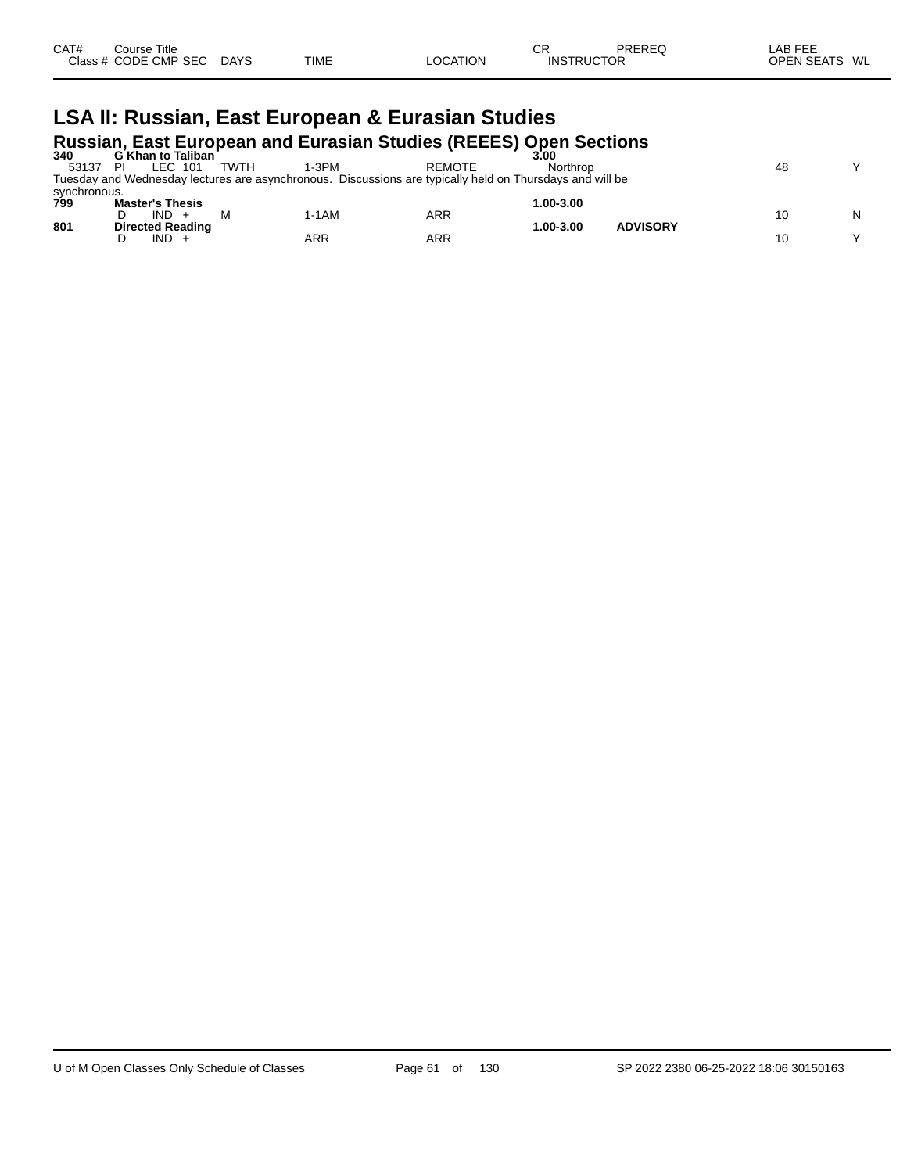| CAT#<br>C <sub>base</sub> | Title<br>Course<br><b>CMP</b><br><b>SEC</b><br>ODE<br>$ -$ | DAYS<br>$\sim$ | <b>TIME</b> | <b>TION</b><br>. YG | СR<br>INS<br>. | $P^{\text{P}}$<br>ЮR | ----<br>ΔR<br>---<br><b>WL</b><br>ווסר |
|---------------------------|------------------------------------------------------------|----------------|-------------|---------------------|----------------|----------------------|----------------------------------------|
|---------------------------|------------------------------------------------------------|----------------|-------------|---------------------|----------------|----------------------|----------------------------------------|

### **LSA II: Russian, East European & Eurasian Studies Russian, East European and Eurasian Studies (REEES) Open Sections**

| 340          | G Khan to Taliban                                 |                      |                                                                                                          | 3.00                   |                 |    |           |
|--------------|---------------------------------------------------|----------------------|----------------------------------------------------------------------------------------------------------|------------------------|-----------------|----|-----------|
| 53137        | LEC 101<br>PI                                     | 1-3PM<br><b>TWTH</b> | <b>REMOTE</b>                                                                                            | Northrop               |                 | 48 | $\sqrt{}$ |
|              |                                                   |                      | Tuesday and Wednesday lectures are asynchronous. Discussions are typically held on Thursdays and will be |                        |                 |    |           |
| synchronous. |                                                   |                      |                                                                                                          |                        |                 |    |           |
|              |                                                   |                      |                                                                                                          |                        |                 |    |           |
|              | $IND +$                                           | 1-1 AM               | ARR                                                                                                      |                        |                 | 10 | Ν         |
|              |                                                   |                      |                                                                                                          |                        |                 |    |           |
|              | $IND +$                                           |                      |                                                                                                          |                        |                 | 10 | v         |
| 799<br>801   | <b>Master's Thesis</b><br><b>Directed Reading</b> | ARR                  | ARR                                                                                                      | 1.00-3.00<br>1.00-3.00 | <b>ADVISORY</b> |    |           |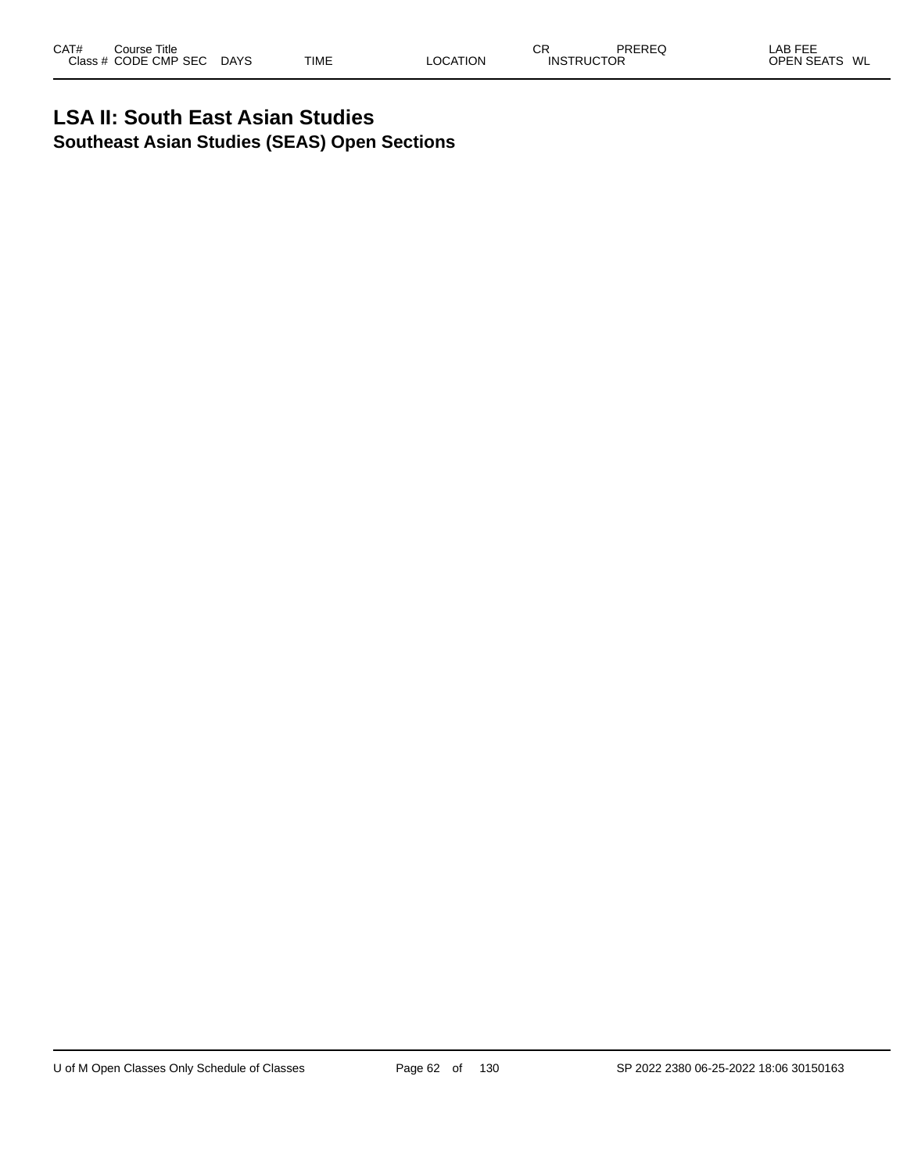### **LSA II: South East Asian Studies Southeast Asian Studies (SEAS) Open Sections**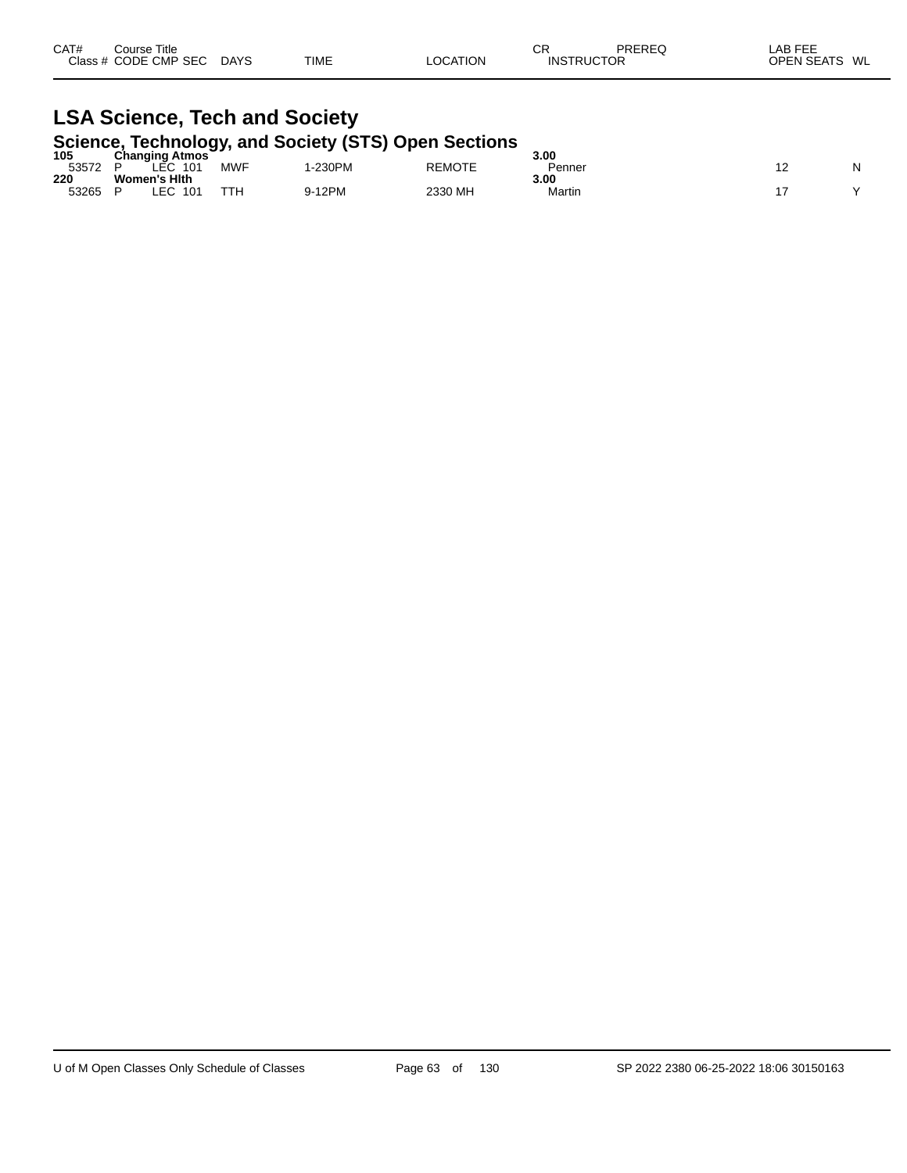| CAT#<br>Class # $\epsilon$ | Title<br>Course<br>CODE CMP SEC | <b>DAYS</b> | <b>TIME</b> | ATION<br>ገCA. | СF<br>TRUCTOR<br>INS. | PREREC | LAB FEF<br>WL<br>OPEN SEATS |
|----------------------------|---------------------------------|-------------|-------------|---------------|-----------------------|--------|-----------------------------|
|----------------------------|---------------------------------|-------------|-------------|---------------|-----------------------|--------|-----------------------------|

### **LSA Science, Tech and Society Science, Technology, and Society (STS) Open Sections**

| 105<br>53572 | <b>Changing Atmos</b><br>. .<br>101<br>⊏∩ | $\cdots$<br><b>MWF</b> | -230PM | <b>REMOTE</b> | 3.00<br>Penner |  |
|--------------|-------------------------------------------|------------------------|--------|---------------|----------------|--|
| 220          | <b>Women's Hith</b>                       |                        |        |               | 3.00           |  |
| 53265        | EC.<br>10 <sup>7</sup>                    | TTH                    | 12PM   | 2330 MH       | Martin         |  |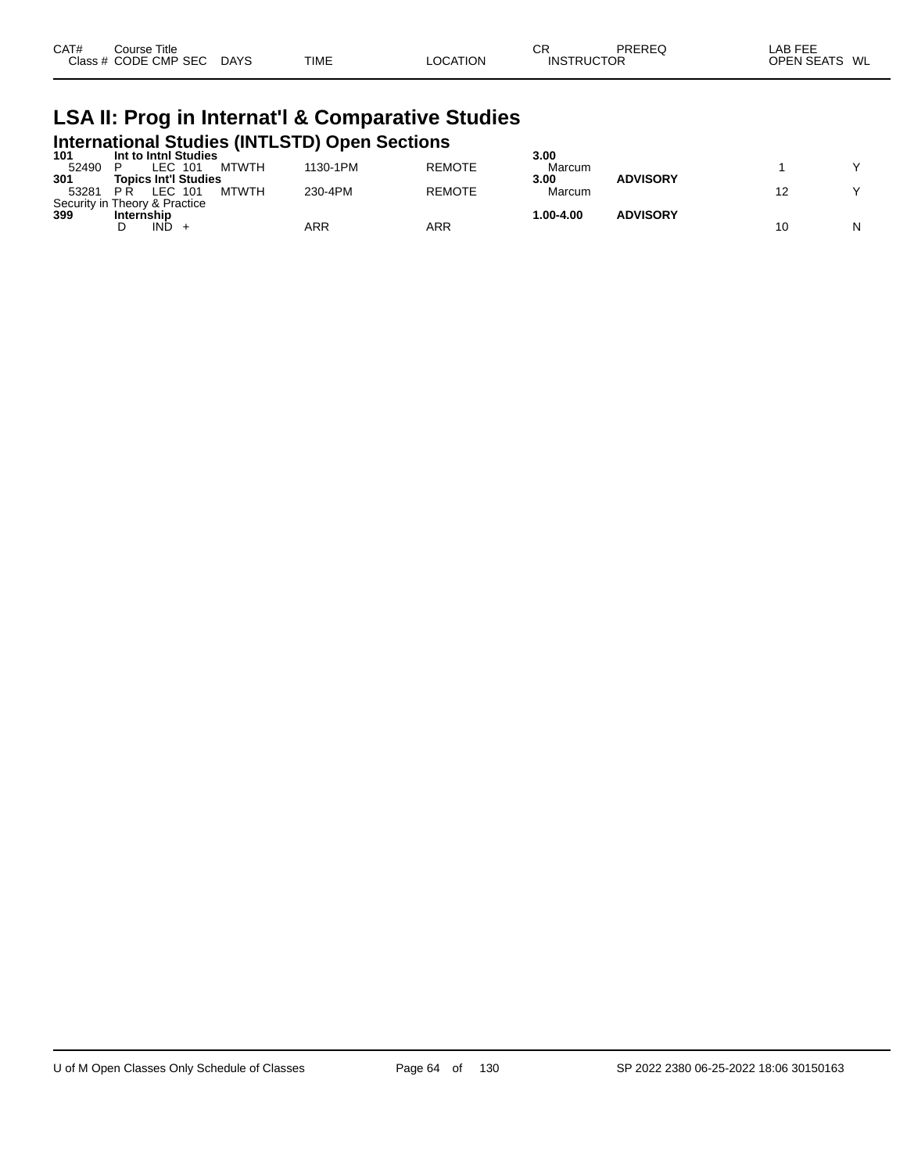| CAT# | Course Title         |      |             |                 | СF                | PREREQ | _AB FEE       |
|------|----------------------|------|-------------|-----------------|-------------------|--------|---------------|
|      | Class # CODE CMP SEC | DAYS | <b>TIME</b> | <b>LOCATION</b> | <b>INSTRUCTOR</b> |        | OPEN SEATS WL |

### **LSA II: Prog in Internat'l & Comparative Studies International Studies (INTLSTD) Open Sections**

| 101   | Int to Inthl Studies           |          |               | 3.00      |                 |    |   |
|-------|--------------------------------|----------|---------------|-----------|-----------------|----|---|
| 52490 | <b>MTWTH</b><br>LEC 101        | 1130-1PM | <b>REMOTE</b> | Marcum    |                 |    |   |
| 301   | <b>Topics Int'l Studies</b>    |          |               | 3.00      | <b>ADVISORY</b> |    |   |
| 53281 | LEC 101<br><b>MTWTH</b><br>PR. | 230-4PM  | <b>REMOTE</b> | Marcum    |                 |    |   |
|       | Security in Theory & Practice  |          |               |           |                 |    |   |
| 399   | Internship                     |          |               | 1.00-4.00 | <b>ADVISORY</b> |    |   |
|       | IND.                           | ARR      | ARR           |           |                 | 10 | N |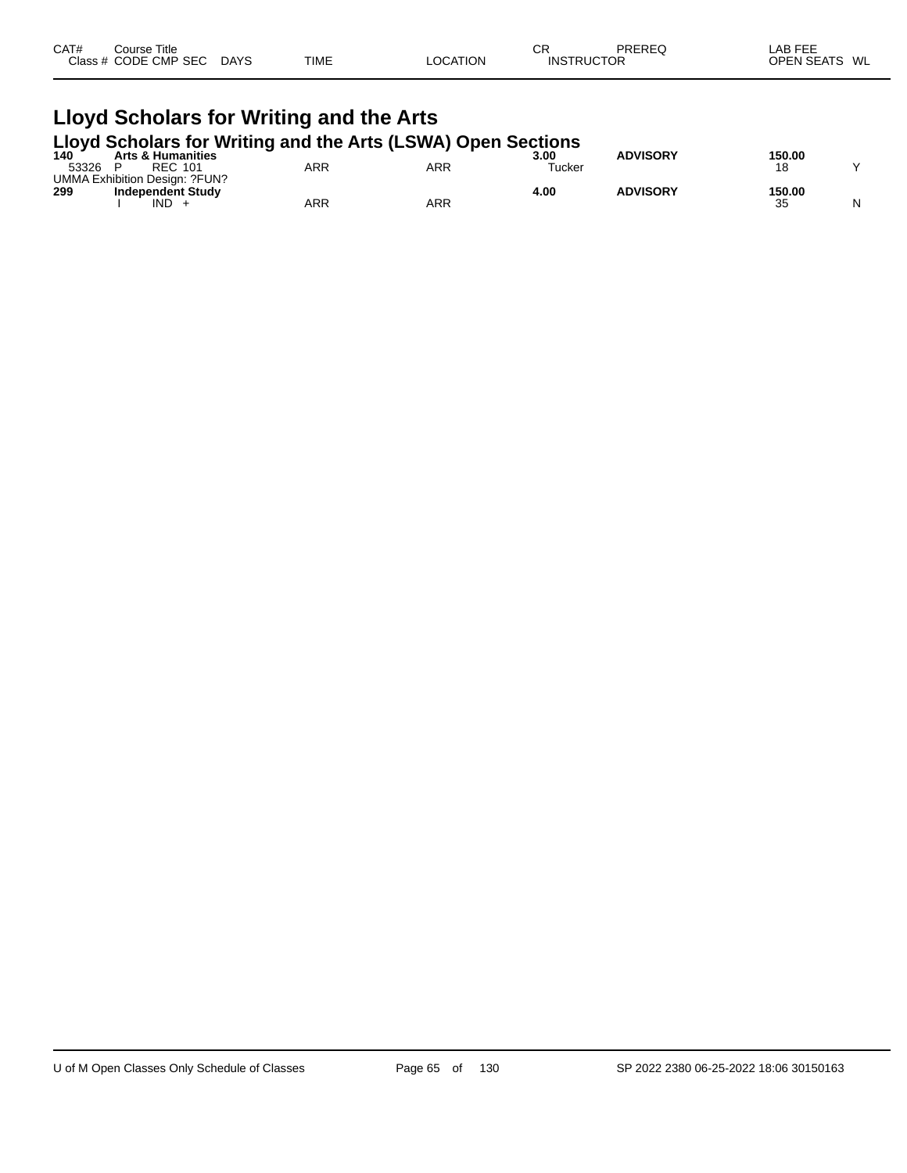| CAT# | Course Title         |             |             |                 | $\sim$<br>◡       | <b>PREREC</b> | LAB FEE                 |
|------|----------------------|-------------|-------------|-----------------|-------------------|---------------|-------------------------|
|      | Class # CODE CMP SEC | <b>DAYS</b> | <b>TIME</b> | <b>LOCATION</b> | <b>INSTRUCTOR</b> |               | <b>OPEN SEATS</b><br>WL |
|      |                      |             |             |                 |                   |               |                         |

### **Lloyd Scholars for Writing and the Arts**

| Lloyd Scholars for Writing and the Arts (LSWA) Open Sections |  |  |  |
|--------------------------------------------------------------|--|--|--|
|                                                              |  |  |  |

| 140<br>53326 | <b>Arts &amp; Humanities</b><br><b>REC 101</b>                   | <b>ARR</b> | ARR | <b>ADVISORY</b><br>3.00<br>Tucker | 150.00<br>18      |
|--------------|------------------------------------------------------------------|------------|-----|-----------------------------------|-------------------|
| 299          | UMMA Exhibition Design: ?FUN?<br><b>Independent Study</b><br>IND | <b>ARR</b> | ARR | <b>ADVISORY</b><br>4.00           | 150.00<br>35<br>N |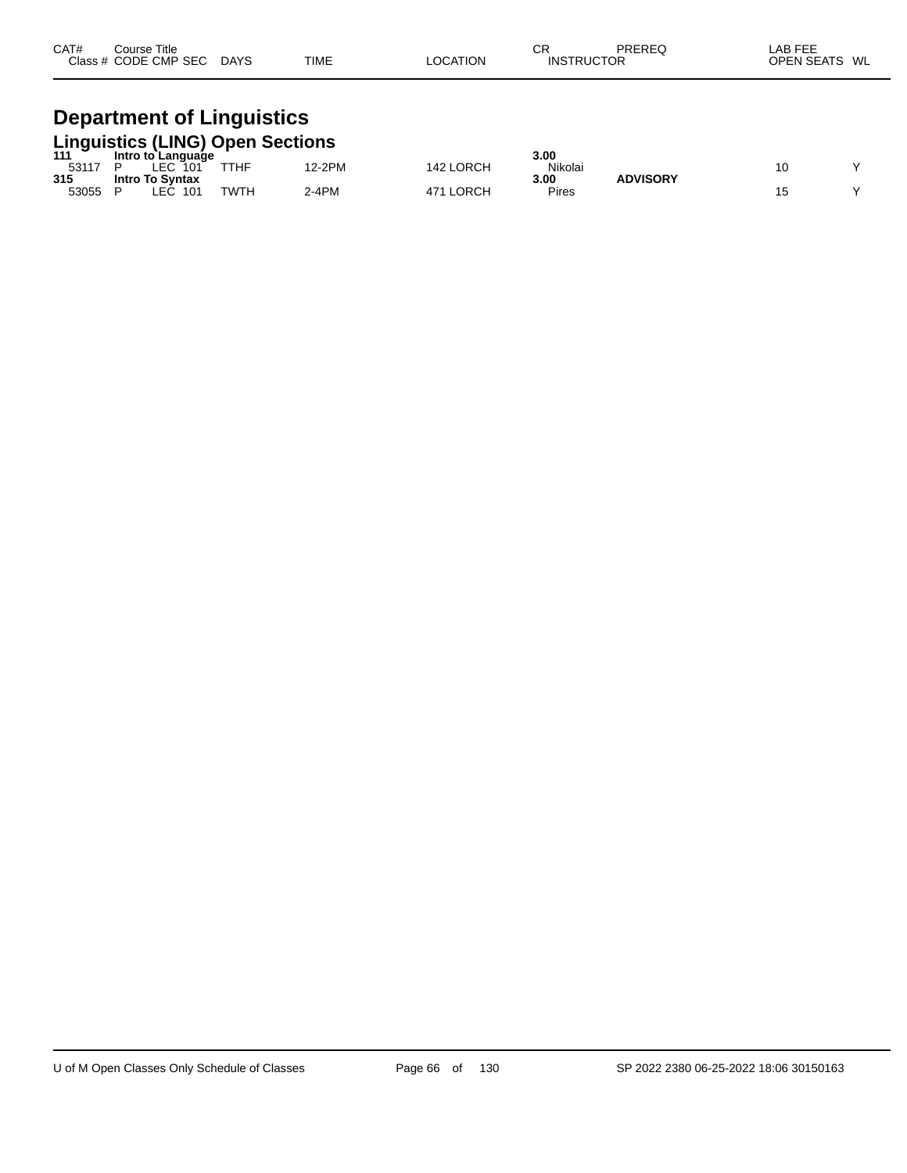| CAT#<br>Class | Title<br>Course '<br><b>CODE CMP SEC</b> | <b>DAYS</b> | <b>TIME</b> | <b>OCATION</b> | СR<br><b>INS<sup>T</sup></b><br><b>TRUCTOR</b> | DDEDEC | ---<br>ΔR<br>---<br>-n<br><b>OPEN SEATS</b><br>WL |
|---------------|------------------------------------------|-------------|-------------|----------------|------------------------------------------------|--------|---------------------------------------------------|
|               |                                          |             |             |                |                                                |        |                                                   |

### **Department of Linguistics Linguistics (LING) Open Sections**

| --<br>111 | __<br>Intro to Language | ___         | _______ |              | 3.00    |                 |  |
|-----------|-------------------------|-------------|---------|--------------|---------|-----------------|--|
| 53117     | <b>LEC</b><br>101       | <b>TTHF</b> | '2-2PM  | 142 LORCH    | Nikolai |                 |  |
| 315       | <b>Intro To Syntax</b>  |             |         |              | 3.00    | <b>ADVISORY</b> |  |
| 53055     | ∟EC.<br>101             | <b>TWTH</b> | 2-4PM   | .ORCH<br>471 | Pires   |                 |  |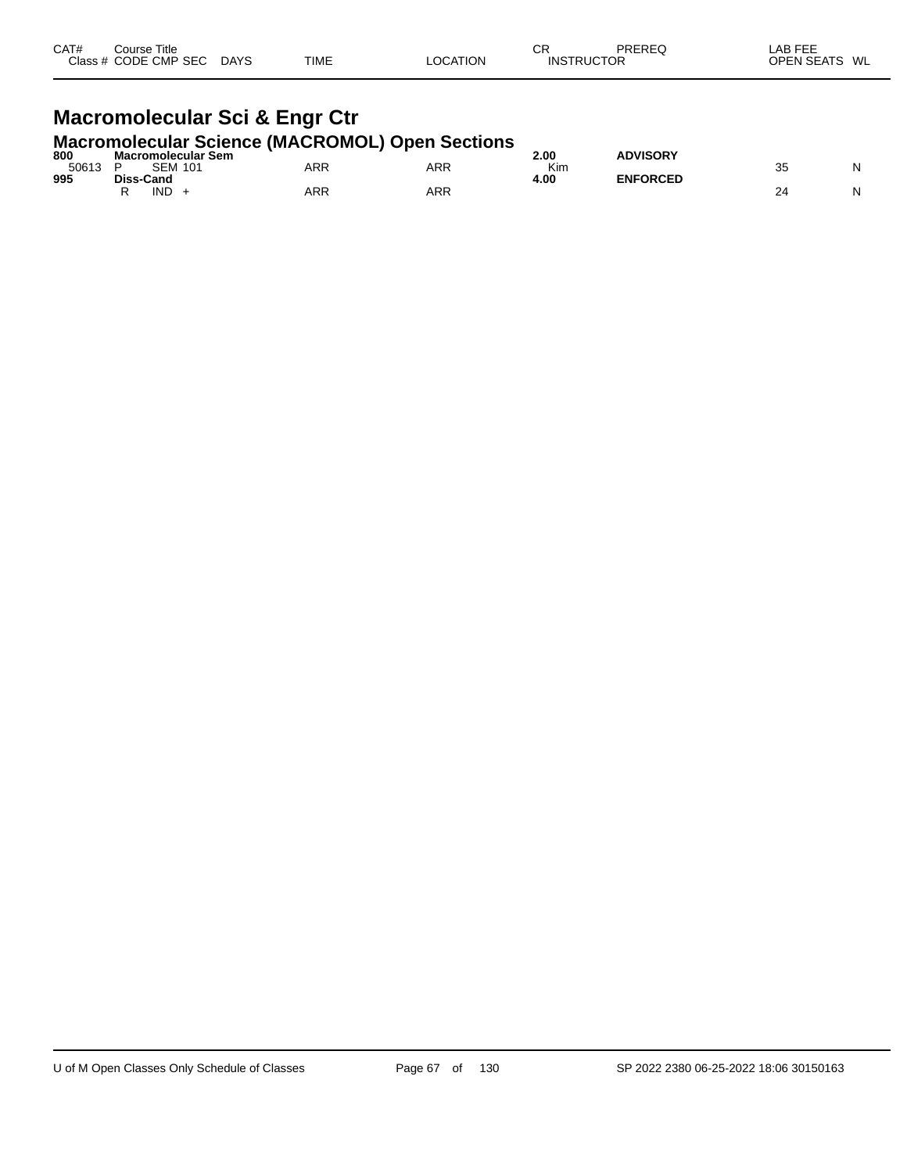| CAT#<br>Class # | Course Title<br><b>CODE CMP SEC</b> | <b>DAYS</b> | <b>TIME</b> | <b>LOCATION</b> | СF<br>FRUCTOR<br><b>INST</b> | PREREQ | ----<br>∟AB<br>---<br><b>OPEN SEATS</b><br>WL<br>⊶ור |  |
|-----------------|-------------------------------------|-------------|-------------|-----------------|------------------------------|--------|------------------------------------------------------|--|
|                 |                                     |             |             |                 |                              |        |                                                      |  |

#### **Macromolecular Sci & Engr Ctr Macromolecular Science (MACROMOL) Open Sections**

|       | <u>MUSI UNIVIUSIU UURINU (MITULIU INU EI UPUN UUUNIU I</u> |     |     |      |                 |   |
|-------|------------------------------------------------------------|-----|-----|------|-----------------|---|
| 800   | Macromolecular Sem                                         |     |     | 2.00 | <b>ADVISORY</b> |   |
| 50613 | <b>SEM 101</b>                                             | ARR | ARR | Kin  |                 | N |
| 995   | Diss-Cand                                                  |     |     | 4.00 | <b>ENFORCED</b> |   |
|       | <b>IND</b>                                                 | ARR | ARR |      |                 | N |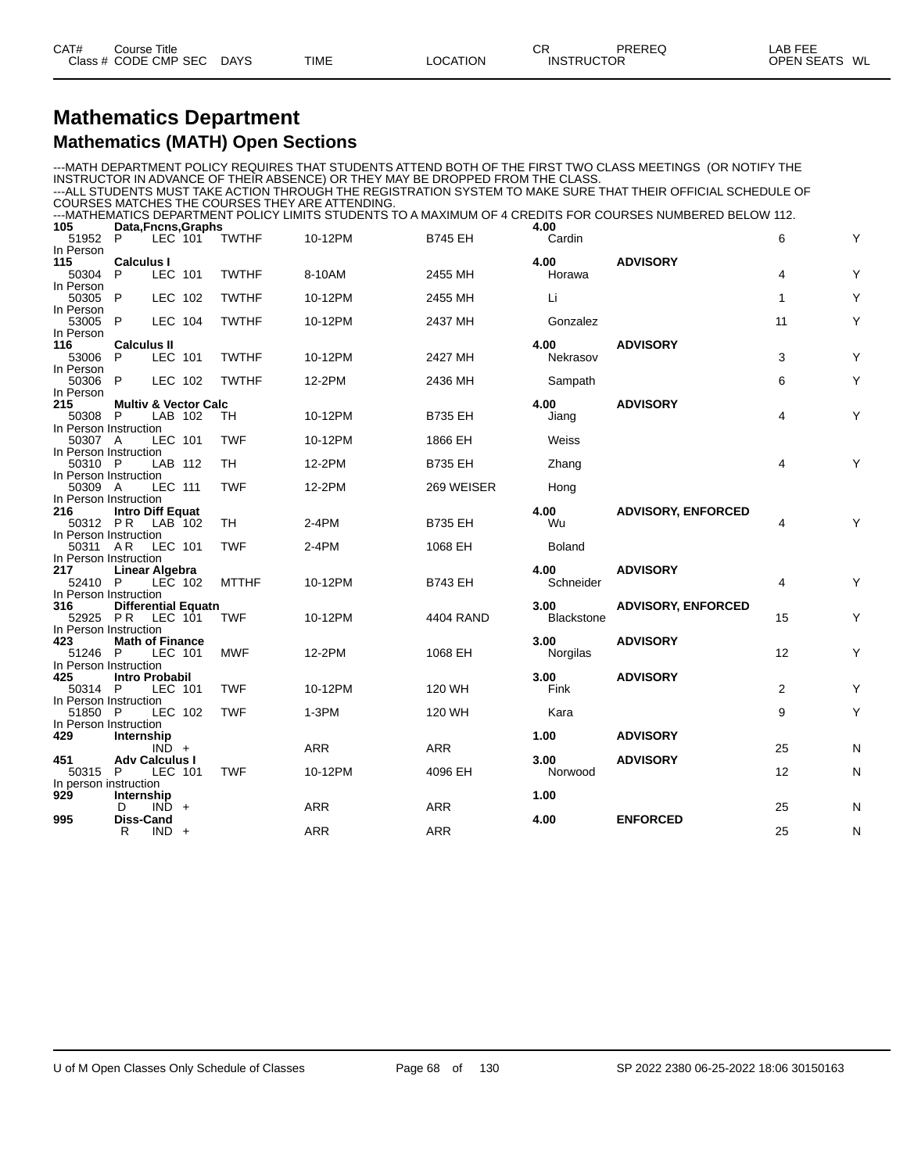### **Mathematics Department Mathematics (MATH) Open Sections**

---MATH DEPARTMENT POLICY REQUIRES THAT STUDENTS ATTEND BOTH OF THE FIRST TWO CLASS MEETINGS (OR NOTIFY THE INSTRUCTOR IN ADVANCE OF THEIR ABSENCE) OR THEY MAY BE DROPPED FROM THE CLASS. ---ALL STUDENTS MUST TAKE ACTION THROUGH THE REGISTRATION SYSTEM TO MAKE SURE THAT THEIR OFFICIAL SCHEDULE OF

COURSES MATCHES THE COURSES THEY ARE ATTENDING. ---MATHEMATICS DEPARTMENT POLICY LIMITS STUDENTS TO A MAXIMUM OF 4 CREDITS FOR COURSES NUMBERED BELOW 112.

| 105                              | Data, Fncns, Graphs             |                |              |            |                | 4.00             |                           |                |   |
|----------------------------------|---------------------------------|----------------|--------------|------------|----------------|------------------|---------------------------|----------------|---|
| 51952                            | P                               | LEC 101        | <b>TWTHF</b> | 10-12PM    | <b>B745 EH</b> | Cardin           |                           | 6              | Υ |
| In Person<br>115                 | <b>Calculus I</b>               |                |              |            |                | 4.00             | <b>ADVISORY</b>           |                |   |
| 50304                            | P                               | LEC 101        | <b>TWTHF</b> | 8-10AM     | 2455 MH        | Horawa           |                           | 4              | Υ |
| In Person                        |                                 |                |              |            |                |                  |                           |                |   |
| 50305                            | $\mathsf{P}$                    | <b>LEC 102</b> | <b>TWTHF</b> | 10-12PM    | 2455 MH        | Li               |                           | $\mathbf{1}$   | Y |
| In Person                        |                                 |                |              |            |                |                  |                           |                |   |
| 53005                            | P                               | <b>LEC 104</b> | <b>TWTHF</b> | 10-12PM    | 2437 MH        | Gonzalez         |                           | 11             | Υ |
| In Person                        |                                 |                |              |            |                |                  |                           |                |   |
| 116<br>53006                     | <b>Calculus II</b><br>P.        | LEC 101        | <b>TWTHF</b> | 10-12PM    | 2427 MH        | 4.00<br>Nekrasov | <b>ADVISORY</b>           | 3              | Υ |
| In Person                        |                                 |                |              |            |                |                  |                           |                |   |
| 50306                            | P                               | LEC 102        | <b>TWTHF</b> | 12-2PM     | 2436 MH        | Sampath          |                           | 6              | Y |
| In Person                        |                                 |                |              |            |                |                  |                           |                |   |
| 215                              | <b>Multiv &amp; Vector Calc</b> |                |              |            |                | 4.00             | <b>ADVISORY</b>           |                |   |
| 50308 P                          |                                 | LAB 102        | TH           | 10-12PM    | <b>B735 EH</b> | Jiang            |                           | 4              | Y |
| In Person Instruction<br>50307 A |                                 | <b>LEC 101</b> | <b>TWF</b>   | 10-12PM    | 1866 EH        | Weiss            |                           |                |   |
| In Person Instruction            |                                 |                |              |            |                |                  |                           |                |   |
| 50310 P                          |                                 | LAB 112        | <b>TH</b>    | 12-2PM     | <b>B735 EH</b> | Zhang            |                           | 4              | Y |
| In Person Instruction            |                                 |                |              |            |                |                  |                           |                |   |
| 50309 A                          |                                 | <b>LEC 111</b> | <b>TWF</b>   | 12-2PM     | 269 WEISER     | Hong             |                           |                |   |
| In Person Instruction            |                                 |                |              |            |                |                  |                           |                |   |
| 216<br>50312 PR                  | <b>Intro Diff Equat</b>         |                | TH           |            |                | 4.00             | <b>ADVISORY, ENFORCED</b> | 4              | Y |
| In Person Instruction            |                                 | LAB 102        |              | 2-4PM      | <b>B735 EH</b> | Wu               |                           |                |   |
| 50311 AR                         |                                 | LEC 101        | <b>TWF</b>   | 2-4PM      | 1068 EH        | <b>Boland</b>    |                           |                |   |
| In Person Instruction            |                                 |                |              |            |                |                  |                           |                |   |
| 217                              | <b>Linear Algebra</b>           |                |              |            |                | 4.00             | <b>ADVISORY</b>           |                |   |
| 52410 P                          |                                 | LEC 102        | <b>MTTHF</b> | 10-12PM    | <b>B743 EH</b> | Schneider        |                           | 4              | Υ |
| In Person Instruction<br>316     |                                 |                |              |            |                | 3.00             |                           |                |   |
| 52925 PR LEC 101                 | <b>Differential Equatn</b>      |                | <b>TWF</b>   | 10-12PM    | 4404 RAND      | Blackstone       | <b>ADVISORY, ENFORCED</b> | 15             | Υ |
| In Person Instruction            |                                 |                |              |            |                |                  |                           |                |   |
| 423                              | <b>Math of Finance</b>          |                |              |            |                | 3.00             | <b>ADVISORY</b>           |                |   |
| 51246 P                          |                                 | LEC 101        | <b>MWF</b>   | 12-2PM     | 1068 EH        | Norgilas         |                           | 12             | Υ |
| In Person Instruction            |                                 |                |              |            |                |                  |                           |                |   |
| 425<br>50314 P                   | <b>Intro Probabil</b>           | LEC 101        | <b>TWF</b>   | 10-12PM    | 120 WH         | 3.00<br>Fink     | <b>ADVISORY</b>           | $\overline{2}$ | Y |
| In Person Instruction            |                                 |                |              |            |                |                  |                           |                |   |
| 51850 P                          |                                 | LEC 102        | <b>TWF</b>   | 1-3PM      | 120 WH         | Kara             |                           | 9              | Υ |
| In Person Instruction            |                                 |                |              |            |                |                  |                           |                |   |
| 429                              | Internship                      |                |              |            |                | 1.00             | <b>ADVISORY</b>           |                |   |
|                                  |                                 | $IND +$        |              | <b>ARR</b> | <b>ARR</b>     |                  |                           | 25             | N |
| 451<br>50315 P                   | <b>Adv Calculus I</b>           | LEC 101        | <b>TWF</b>   | 10-12PM    | 4096 EH        | 3.00<br>Norwood  | <b>ADVISORY</b>           | 12             | N |
| In person instruction            |                                 |                |              |            |                |                  |                           |                |   |
| 929                              | Internship                      |                |              |            |                | 1.00             |                           |                |   |
|                                  | D                               | $IND +$        |              | <b>ARR</b> | <b>ARR</b>     |                  |                           | 25             | N |
| 995                              | <b>Diss-Cand</b>                |                |              |            |                | 4.00             | <b>ENFORCED</b>           |                |   |
|                                  | R                               | $IND +$        |              | <b>ARR</b> | <b>ARR</b>     |                  |                           | 25             | N |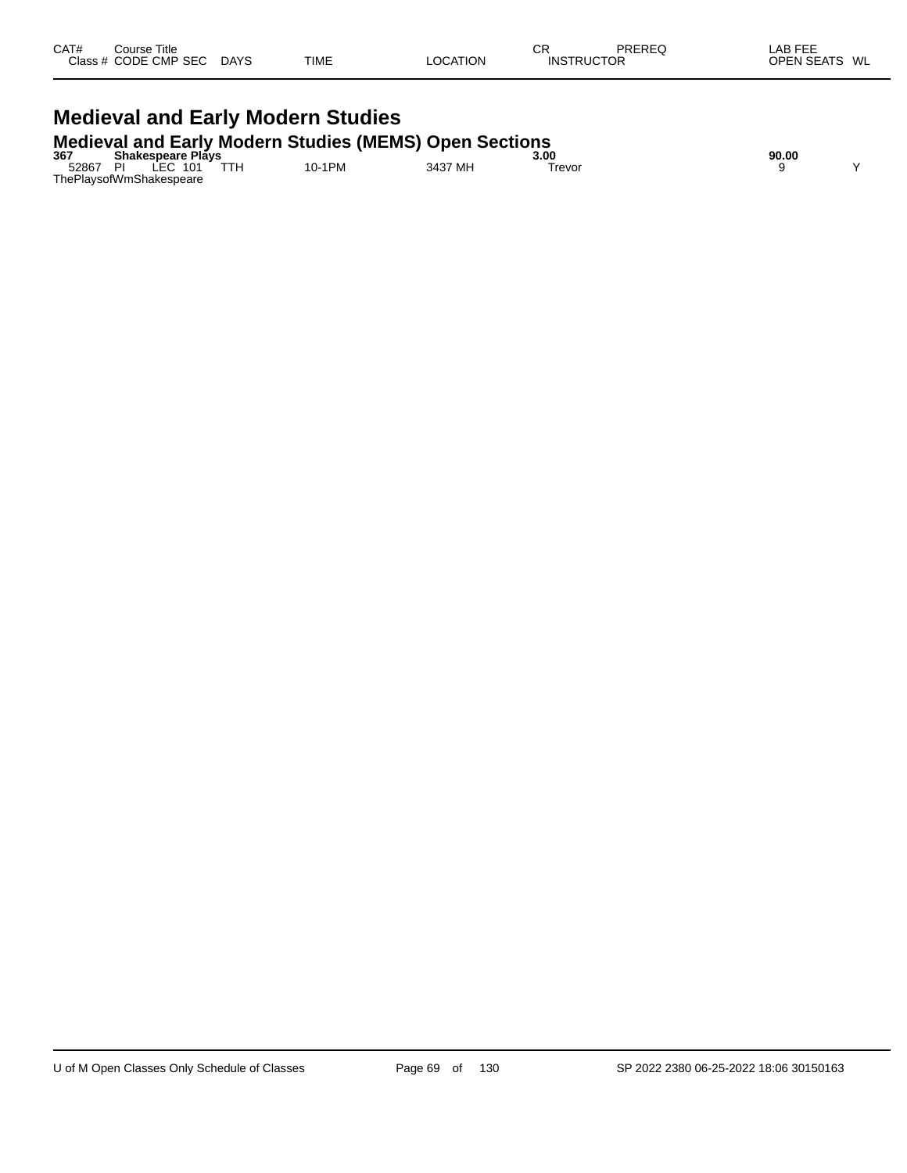| CAT#<br>Class # $\circ$ | Course Title<br>CODE CMP SEC | <b>DAYS</b> | <b>TIME</b> | <b>LOCATION</b> | СR<br><b>INSTRUCTOR</b> | PREREQ | LAB FEF<br><b>OPEN SEATS</b> | WL |
|-------------------------|------------------------------|-------------|-------------|-----------------|-------------------------|--------|------------------------------|----|
|                         |                              |             |             |                 |                         |        |                              |    |

### **Medieval and Early Modern Studies Medieval and Early Modern Studies (MEMS) Open Sections 367 Shakespeare Plays 3.00 90.00** 52867 PI LEC 101 TTH 10-1PM 3437 MH Trevor 9 Y ThePlaysofWmShakespeare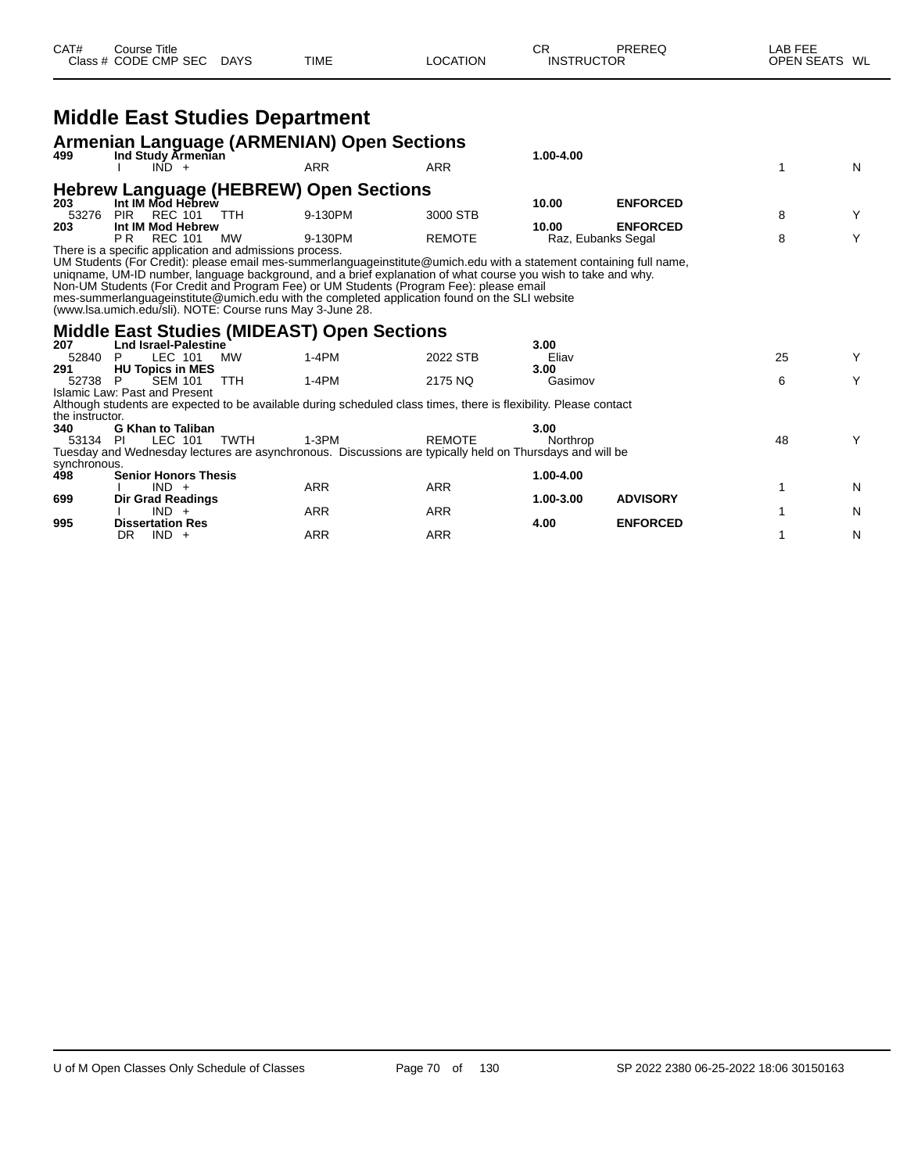| CAT# | Course Title         |             |             |          | ⌒冖<br>◡◚          | PREREQ | _AB FEE       |  |
|------|----------------------|-------------|-------------|----------|-------------------|--------|---------------|--|
|      | Class # CODE CMP SEC | <b>DAYS</b> | <b>TIME</b> | LOCATION | <b>INSTRUCTOR</b> |        | OPEN SEATS WL |  |

### **Middle East Studies Department**

| 499                                | <b>Armenian Language (ARMENIAN) Open Sections</b><br>Ind Study Armenian                                                                                                                                                                                                                                                                                                                                                                                                                                                                                  |            |               | 1.00-4.00                   |                 |    |   |
|------------------------------------|----------------------------------------------------------------------------------------------------------------------------------------------------------------------------------------------------------------------------------------------------------------------------------------------------------------------------------------------------------------------------------------------------------------------------------------------------------------------------------------------------------------------------------------------------------|------------|---------------|-----------------------------|-----------------|----|---|
|                                    | $IND +$                                                                                                                                                                                                                                                                                                                                                                                                                                                                                                                                                  | <b>ARR</b> | <b>ARR</b>    |                             |                 |    | N |
|                                    | <b>Hebrew Language (HEBREW) Open Sections</b>                                                                                                                                                                                                                                                                                                                                                                                                                                                                                                            |            |               |                             |                 |    |   |
| 203<br>53276                       | Int IM Mod Hebrew<br><b>PIR REC 101</b><br><b>TTH</b>                                                                                                                                                                                                                                                                                                                                                                                                                                                                                                    | 9-130PM    | 3000 STB      | 10.00                       | <b>ENFORCED</b> | 8  | Y |
| 203                                | Int IM Mod Hebrew<br>P <sub>R</sub><br><b>REC 101</b><br><b>MW</b>                                                                                                                                                                                                                                                                                                                                                                                                                                                                                       | 9-130PM    | <b>REMOTE</b> | 10.00<br>Raz, Eubanks Segal | <b>ENFORCED</b> | 8  | Y |
|                                    | There is a specific application and admissions process.<br>UM Students (For Credit): please email mes-summerlanguageinstitute@umich.edu with a statement containing full name,<br>uniqname, UM-ID number, language background, and a brief explanation of what course you wish to take and why.<br>Non-UM Students (For Credit and Program Fee) or UM Students (Program Fee): please email<br>mes-summerlanguageinstitute@umich.edu with the completed application found on the SLI website<br>(www.lsa.umich.edu/sli). NOTE: Course runs May 3-June 28. |            |               |                             |                 |    |   |
|                                    | <b>Middle East Studies (MIDEAST) Open Sections</b>                                                                                                                                                                                                                                                                                                                                                                                                                                                                                                       |            |               |                             |                 |    |   |
| 207<br>52840                       | <b>Lnd Israel-Palestine</b><br>LEC 101<br><b>MW</b><br>P                                                                                                                                                                                                                                                                                                                                                                                                                                                                                                 | $1-4PM$    | 2022 STB      | 3.00<br>Eliav               |                 | 25 | Y |
| 291<br>52738                       | <b>HU Topics in MES</b><br><b>SEM 101</b><br><b>TTH</b><br>P                                                                                                                                                                                                                                                                                                                                                                                                                                                                                             | $1-4PM$    | 2175 NQ       | 3.00<br>Gasimov             |                 | 6  | Y |
|                                    | Islamic Law: Past and Present<br>Although students are expected to be available during scheduled class times, there is flexibility. Please contact                                                                                                                                                                                                                                                                                                                                                                                                       |            |               |                             |                 |    |   |
| the instructor.<br>340<br>53134 PI | <b>G Khan to Taliban</b><br>LEC 101<br>TWTH<br>Tuesday and Wednesday lectures are asynchronous. Discussions are typically held on Thursdays and will be                                                                                                                                                                                                                                                                                                                                                                                                  | $1-3PM$    | <b>REMOTE</b> | 3.00<br>Northrop            |                 | 48 | Y |
| synchronous.<br>498                | <b>Senior Honors Thesis</b><br>$IND +$                                                                                                                                                                                                                                                                                                                                                                                                                                                                                                                   | <b>ARR</b> | <b>ARR</b>    | 1.00-4.00                   |                 |    | N |
| 699                                | <b>Dir Grad Readings</b><br>$IND +$                                                                                                                                                                                                                                                                                                                                                                                                                                                                                                                      | <b>ARR</b> | <b>ARR</b>    | 1.00-3.00                   | <b>ADVISORY</b> |    | N |
| 995                                | <b>Dissertation Res</b><br>$IND +$<br>DR                                                                                                                                                                                                                                                                                                                                                                                                                                                                                                                 | <b>ARR</b> | <b>ARR</b>    | 4.00                        | <b>ENFORCED</b> |    | N |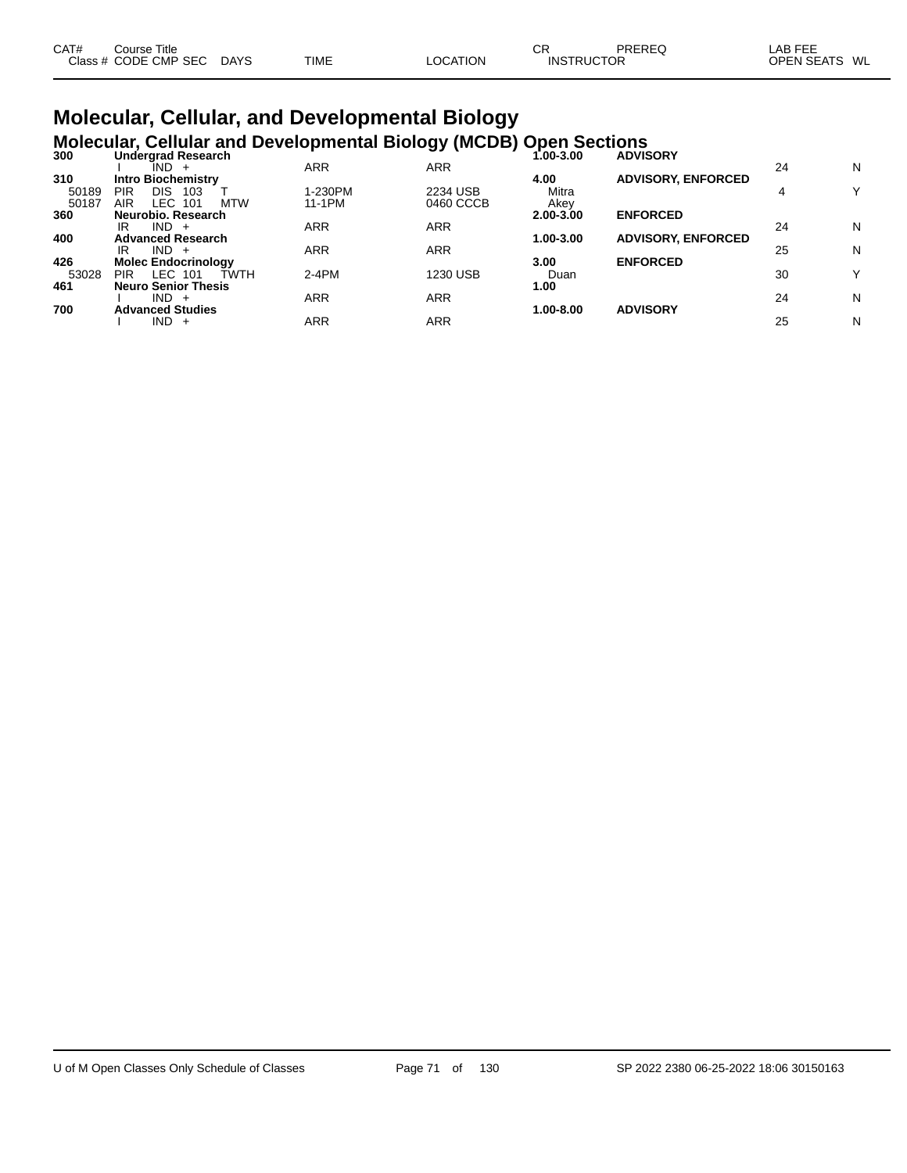| CAT# | Course Title         |             |             |          | СF                | PREREQ | LAB FEE                 |
|------|----------------------|-------------|-------------|----------|-------------------|--------|-------------------------|
|      | Class # CODE CMP SEC | <b>DAYS</b> | <b>TIME</b> | LOCATION | <b>INSTRUCTOR</b> |        | <b>OPEN SEATS</b><br>WL |

## **Molecular, Cellular, and Developmental Biology**

|     | <b>Molecular, Cellular and Developmental Biology (MCDB) Open Sections</b> |               |                 |
|-----|---------------------------------------------------------------------------|---------------|-----------------|
| 300 | Undergrad Research                                                        | $1.00 - 3.00$ | <b>ADVISORY</b> |

|       | $5.1851$ graaf 11000ar 011       |            |            |           | .                         |    |   |
|-------|----------------------------------|------------|------------|-----------|---------------------------|----|---|
|       | IND +                            | <b>ARR</b> | <b>ARR</b> |           |                           | 24 | N |
| 310   | <b>Intro Biochemistry</b>        |            |            | 4.00      | <b>ADVISORY, ENFORCED</b> |    |   |
| 50189 | <b>DIS</b><br><b>PIR</b><br>103  | 1-230PM    | 2234 USB   | Mitra     |                           |    | Y |
| 50187 | <b>MTW</b><br>LEC-<br>AIR<br>101 | 11-1PM     | 0460 CCCB  | Akey      |                           |    |   |
| 360   | Neurobio. Research               |            |            | 2.00-3.00 | <b>ENFORCED</b>           |    |   |
|       | $IND +$<br>IR                    | <b>ARR</b> | ARR        |           |                           | 24 | N |
| 400   | <b>Advanced Research</b>         |            |            | 1.00-3.00 | <b>ADVISORY, ENFORCED</b> |    |   |
|       | $IND +$<br>IR                    | ARR        | ARR        |           |                           | 25 | N |
| 426   | <b>Molec Endocrinology</b>       |            |            | 3.00      | <b>ENFORCED</b>           |    |   |
| 53028 | ŤWTH<br>LEC 101<br><b>PIR</b>    | $2-4PM$    | 1230 USB   | Duan      |                           | 30 | Y |
| 461   | <b>Neuro Senior Thesis</b>       |            |            | 1.00      |                           |    |   |
|       | $IND +$                          | ARR        | ARR        |           |                           | 24 | N |
| 700   | <b>Advanced Studies</b>          |            |            | 1.00-8.00 | <b>ADVISORY</b>           |    |   |
|       | $IND +$                          | ARR        | ARR        |           |                           | 25 | N |
|       |                                  |            |            |           |                           |    |   |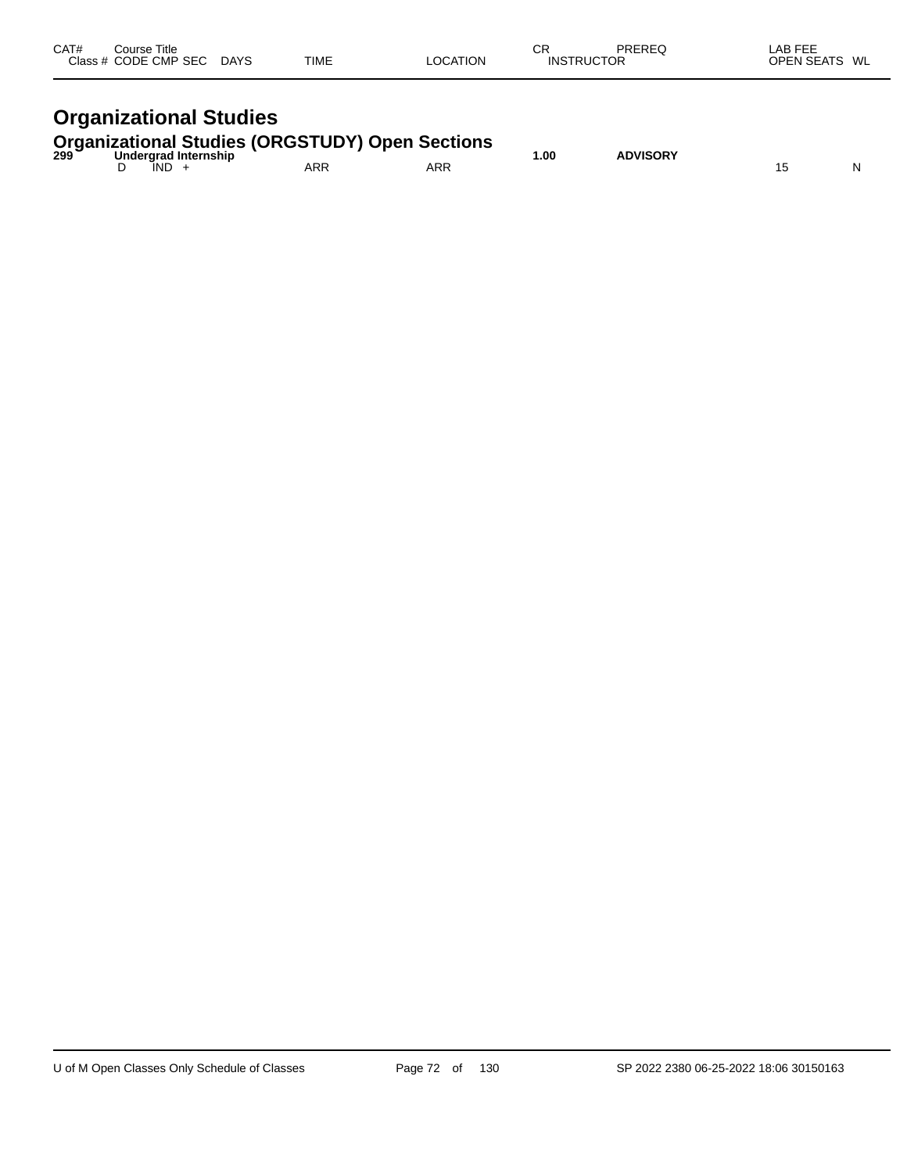| CAT#<br>Class $#$ | Course Title<br>CODE CMP SEC | <b>DAYS</b> | <b>TIME</b> | <b>LOCATION</b> | СF<br><b>INSTRUCTOR</b> | PREREQ | $\lambda$ $\sim$ $\sim$ $\sim$ $\sim$<br>LAB<br>---<br><b>OPEN SEATS</b><br><b>WL</b> |
|-------------------|------------------------------|-------------|-------------|-----------------|-------------------------|--------|---------------------------------------------------------------------------------------|
|-------------------|------------------------------|-------------|-------------|-----------------|-------------------------|--------|---------------------------------------------------------------------------------------|

### **Organizational Studies**

#### **Organizational Studies (ORGSTUDY) Open Sections**

| 299<br>$ -$ | Underarad<br>Internship |                   |           | . .00 | <b>ADVISORY</b> |   |
|-------------|-------------------------|-------------------|-----------|-------|-----------------|---|
|             | IND                     | $\sqrt{2}$<br>ARL | n<br>ARI. |       |                 | N |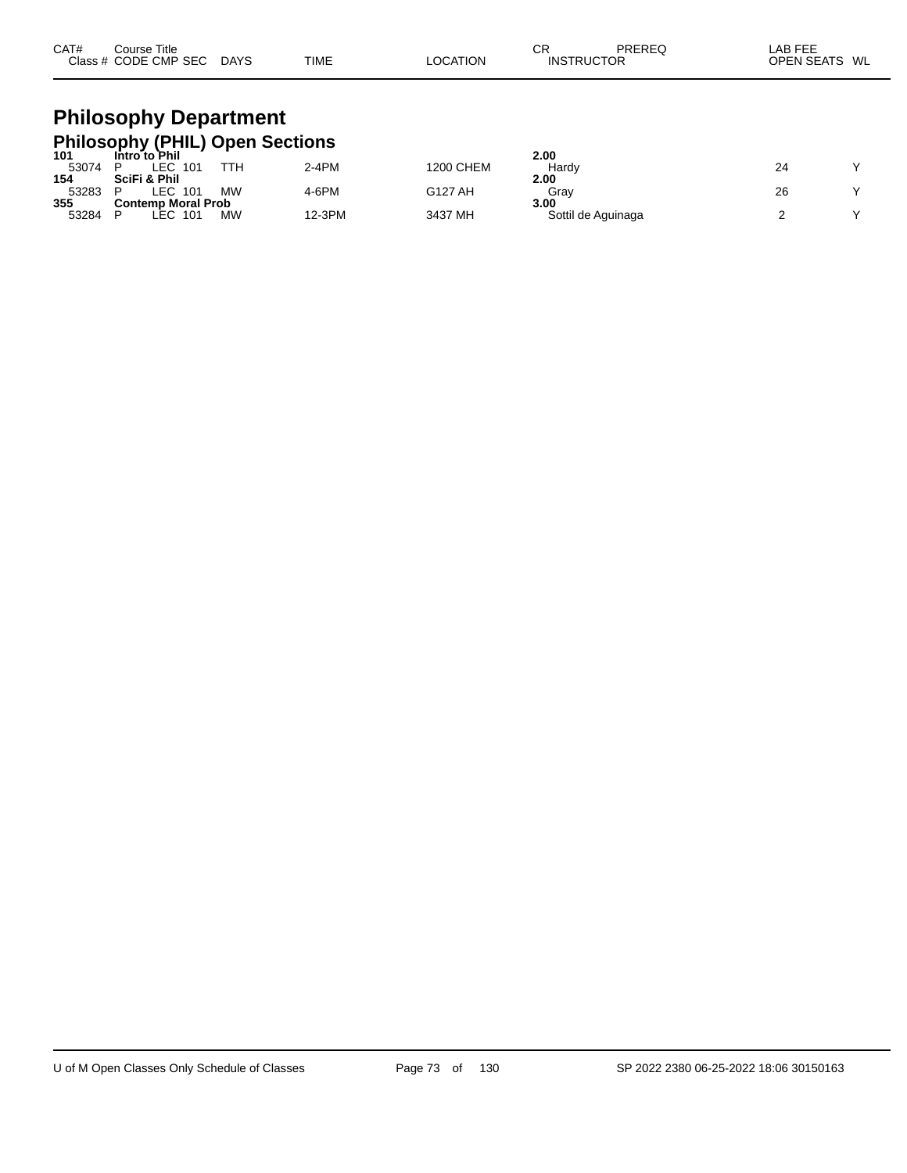| CAT#<br>Title<br>Course |                       |             |                | СR | PREREC            | $\lambda$ $\sim$ $\sim$ $\sim$ $\sim$<br>AB.<br>--- |
|-------------------------|-----------------------|-------------|----------------|----|-------------------|-----------------------------------------------------|
| Class # CODE CMP SEC    | <b>DAYS</b><br>$\sim$ | <b>TIME</b> | <b>OCATION</b> |    | <b>INSTRUCTOR</b> | <b>OPEN SEATS</b><br>WL                             |

## **Philosophy Department Philosophy (PHIL) Open Sections 101 Intro to Phil 2.00**

| 101   | Intro to Phil             |        |           | 2.00               |    |           |
|-------|---------------------------|--------|-----------|--------------------|----|-----------|
| 53074 | ттн<br>LEC.<br>101        | 2-4PM  | 1200 CHEM | Hardv              | 24 | $\sqrt{}$ |
| 154   | <b>SciFi &amp; Phil</b>   |        |           | 2.00               |    |           |
| 53283 | МW<br>LEC.<br>101         | 4-6PM  | G127 AH   | Grav               | 26 | $\sqrt{}$ |
| 355   | <b>Contemp Moral Prob</b> |        |           | 3.00               |    |           |
| 53284 | МW<br>_EC.<br>101         | 12-3PM | 3437 MH   | Sottil de Aguinaga |    | $\sqrt{}$ |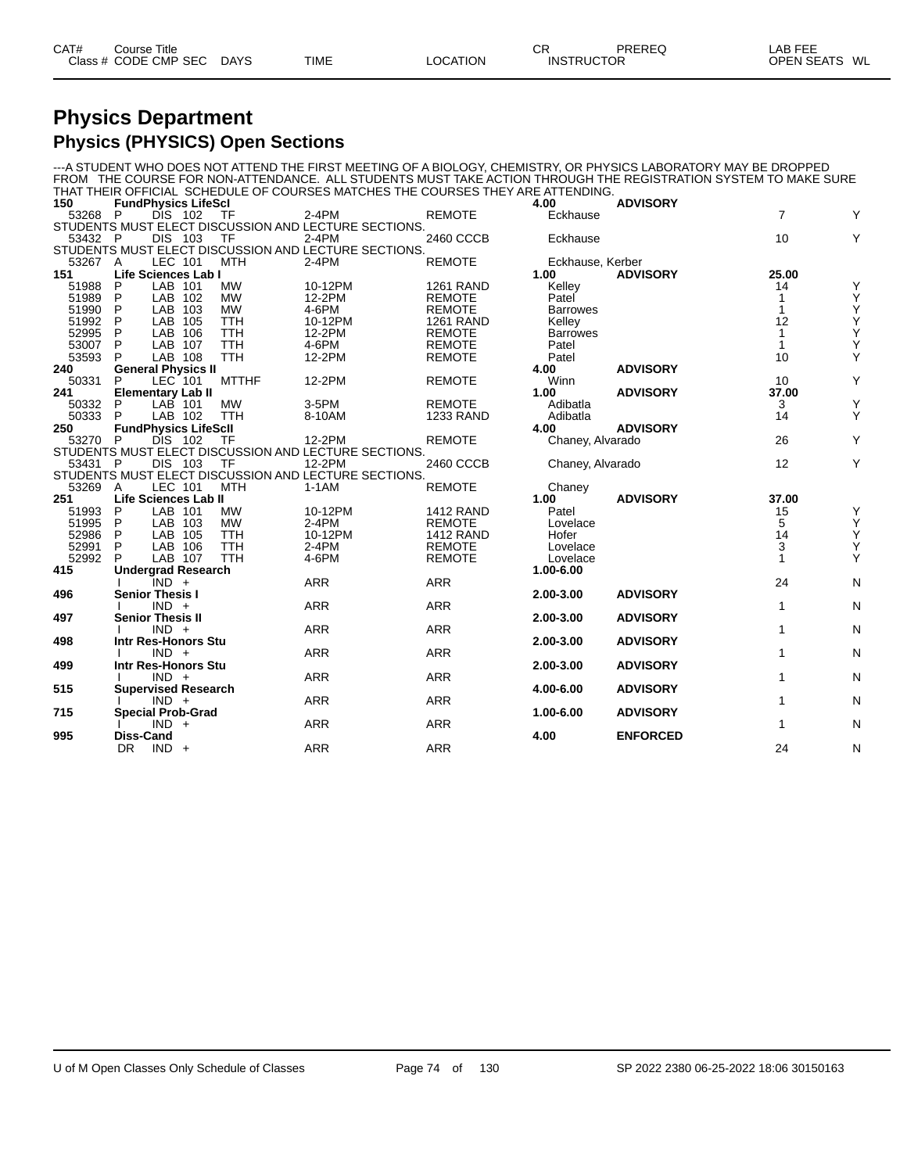| CAT# | Course Title         |             |             |                 | ∼⊏<br>◡           | PREREQ | LAB FEE       |  |
|------|----------------------|-------------|-------------|-----------------|-------------------|--------|---------------|--|
|      | Class # CODE CMP SEC | <b>DAYS</b> | <b>TIME</b> | <b>LOCATION</b> | <b>INSTRUCTOR</b> |        | OPEN SEATS WL |  |
|      |                      |             |             |                 |                   |        |               |  |

### **Physics Department Physics (PHYSICS) Open Sections**

---A STUDENT WHO DOES NOT ATTEND THE FIRST MEETING OF A BIOLOGY, CHEMISTRY, OR PHYSICS LABORATORY MAY BE DROPPED FROM THE COURSE FOR NON-ATTENDANCE. ALL STUDENTS MUST TAKE ACTION THROUGH THE REGISTRATION SYSTEM TO MAKE SURE THAT THEIR OFFICIAL SCHEDULE OF COURSES MATCHES THE COURSES THEY ARE ATTENDING.

| 150     |                         | <b>FundPhysics LifeScl</b>  |              | <b>OOOINGLO INITIOHLO THE OOOINGLO IHET!</b>         |                  | 4.00             | - / \                        <br><b>ADVISORY</b> |                |               |
|---------|-------------------------|-----------------------------|--------------|------------------------------------------------------|------------------|------------------|--------------------------------------------------|----------------|---------------|
| 53268 P |                         | DIS 102                     | TF           | 2-4PM                                                | <b>REMOTE</b>    | Eckhause         |                                                  | $\overline{7}$ | Y             |
|         |                         |                             |              | STUDENTS MUST ELECT DISCUSSION AND LECTURE SECTIONS. |                  |                  |                                                  |                |               |
| 53432 P |                         | <b>DIS 103</b>              | TF           | $2-4PM$                                              | 2460 CCCB        | Eckhause         |                                                  | 10             | Y             |
|         |                         |                             |              | STUDENTS MUST ELECT DISCUSSION AND LECTURE SECTIONS. |                  |                  |                                                  |                |               |
| 53267 A |                         | LEC 101                     | MTH          | $2-4PM$                                              | <b>REMOTE</b>    | Eckhause, Kerber |                                                  |                |               |
| 151     |                         | Life Sciences Lab I         |              |                                                      |                  | 1.00             | <b>ADVISORY</b>                                  | 25.00          |               |
|         |                         |                             | <b>MW</b>    |                                                      | <b>1261 RAND</b> |                  |                                                  | 14             | Y             |
| 51988   | P.                      | LAB 101                     |              | 10-12PM                                              |                  | Kelley           |                                                  |                |               |
| 51989   | $\mathsf{P}$            | LAB 102                     | <b>MW</b>    | 12-2PM                                               | <b>REMOTE</b>    | Patel            |                                                  |                | Υ             |
| 51990   | P.                      | LAB 103                     | <b>MW</b>    | 4-6PM                                                | <b>REMOTE</b>    | <b>Barrowes</b>  |                                                  |                | Υ             |
| 51992   | $\mathsf{P}$            | LAB 105                     | <b>TTH</b>   | 10-12PM                                              | <b>1261 RAND</b> | Kelley           |                                                  | 12             | Υ             |
| 52995   | P.                      | LAB 106                     | TTH          | 12-2PM                                               | <b>REMOTE</b>    | <b>Barrowes</b>  |                                                  |                | $\frac{Y}{Y}$ |
| 53007   | P.                      | LAB 107                     | <b>TTH</b>   | 4-6PM                                                | <b>REMOTE</b>    | Patel            |                                                  | $\mathbf{1}$   |               |
| 53593   | P                       | LAB 108                     | <b>TTH</b>   | 12-2PM                                               | <b>REMOTE</b>    | Patel            |                                                  | 10             | Y             |
| 240     |                         | <b>General Physics II</b>   |              |                                                      |                  | 4.00             | <b>ADVISORY</b>                                  |                |               |
| 50331   | P                       | $LEC-101$                   | <b>MTTHF</b> | 12-2PM                                               | <b>REMOTE</b>    | Winn             |                                                  | 10             | Υ             |
| 241     |                         | <b>Elementary Lab II</b>    |              |                                                      |                  | 1.00             | <b>ADVISORY</b>                                  | 37.00          |               |
|         |                         |                             |              |                                                      |                  | Adibatla         |                                                  |                |               |
| 50332   | P                       | LAB 101                     | MW           | 3-5PM                                                | <b>REMOTE</b>    |                  |                                                  | 3              | Υ             |
| 50333   | P                       | LAB 102                     | <b>TTH</b>   | 8-10AM                                               | <b>1233 RAND</b> | Adibatla         |                                                  | 14             | Y             |
| 250     |                         | <b>FundPhysics LifeScll</b> |              |                                                      |                  | 4.00             | <b>ADVISORY</b>                                  |                |               |
| 53270 P |                         | DIS 102                     | TF           | 12-2PM                                               | <b>REMOTE</b>    | Chaney, Alvarado |                                                  | 26             | Y             |
|         |                         |                             |              | STUDENTS MUST ELECT DISCUSSION AND LECTURE SECTIONS. |                  |                  |                                                  |                |               |
| 53431 P |                         | <b>DIS 103</b>              | TF           | 12-2PM                                               | 2460 CCCB        | Chaney, Alvarado |                                                  | 12             | Υ             |
|         |                         |                             |              |                                                      |                  |                  |                                                  |                |               |
|         |                         |                             |              |                                                      |                  |                  |                                                  |                |               |
|         |                         |                             |              | STUDENTS MUST ELECT DISCUSSION AND LECTURE SECTIONS. |                  |                  |                                                  |                |               |
| 53269 A |                         | LEC 101                     | <b>MTH</b>   | $1-1AM$                                              | <b>REMOTE</b>    | Chaney           |                                                  |                |               |
| 251     |                         | <b>Life Sciences Lab II</b> |              |                                                      |                  | 1.00             | <b>ADVISORY</b>                                  | 37.00          |               |
| 51993   | P                       | LAB 101                     | MW           | 10-12PM                                              | <b>1412 RAND</b> | Patel            |                                                  | 15             | Υ             |
| 51995   | $\mathsf{P}$            | LAB 103                     | MW           | 2-4PM                                                | <b>REMOTE</b>    | Lovelace         |                                                  | 5              | Υ             |
| 52986   | P.                      | LAB 105                     | TTH          | 10-12PM                                              | <b>1412 RAND</b> | Hofer            |                                                  | 14             | Y             |
| 52991   | P                       | LAB 106                     | TTH          | $2-4PM$                                              | <b>REMOTE</b>    | Lovelace         |                                                  | 3              | Y             |
| 52992   | P                       | LAB 107                     | <b>TTH</b>   | 4-6PM                                                | <b>REMOTE</b>    | Lovelace         |                                                  |                | Y             |
| 415     |                         | <b>Undergrad Research</b>   |              |                                                      |                  | 1.00-6.00        |                                                  |                |               |
|         |                         | $IND +$                     |              | <b>ARR</b>                                           | <b>ARR</b>       |                  |                                                  | 24             |               |
|         |                         |                             |              |                                                      |                  |                  |                                                  |                | N             |
| 496     |                         | <b>Senior Thesis I</b>      |              |                                                      |                  | 2.00-3.00        | <b>ADVISORY</b>                                  |                |               |
|         |                         | $IND +$                     |              | <b>ARR</b>                                           | <b>ARR</b>       |                  |                                                  | 1              | N             |
| 497     |                         | <b>Senior Thesis II</b>     |              |                                                      |                  | 2.00-3.00        | <b>ADVISORY</b>                                  |                |               |
|         |                         | $IND +$                     |              | <b>ARR</b>                                           | <b>ARR</b>       |                  |                                                  | 1              | N             |
| 498     |                         | Intr Res-Honors Stu         |              |                                                      |                  | 2.00-3.00        | <b>ADVISORY</b>                                  |                |               |
|         |                         | $IND +$                     |              | <b>ARR</b>                                           | <b>ARR</b>       |                  |                                                  |                | N             |
| 499     |                         | Intr Res-Honors Stu         |              |                                                      |                  | 2.00-3.00        | <b>ADVISORY</b>                                  |                |               |
|         |                         | $IND +$                     |              | <b>ARR</b>                                           | <b>ARR</b>       |                  |                                                  | 1              | N             |
| 515     |                         | <b>Supervised Research</b>  |              |                                                      |                  | 4.00-6.00        | <b>ADVISORY</b>                                  |                |               |
|         |                         |                             |              |                                                      |                  |                  |                                                  | 1              |               |
|         |                         | $IND +$                     |              | <b>ARR</b>                                           | <b>ARR</b>       |                  |                                                  |                | N             |
| 715     |                         | <b>Special Prob-Grad</b>    |              |                                                      |                  | 1.00-6.00        | <b>ADVISORY</b>                                  |                |               |
|         |                         | $IND +$                     |              | <b>ARR</b>                                           | <b>ARR</b>       |                  |                                                  | 1              | N             |
| 995     | <b>Diss-Cand</b><br>DR. | $IND +$                     |              | <b>ARR</b>                                           | <b>ARR</b>       | 4.00             | <b>ENFORCED</b>                                  | 24             | N             |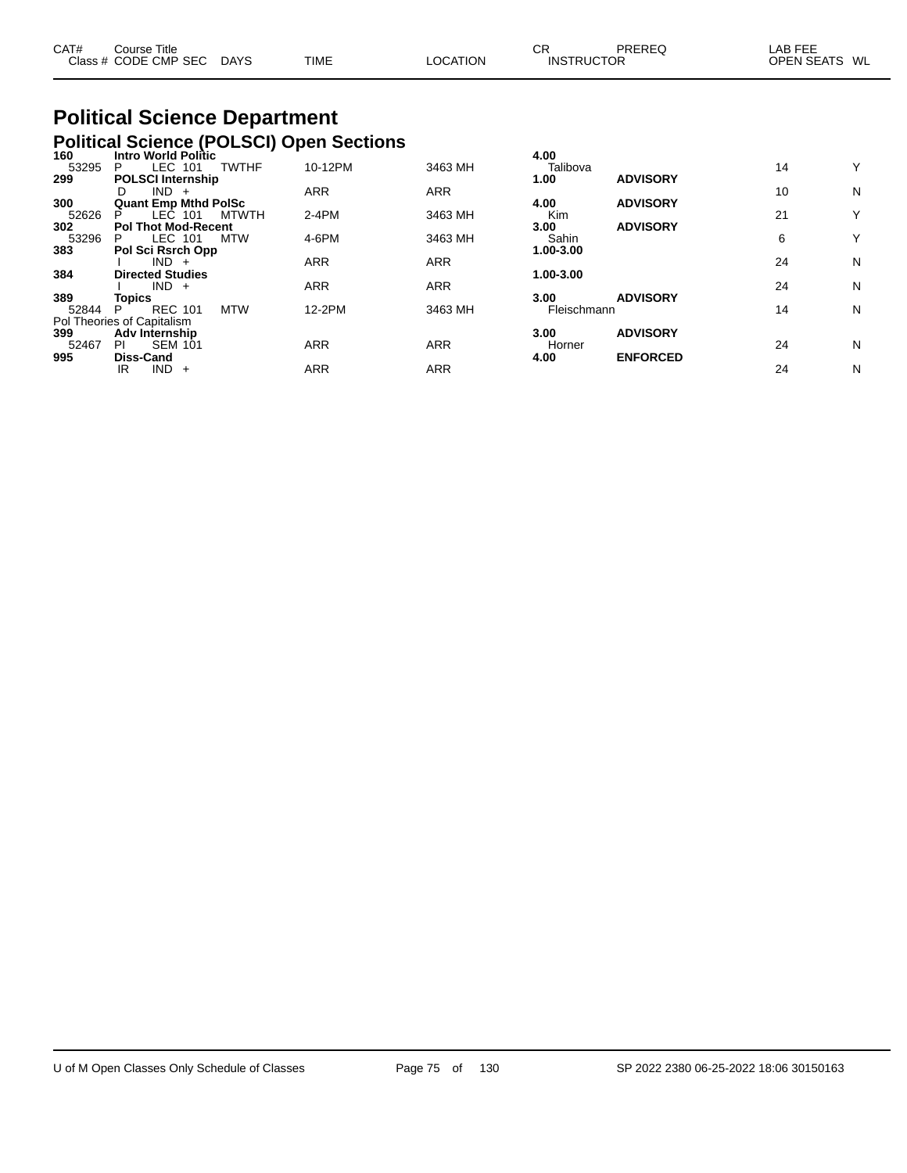| CAT# | Course Title<br>Class # CODE CMP SEC | DAYS | <b>TIME</b> | LOCATION | СF | PREREQ<br><b>INSTRUCTOR</b> | LAB FEE<br>OPEN SEATS WL |
|------|--------------------------------------|------|-------------|----------|----|-----------------------------|--------------------------|
|      |                                      |      |             |          |    |                             |                          |

# **Political Science Department**

|       | <b>Political Science (POLSCI) Open Sections</b> |            |            |             |                 |    |   |
|-------|-------------------------------------------------|------------|------------|-------------|-----------------|----|---|
| 160   | <b>Intro World Politic</b>                      |            |            | 4.00        |                 |    |   |
| 53295 | LEC 101<br><b>TWTHF</b><br>P                    | 10-12PM    | 3463 MH    | Talibova    |                 | 14 | Y |
| 299   | <b>POLSCI Internship</b>                        |            |            | 1.00        | <b>ADVISORY</b> |    |   |
|       | $IND +$<br>D                                    | <b>ARR</b> | <b>ARR</b> |             |                 | 10 | N |
| 300   | <b>Quant Emp Mthd PolSc</b>                     |            |            | 4.00        | <b>ADVISORY</b> |    |   |
| 52626 | LEC 101<br><b>MTWTH</b><br>P                    | $2-4PM$    | 3463 MH    | Kim         |                 | 21 | Υ |
| 302   | <b>Pol Thot Mod-Recent</b>                      |            |            | 3.00        | <b>ADVISORY</b> |    |   |
| 53296 | LEC 101<br><b>MTW</b><br>P.                     | 4-6PM      | 3463 MH    | Sahin       |                 | 6  | Y |
| 383   | Pol Sci Rsrch Opp                               |            |            | 1.00-3.00   |                 |    |   |
|       | $IND +$                                         | <b>ARR</b> | <b>ARR</b> |             |                 | 24 | N |
| 384   | <b>Directed Studies</b>                         |            |            | 1.00-3.00   |                 |    |   |
|       | $IND +$                                         | <b>ARR</b> | <b>ARR</b> |             |                 | 24 | N |
| 389   | Topics                                          |            |            | 3.00        | <b>ADVISORY</b> |    |   |
| 52844 | <b>REC 101</b><br><b>MTW</b><br>P               | 12-2PM     | 3463 MH    | Fleischmann |                 | 14 | N |
|       | Pol Theories of Capitalism                      |            |            |             |                 |    |   |
| 399   | Adv Internship                                  |            |            | 3.00        | <b>ADVISORY</b> |    |   |
| 52467 | <b>SEM 101</b><br>PI                            | <b>ARR</b> | <b>ARR</b> | Horner      |                 | 24 | N |
| 995   | <b>Diss-Cand</b>                                |            |            | 4.00        | <b>ENFORCED</b> |    |   |
|       | IND.<br>IR<br>$+$                               | <b>ARR</b> | <b>ARR</b> |             |                 | 24 | N |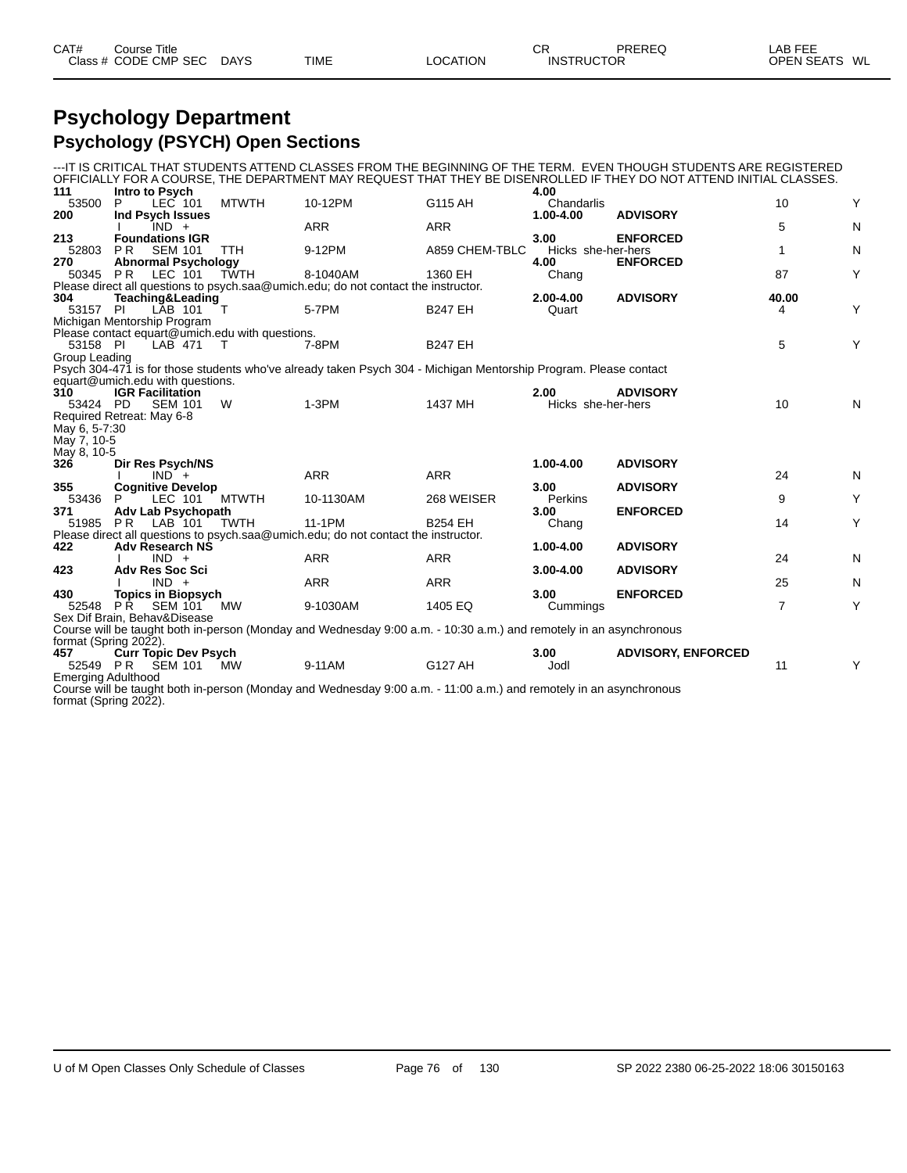| CAT# | Title<br>Course      |             |             |                 | ⌒冖<br>◡           | PREREQ | _AB FEE           |    |
|------|----------------------|-------------|-------------|-----------------|-------------------|--------|-------------------|----|
|      | Class # CODE CMP SEC | <b>DAYS</b> | <b>TIME</b> | <b>LOCATION</b> | <b>INSTRUCTOR</b> |        | <b>OPEN SEATS</b> | WL |

### **Psychology Department Psychology (PSYCH) Open Sections**

---IT IS CRITICAL THAT STUDENTS ATTEND CLASSES FROM THE BEGINNING OF THE TERM. EVEN THOUGH STUDENTS ARE REGISTERED OFFICIALLY FOR A COURSE, THE DEPARTMENT MAY REQUEST THAT THEY BE DISENROLLED IF THEY DO NOT ATTEND INITIAL CLASSES.

| 111                       | Intro to Psych                                             |              |                                                                                                                    |                | 4.00               |                           |              |   |
|---------------------------|------------------------------------------------------------|--------------|--------------------------------------------------------------------------------------------------------------------|----------------|--------------------|---------------------------|--------------|---|
| 53500                     | LEC 101<br>P.                                              | <b>MTWTH</b> | 10-12PM                                                                                                            | G115 AH        | Chandarlis         |                           | 10           | Y |
| 200                       | Ind Psych Issues                                           |              |                                                                                                                    |                | 1.00-4.00          | <b>ADVISORY</b>           |              |   |
|                           | IND +                                                      |              | <b>ARR</b>                                                                                                         | <b>ARR</b>     |                    |                           | 5            | N |
| 213                       | <b>Foundations IGR</b>                                     |              |                                                                                                                    |                | 3.00               | <b>ENFORCED</b>           |              |   |
| 52803                     | <b>SEM 101</b><br>P <sub>R</sub>                           | <b>TTH</b>   | 9-12PM                                                                                                             | A859 CHEM-TBLC | Hicks she-her-hers |                           | $\mathbf{1}$ | N |
| 270                       | <b>Abnormal Psychology</b>                                 |              |                                                                                                                    |                | 4.00               | <b>ENFORCED</b>           |              |   |
| 50345                     | P R<br>LEC 101                                             | <b>TWTH</b>  | 8-1040AM                                                                                                           | 1360 EH        | Chang              |                           | 87           | Υ |
|                           |                                                            |              | Please direct all questions to psych.saa@umich.edu; do not contact the instructor.                                 |                |                    |                           |              |   |
| 304                       | Teaching&Leading                                           |              |                                                                                                                    |                | 2.00-4.00          | <b>ADVISORY</b>           | 40.00        |   |
| 53157 PI                  | LAB 101                                                    |              | 5-7PM                                                                                                              | <b>B247 EH</b> | Quart              |                           | 4            | Υ |
|                           | Michigan Mentorship Program                                |              |                                                                                                                    |                |                    |                           |              |   |
| 53158 PI                  | Please contact equart@umich.edu with questions.<br>LAB 471 | T            | 7-8PM                                                                                                              | <b>B247 EH</b> |                    |                           | 5            | Y |
| Group Leading             |                                                            |              |                                                                                                                    |                |                    |                           |              |   |
|                           |                                                            |              | Psych 304-471 is for those students who've already taken Psych 304 - Michigan Mentorship Program. Please contact   |                |                    |                           |              |   |
|                           | equart@umich.edu with questions.                           |              |                                                                                                                    |                |                    |                           |              |   |
| 310                       | <b>IGR Facilitation</b>                                    |              |                                                                                                                    |                | 2.00               | <b>ADVISORY</b>           |              |   |
| 53424 PD                  | <b>SEM 101</b>                                             | W            | $1-3PM$                                                                                                            | 1437 MH        | Hicks she-her-hers |                           | 10           | N |
|                           | Required Retreat: May 6-8                                  |              |                                                                                                                    |                |                    |                           |              |   |
| May 6, 5-7:30             |                                                            |              |                                                                                                                    |                |                    |                           |              |   |
| May 7, 10-5               |                                                            |              |                                                                                                                    |                |                    |                           |              |   |
| May 8, 10-5               |                                                            |              |                                                                                                                    |                |                    |                           |              |   |
| 326                       | Dir Res Psych/NS                                           |              |                                                                                                                    |                | 1.00-4.00          | <b>ADVISORY</b>           |              |   |
|                           | $IND^+$                                                    |              | <b>ARR</b>                                                                                                         | <b>ARR</b>     |                    |                           | 24           | N |
| 355                       | <b>Cognitive Develop</b>                                   |              |                                                                                                                    |                | 3.00               | <b>ADVISORY</b>           |              |   |
| 53436                     | LEC 101                                                    | <b>MTWTH</b> | 10-1130AM                                                                                                          | 268 WEISER     | Perkins            |                           | 9            | Υ |
| 371                       | Adv Lab Psychopath                                         |              |                                                                                                                    |                | 3.00               | <b>ENFORCED</b>           |              |   |
| 51985                     | <b>PR</b><br>LAB 101                                       | TWTH         | 11-1PM                                                                                                             | <b>B254 EH</b> | Chang              |                           | 14           | Υ |
|                           |                                                            |              | Please direct all questions to psych.saa@umich.edu; do not contact the instructor.                                 |                |                    |                           |              |   |
| 422                       | <b>Adv Research NS</b>                                     |              |                                                                                                                    |                | 1.00-4.00          | <b>ADVISORY</b>           |              |   |
|                           | $IND +$                                                    |              | <b>ARR</b>                                                                                                         | <b>ARR</b>     |                    |                           | 24           | N |
| 423                       | <b>Adv Res Soc Sci</b>                                     |              |                                                                                                                    |                | 3.00-4.00          | <b>ADVISORY</b>           |              |   |
| 430                       | $IND +$                                                    |              | <b>ARR</b>                                                                                                         | <b>ARR</b>     | 3.00               | <b>ENFORCED</b>           | 25           | N |
| 52548                     | <b>Topics in Biopsych</b><br>P <sub>R</sub><br>SEM 101     | MW           | 9-1030AM                                                                                                           | 1405 EQ        |                    |                           | 7            | Y |
|                           | Sex Dif Brain, Behav&Disease                               |              |                                                                                                                    |                | Cummings           |                           |              |   |
|                           |                                                            |              | Course will be taught both in-person (Monday and Wednesday 9:00 a.m. - 10:30 a.m.) and remotely in an asynchronous |                |                    |                           |              |   |
|                           | format (Spring 2022).                                      |              |                                                                                                                    |                |                    |                           |              |   |
| 457                       | <b>Curr Topic Dev Psych</b>                                |              |                                                                                                                    |                | 3.00               | <b>ADVISORY, ENFORCED</b> |              |   |
| 52549 PR                  | SEM 101                                                    | MW           | 9-11AM                                                                                                             | G127 AH        | Jodl               |                           | 11           | Y |
| <b>Emerging Adulthood</b> |                                                            |              |                                                                                                                    |                |                    |                           |              |   |
|                           |                                                            |              |                                                                                                                    |                |                    |                           |              |   |

Course will be taught both in-person (Monday and Wednesday 9:00 a.m. - 11:00 a.m.) and remotely in an asynchronous format (Spring 2022).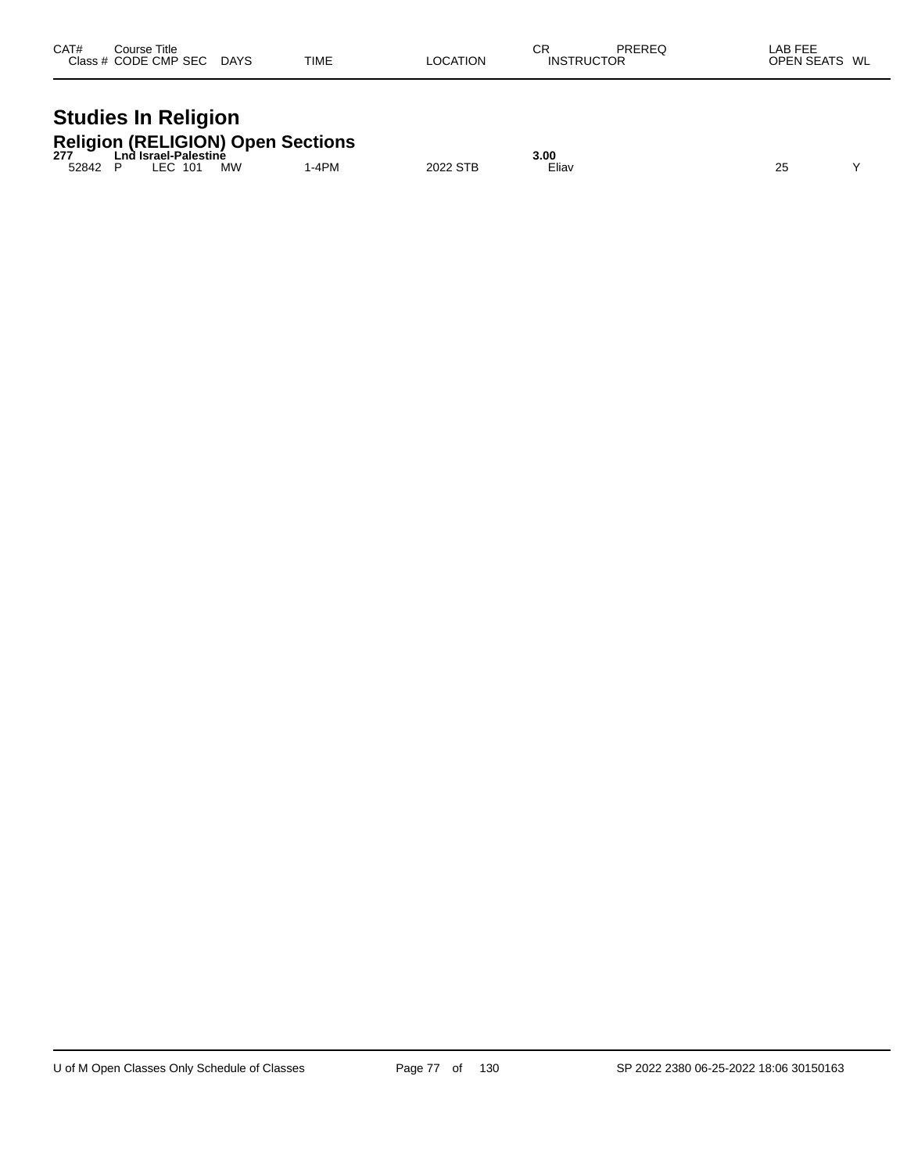| CAT#<br>Class $#$ | ourse Titleٽ<br>CODE CMP SEC | <b>DAYS</b> | <b>TIME</b> | LOCATION | СR<br><b>INSTRUCTOR</b> | PREREQ | LAB FEE<br><b>OPEN SEATS</b><br>WL |
|-------------------|------------------------------|-------------|-------------|----------|-------------------------|--------|------------------------------------|
|                   |                              |             |             |          |                         |        |                                    |

## **Studies In Religion Religion (RELIGION) Open Sections 277 Lnd Israel-Palestine 3.00**

| 211   | Lnu israei-Palestine |           |    |        | J.UU                               |              |  |        |         |
|-------|----------------------|-----------|----|--------|------------------------------------|--------------|--|--------|---------|
| 52842 |                      | 101<br>r. | МW | $-4PM$ | ∩∩∩ח<br>$\sim$ Tr<br>3 I D<br>-927 | $-$<br>∟liav |  | $\sim$ | $\cdot$ |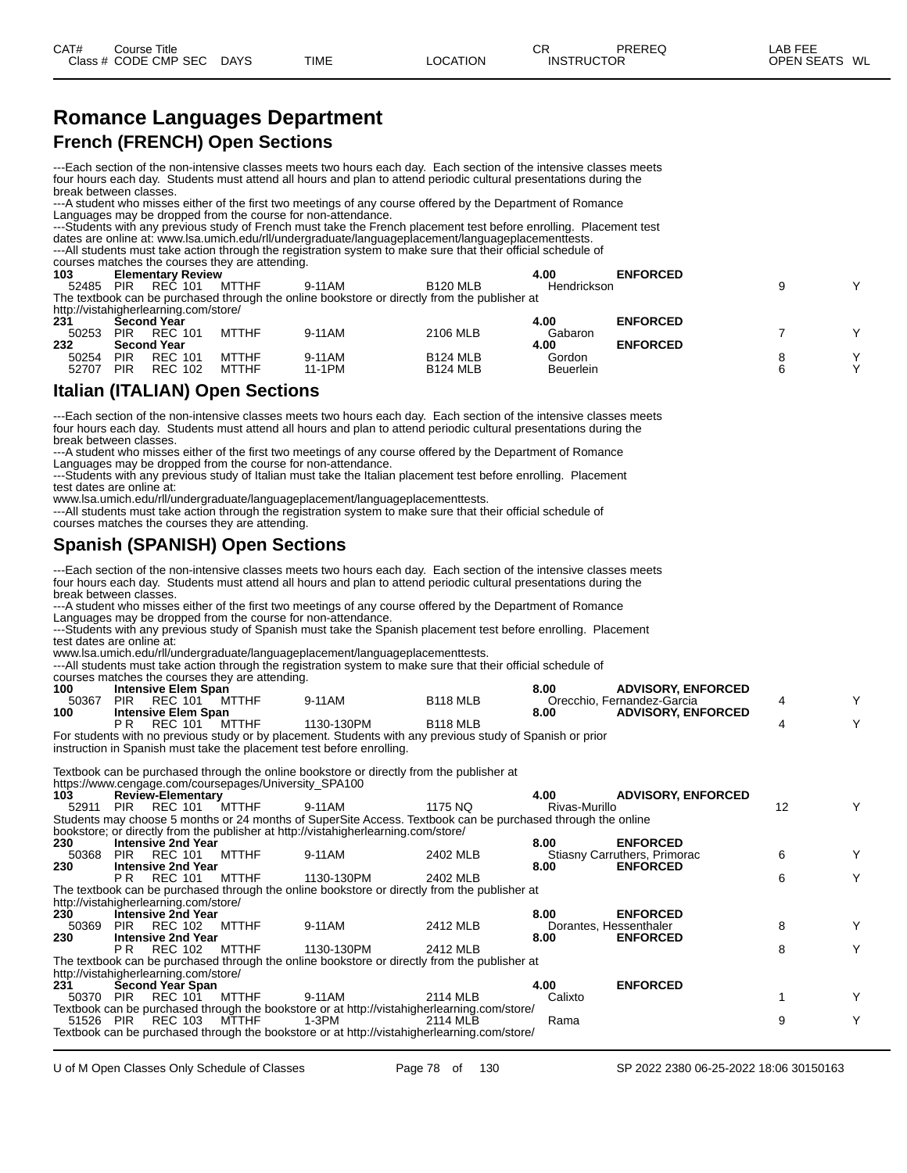### **Romance Languages Department French (FRENCH) Open Sections**

---Each section of the non-intensive classes meets two hours each day. Each section of the intensive classes meets four hours each day. Students must attend all hours and plan to attend periodic cultural presentations during the break between classes.

---A student who misses either of the first two meetings of any course offered by the Department of Romance Languages may be dropped from the course for non-attendance.

---Students with any previous study of French must take the French placement test before enrolling. Placement test dates are online at: www.lsa.umich.edu/rll/undergraduate/languageplacement/languageplacementtests. ---All students must take action through the registration system to make sure that their official schedule of courses matches the courses they are attending. **103 Elementary Review 4.00 ENFORCED** 52485 PIR REC 101 MTTHF 9-11AM B120 MLB Hendrickson 9 Y The textbook can be purchased through the online bookstore or directly from the publisher at http://vistahigherlearning.com/store/ **231 Second Year 4.00 ENFORCED** 50253 PIR REC 101 MTTHF 9-11AM 2106 MLB Gabaron 7 Y **232 Second Year 4.00 ENFORCED** 50254 PIR REC 101 MTTHF 9-11AM B124 MLB Gordon 8 Y 52707 PIR REC 102 MTTHF 11-1PM B124 MLB Beuerlein 6 Y

#### **Italian (ITALIAN) Open Sections**

---Each section of the non-intensive classes meets two hours each day. Each section of the intensive classes meets four hours each day. Students must attend all hours and plan to attend periodic cultural presentations during the break between classes.

-A student who misses either of the first two meetings of any course offered by the Department of Romance Languages may be dropped from the course for non-attendance.

---Students with any previous study of Italian must take the Italian placement test before enrolling. Placement test dates are online at:

www.lsa.umich.edu/rll/undergraduate/languageplacement/languageplacementtests.

---All students must take action through the registration system to make sure that their official schedule of courses matches the courses they are attending.

#### **Spanish (SPANISH) Open Sections**

---Each section of the non-intensive classes meets two hours each day. Each section of the intensive classes meets four hours each day. Students must attend all hours and plan to attend periodic cultural presentations during the break between classes.

---A student who misses either of the first two meetings of any course offered by the Department of Romance Languages may be dropped from the course for non-attendance.

---Students with any previous study of Spanish must take the Spanish placement test before enrolling. Placement test dates are online at:

www.lsa.umich.edu/rll/undergraduate/languageplacement/languageplacementtests.

---All students must take action through the registration system to make sure that their official schedule of

|                                       |     |                            | courses matches the courses they are attending.       |                                                                                                                                                                                                                                             |                 |                        |                              |    |   |
|---------------------------------------|-----|----------------------------|-------------------------------------------------------|---------------------------------------------------------------------------------------------------------------------------------------------------------------------------------------------------------------------------------------------|-----------------|------------------------|------------------------------|----|---|
| 100                                   |     | <b>Intensive Elem Span</b> |                                                       |                                                                                                                                                                                                                                             |                 | 8.00                   | <b>ADVISORY, ENFORCED</b>    |    |   |
| 50367                                 | PIR |                            | REC 101 MTTHF                                         | 9-11AM                                                                                                                                                                                                                                      | <b>B118 MLB</b> |                        | Orecchio, Fernandez-Garcia   | 4  |   |
| 100                                   |     | <b>Intensive Elem Span</b> |                                                       |                                                                                                                                                                                                                                             |                 | 8.00                   | <b>ADVISORY, ENFORCED</b>    |    |   |
|                                       | PR. |                            | REC 101 MTTHF                                         | 1130-130PM                                                                                                                                                                                                                                  | <b>B118 MLB</b> |                        |                              | 4  | Υ |
|                                       |     |                            |                                                       | For students with no previous study or by placement. Students with any previous study of Spanish or prior                                                                                                                                   |                 |                        |                              |    |   |
|                                       |     |                            |                                                       | instruction in Spanish must take the placement test before enrolling.                                                                                                                                                                       |                 |                        |                              |    |   |
|                                       |     |                            |                                                       | Textbook can be purchased through the online bookstore or directly from the publisher at                                                                                                                                                    |                 |                        |                              |    |   |
|                                       |     |                            | https://www.cengage.com/coursepages/University_SPA100 |                                                                                                                                                                                                                                             |                 |                        |                              |    |   |
| 103                                   |     | <b>Review-Elementary</b>   |                                                       |                                                                                                                                                                                                                                             |                 | 4.00                   | <b>ADVISORY, ENFORCED</b>    |    |   |
| 52911                                 |     |                            | PIR REC 101 MTTHE                                     | 9-11AM                                                                                                                                                                                                                                      | 1175 NQ         | Rivas-Murillo          |                              | 12 |   |
|                                       |     |                            |                                                       | Students may choose 5 months or 24 months of SuperSite Access. Textbook can be purchased through the online                                                                                                                                 |                 |                        |                              |    |   |
|                                       |     |                            |                                                       | bookstore; or directly from the publisher at http://vistahigherlearning.com/store/                                                                                                                                                          |                 |                        |                              |    |   |
| 230                                   |     | <b>Intensive 2nd Year</b>  |                                                       |                                                                                                                                                                                                                                             |                 | 8.00                   | <b>ENFORCED</b>              |    |   |
| 50368                                 |     | <b>PIR REC 101</b>         | MTTHF                                                 | 9-11AM                                                                                                                                                                                                                                      | 2402 MLB        |                        | Stiasny Carruthers, Primorac | 6  |   |
| 230                                   |     | <b>Intensive 2nd Year</b>  |                                                       |                                                                                                                                                                                                                                             |                 | 8.00                   | <b>ENFORCED</b>              |    |   |
|                                       | PR. | <b>REC 101</b>             | MTTHF                                                 | 1130-130PM                                                                                                                                                                                                                                  | 2402 MLB        |                        |                              | 6  | Υ |
|                                       |     |                            |                                                       | The textbook can be purchased through the online bookstore or directly from the publisher at                                                                                                                                                |                 |                        |                              |    |   |
| http://vistahigherlearning.com/store/ |     |                            |                                                       |                                                                                                                                                                                                                                             |                 |                        |                              |    |   |
| 230                                   |     | <b>Intensive 2nd Year</b>  |                                                       |                                                                                                                                                                                                                                             |                 | 8.00                   | <b>ENFORCED</b>              |    |   |
| 50369                                 |     | <b>PIR REC 102</b>         | MTTHF                                                 | 9-11AM                                                                                                                                                                                                                                      | 2412 MLB        | Dorantes, Hessenthaler |                              | 8  |   |
| 230                                   |     | <b>Intensive 2nd Year</b>  |                                                       |                                                                                                                                                                                                                                             |                 | 8.00                   | <b>ENFORCED</b>              |    |   |
|                                       | PR. | <b>REC 102</b>             | MTTHF                                                 | 1130-130PM                                                                                                                                                                                                                                  | 2412 MLB        |                        |                              | 8  | Υ |
|                                       |     |                            |                                                       | The textbook can be purchased through the online bookstore or directly from the publisher at                                                                                                                                                |                 |                        |                              |    |   |
| http://vistahigherlearning.com/store/ |     |                            |                                                       |                                                                                                                                                                                                                                             |                 |                        |                              |    |   |
| 231                                   |     | Second Year Span           |                                                       |                                                                                                                                                                                                                                             |                 | 4.00                   | <b>ENFORCED</b>              |    |   |
| 50370 PIR REC 101 MTTHF<br>$ -$       |     |                            |                                                       | 9-11AM<br>$\mathbf{r}$ . The contract of the contract of the contract of the contract of the contract of the contract of the contract of the contract of the contract of the contract of the contract of the contract of the contract of th | 2114 MLB        | Calixto                |                              |    |   |

Textbook can be purchased through the bookstore or at http://vistahigherlearning.com/store/ 51526 PIR REC 103 MTTHF 1-3PM 2114 MLB Rama 9 Y Textbook can be purchased through the bookstore or at http://vistahigherlearning.com/store/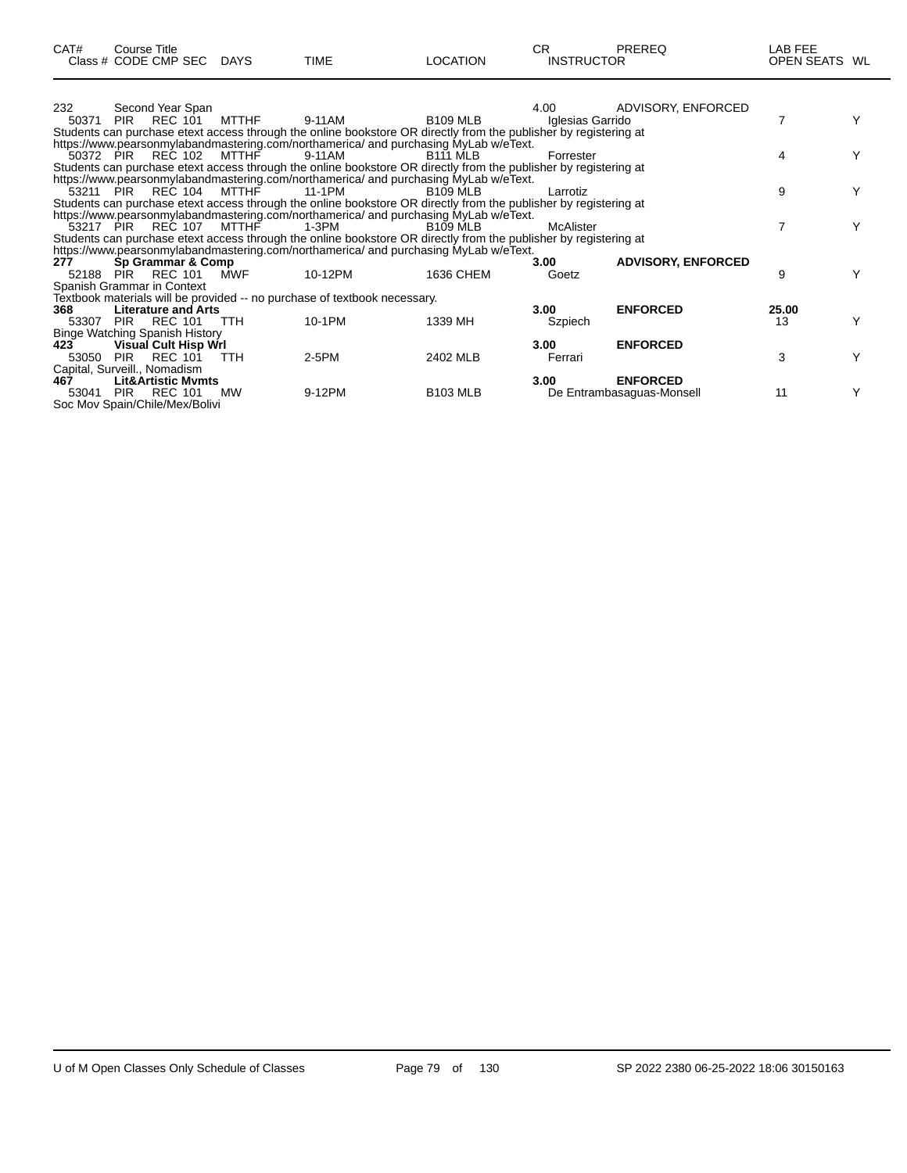| CAT# | Course Title              |      |                 | СR                | PREREQ | ∟AB FEE       |
|------|---------------------------|------|-----------------|-------------------|--------|---------------|
|      | Class # CODE CMP SEC DAYS | TIME | <b>LOCATION</b> | <b>INSTRUCTOR</b> |        | OPEN SEATS WL |
|      |                           |      |                 |                   |        |               |

| 232<br>50371 | Second Year Span<br>REC 101<br>PIR    | MTTHF      | 9-11AM<br>Students can purchase etext access through the online bookstore OR directly from the publisher by registering at | <b>B109 MLB</b> | 4.00<br>Iglesias Garrido | ADVISORY, ENFORCED        |       |  |
|--------------|---------------------------------------|------------|----------------------------------------------------------------------------------------------------------------------------|-----------------|--------------------------|---------------------------|-------|--|
|              | 50372 PIR REC 102 MTTHF               |            | https://www.pearsonmylabandmastering.com/northamerica/ and purchasing MyLab w/eText.<br>9-11AM                             | <b>B111 MLB</b> | Forrester                |                           | 4     |  |
|              |                                       |            | Students can purchase etext access through the online bookstore OR directly from the publisher by registering at           |                 |                          |                           |       |  |
|              |                                       |            | https://www.pearsonmylabandmastering.com/northamerica/ and purchasing MyLab w/eText.                                       |                 |                          |                           |       |  |
|              | 53211 PIR REC 104 MTTHF               |            | 11-1PM                                                                                                                     | <b>B109 MLB</b> | Larrotiz                 |                           | 9     |  |
|              |                                       |            | Students can purchase etext access through the online bookstore OR directly from the publisher by registering at           |                 |                          |                           |       |  |
|              |                                       |            | https://www.pearsonmylabandmastering.com/northamerica/ and purchasing MyLab w/eText.                                       |                 |                          |                           |       |  |
|              | 53217 PIR REC 107 MTTHF               |            | 1-3PM                                                                                                                      | <b>B109 MLB</b> | McAlister                |                           |       |  |
|              |                                       |            | Students can purchase etext access through the online bookstore OR directly from the publisher by registering at           |                 |                          |                           |       |  |
|              |                                       |            | https://www.pearsonmylabandmastering.com/northamerica/ and purchasing MyLab w/eText.                                       |                 |                          |                           |       |  |
| 277          | Sp Grammar & Comp                     |            |                                                                                                                            |                 | 3.00                     | <b>ADVISORY, ENFORCED</b> |       |  |
| 52188        | PIR REC 101                           | MWF        | 10-12PM                                                                                                                    | 1636 CHEM       | Goetz                    |                           | 9     |  |
|              | Spanish Grammar in Context            |            |                                                                                                                            |                 |                          |                           |       |  |
|              |                                       |            | Textbook materials will be provided -- no purchase of textbook necessary.                                                  |                 |                          |                           |       |  |
| 368          | <b>Literature and Arts</b>            |            |                                                                                                                            |                 | 3.00 <sub>1</sub>        | <b>ENFORCED</b>           | 25.00 |  |
| 53307        | REC 101<br>PIR                        | <b>TTH</b> | 10-1PM                                                                                                                     | 1339 MH         | Szpiech                  |                           | 13    |  |
|              | <b>Binge Watching Spanish History</b> |            |                                                                                                                            |                 |                          |                           |       |  |
| 423          | <b>Visual Cult Hisp Wrl</b>           |            |                                                                                                                            |                 | 3.00                     | <b>ENFORCED</b>           |       |  |
| 53050        | REC 101<br><b>PIR</b>                 | <b>TTH</b> | $2-5PM$                                                                                                                    | 2402 MLB        | Ferrari                  |                           | 3     |  |
|              | Capital, Surveill., Nomadism          |            |                                                                                                                            |                 |                          |                           |       |  |
| 467          | <b>Lit&amp;Artistic Mymts</b>         |            |                                                                                                                            |                 | 3.00                     | <b>ENFORCED</b>           |       |  |
| 53041        | <b>REC 101</b><br><b>PIR</b>          | <b>MW</b>  | 9-12PM                                                                                                                     | <b>B103 MLB</b> |                          | De Entrambasaguas-Monsell | 11    |  |
|              | Soc Mov Spain/Chile/Mex/Bolivi        |            |                                                                                                                            |                 |                          |                           |       |  |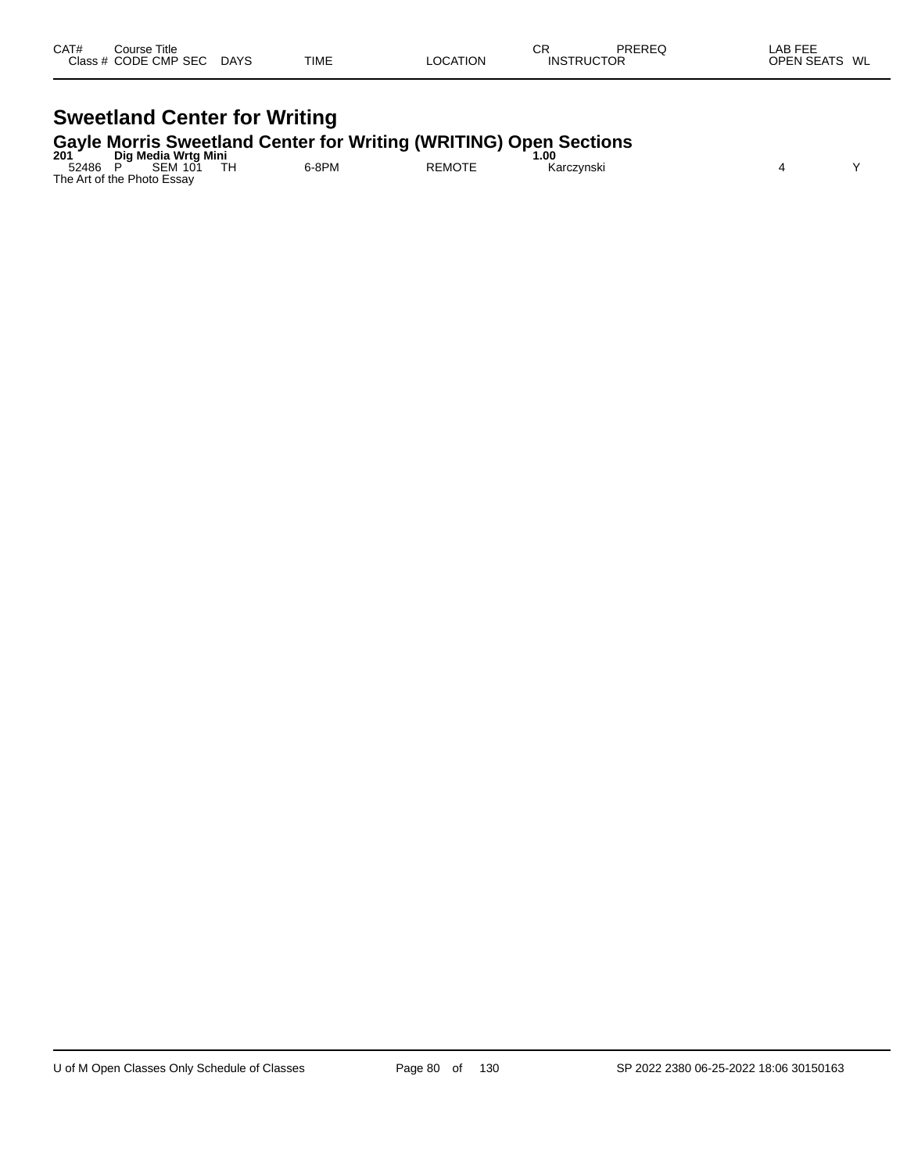| CAT# | Course Title         |             |             |                 | СR                | PREREQ | _AB FEE       |  |
|------|----------------------|-------------|-------------|-----------------|-------------------|--------|---------------|--|
|      | Class # CODE CMP SEC | <b>DAYS</b> | <b>TIME</b> | <b>LOCATION</b> | <b>INSTRUCTOR</b> |        | OPEN SEATS WL |  |
|      |                      |             |             |                 |                   |        |               |  |

## **Sweetland Center for Writing Gayle Morris Sweetland Center for Writing (WRITING) Open Sections 201 Dig Media Wrtg Mini 1.00**

| $201 -$ | Dia Media Wrta Mini        |       |               | .00        |  |
|---------|----------------------------|-------|---------------|------------|--|
| 52486   | <b>SEM 101</b>             | 6-8PM | <b>REMOTE</b> | Karczynski |  |
|         | The Art of the Photo Essay |       |               |            |  |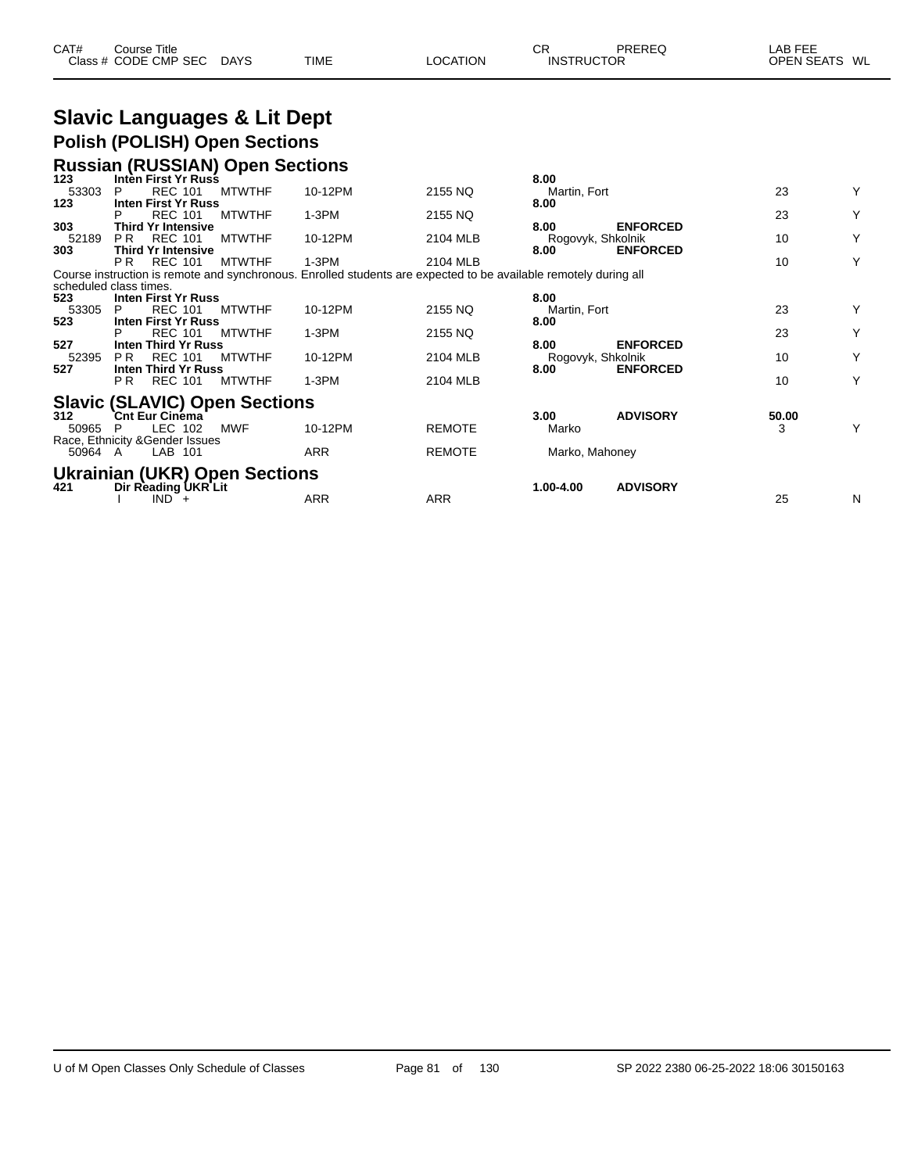### **Slavic Languages & Lit Dept Polish (POLISH) Open Sections**

#### **Russian (RUSSIAN) Open Sections**

| 23<br><b>REC 101</b><br>10-12PM<br>2155 NQ<br>53303<br><b>MTWTHF</b><br>P<br>Martin, Fort<br>123<br>Inten First Yr Russ<br>8.00<br><b>REC 101</b><br>23<br><b>MTWTHF</b><br>1-3PM<br>2155 NQ<br>303<br>8.00<br><b>ENFORCED</b><br>Third Yr Intensive<br><b>REC 101</b><br>10-12PM<br>10<br><b>MTWTHF</b><br>2104 MLB<br>Rogovyk, Shkolnik<br>52189<br>PR.<br><b>ENFORCED</b><br><b>Third Yr Intensive</b><br>8.00<br>303<br><b>REC 101</b><br><b>MTWTHF</b><br>10<br>P R<br>1-3PM<br>2104 MLB<br>Course instruction is remote and synchronous. Enrolled students are expected to be available remotely during all<br>scheduled class times.<br>8.00<br><b>Inten First Yr Russ</b><br>523<br>23<br>Y<br>53305<br><b>REC 101</b><br>10-12PM<br>2155 NQ<br>MTWTHF<br>P<br>Martin, Fort<br>523<br>Inten First Yr Russ<br>8.00<br>Y<br>23<br><b>REC 101</b><br><b>MTWTHF</b><br>$1-3PM$<br>2155 NQ<br>527<br><b>ENFORCED</b><br>Inten Third Yr Russ<br>8.00<br><b>REC 101</b><br>10-12PM<br>Rogovyk, Shkolnik<br>10<br>52395<br>P <sub>R</sub><br>2104 MLB<br>MTWTHF<br>Inten Third Yr Russ<br><b>ENFORCED</b><br>527<br>8.00<br><b>REC 101</b><br><b>MTWTHF</b><br>$1-3PM$<br>2104 MLB<br>10<br>PR.<br><b>Slavic (SLAVIC) Open Sections</b><br><b>Cnt Eur Cinéma</b><br><b>ADVISORY</b><br>50.00<br>312<br>3.00<br>LEC 102<br>10-12PM<br><b>REMOTE</b><br>MWF<br>50965<br>P<br>Marko<br>3<br>Race, Ethnicity & Gender Issues<br>ARR<br><b>REMOTE</b><br>LAB 101<br>Marko, Mahoney<br>50964 A<br><b>Ukrainian (UKR) Open Sections</b><br>Dir Reading UKR Lit<br><b>ADVISORY</b><br>1.00-4.00<br>421<br><b>ARR</b><br>25<br><b>ARR</b><br>$IND +$ | 123 | Inten First Yr Russ |  | 8.00 |  |   |
|---------------------------------------------------------------------------------------------------------------------------------------------------------------------------------------------------------------------------------------------------------------------------------------------------------------------------------------------------------------------------------------------------------------------------------------------------------------------------------------------------------------------------------------------------------------------------------------------------------------------------------------------------------------------------------------------------------------------------------------------------------------------------------------------------------------------------------------------------------------------------------------------------------------------------------------------------------------------------------------------------------------------------------------------------------------------------------------------------------------------------------------------------------------------------------------------------------------------------------------------------------------------------------------------------------------------------------------------------------------------------------------------------------------------------------------------------------------------------------------------------------------------------------------------------------------------------------------------------------------------------------------------|-----|---------------------|--|------|--|---|
|                                                                                                                                                                                                                                                                                                                                                                                                                                                                                                                                                                                                                                                                                                                                                                                                                                                                                                                                                                                                                                                                                                                                                                                                                                                                                                                                                                                                                                                                                                                                                                                                                                             |     |                     |  |      |  | Y |
|                                                                                                                                                                                                                                                                                                                                                                                                                                                                                                                                                                                                                                                                                                                                                                                                                                                                                                                                                                                                                                                                                                                                                                                                                                                                                                                                                                                                                                                                                                                                                                                                                                             |     |                     |  |      |  |   |
|                                                                                                                                                                                                                                                                                                                                                                                                                                                                                                                                                                                                                                                                                                                                                                                                                                                                                                                                                                                                                                                                                                                                                                                                                                                                                                                                                                                                                                                                                                                                                                                                                                             |     |                     |  |      |  | Y |
|                                                                                                                                                                                                                                                                                                                                                                                                                                                                                                                                                                                                                                                                                                                                                                                                                                                                                                                                                                                                                                                                                                                                                                                                                                                                                                                                                                                                                                                                                                                                                                                                                                             |     |                     |  |      |  | Y |
|                                                                                                                                                                                                                                                                                                                                                                                                                                                                                                                                                                                                                                                                                                                                                                                                                                                                                                                                                                                                                                                                                                                                                                                                                                                                                                                                                                                                                                                                                                                                                                                                                                             |     |                     |  |      |  |   |
|                                                                                                                                                                                                                                                                                                                                                                                                                                                                                                                                                                                                                                                                                                                                                                                                                                                                                                                                                                                                                                                                                                                                                                                                                                                                                                                                                                                                                                                                                                                                                                                                                                             |     |                     |  |      |  | Y |
|                                                                                                                                                                                                                                                                                                                                                                                                                                                                                                                                                                                                                                                                                                                                                                                                                                                                                                                                                                                                                                                                                                                                                                                                                                                                                                                                                                                                                                                                                                                                                                                                                                             |     |                     |  |      |  |   |
|                                                                                                                                                                                                                                                                                                                                                                                                                                                                                                                                                                                                                                                                                                                                                                                                                                                                                                                                                                                                                                                                                                                                                                                                                                                                                                                                                                                                                                                                                                                                                                                                                                             |     |                     |  |      |  |   |
|                                                                                                                                                                                                                                                                                                                                                                                                                                                                                                                                                                                                                                                                                                                                                                                                                                                                                                                                                                                                                                                                                                                                                                                                                                                                                                                                                                                                                                                                                                                                                                                                                                             |     |                     |  |      |  |   |
|                                                                                                                                                                                                                                                                                                                                                                                                                                                                                                                                                                                                                                                                                                                                                                                                                                                                                                                                                                                                                                                                                                                                                                                                                                                                                                                                                                                                                                                                                                                                                                                                                                             |     |                     |  |      |  |   |
|                                                                                                                                                                                                                                                                                                                                                                                                                                                                                                                                                                                                                                                                                                                                                                                                                                                                                                                                                                                                                                                                                                                                                                                                                                                                                                                                                                                                                                                                                                                                                                                                                                             |     |                     |  |      |  |   |
|                                                                                                                                                                                                                                                                                                                                                                                                                                                                                                                                                                                                                                                                                                                                                                                                                                                                                                                                                                                                                                                                                                                                                                                                                                                                                                                                                                                                                                                                                                                                                                                                                                             |     |                     |  |      |  |   |
|                                                                                                                                                                                                                                                                                                                                                                                                                                                                                                                                                                                                                                                                                                                                                                                                                                                                                                                                                                                                                                                                                                                                                                                                                                                                                                                                                                                                                                                                                                                                                                                                                                             |     |                     |  |      |  | Y |
|                                                                                                                                                                                                                                                                                                                                                                                                                                                                                                                                                                                                                                                                                                                                                                                                                                                                                                                                                                                                                                                                                                                                                                                                                                                                                                                                                                                                                                                                                                                                                                                                                                             |     |                     |  |      |  |   |
|                                                                                                                                                                                                                                                                                                                                                                                                                                                                                                                                                                                                                                                                                                                                                                                                                                                                                                                                                                                                                                                                                                                                                                                                                                                                                                                                                                                                                                                                                                                                                                                                                                             |     |                     |  |      |  | Y |
|                                                                                                                                                                                                                                                                                                                                                                                                                                                                                                                                                                                                                                                                                                                                                                                                                                                                                                                                                                                                                                                                                                                                                                                                                                                                                                                                                                                                                                                                                                                                                                                                                                             |     |                     |  |      |  |   |
|                                                                                                                                                                                                                                                                                                                                                                                                                                                                                                                                                                                                                                                                                                                                                                                                                                                                                                                                                                                                                                                                                                                                                                                                                                                                                                                                                                                                                                                                                                                                                                                                                                             |     |                     |  |      |  |   |
|                                                                                                                                                                                                                                                                                                                                                                                                                                                                                                                                                                                                                                                                                                                                                                                                                                                                                                                                                                                                                                                                                                                                                                                                                                                                                                                                                                                                                                                                                                                                                                                                                                             |     |                     |  |      |  | Y |
|                                                                                                                                                                                                                                                                                                                                                                                                                                                                                                                                                                                                                                                                                                                                                                                                                                                                                                                                                                                                                                                                                                                                                                                                                                                                                                                                                                                                                                                                                                                                                                                                                                             |     |                     |  |      |  |   |
|                                                                                                                                                                                                                                                                                                                                                                                                                                                                                                                                                                                                                                                                                                                                                                                                                                                                                                                                                                                                                                                                                                                                                                                                                                                                                                                                                                                                                                                                                                                                                                                                                                             |     |                     |  |      |  |   |
|                                                                                                                                                                                                                                                                                                                                                                                                                                                                                                                                                                                                                                                                                                                                                                                                                                                                                                                                                                                                                                                                                                                                                                                                                                                                                                                                                                                                                                                                                                                                                                                                                                             |     |                     |  |      |  |   |
|                                                                                                                                                                                                                                                                                                                                                                                                                                                                                                                                                                                                                                                                                                                                                                                                                                                                                                                                                                                                                                                                                                                                                                                                                                                                                                                                                                                                                                                                                                                                                                                                                                             |     |                     |  |      |  |   |
|                                                                                                                                                                                                                                                                                                                                                                                                                                                                                                                                                                                                                                                                                                                                                                                                                                                                                                                                                                                                                                                                                                                                                                                                                                                                                                                                                                                                                                                                                                                                                                                                                                             |     |                     |  |      |  | N |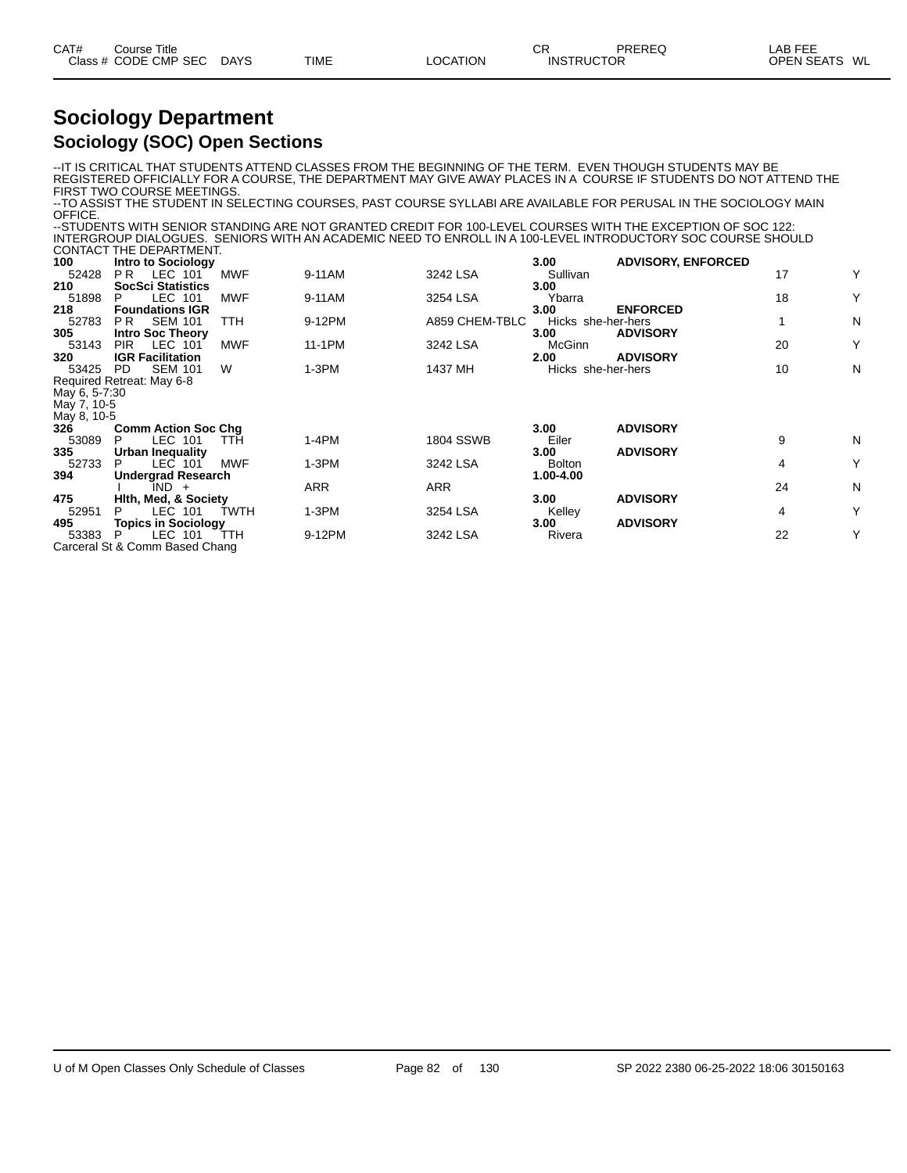| CAT# | Course Title         |             |             |                 | СR                | PREREQ | LAB FEE                 |
|------|----------------------|-------------|-------------|-----------------|-------------------|--------|-------------------------|
|      | Class # CODE CMP SEC | <b>DAYS</b> | <b>TIME</b> | <b>LOCATION</b> | <b>INSTRUCTOR</b> |        | <b>OPEN SEATS</b><br>WL |
|      |                      |             |             |                 |                   |        |                         |

#### **Sociology Department Sociology (SOC) Open Sections**

--IT IS CRITICAL THAT STUDENTS ATTEND CLASSES FROM THE BEGINNING OF THE TERM. EVEN THOUGH STUDENTS MAY BE REGISTERED OFFICIALLY FOR A COURSE, THE DEPARTMENT MAY GIVE AWAY PLACES IN A COURSE IF STUDENTS DO NOT ATTEND THE FIRST TWO COURSE MEETINGS.

--TO ASSIST THE STUDENT IN SELECTING COURSES, PAST COURSE SYLLABI ARE AVAILABLE FOR PERUSAL IN THE SOCIOLOGY MAIN OFFICE.

--STUDENTS WITH SENIOR STANDING ARE NOT GRANTED CREDIT FOR 100-LEVEL COURSES WITH THE EXCEPTION OF SOC 122: INTERGROUP DIALOGUES. SENIORS WITH AN ACADEMIC NEED TO ENROLL IN A 100-LEVEL INTRODUCTORY SOC COURSE SHOULD CONTACT THE DEPARTMENT.

| ────────────── |                                 |            |            |                  |                    |                           |    |   |
|----------------|---------------------------------|------------|------------|------------------|--------------------|---------------------------|----|---|
| 100            | <b>Intro to Sociology</b>       |            |            |                  | 3.00               | <b>ADVISORY, ENFORCED</b> |    |   |
| 52428          | LEC 101<br>PR.                  | MWF        | 9-11AM     | 3242 LSA         | Sullivan           |                           | 17 | Y |
| 210            | <b>SocSci Statistics</b>        |            |            |                  | 3.00               |                           |    |   |
| 51898          | LEC 101<br>P                    | <b>MWF</b> | 9-11AM     | 3254 LSA         | Ybarra             |                           | 18 | Y |
| 218            | <b>Foundations IGR</b>          |            |            |                  | 3.00               | <b>ENFORCED</b>           |    |   |
| 52783          | <b>SEM 101</b><br>PR.           | TTH        | 9-12PM     | A859 CHEM-TBLC   | Hicks she-her-hers |                           |    | N |
| 305            | <b>Intro Soc Theory</b>         |            |            |                  | 3.00               | <b>ADVISORY</b>           |    |   |
| 53143          | <b>PIR</b><br>LEC 101           | <b>MWF</b> | 11-1PM     | 3242 LSA         | McGinn             |                           | 20 | Y |
| 320            | <b>IGR Facilitation</b>         |            |            |                  | 2.00               | <b>ADVISORY</b>           |    |   |
| 53425          | <b>SEM 101</b><br>PD.           | W          | $1-3PM$    | 1437 MH          | Hicks she-her-hers |                           | 10 | N |
|                | Required Retreat: May 6-8       |            |            |                  |                    |                           |    |   |
| May 6, 5-7:30  |                                 |            |            |                  |                    |                           |    |   |
| May 7, 10-5    |                                 |            |            |                  |                    |                           |    |   |
| May 8, 10-5    |                                 |            |            |                  |                    |                           |    |   |
| 326            | <b>Comm Action Soc Chg</b>      |            |            |                  | 3.00               | <b>ADVISORY</b>           |    |   |
| 53089          | LEC 101<br>P.                   | <b>TTH</b> | 1-4PM      | <b>1804 SSWB</b> | Eiler              |                           | 9  | N |
| 335            | Urban Inequality                |            |            |                  | 3.00               | <b>ADVISORY</b>           |    |   |
| 52733          | LEC 101                         | MWF        | $1-3PM$    | 3242 LSA         | <b>Bolton</b>      |                           | 4  | Y |
| 394            | <b>Undergrad Research</b>       |            |            |                  | 1.00-4.00          |                           |    |   |
|                | $\overline{1}ND +$              |            | <b>ARR</b> | ARR              |                    |                           | 24 | N |
| 475            | <b>Hith, Med, &amp; Society</b> |            |            |                  | 3.00               | <b>ADVISORY</b>           |    |   |
| 52951          | LEC 101<br>P.                   | TWTH       | $1-3PM$    | 3254 LSA         | Kelley             |                           | 4  | Y |
| 495            | <b>Topics in Sociology</b>      |            |            |                  | 3.00               | <b>ADVISORY</b>           |    |   |
| 53383          | LEC 101<br>P                    | TTH        | 9-12PM     | 3242 LSA         | Rivera             |                           | 22 | Υ |
|                | Carceral St & Comm Based Chang  |            |            |                  |                    |                           |    |   |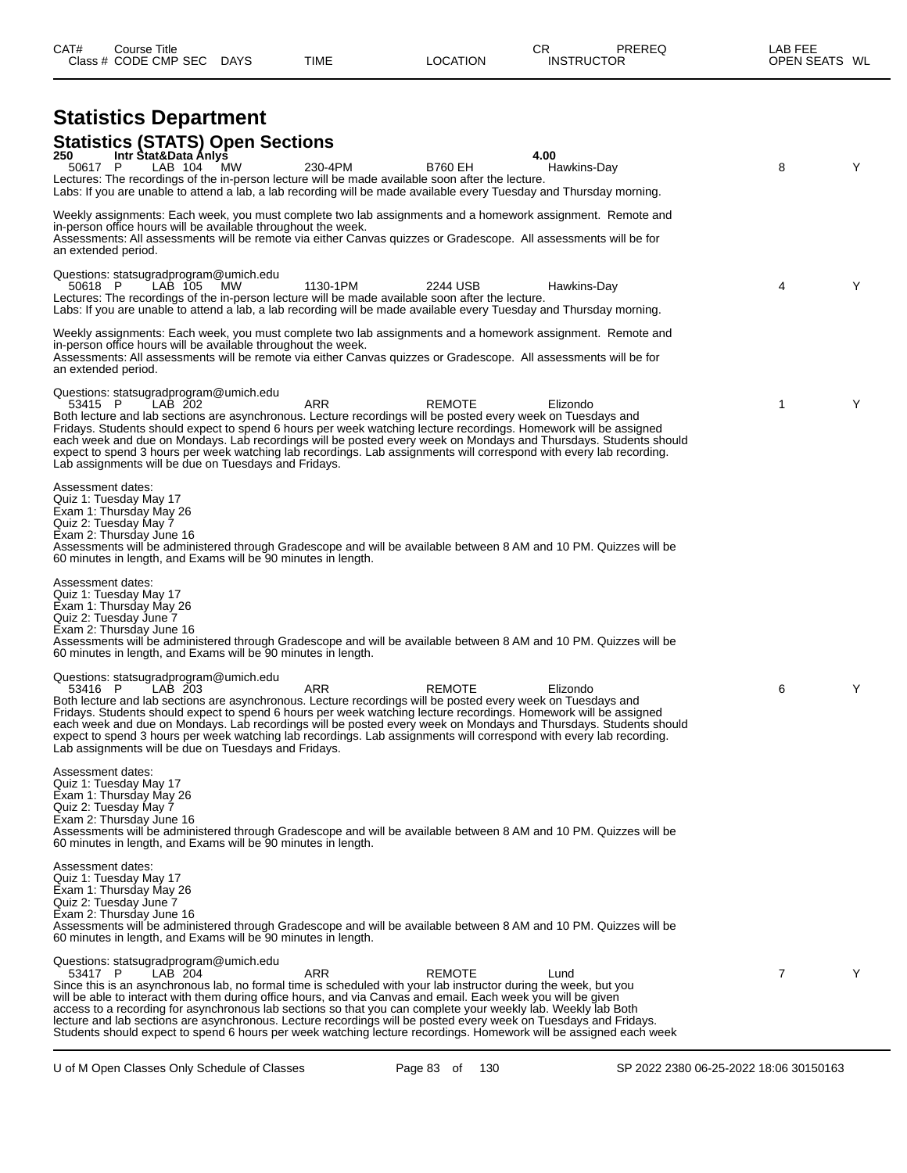| CAT# | ourse Titleٽ         |             |             |                 | Ωn<br>◡◚          | <b>PREREQ</b> | LAB FEE       |  |
|------|----------------------|-------------|-------------|-----------------|-------------------|---------------|---------------|--|
|      | Class # CODE CMP SEC | <b>DAYS</b> | <b>TIME</b> | <b>LOCATION</b> | <b>INSTRUCTOR</b> |               | OPEN SEATS WL |  |
|      |                      |             |             |                 |                   |               |               |  |

#### **Statistics Department Statistics (STATS) Open Sections 250 Intr Stat&Data Anlys 4.00** 50617 P LAB 104 MW 230-4PM B760 EH Hawkins-Day 8 Y Lectures: The recordings of the in-person lecture will be made available soon after the lecture. Labs: If you are unable to attend a lab, a lab recording will be made available every Tuesday and Thursday morning. Weekly assignments: Each week, you must complete two lab assignments and a homework assignment. Remote and in-person office hours will be available throughout the week. Assessments: All assessments will be remote via either Canvas quizzes or Gradescope. All assessments will be for an extended period. Questions: statsugradprogram@umich.edu 50618 P LAB 105 MW 1130-1PM 2244 USB Hawkins-Day 4 Y Lectures: The recordings of the in-person lecture will be made available soon after the lecture. Labs: If you are unable to attend a lab, a lab recording will be made available every Tuesday and Thursday morning. Weekly assignments: Each week, you must complete two lab assignments and a homework assignment. Remote and in-person office hours will be available throughout the week. Assessments: All assessments will be remote via either Canvas quizzes or Gradescope. All assessments will be for an extended period. Questions: statsugradprogram@umich.edu<br>53415 P LAB 202 53415 P LAB 202 ARR REMOTE Elizondo 1 Y Both lecture and lab sections are asynchronous. Lecture recordings will be posted every week on Tuesdays and Fridays. Students should expect to spend 6 hours per week watching lecture recordings. Homework will be assigned each week and due on Mondays. Lab recordings will be posted every week on Mondays and Thursdays. Students should expect to spend 3 hours per week watching lab recordings. Lab assignments will correspond with every lab recording. Lab assignments will be due on Tuesdays and Fridays. Assessment dates: Quiz 1: Tuesday May 17 Exam 1: Thursday May 26 Quiz 2: Tuesday May 7 Exam 2: Thursday June 16 Assessments will be administered through Gradescope and will be available between 8 AM and 10 PM. Quizzes will be 60 minutes in length, and Exams will be 90 minutes in length. Assessment dates: Quiz 1: Tuesday May 17 Exam 1: Thursday May 26 Quiz 2: Tuesday June 7 Exam 2: Thursday June 16 Assessments will be administered through Gradescope and will be available between 8 AM and 10 PM. Quizzes will be 60 minutes in length, and Exams will be 90 minutes in length. Questions: statsugradprogram@umich.edu<br>53416 P LAB 203 53416 P LAB 203 ARR REMOTE Elizondo 6 Y Both lecture and lab sections are asynchronous. Lecture recordings will be posted every week on Tuesdays and Fridays. Students should expect to spend 6 hours per week watching lecture recordings. Homework will be assigned each week and due on Mondays. Lab recordings will be posted every week on Mondays and Thursdays. Students should expect to spend 3 hours per week watching lab recordings. Lab assignments will correspond with every lab recording. Lab assignments will be due on Tuesdays and Fridays. Assessment dates: Quiz 1: Tuesday May 17 Exam 1: Thursday May 26 Quiz 2: Tuesday May 7 Exam 2: Thursday June 16 Assessments will be administered through Gradescope and will be available between 8 AM and 10 PM. Quizzes will be 60 minutes in length, and Exams will be 90 minutes in length. Assessment dates: Quiz 1: Tuesday May 17 Exam 1: Thursday May 26 Quiz 2: Tuesday June 7 Exam 2: Thursday June 16 Assessments will be administered through Gradescope and will be available between 8 AM and 10 PM. Quizzes will be 60 minutes in length, and Exams will be 90 minutes in length. Questions: statsugradprogram@umich.edu<br>53417 P LAB 204 53417 P LAB 204 ARR REMOTE Lund 7 Y Since this is an asynchronous lab, no formal time is scheduled with your lab instructor during the week, but you will be able to interact with them during office hours, and via Canvas and email. Each week you will be given access to a recording for asynchronous lab sections so that you can complete your weekly lab. Weekly lab Both lecture and lab sections are asynchronous. Lecture recordings will be posted every week on Tuesdays and Fridays. Students should expect to spend 6 hours per week watching lecture recordings. Homework will be assigned each week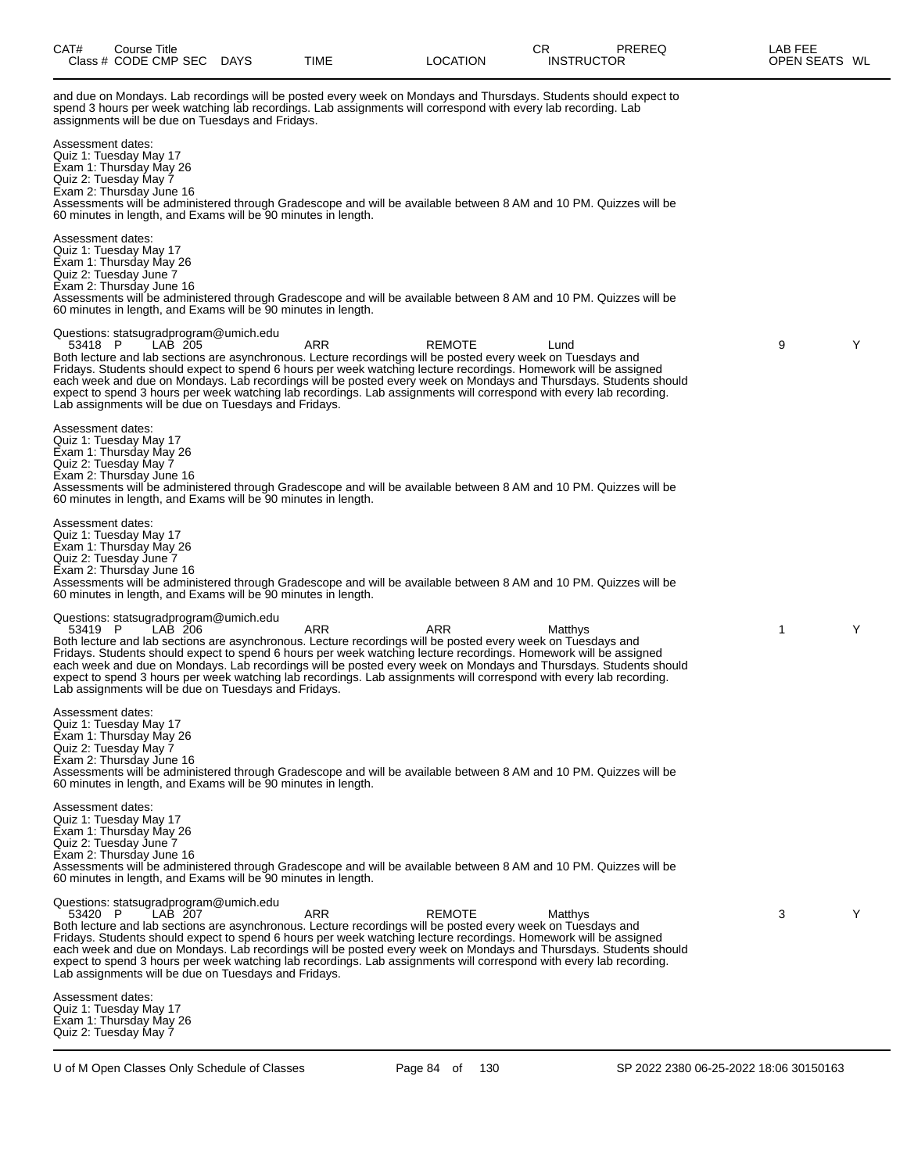| CAT#                                                                                                                         | <b>Course Title</b> | Class # CODE CMP SEC DAYS |                                                  | <b>TIME</b>                                                   | <b>LOCATION</b> | СR<br>PREREQ<br><b>INSTRUCTOR</b>                                                                                                                                                                                                                                                                                                                                                                                                                                                      | LAB FEE<br>OPEN SEATS WL |   |
|------------------------------------------------------------------------------------------------------------------------------|---------------------|---------------------------|--------------------------------------------------|---------------------------------------------------------------|-----------------|----------------------------------------------------------------------------------------------------------------------------------------------------------------------------------------------------------------------------------------------------------------------------------------------------------------------------------------------------------------------------------------------------------------------------------------------------------------------------------------|--------------------------|---|
|                                                                                                                              |                     |                           | assignments will be due on Tuesdays and Fridays. |                                                               |                 | and due on Mondays. Lab recordings will be posted every week on Mondays and Thursdays. Students should expect to<br>spend 3 hours per week watching lab recordings. Lab assignments will correspond with every lab recording. Lab                                                                                                                                                                                                                                                      |                          |   |
| Assessment dates:<br>Quiz 1: Tuesday May 17<br>Exam 1: Thursday May 26<br>Quiz 2: Tuesday May 7<br>Exam 2: Thursday June 16  |                     |                           |                                                  | 60 minutes in length, and Exams will be 90 minutes in length. |                 | Assessments will be administered through Gradescope and will be available between 8 AM and 10 PM. Quizzes will be                                                                                                                                                                                                                                                                                                                                                                      |                          |   |
| Assessment dates:<br>Quiz 1: Tuesday May 17<br>Exam 1: Thursday May 26<br>Quiz 2: Tuesday June 7<br>Exam 2: Thursday June 16 |                     |                           |                                                  | 60 minutes in length, and Exams will be 90 minutes in length. |                 | Assessments will be administered through Gradescope and will be available between 8 AM and 10 PM. Quizzes will be                                                                                                                                                                                                                                                                                                                                                                      |                          |   |
| 53418 P                                                                                                                      |                     | LAB 205                   | Questions: statsugradprogram@umich.edu           | ARR<br>Lab assignments will be due on Tuesdays and Fridays.   | <b>REMOTE</b>   | Lund<br>Both lecture and lab sections are asynchronous. Lecture recordings will be posted every week on Tuesdays and<br>Fridays. Students should expect to spend 6 hours per week watching lecture recordings. Homework will be assigned<br>each week and due on Mondays. Lab recordings will be posted every week on Mondays and Thursdays. Students should<br>expect to spend 3 hours per week watching lab recordings. Lab assignments will correspond with every lab recording.    | 9                        | Υ |
| Assessment dates:<br>Quiz 1: Tuesday May 17<br>Exam 1: Thursday May 26<br>Quiz 2: Tuesday May 7<br>Exam 2: Thursday June 16  |                     |                           |                                                  | 60 minutes in length, and Exams will be 90 minutes in length. |                 | Assessments will be administered through Gradescope and will be available between 8 AM and 10 PM. Quizzes will be                                                                                                                                                                                                                                                                                                                                                                      |                          |   |
| Assessment dates:<br>Quiz 1: Tuesday May 17<br>Exam 1: Thursday May 26<br>Quiz 2: Tuesday June 7<br>Exam 2: Thursday June 16 |                     |                           |                                                  | 60 minutes in length, and Exams will be 90 minutes in length. |                 | Assessments will be administered through Gradescope and will be available between 8 AM and 10 PM. Quizzes will be                                                                                                                                                                                                                                                                                                                                                                      |                          |   |
| 53419 P                                                                                                                      |                     | LAB 206                   | Questions: statsugradprogram@umich.edu           | ARR<br>Lab assignments will be due on Tuesdays and Fridays.   | <b>ARR</b>      | Matthys<br>Both lecture and lab sections are asynchronous. Lecture recordings will be posted every week on Tuesdays and<br>Fridays. Students should expect to spend 6 hours per week watching lecture recordings. Homework will be assigned<br>each week and due on Mondays. Lab recordings will be posted every week on Mondays and Thursdays. Students should<br>expect to spend 3 hours per week watching lab recordings. Lab assignments will correspond with every lab recording. | $\mathbf{1}$             | Υ |
| Assessment dates:<br>Quiz 1: Tuesday May 17<br>Exam 1: Thursday May 26<br>Quiz 2: Tuesday May 7<br>Exam 2: Thursday June 16  |                     |                           |                                                  | 60 minutes in length, and Exams will be 90 minutes in length. |                 | Assessments will be administered through Gradescope and will be available between 8 AM and 10 PM. Quizzes will be                                                                                                                                                                                                                                                                                                                                                                      |                          |   |
| Assessment dates:<br>Quiz 1: Tuesday May 17<br>Exam 1: Thursday May 26<br>Quiz 2: Tuesday June 7<br>Exam 2: Thursday June 16 |                     |                           |                                                  | 60 minutes in length, and Exams will be 90 minutes in length. |                 | Assessments will be administered through Gradescope and will be available between 8 AM and 10 PM. Quizzes will be                                                                                                                                                                                                                                                                                                                                                                      |                          |   |
| 53420 P                                                                                                                      |                     | LAB 207                   | Questions: statsugradprogram@umich.edu           | ARR<br>Lab assignments will be due on Tuesdays and Fridays.   | <b>REMOTE</b>   | Matthys<br>Both lecture and lab sections are asynchronous. Lecture recordings will be posted every week on Tuesdays and<br>Fridays. Students should expect to spend 6 hours per week watching lecture recordings. Homework will be assigned<br>each week and due on Mondays. Lab recordings will be posted every week on Mondays and Thursdays. Students should<br>expect to spend 3 hours per week watching lab recordings. Lab assignments will correspond with every lab recording. | 3                        | Y |
| Assessment dates:<br>Quiz 1: Tuesday May 17<br>Exam 1: Thursday May 26<br>Quiz 2: Tuesday May 7                              |                     |                           |                                                  |                                                               |                 |                                                                                                                                                                                                                                                                                                                                                                                                                                                                                        |                          |   |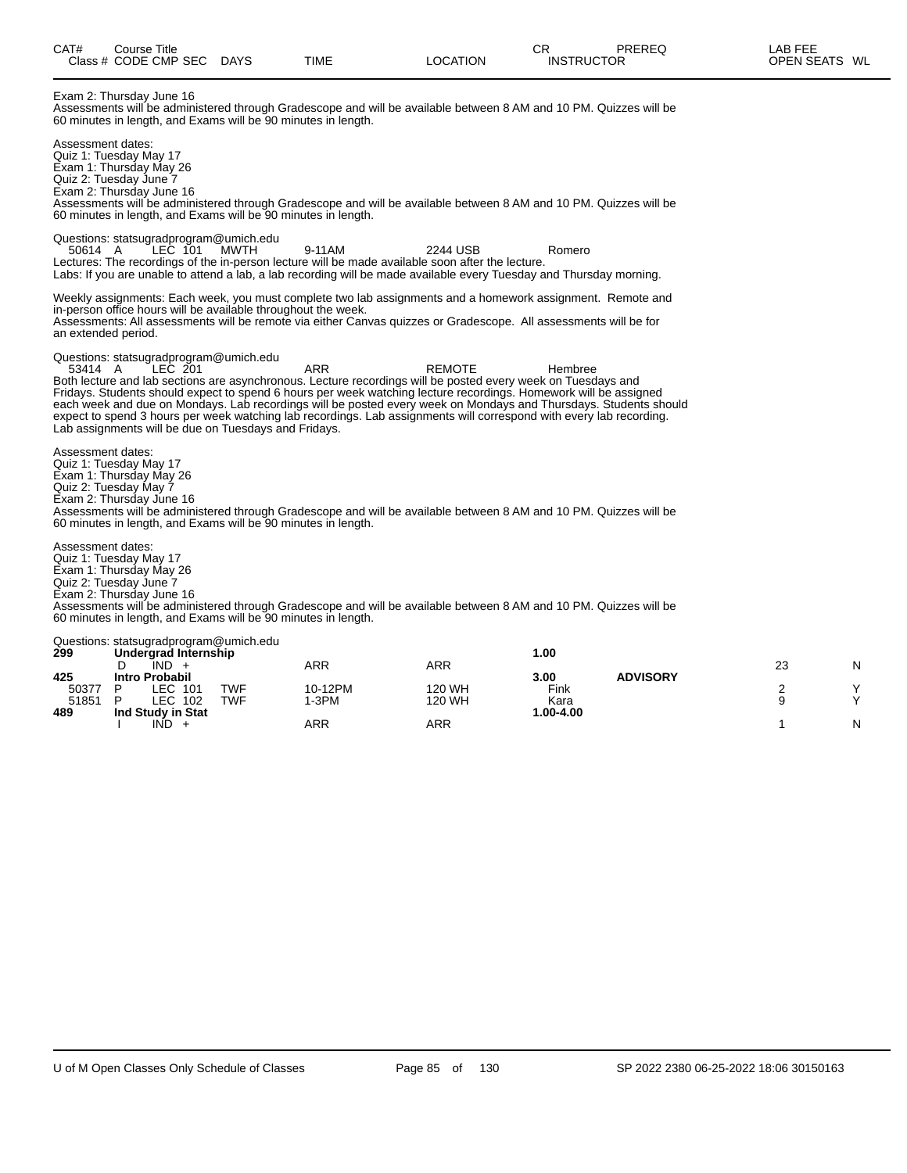| CAT#                  | Course Title<br>Class # CODE CMP SEC DAYS                                                                                                                                                                                                                                                                          |                          | <b>TIME</b>                                                                                                                                                                                                                                                                                                                                                                                                                                                                               | <b>LOCATION</b>  | <b>CR</b><br><b>INSTRUCTOR</b> | <b>PREREQ</b>   | LAB FEE<br>OPEN SEATS WL |        |  |
|-----------------------|--------------------------------------------------------------------------------------------------------------------------------------------------------------------------------------------------------------------------------------------------------------------------------------------------------------------|--------------------------|-------------------------------------------------------------------------------------------------------------------------------------------------------------------------------------------------------------------------------------------------------------------------------------------------------------------------------------------------------------------------------------------------------------------------------------------------------------------------------------------|------------------|--------------------------------|-----------------|--------------------------|--------|--|
|                       | Exam 2: Thursday June 16<br>60 minutes in length, and Exams will be 90 minutes in length.                                                                                                                                                                                                                          |                          | Assessments will be administered through Gradescope and will be available between 8 AM and 10 PM. Quizzes will be                                                                                                                                                                                                                                                                                                                                                                         |                  |                                |                 |                          |        |  |
| Assessment dates:     | Quiz 1: Tuesday May 17<br>Exam 1: Thursday May 26<br>Quiz 2: Tuesday June 7<br>Exam 2: Thursday June 16<br>60 minutes in length, and Exams will be 90 minutes in length.                                                                                                                                           |                          | Assessments will be administered through Gradescope and will be available between 8 AM and 10 PM. Quizzes will be                                                                                                                                                                                                                                                                                                                                                                         |                  |                                |                 |                          |        |  |
| 50614 A               | Questions: statsugradprogram@umich.edu<br>LEC 101                                                                                                                                                                                                                                                                  | MWTH                     | 9-11AM<br>Lectures: The recordings of the in-person lecture will be made available soon after the lecture.<br>Labs: If you are unable to attend a lab, a lab recording will be made available every Tuesday and Thursday morning.                                                                                                                                                                                                                                                         | 2244 USB         | Romero                         |                 |                          |        |  |
| an extended period.   | in-person office hours will be available throughout the week.                                                                                                                                                                                                                                                      |                          | Weekly assignments: Each week, you must complete two lab assignments and a homework assignment. Remote and<br>Assessments: All assessments will be remote via either Canvas quizzes or Gradescope. All assessments will be for                                                                                                                                                                                                                                                            |                  |                                |                 |                          |        |  |
|                       | Questions: statsugradprogram@umich.edu<br>53414 A LEC 201<br>Lab assignments will be due on Tuesdays and Fridays.                                                                                                                                                                                                  |                          | <b>ARR</b><br>Both lecture and lab sections are asynchronous. Lecture recordings will be posted every week on Tuesdays and<br>Fridays. Students should expect to spend 6 hours per week watching lecture recordings. Homework will be assigned<br>each week and due on Mondays. Lab recordings will be posted every week on Mondays and Thursdays. Students should<br>expect to spend 3 hours per week watching lab recordings. Lab assignments will correspond with every lab recording. | <b>REMOTE</b>    | Hembree                        |                 |                          |        |  |
| Assessment dates:     | Quiz 1: Tuesday May 17<br>Exam 1: Thursday May 26<br>Quiz 2: Tuesday May 7<br>Exam 2: Thursday June 16<br>60 minutes in length, and Exams will be 90 minutes in length.                                                                                                                                            |                          | Assessments will be administered through Gradescope and will be available between 8 AM and 10 PM. Quizzes will be                                                                                                                                                                                                                                                                                                                                                                         |                  |                                |                 |                          |        |  |
|                       | Assessment dates:<br>Quiz 1: Tuesday May 17<br>Exam 1: Thursday May 26<br>Quiz 2: Tuesday June 7<br>Exam 2: Thursday June 16<br>Assessments will be administered through Gradescope and will be available between 8 AM and 10 PM. Quizzes will be<br>60 minutes in length, and Exams will be 90 minutes in length. |                          |                                                                                                                                                                                                                                                                                                                                                                                                                                                                                           |                  |                                |                 |                          |        |  |
| 299                   | Questions: statsugradprogram@umich.edu<br><b>Undergrad Internship</b>                                                                                                                                                                                                                                              |                          |                                                                                                                                                                                                                                                                                                                                                                                                                                                                                           |                  | 1.00                           |                 |                          |        |  |
| 425                   | $IND +$<br>D.<br><b>Intro Probabil</b><br>P.                                                                                                                                                                                                                                                                       |                          | ARR                                                                                                                                                                                                                                                                                                                                                                                                                                                                                       | ARR              | 3.00                           | <b>ADVISORY</b> | 23                       | N      |  |
| 50377<br>51851<br>489 | LEC 101<br>P.<br>LEC 102<br>Ind Study in Stat                                                                                                                                                                                                                                                                      | <b>TWF</b><br><b>TWF</b> | 10-12PM<br>$1-3PM$                                                                                                                                                                                                                                                                                                                                                                                                                                                                        | 120 WH<br>120 WH | Fink<br>Kara<br>1.00-4.00      |                 | 2<br>9                   | Y<br>Υ |  |

I IND + ARR ARR ARR 1 N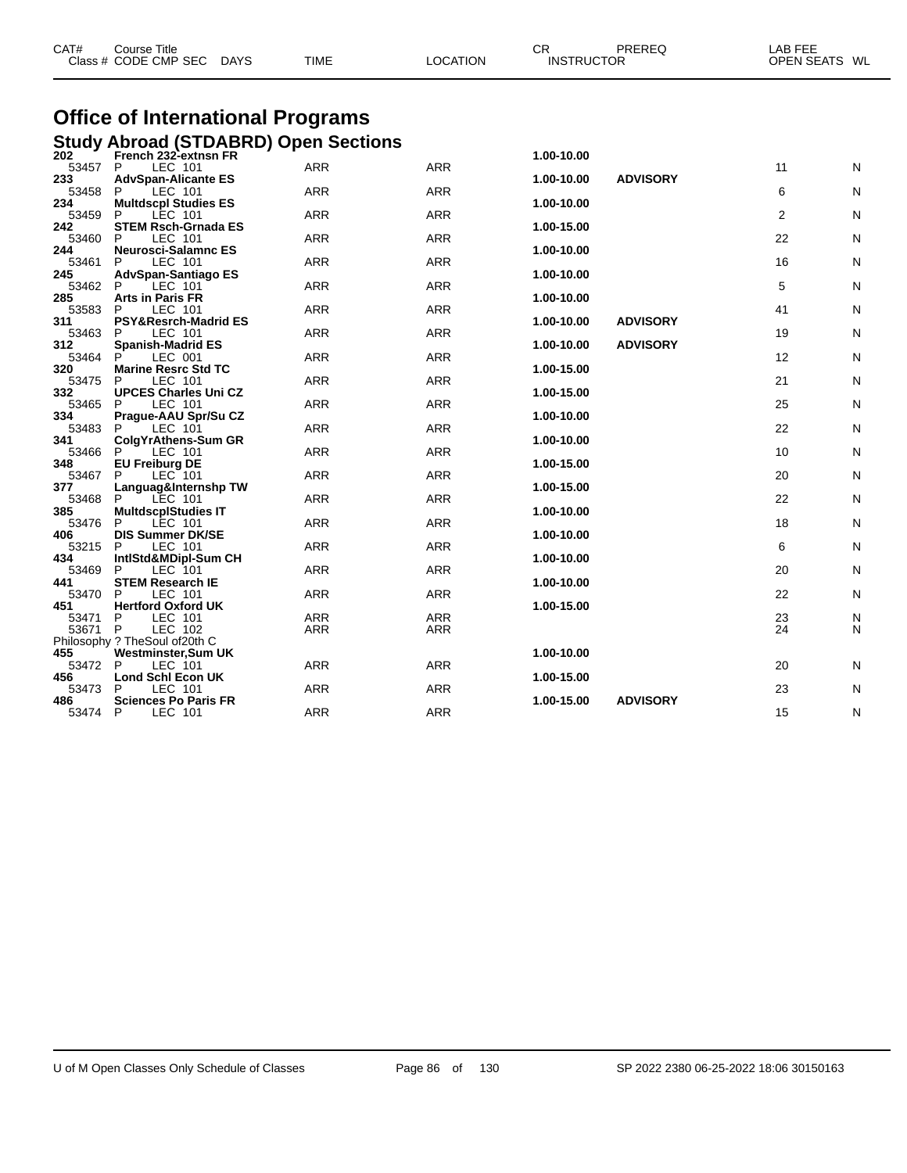| CAT#         | <b>Course Title</b><br>Class # CODE CMP SEC                         | <b>DAYS</b> | <b>TIME</b> | <b>LOCATION</b> | CR<br><b>INSTRUCTOR</b> | PREREQ          | LAB FEE<br>OPEN SEATS WL |   |
|--------------|---------------------------------------------------------------------|-------------|-------------|-----------------|-------------------------|-----------------|--------------------------|---|
|              | <b>Office of International Programs</b>                             |             |             |                 |                         |                 |                          |   |
|              | <b>Study Abroad (STDABRD) Open Sections</b><br>French 232-extnsn FR |             |             |                 | 1.00-10.00              |                 |                          |   |
| 202<br>53457 | LEC 101<br>P                                                        |             | <b>ARR</b>  | <b>ARR</b>      |                         |                 | 11                       | N |
| 233          | <b>AdvSpan-Alicante ES</b>                                          |             |             |                 | 1.00-10.00              | <b>ADVISORY</b> |                          |   |
| 53458        | LEC 101                                                             |             | <b>ARR</b>  | <b>ARR</b>      |                         |                 | 6                        | N |
| 234<br>53459 | <b>Multdscpl Studies ES</b><br>P<br>LEC 101                         |             | <b>ARR</b>  | <b>ARR</b>      | 1.00-10.00              |                 | 2                        | N |
| 242          | <b>STEM Rsch-Grnada ES</b>                                          |             |             |                 | 1.00-15.00              |                 |                          |   |
| 53460        | LEC 101<br>P                                                        |             | <b>ARR</b>  | <b>ARR</b>      |                         |                 | 22                       | N |
| 244          | <b>Neurosci-Salamnc ES</b>                                          |             |             |                 | 1.00-10.00              |                 |                          |   |
| 53461<br>245 | LEC 101<br>P<br><b>AdvSpan-Santiago ES</b>                          |             | <b>ARR</b>  | <b>ARR</b>      | 1.00-10.00              |                 | 16                       | N |
| 53462        | LEC 101<br>P                                                        |             | <b>ARR</b>  | <b>ARR</b>      |                         |                 | 5                        | N |
| 285          | <b>Arts in Paris FR</b>                                             |             |             |                 | 1.00-10.00              |                 |                          |   |
| 53583<br>311 | LEC 101<br>P<br><b>PSY&amp;Resrch-Madrid ES</b>                     |             | <b>ARR</b>  | <b>ARR</b>      | 1.00-10.00              | <b>ADVISORY</b> | 41                       | N |
| 53463        | LEC 101                                                             |             | <b>ARR</b>  | <b>ARR</b>      |                         |                 | 19                       | N |
| 312          | <b>Spanish-Madrid ES</b>                                            |             |             |                 | 1.00-10.00              | <b>ADVISORY</b> |                          |   |
| 53464        | LEC 001<br>P                                                        |             | <b>ARR</b>  | <b>ARR</b>      |                         |                 | 12                       | N |
| 320<br>53475 | <b>Marine Resrc Std TC</b><br>LEC 101<br>P                          |             | <b>ARR</b>  | <b>ARR</b>      | 1.00-15.00              |                 | 21                       | N |
| 332          | <b>UPCES Charles Uni CZ</b>                                         |             |             |                 | 1.00-15.00              |                 |                          |   |
| 53465        | LEC 101                                                             |             | <b>ARR</b>  | <b>ARR</b>      |                         |                 | 25                       | N |
| 334          | Prague-AAU Spr/Su CZ                                                |             |             |                 | 1.00-10.00              |                 |                          |   |
| 53483<br>341 | LEC 101<br>ColgYrAthens-Sum GR                                      |             | <b>ARR</b>  | <b>ARR</b>      | 1.00-10.00              |                 | 22                       | N |
| 53466        | LEC 101                                                             |             | <b>ARR</b>  | <b>ARR</b>      |                         |                 | 10                       | N |
| 348          | <b>EU Freiburg DE</b>                                               |             |             |                 | 1.00-15.00              |                 |                          |   |
| 53467<br>377 | $LEC^-$ 101<br>Languag&Internshp TW                                 |             | ARR         | <b>ARR</b>      | 1.00-15.00              |                 | 20                       | N |
| 53468        | P<br>LEC 101                                                        |             | <b>ARR</b>  | <b>ARR</b>      |                         |                 | 22                       | N |
| 385          | <b>MultdscplStudies IT</b>                                          |             |             |                 | 1.00-10.00              |                 |                          |   |
| 53476        | LEC 101<br>P                                                        |             | <b>ARR</b>  | <b>ARR</b>      |                         |                 | 18                       | N |
| 406          | <b>DIS Summer DK/SE</b><br>P                                        |             |             | <b>ARR</b>      | 1.00-10.00              |                 |                          |   |
| 53215<br>434 | LEC 101<br>IntlStd&MDipl-Sum CH                                     |             | ARR         |                 | 1.00-10.00              |                 | 6                        | N |
| 53469        | LEC 101<br>P                                                        |             | <b>ARR</b>  | <b>ARR</b>      |                         |                 | 20                       | N |
| 441          | <b>STEM Research IE</b>                                             |             |             |                 | 1.00-10.00              |                 |                          |   |
| 53470        | LEC 101<br>P                                                        |             | <b>ARR</b>  | <b>ARR</b>      |                         |                 | 22                       | N |
| 451<br>53471 | <b>Hertford Oxford UK</b><br>LEC 101<br>P                           |             | ARR         | <b>ARR</b>      | 1.00-15.00              |                 | 23                       | N |
| 53671        | P<br><b>LEC 102</b>                                                 |             | <b>ARR</b>  | <b>ARR</b>      |                         |                 | 24                       | N |

P LEC 101 ARR ARR 20 N

P LEC 101 ARR ARR 23 N

P LEC 101 ARR ARR 15 N

Philosophy ? TheSoul of20th C

**Westminster,Sum UK 1.00-10.00**

**Lond Schl Econ UK 1.00-15.00**

**Sciences Po Paris FR 1.00-15.00 ADVISORY**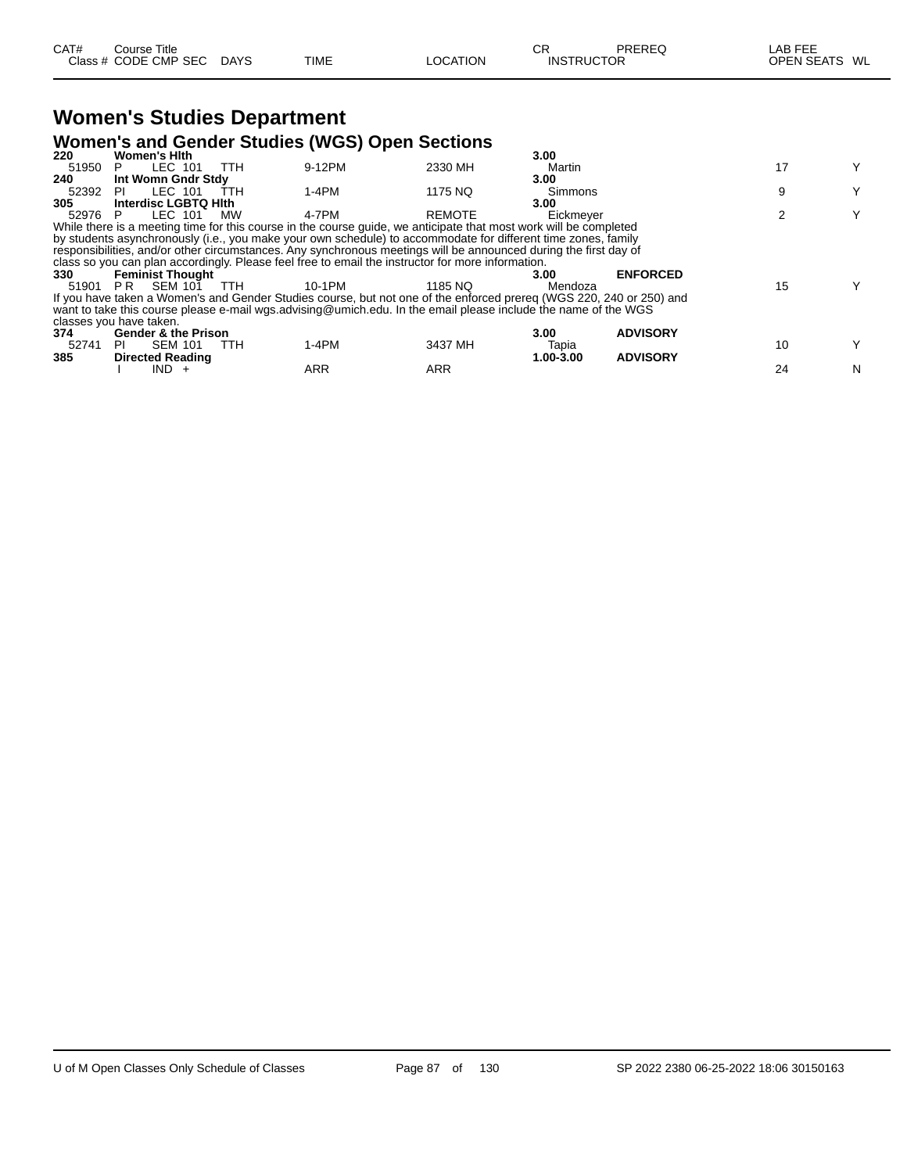| CAT# | ourse Titleٽ         |             |             |          | СR | PREREQ            | _AB FEE       |
|------|----------------------|-------------|-------------|----------|----|-------------------|---------------|
|      | Class # CODE CMP SEC | <b>DAYS</b> | <b>TIME</b> | LOCATION |    | <b>INSTRUCTOR</b> | OPEN SEATS WL |

## **Women's Studies Department Women's and Gender Studies (WGS) Open Sections 220 Women's Hlth 3.00**

| 220   | <b>Women's Hith</b>            |            |                                                                                                                     |         | 3.00      |                 |    |   |
|-------|--------------------------------|------------|---------------------------------------------------------------------------------------------------------------------|---------|-----------|-----------------|----|---|
| 51950 | LEC 101<br>P.                  | TTH.       | 9-12PM                                                                                                              | 2330 MH | Martin    |                 | 17 | Y |
| 240   | Int Womn Gndr Stdv             |            |                                                                                                                     |         | 3.00      |                 |    |   |
| 52392 | LEC 101<br>PL                  | TTH        | 1-4PM                                                                                                               | 1175 NQ | Simmons   |                 | 9  | Y |
| 305   | <b>Interdisc LGBTQ Hith</b>    |            |                                                                                                                     |         | 3.00      |                 |    |   |
| 52976 | LEC 101                        | <b>MW</b>  | 4-7PM                                                                                                               | REMOTE  | Eickmever |                 |    | Y |
|       |                                |            | While there is a meeting time for this course in the course guide, we anticipate that most work will be completed   |         |           |                 |    |   |
|       |                                |            | by students asynchronously (i.e., you make your own schedule) to accommodate for different time zones, family       |         |           |                 |    |   |
|       |                                |            | responsibilities, and/or other circumstances. Any synchronous meetings will be announced during the first day of    |         |           |                 |    |   |
|       |                                |            | class so you can plan accordingly. Please feel free to email the instructor for more information.                   |         |           |                 |    |   |
| 330   | <b>Feminist Thought</b>        |            |                                                                                                                     |         | 3.00      | <b>ENFORCED</b> |    |   |
| 51901 | SEM 101<br>PR                  | <b>TTH</b> | 10-1PM                                                                                                              | 1185 NQ | Mendoza   |                 | 15 |   |
|       |                                |            | If you have taken a Women's and Gender Studies course, but not one of the enforced prereg (WGS 220, 240 or 250) and |         |           |                 |    |   |
|       |                                |            | want to take this course please e-mail wgs.advising@umich.edu. In the email please include the name of the WGS      |         |           |                 |    |   |
|       | classes you have taken.        |            |                                                                                                                     |         |           |                 |    |   |
| 374   | <b>Gender &amp; the Prison</b> |            |                                                                                                                     |         | 3.00      | <b>ADVISORY</b> |    |   |
| 52741 | <b>SEM 101</b><br>PI           | <b>TTH</b> | 1-4PM                                                                                                               | 3437 MH | Tapia     |                 | 10 | Y |
| 385   | <b>Directed Reading</b>        |            |                                                                                                                     |         | 1.00-3.00 | <b>ADVISORY</b> |    |   |
|       | $IND +$                        |            | <b>ARR</b>                                                                                                          | ARR     |           |                 | 24 | N |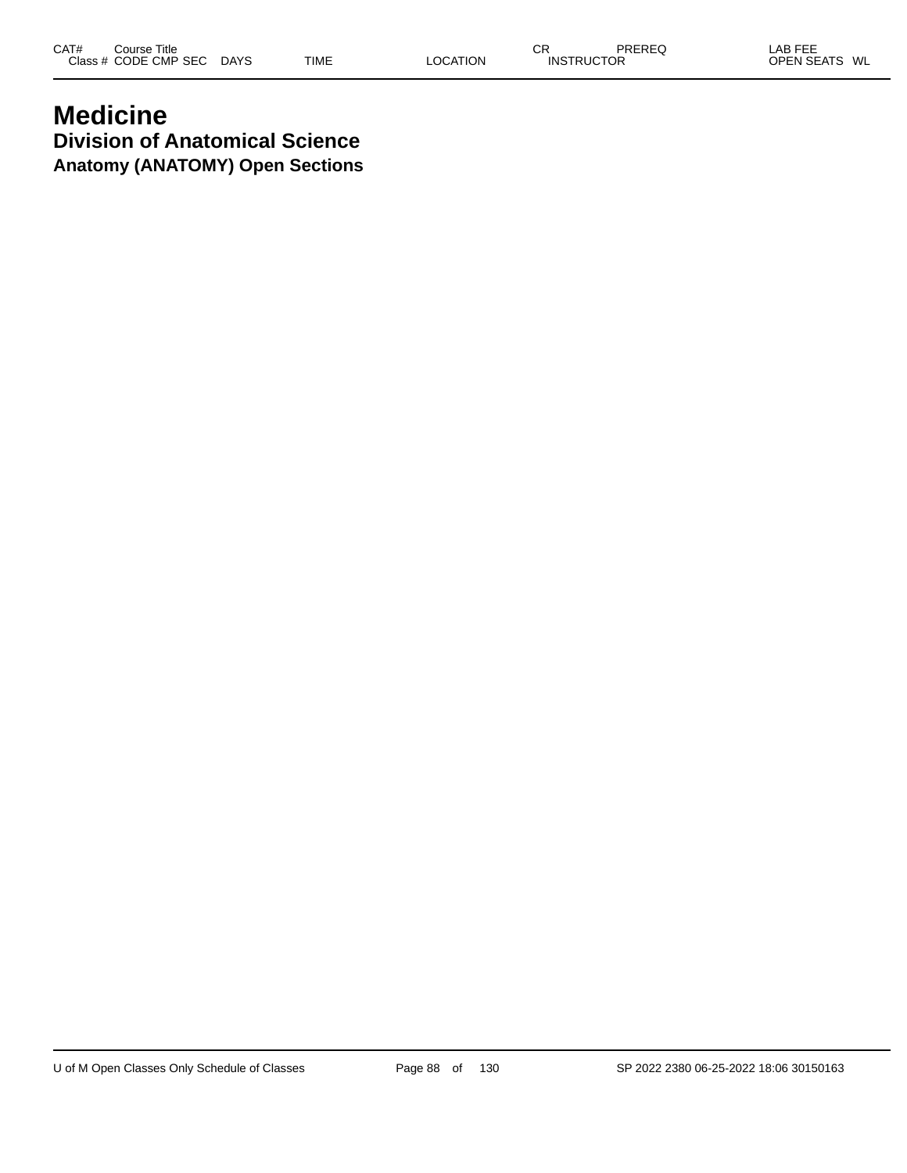### **Medicine Division of Anatomical Science Anatomy (ANATOMY) Open Sections**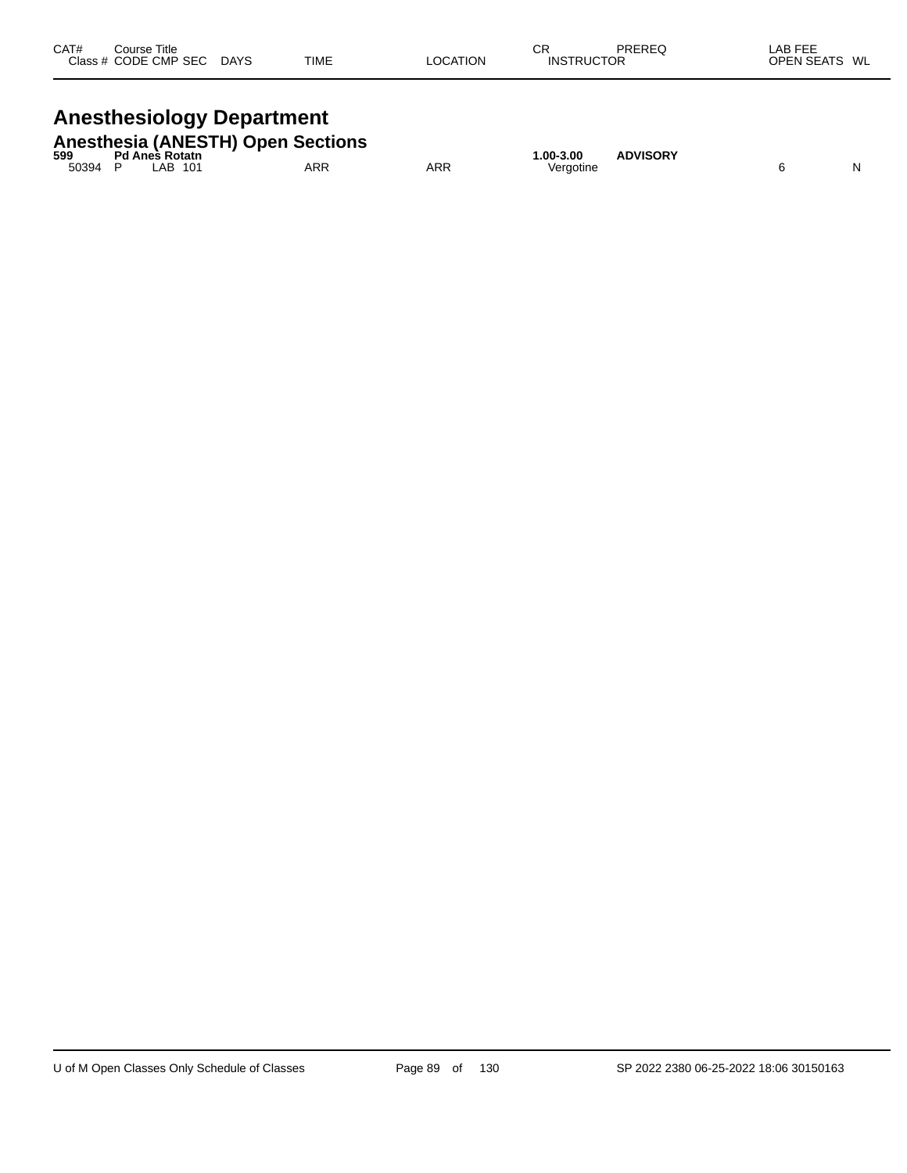| CAT# | Course Title<br>Class # CODE CMP SEC | <b>DAYS</b> | TIME | LOCATION | СR<br><b>INSTRUCTOR</b> | PREREQ | _AB FEE<br><b>OPEN SEATS</b><br>WL |
|------|--------------------------------------|-------------|------|----------|-------------------------|--------|------------------------------------|
|      |                                      |             |      |          |                         |        |                                    |

### **Anesthesiology Department**

|         |                | <b>Anesthesia (ANESTH) Open Sections</b> |     |           |                 |  |
|---------|----------------|------------------------------------------|-----|-----------|-----------------|--|
| 599     | Pd Anes Rotatn |                                          |     | 1.00-3.00 | <b>ADVISORY</b> |  |
| 50394 P | I AB 101       | ARR                                      | ARR | Vergotine |                 |  |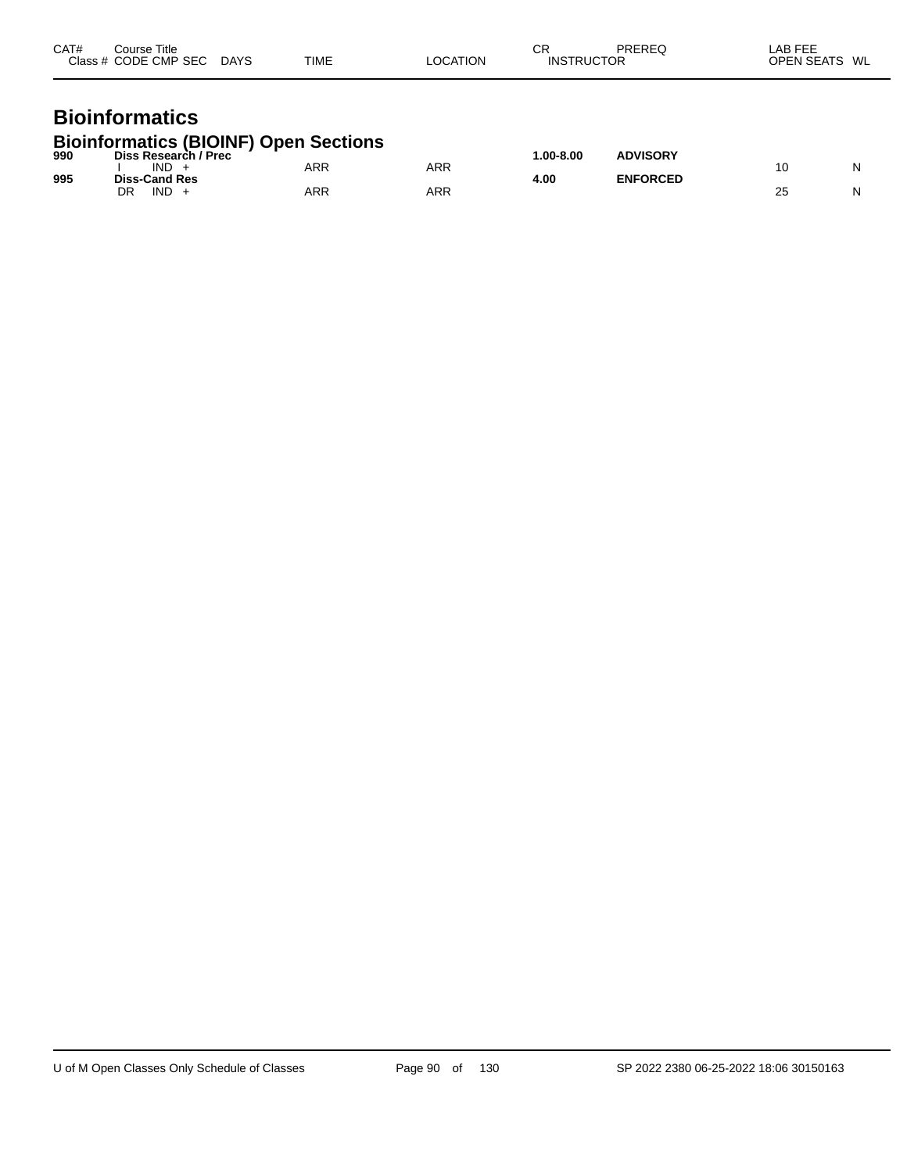| CAT# | Course Title<br>Class # CODE CMP SEC | <b>DAYS</b> | <b>TIME</b> | <b>LOCATION</b> | СR<br><b>INSTRUCTOR</b> | PREREQ | _AB FEE<br><b>OPEN SEATS</b> | WL |
|------|--------------------------------------|-------------|-------------|-----------------|-------------------------|--------|------------------------------|----|
|      |                                      |             |             |                 |                         |        |                              |    |

### **Bioinformatics**

#### **Bioinformatics (BIOINF) Open Sections**

| 990 | Diss Research / Prec |     |            | $.00 - 8.00$ | <b>ADVISORY</b> |    |   |
|-----|----------------------|-----|------------|--------------|-----------------|----|---|
|     | <b>IND</b>           | ARR | <b>ARR</b> |              |                 |    | N |
| 995 | <b>Diss-Cand Res</b> |     |            | 4.00         | <b>ENFORCED</b> |    |   |
|     | <b>IND</b><br>DR     | ARR | <b>ARR</b> |              |                 | 2J | N |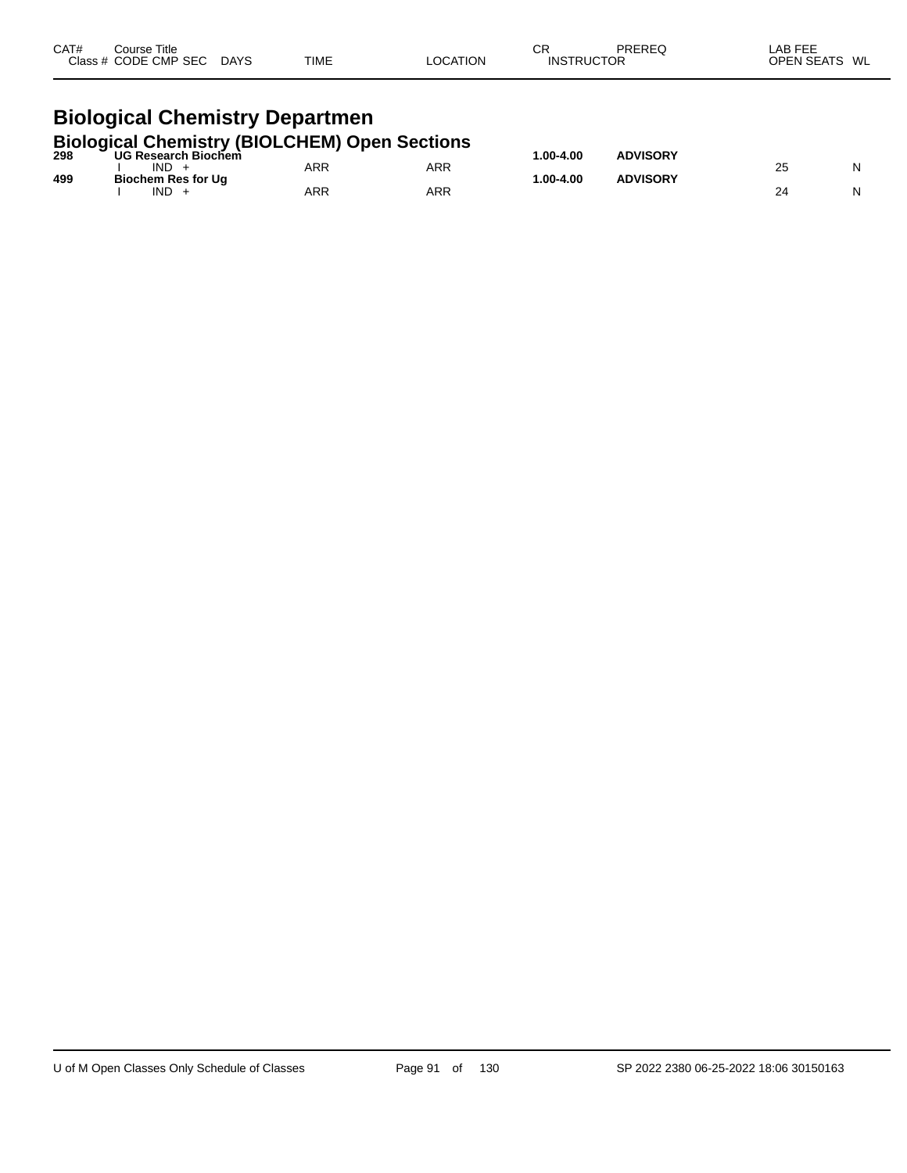| CAT# | Course Title<br>Class # CODE CMP SEC DAYS                                                  | <b>TIME</b> | LOCATION   | СR<br><b>INSTRUCTOR</b> | PREREQ          | LAB FEE<br>OPEN SEATS WL |   |
|------|--------------------------------------------------------------------------------------------|-------------|------------|-------------------------|-----------------|--------------------------|---|
|      | <b>Biological Chemistry Departmen</b>                                                      |             |            |                         |                 |                          |   |
|      |                                                                                            |             |            |                         |                 |                          |   |
|      |                                                                                            |             |            |                         |                 |                          |   |
|      | <b>Biological Chemistry (BIOLCHEM) Open Sections</b><br>298 UG Research Biochem<br>$IND +$ | ARR         | <b>ARR</b> | 1.00-4.00               | <b>ADVISORY</b> | 25                       | N |

 $\overline{\phantom{0}}$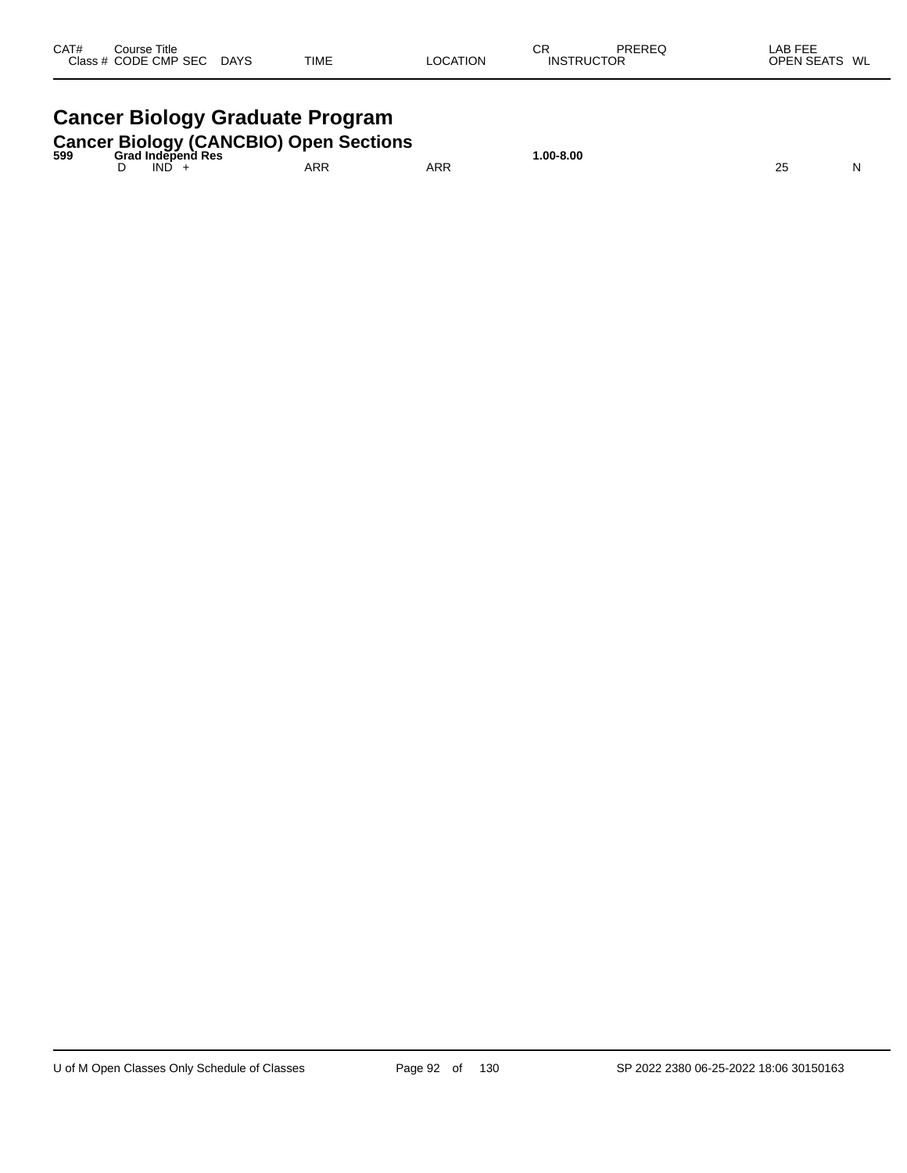| CAT# | Course Title<br>Class # CODE CMP SEC | <b>DAYS</b> | TIME | LOCATION | СR<br><b>INSTRUCTOR</b> | PREREQ | LAB FEE<br><b>OPEN SEATS</b><br>WL |
|------|--------------------------------------|-------------|------|----------|-------------------------|--------|------------------------------------|
|      |                                      |             |      |          |                         |        |                                    |

## **Cancer Biology Graduate Program**

|  | Cancer Biology (CANCBIO) Open Sections<br>599   Grad Independ Res |  |
|--|-------------------------------------------------------------------|--|
|  |                                                                   |  |

| 599 | <b>Grad Independ</b><br>ੇ Res |          |                 | $0.00 - 8.00$<br>$  -$ |               |   |
|-----|-------------------------------|----------|-----------------|------------------------|---------------|---|
|     | <b>IND</b>                    | ARR<br>. | <b>ARR</b><br>. |                        | ጎር<br>∼<br>__ | N |
|     |                               |          |                 |                        |               |   |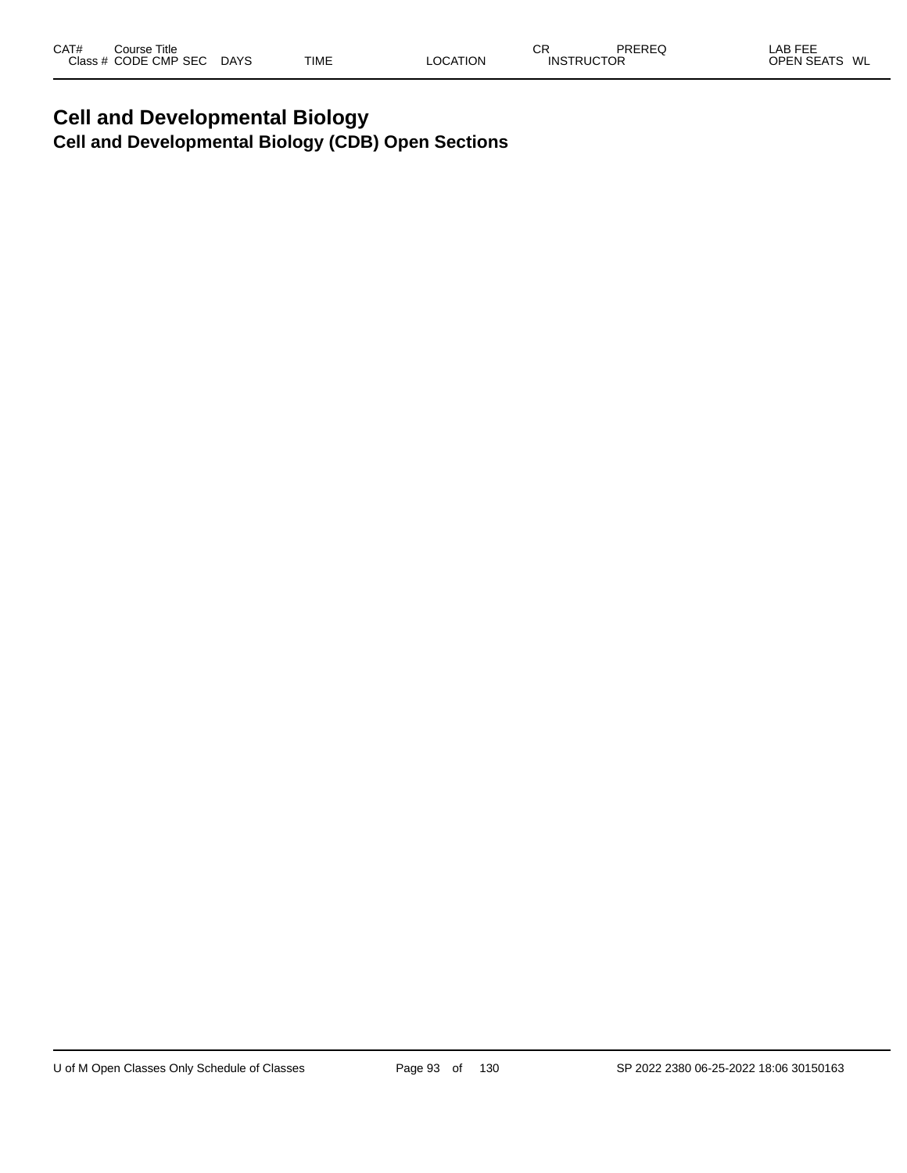### **Cell and Developmental Biology Cell and Developmental Biology (CDB) Open Sections**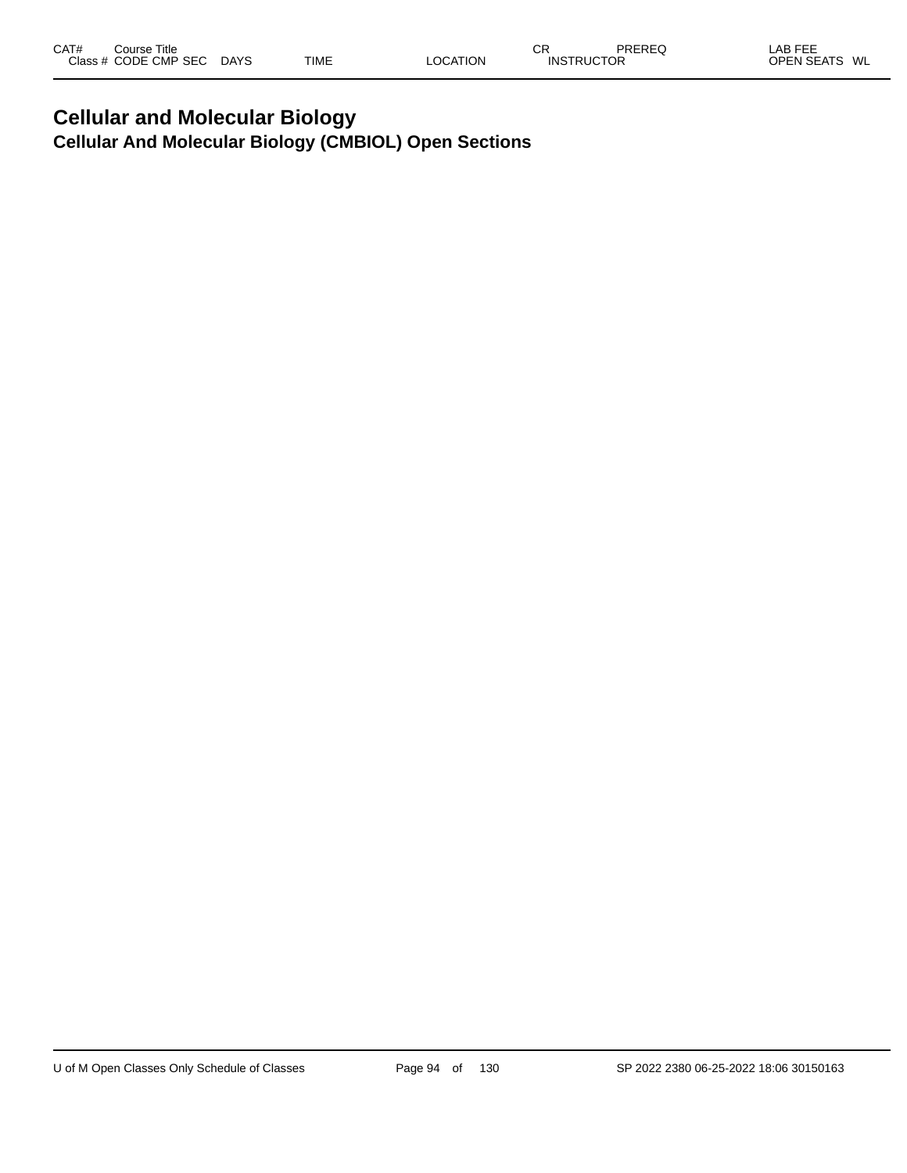### **Cellular and Molecular Biology Cellular And Molecular Biology (CMBIOL) Open Sections**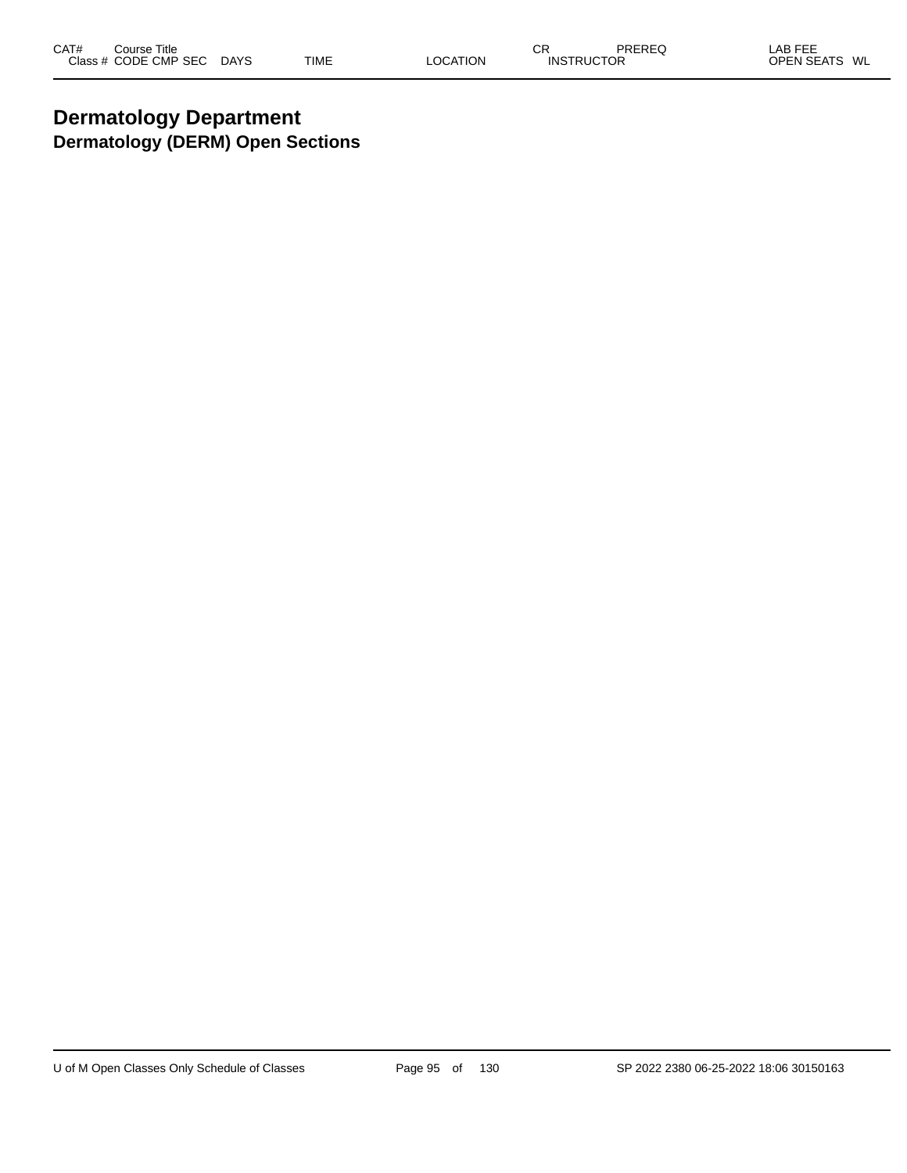### **Dermatology Department Dermatology (DERM) Open Sections**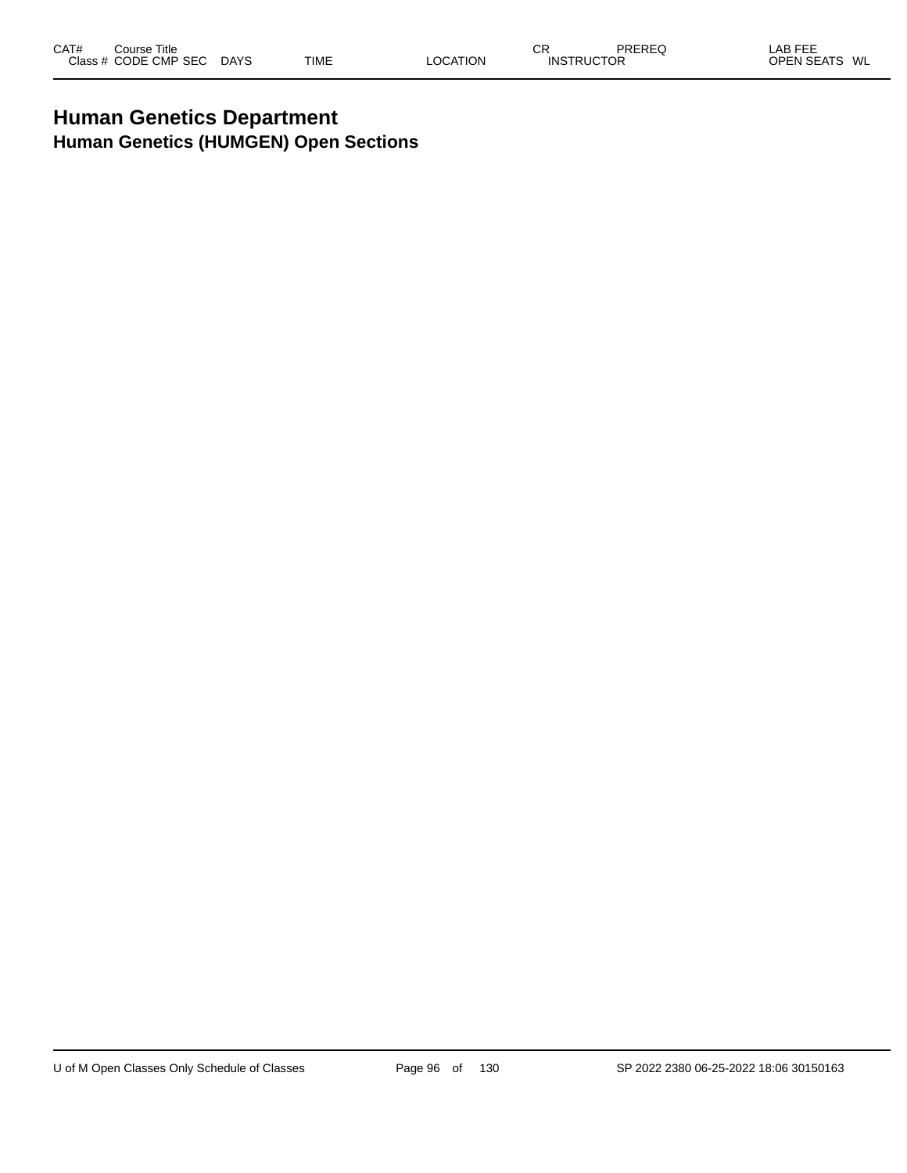### **Human Genetics Department Human Genetics (HUMGEN) Open Sections**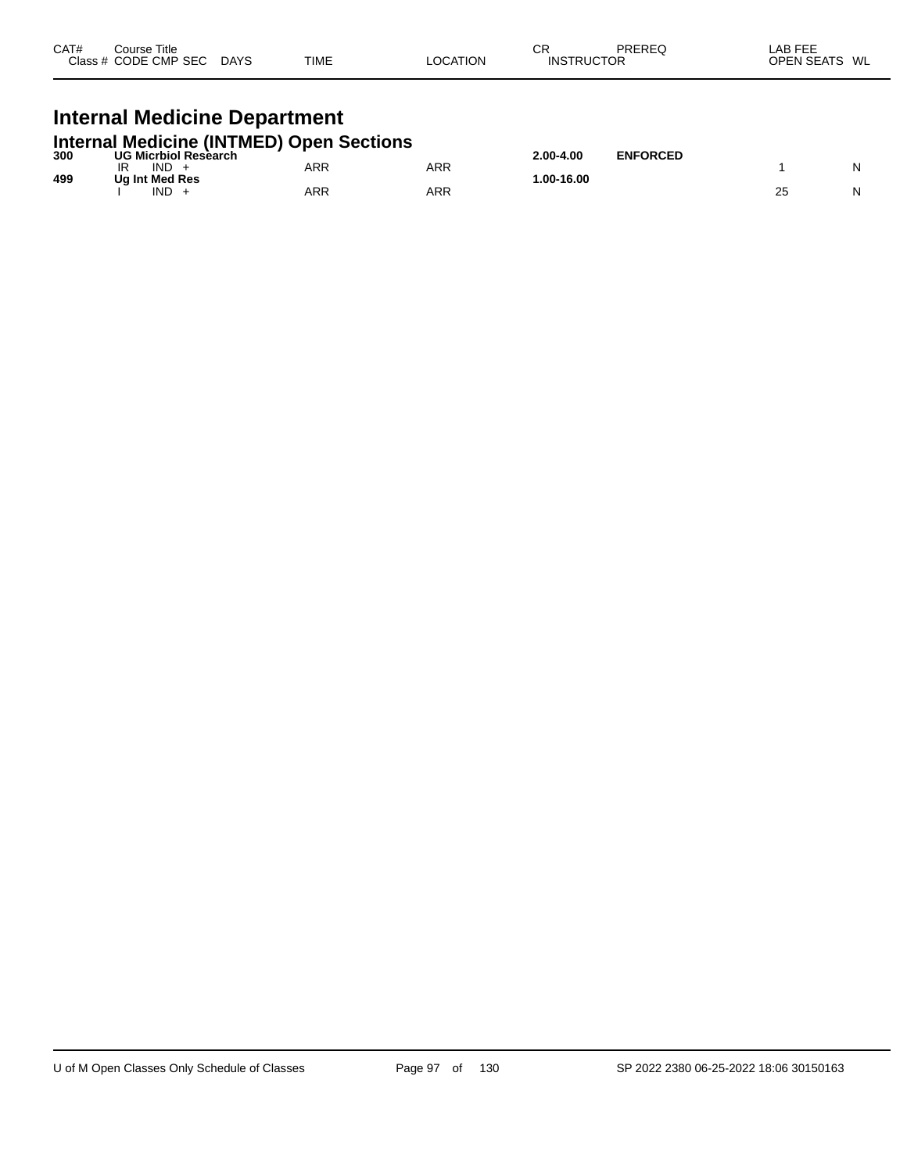| CAT#<br>Course Title<br>Class # CODE CMP SEC DAYS | TIME | <b>LOCATION</b> | СR<br>PRFRFQ<br><b>INSTRUCTOR</b> | LAB FEE<br>OPEN SEATS WL |  |  |  |  |  |  |
|---------------------------------------------------|------|-----------------|-----------------------------------|--------------------------|--|--|--|--|--|--|
| <b>Internal Medicine Department</b>               |      |                 |                                   |                          |  |  |  |  |  |  |
| Internal Medicine (INTMED) Onen Sections          |      |                 |                                   |                          |  |  |  |  |  |  |

| 300 | <u>INGINAL MEMICINE (IN HILLD) ODEN JECHUN </u><br><b>UG Micrbiol Research</b> |     | 2.00-4.00 | <b>ENFORCED</b> |  |    |   |
|-----|--------------------------------------------------------------------------------|-----|-----------|-----------------|--|----|---|
| 499 | IND.<br>IR<br>Ug Int Med Res                                                   | ARR | ARR       | $.00-16.00$     |  |    | N |
|     | <b>IND</b>                                                                     | ARR | ARR       |                 |  | 25 | N |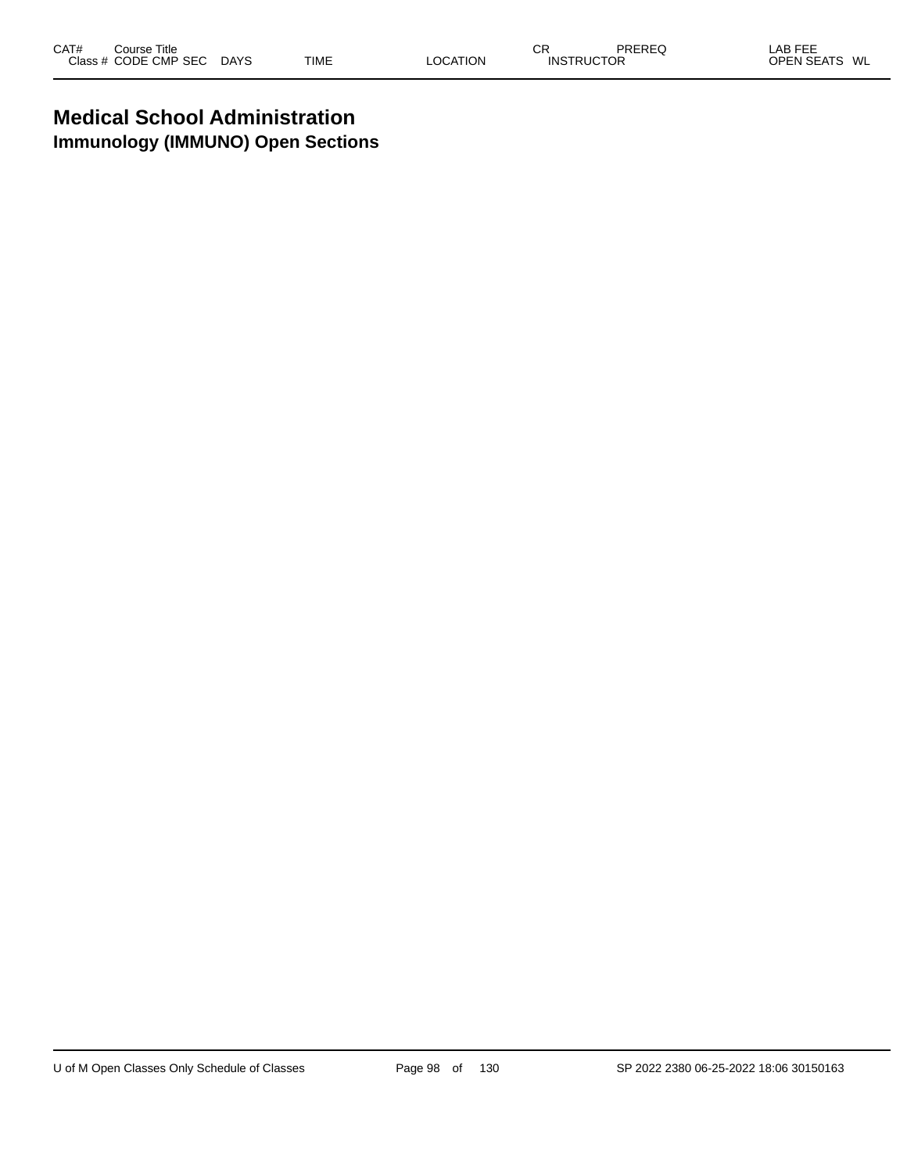### **Medical School Administration Immunology (IMMUNO) Open Sections**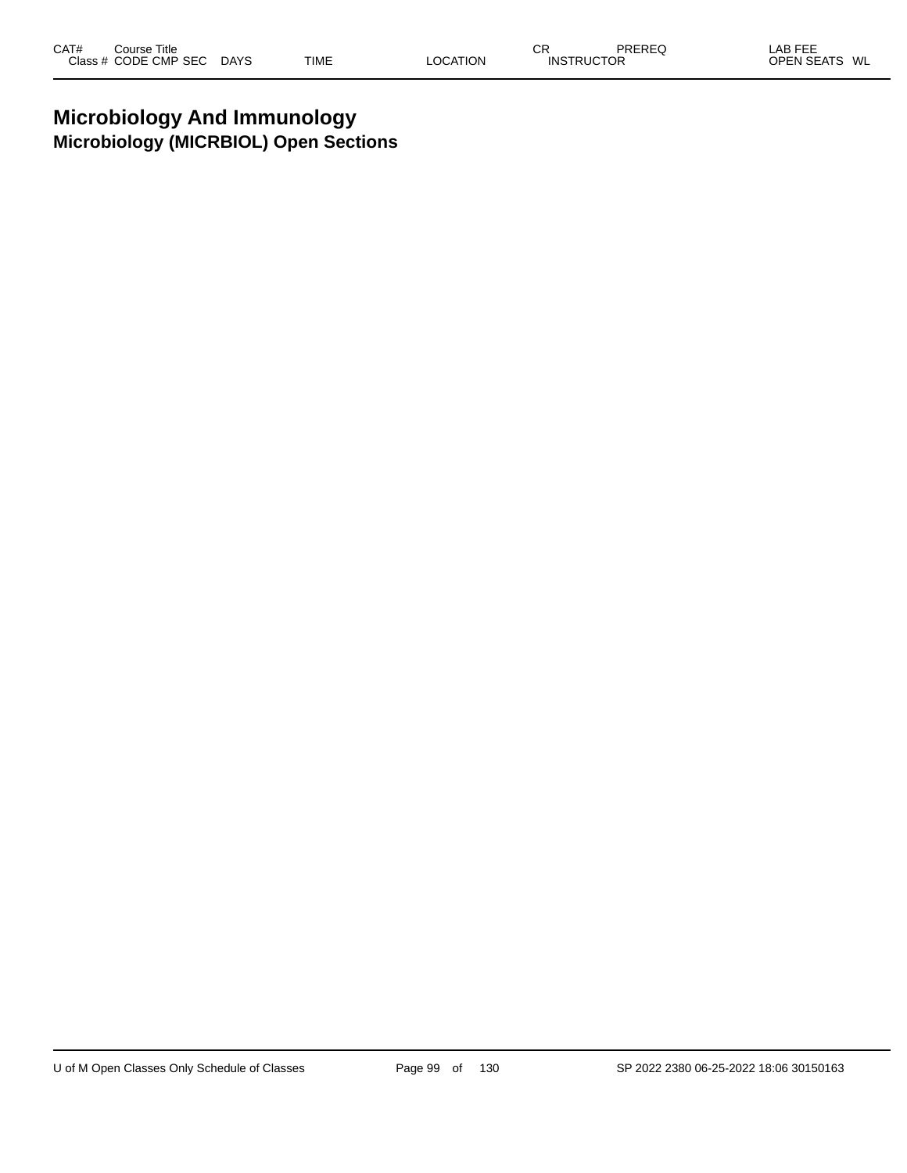### **Microbiology And Immunology Microbiology (MICRBIOL) Open Sections**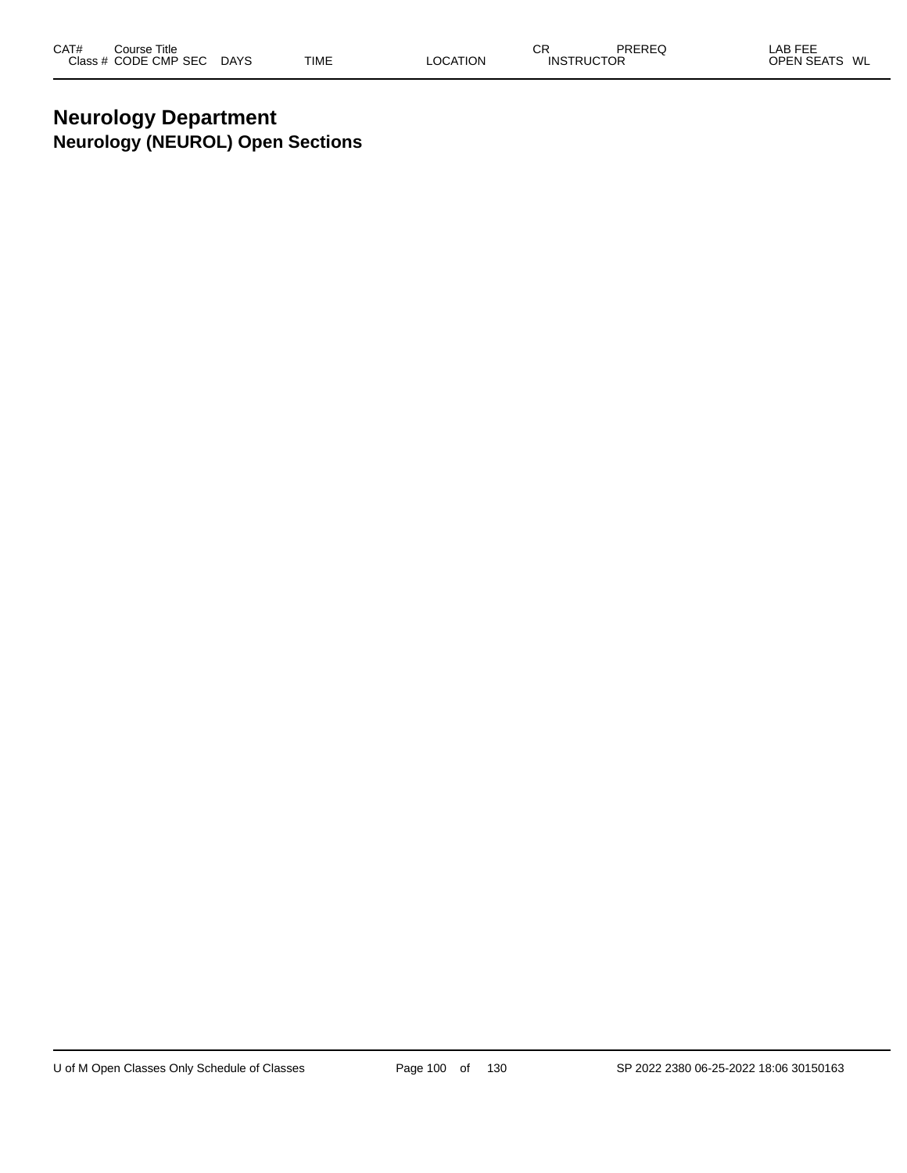### **Neurology Department Neurology (NEUROL) Open Sections**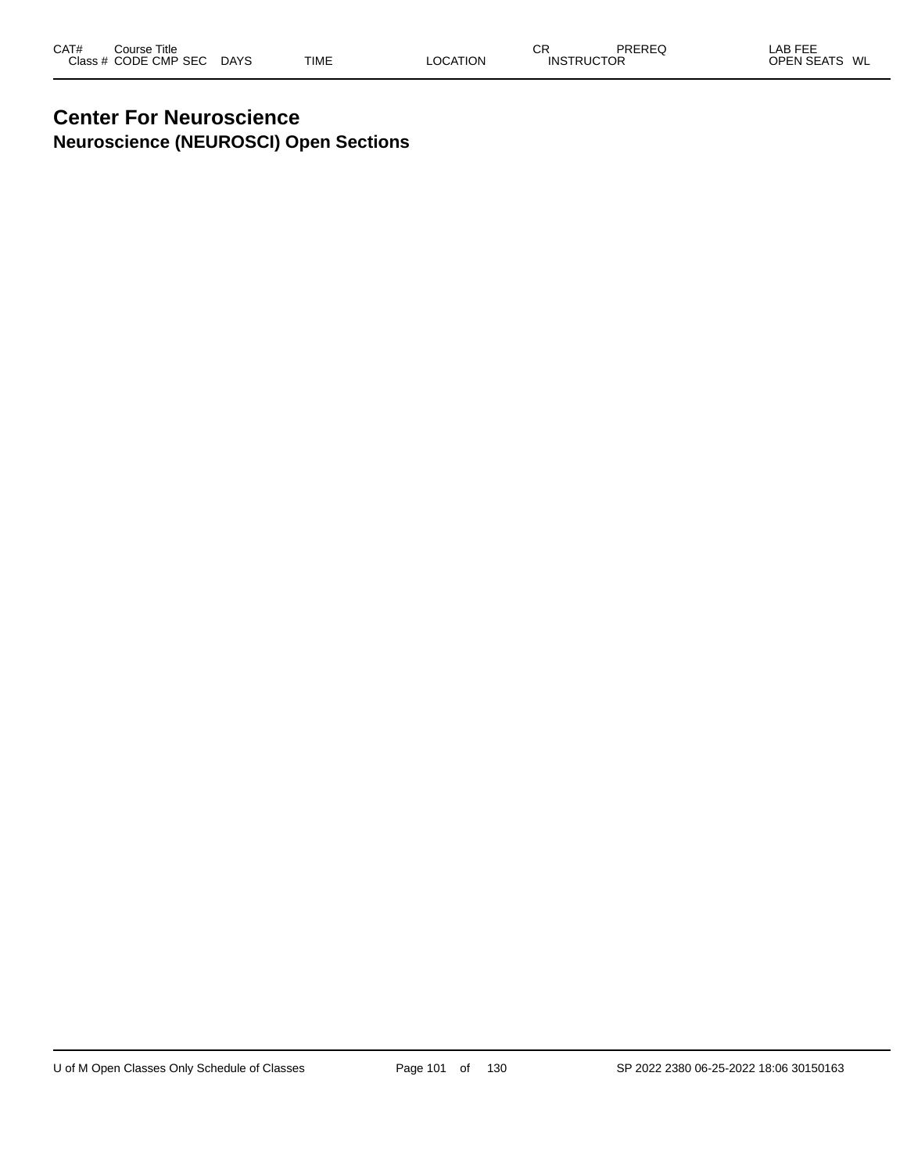#### **Center For Neuroscience Neuroscience (NEUROSCI) Open Sections**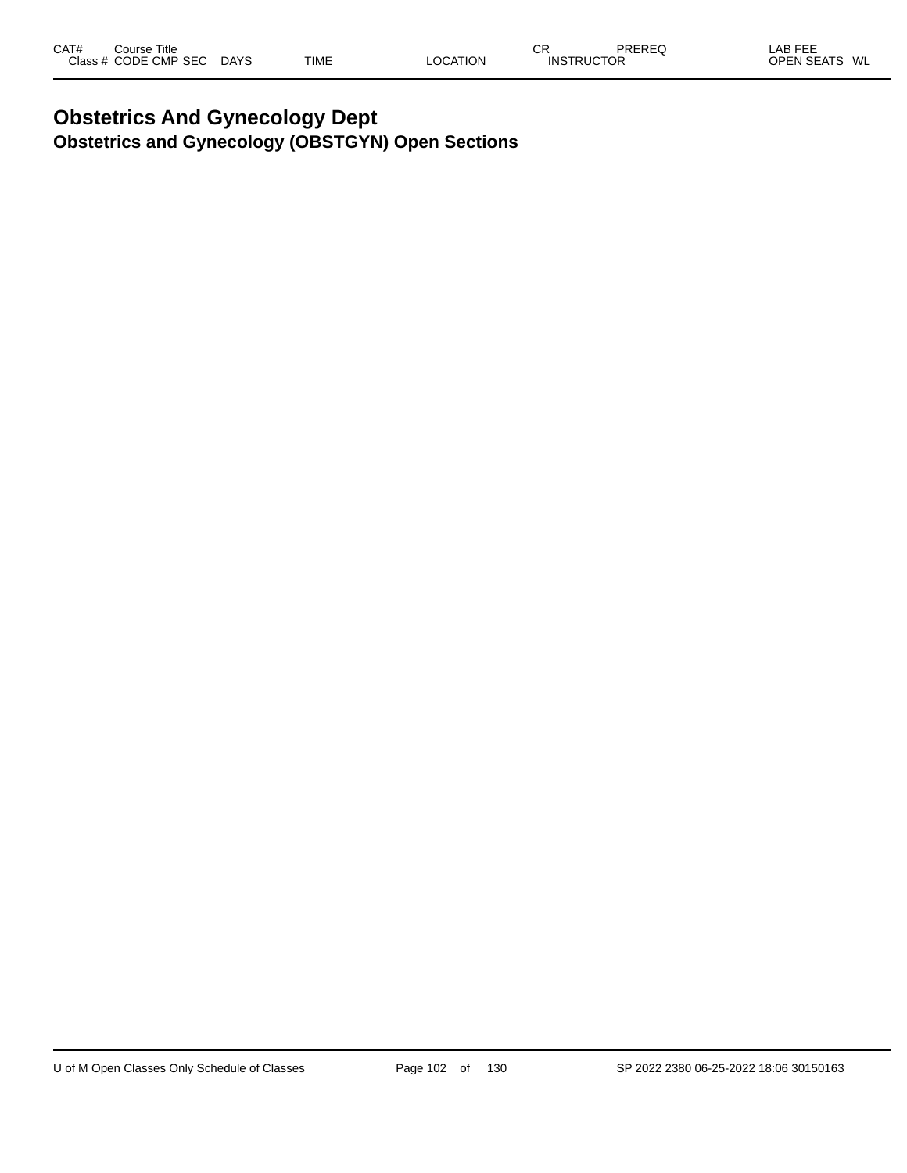### **Obstetrics And Gynecology Dept Obstetrics and Gynecology (OBSTGYN) Open Sections**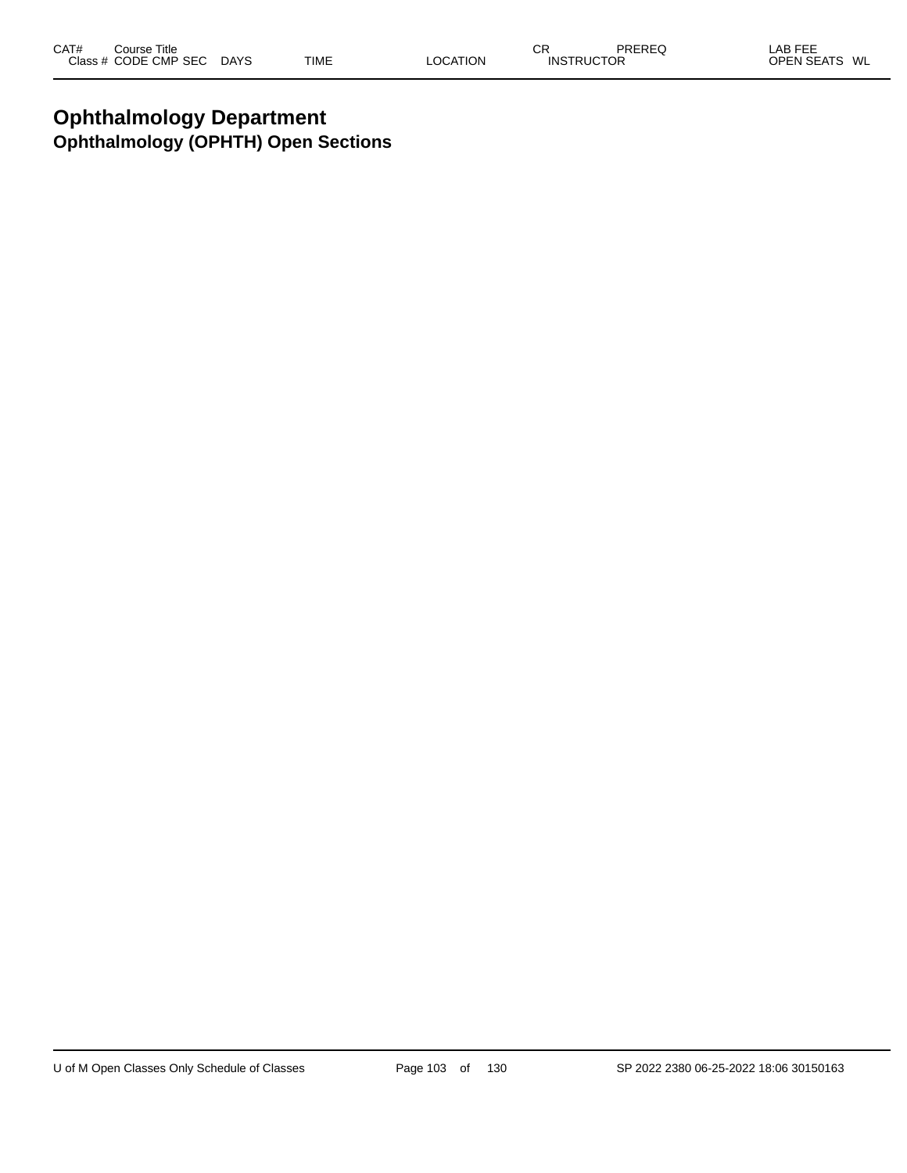### **Ophthalmology Department Ophthalmology (OPHTH) Open Sections**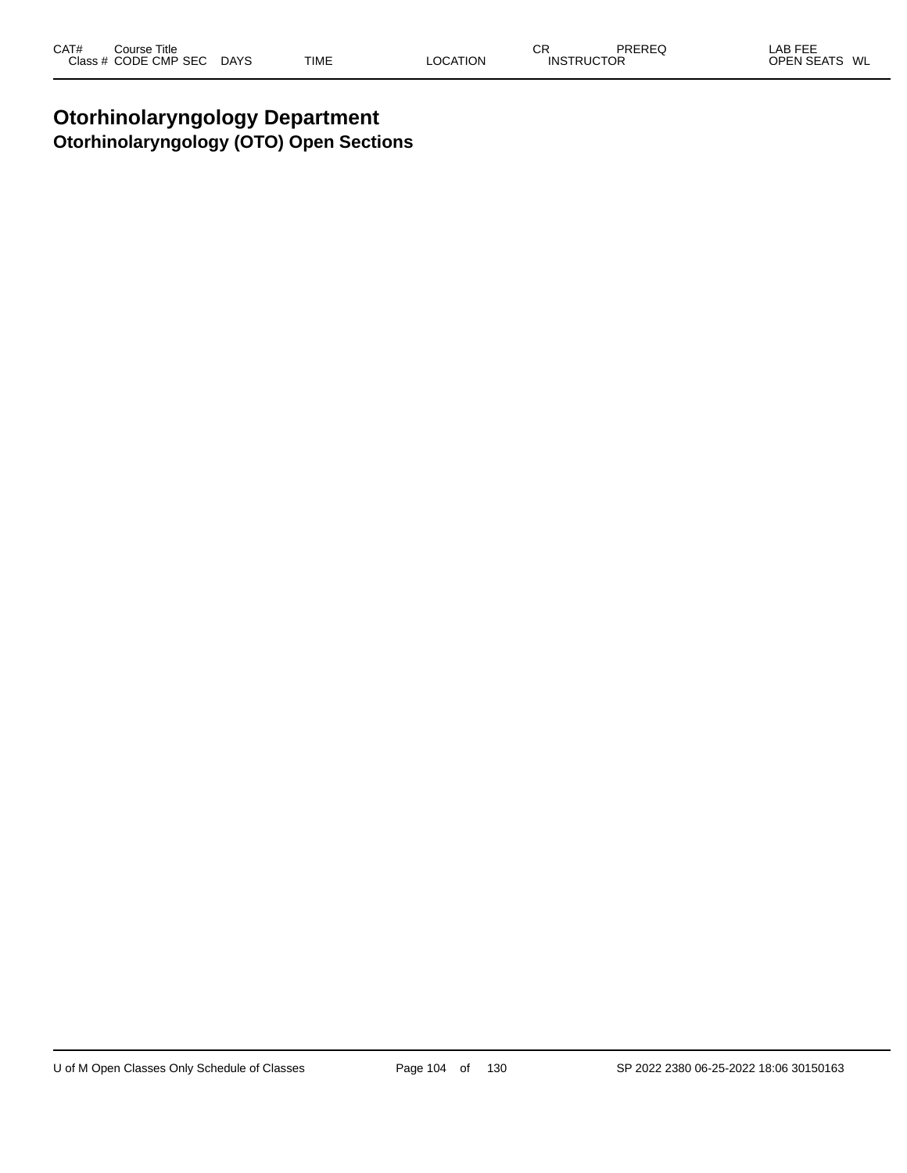### **Otorhinolaryngology Department Otorhinolaryngology (OTO) Open Sections**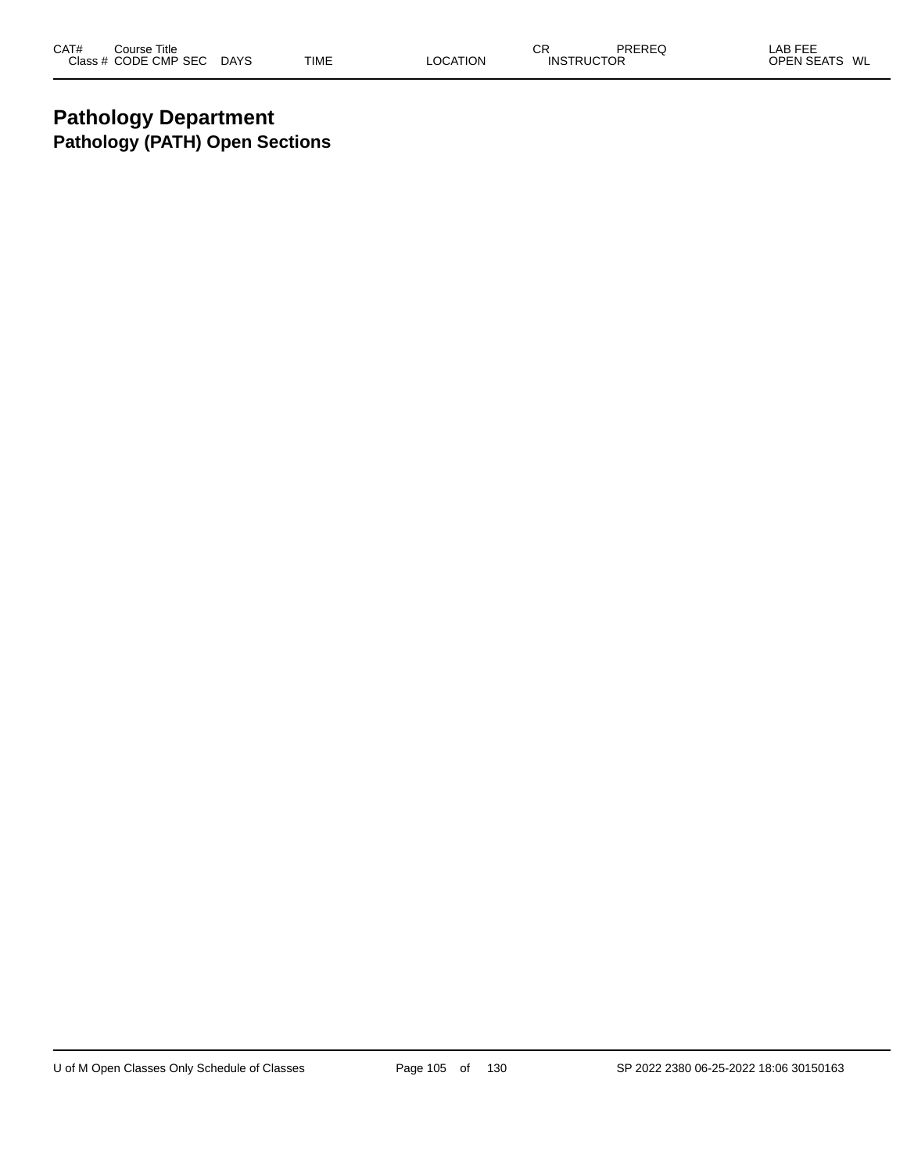### **Pathology Department Pathology (PATH) Open Sections**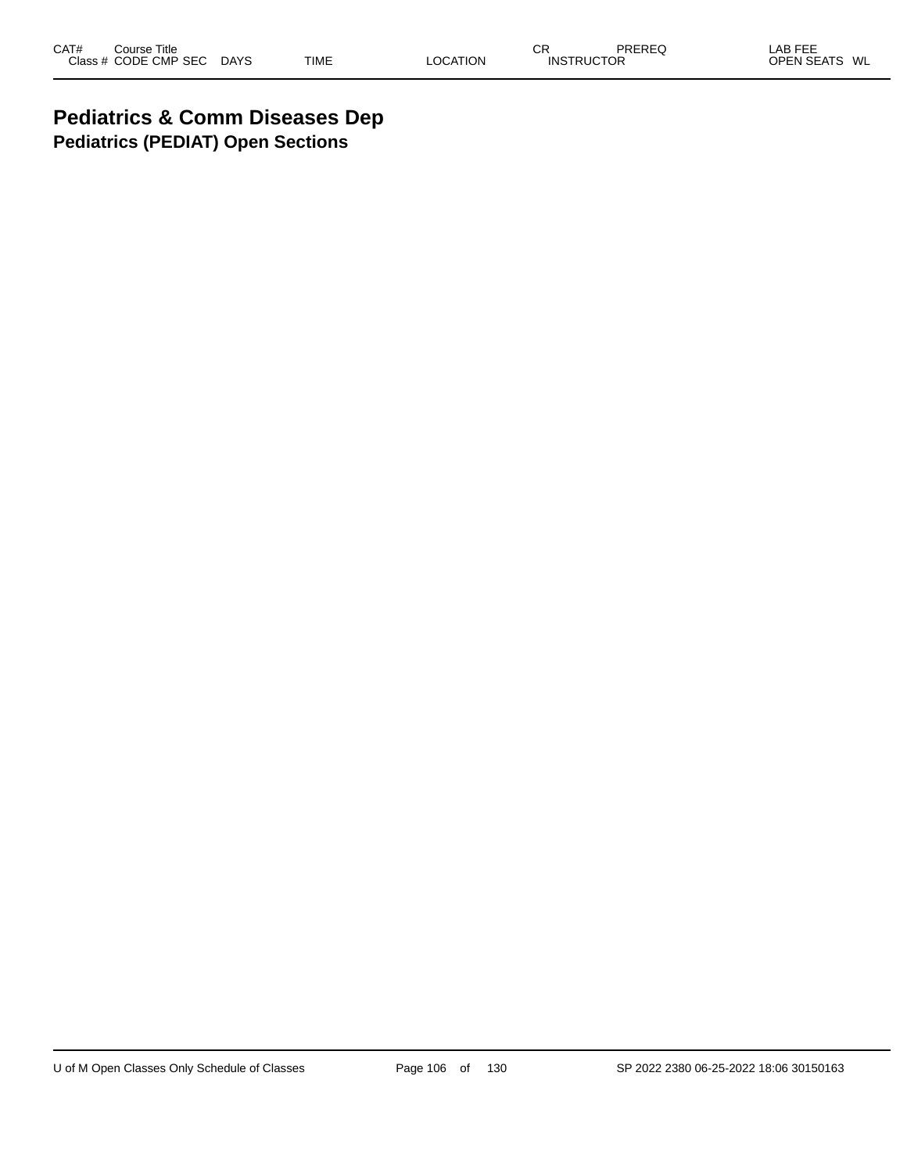### **Pediatrics & Comm Diseases Dep Pediatrics (PEDIAT) Open Sections**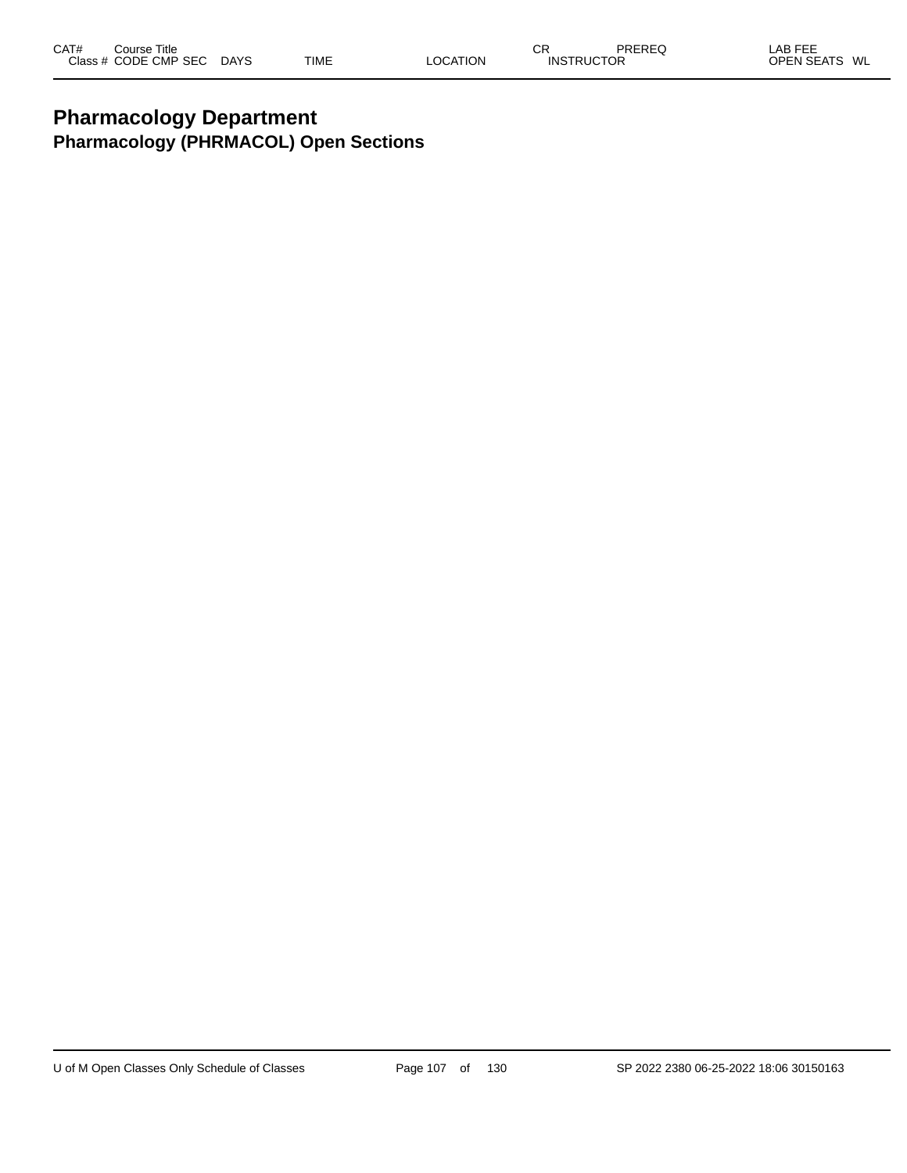### **Pharmacology Department Pharmacology (PHRMACOL) Open Sections**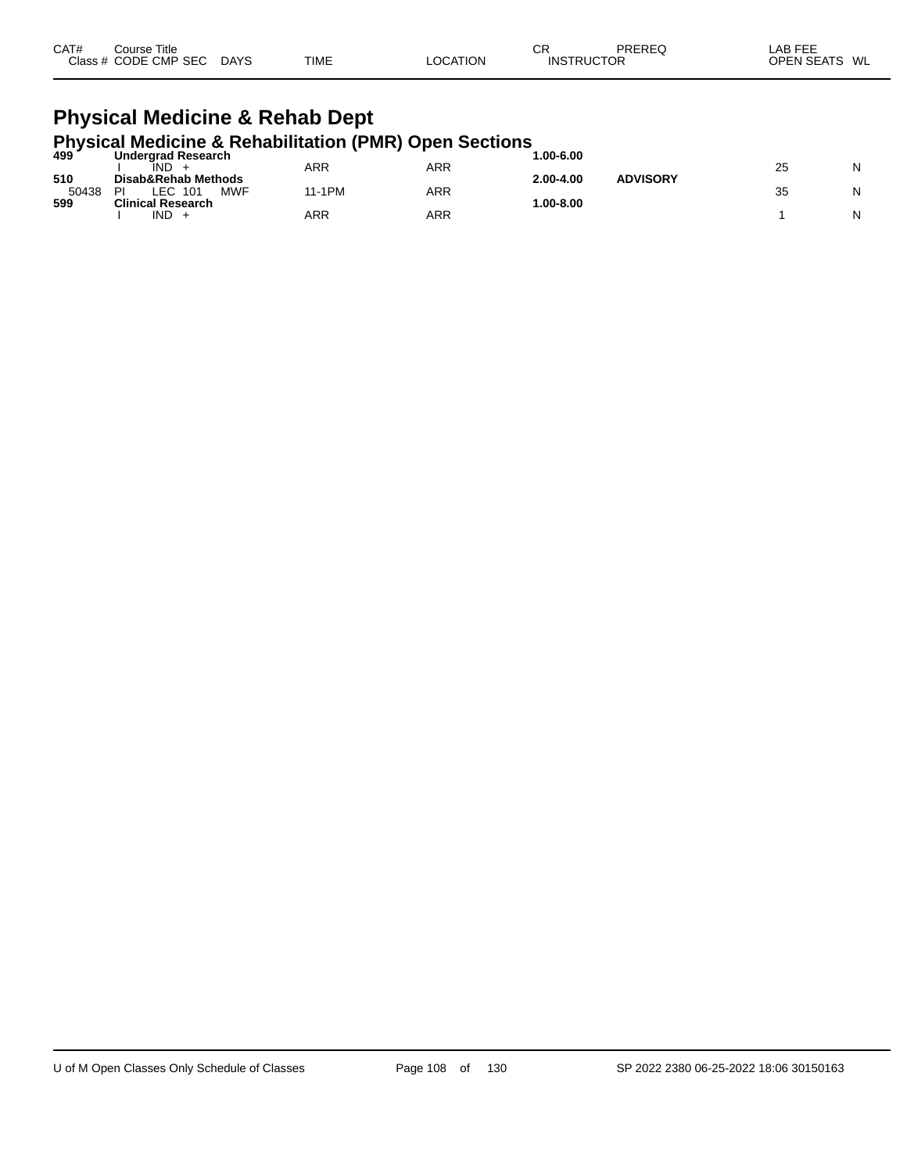| CAT#<br>Close : | Title<br>∴ourse<br><b>CMP</b><br>S <sub>F</sub><br>ODE | DAYS | TIME | .UN | СF<br>או∩<br>и | <b>DDEDE</b> C<br>ОF | $- - -$<br>ΑF<br>$\overline{f}$<br>WL<br>⊐סר<br>вv. |
|-----------------|--------------------------------------------------------|------|------|-----|----------------|----------------------|-----------------------------------------------------|
|-----------------|--------------------------------------------------------|------|------|-----|----------------|----------------------|-----------------------------------------------------|

### **Physical Medicine & Rehab Dept Physical Medicine & Rehabilitation (PMR) Open Sections**

| 499   | <b>Underarad Research</b>       |            |     | $.00 - 6.00$ |                 |    |  |
|-------|---------------------------------|------------|-----|--------------|-----------------|----|--|
|       | IND                             | <b>ARR</b> | ARR |              |                 | 25 |  |
| 510   | Disab&Rehab Methods             |            |     | 2.00-4.00    | <b>ADVISORY</b> |    |  |
| 50438 | <b>MWF</b><br>LEC.<br>101<br>ΡI | 11-1PM     | ARR |              |                 | 35 |  |
| 599   | <b>Clinical Research</b>        |            |     | $.00 - 8.00$ |                 |    |  |
|       | IND                             | ARR        | ARR |              |                 |    |  |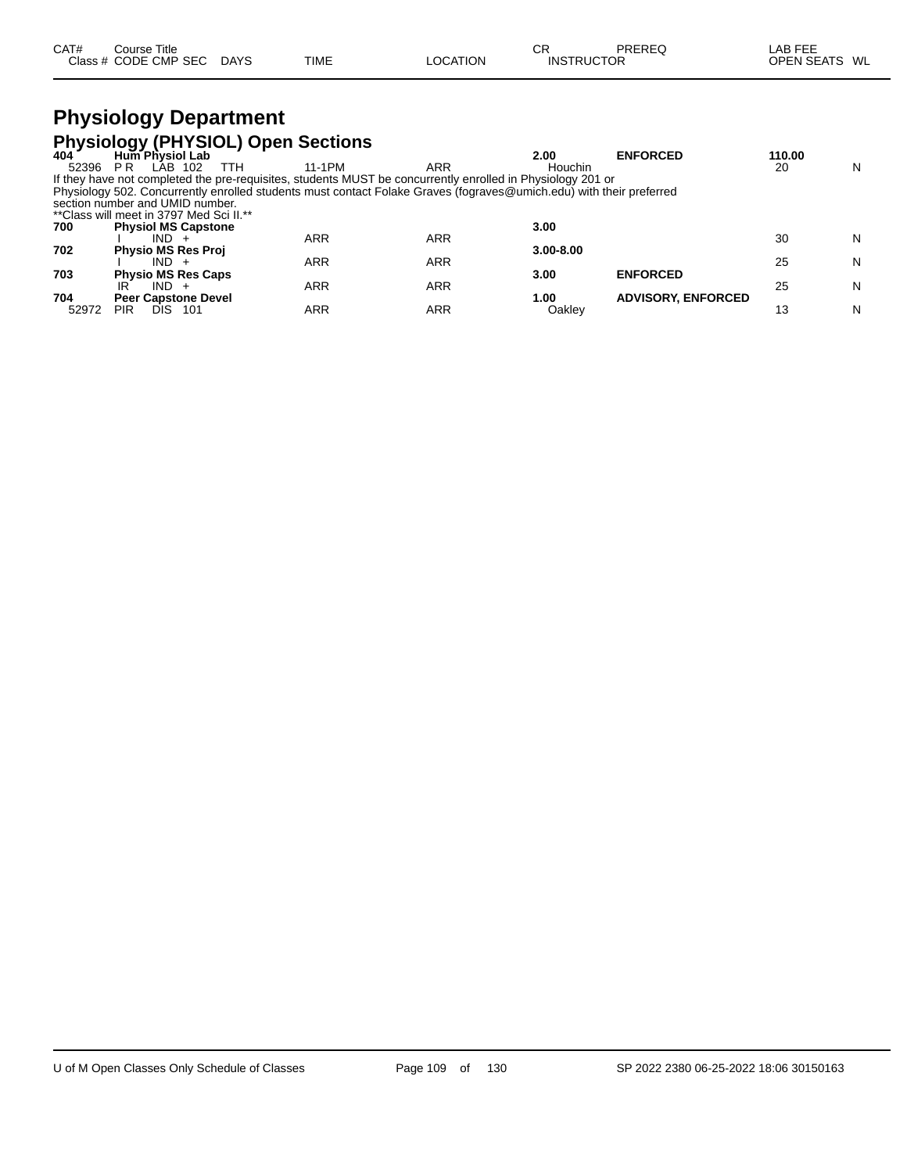| CAT# | Course Title         |        |             |          | СR                | PREREQ | LAB FEE       |  |
|------|----------------------|--------|-------------|----------|-------------------|--------|---------------|--|
|      | Class # CODE CMP SEC | : DAYS | <b>TIME</b> | LOCATION | <b>INSTRUCTOR</b> |        | OPEN SEATS WL |  |

#### **Physiology Department Physiology (PHYSIOL) Open Sections**

| 404   | Hum Physiol Lab                                                                                                     |        |            | 2.00          | <b>ENFORCED</b>           | 110.00 |   |
|-------|---------------------------------------------------------------------------------------------------------------------|--------|------------|---------------|---------------------------|--------|---|
| 52396 | LAB<br>102<br>P R<br>TTH                                                                                            | 11-1PM | <b>ARR</b> | Houchin       |                           | 20     | N |
|       | If they have not completed the pre-requisites, students MUST be concurrently enrolled in Physiology 201 or          |        |            |               |                           |        |   |
|       | Physiology 502. Concurrently enrolled students must contact Folake Graves (fograves@umich.edu) with their preferred |        |            |               |                           |        |   |
|       | section number and UMID number.                                                                                     |        |            |               |                           |        |   |
|       | **Class will meet in 3797 Med Sci II.**                                                                             |        |            |               |                           |        |   |
| 700   | <b>Physiol MS Capstone</b>                                                                                          |        |            | 3.00          |                           |        |   |
|       | $IND +$                                                                                                             | ARR    | ARR        |               |                           | 30     | N |
| 702   | <b>Physio MS Res Proj</b>                                                                                           |        |            | $3.00 - 8.00$ |                           |        |   |
|       | $IND +$                                                                                                             | ARR    | ARR        |               |                           | 25     | N |
| 703   | <b>Physio MS Res Caps</b>                                                                                           |        |            | 3.00          | <b>ENFORCED</b>           |        |   |
|       | $IND +$<br>ΙR                                                                                                       | ARR    | <b>ARR</b> |               |                           | 25     | N |
| 704   | <b>Peer Capstone Devel</b>                                                                                          |        |            | 1.00          | <b>ADVISORY, ENFORCED</b> |        |   |
| 52972 | PIR<br>DIS<br>101                                                                                                   | ARR    | ARR        | Oakley        |                           | 13     | N |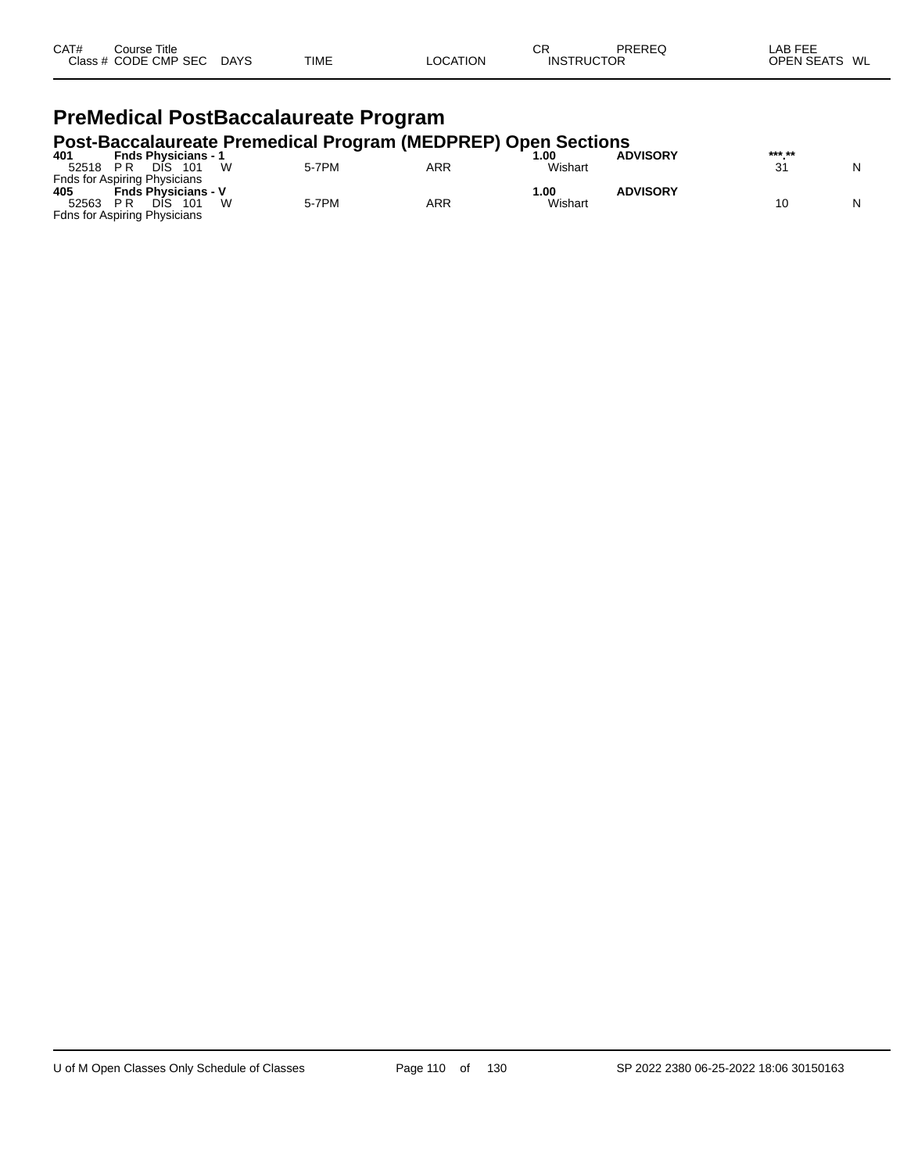| CAT#<br>Title<br>Course |                       |             |                | СR | PREREC            | $\lambda$ $\sim$ $\sim$ $\sim$ $\sim$<br>AB.<br>--- |
|-------------------------|-----------------------|-------------|----------------|----|-------------------|-----------------------------------------------------|
| Class # CODE CMP SEC    | <b>DAYS</b><br>$\sim$ | <b>TIME</b> | <b>OCATION</b> |    | <b>INSTRUCTOR</b> | <b>OPEN SEATS</b><br>WL                             |

# **PreMedical PostBaccalaureate Program**

# **Post-Baccalaureate Premedical Program (MEDPREP) Open Sections 401 Fnds Physicians - 1 1.00 ADVISORY \*\*\*.\*\***

| 401   | <b>Fnds Physicians -</b>            |   |       |     | 1.00    | <b>ADVISORY</b> | *** **  |   |
|-------|-------------------------------------|---|-------|-----|---------|-----------------|---------|---|
| 52518 | P R<br>DIS<br>101                   | W | 5-7PM | ARR | Wishart |                 | 24<br>ັ | N |
|       | <b>Fnds for Aspiring Physicians</b> |   |       |     |         |                 |         |   |
| 405   | <b>Fnds Physicians - V</b>          |   |       |     | l.OO    | <b>ADVISORY</b> |         |   |
| 52563 | P R<br>DIS<br>101                   | W | 5-7PM | ARR | Wishart |                 |         | N |
|       | <b>Fdns for Aspiring Physicians</b> |   |       |     |         |                 |         |   |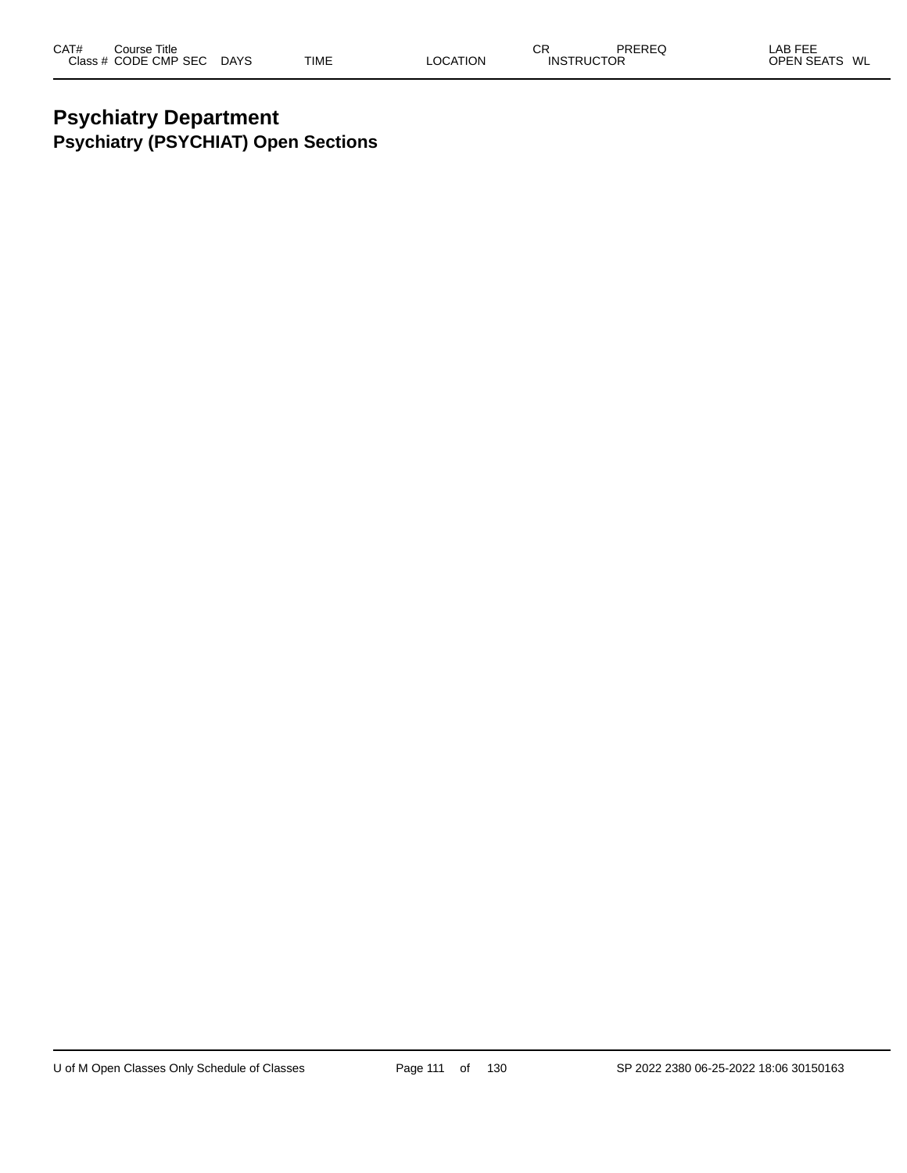#### **Psychiatry Department Psychiatry (PSYCHIAT) Open Sections**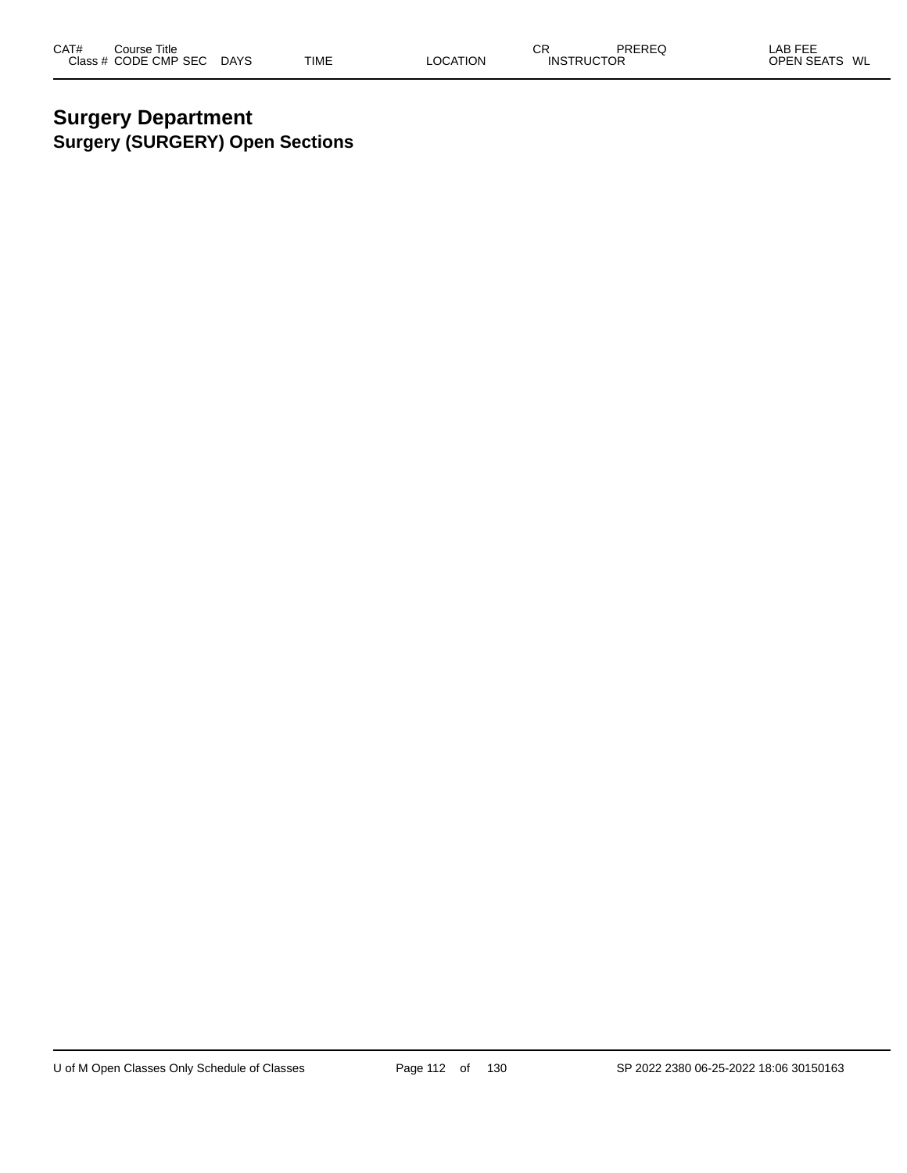#### **Surgery Department Surgery (SURGERY) Open Sections**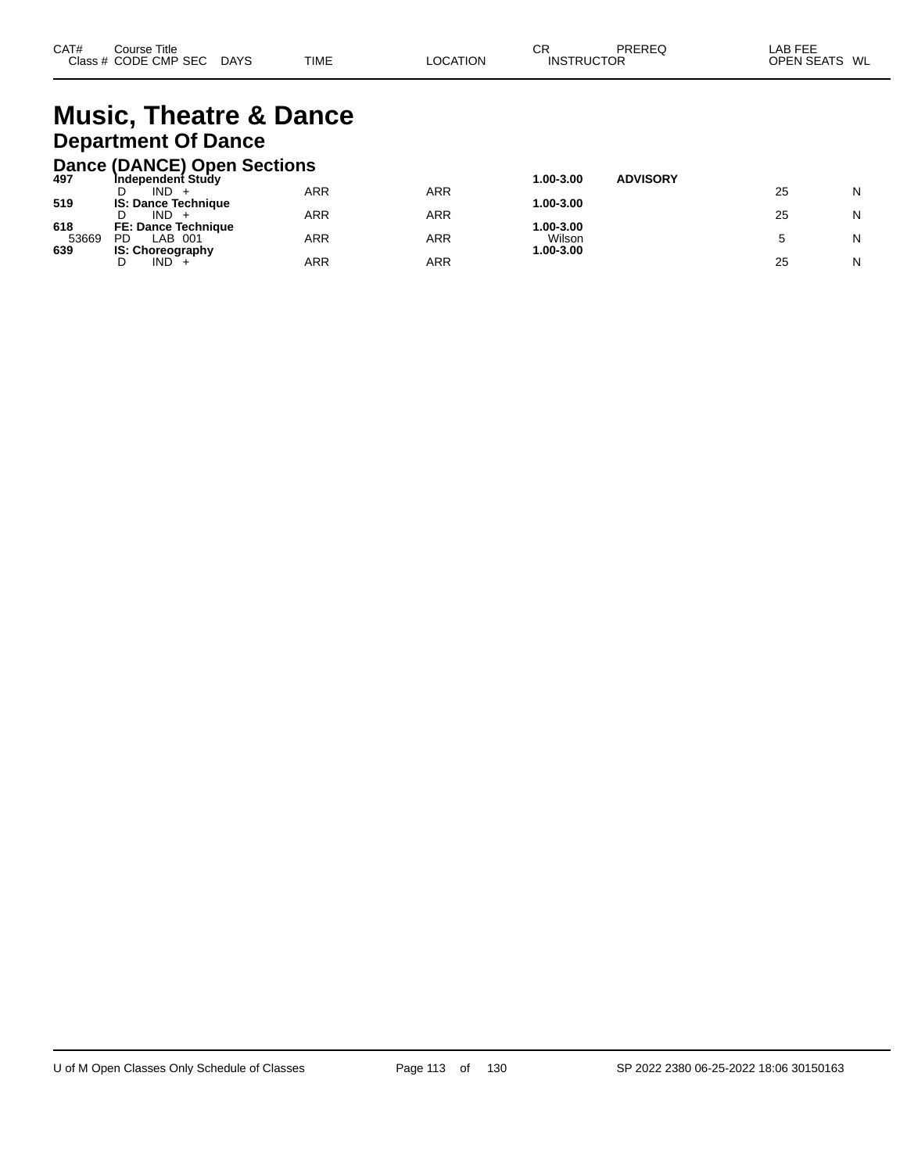## **Music, Theatre & Dance Department Of Dance**

|  | <b>Dance (DANCE) Open Sections</b> |
|--|------------------------------------|
|  |                                    |

| 497   | Independent Study          |     |     | 1.00-3.00 | <b>ADVISORY</b> |   |
|-------|----------------------------|-----|-----|-----------|-----------------|---|
|       | IND<br>D<br>$\div$         | ARR | ARR |           | 25              | N |
| 519   | <b>IS: Dance Technique</b> |     |     | 1.00-3.00 |                 |   |
|       | IND.<br>D<br>$+$           | ARR | ARR |           | 25              | N |
| 618   | <b>FE: Dance Technique</b> |     |     | 1.00-3.00 |                 |   |
| 53669 | <b>PD</b><br>_AB_<br>-001  | ARR | ARR | Wilson    |                 | N |
| 639   | <b>IS: Choreography</b>    |     |     | 1.00-3.00 |                 |   |
|       | IND<br>D                   | ARR | ARR |           | 25              | N |
|       |                            |     |     |           |                 |   |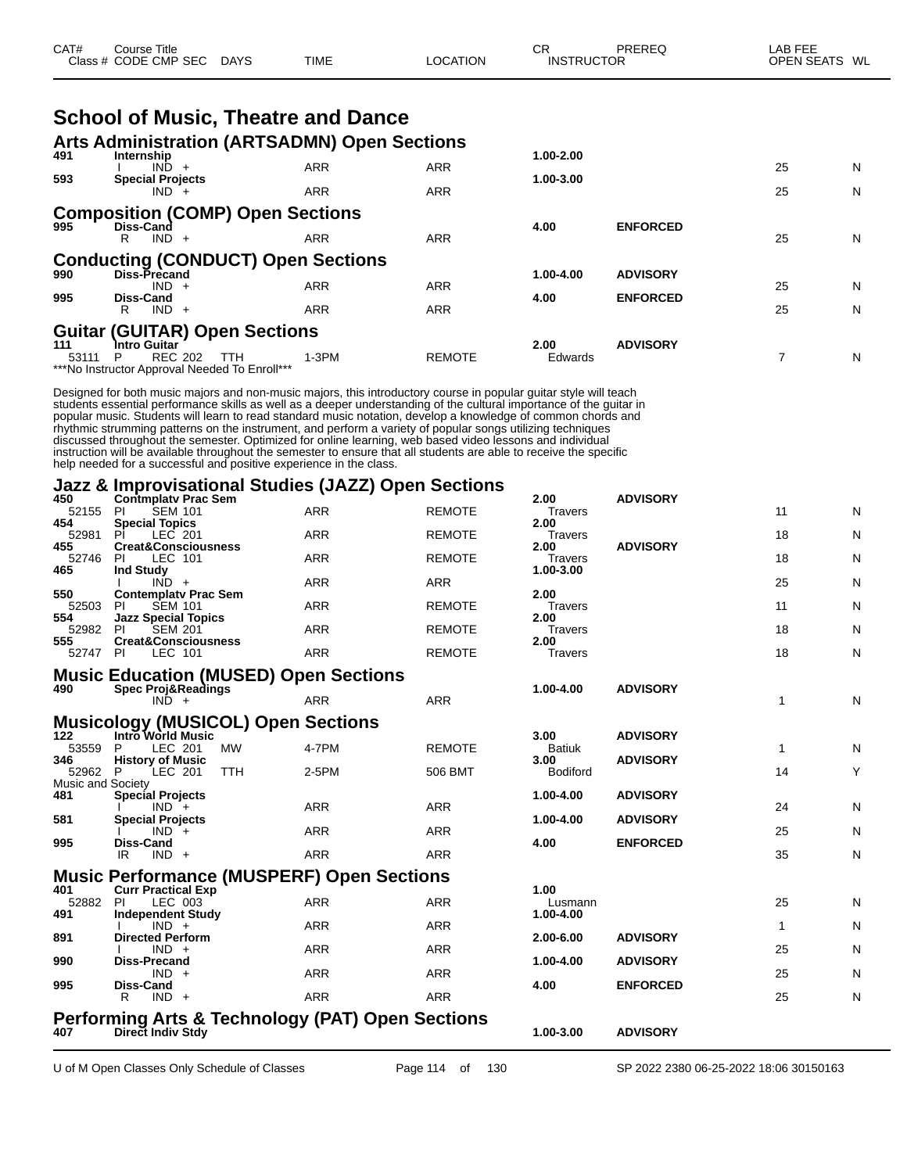| CAT# | Course Title<br>Class # CODE CMP SEC | <b>DAYS</b> | <b>TIME</b> | LOCATION | СR<br><b>INSTRUCTOR</b> | PREREQ | LAB FEE<br><b>OPEN SEATS</b><br>WL |
|------|--------------------------------------|-------------|-------------|----------|-------------------------|--------|------------------------------------|
|      |                                      |             |             |          |                         |        |                                    |

| 491                          | <b>School of Music, Theatre and Dance</b><br><b>Arts Administration (ARTSADMN) Open Sections</b><br>Internship                                                                                                                                                                                                                                                                                                                                                                                                                                                                                                                                                                                                                                                                |            |               | 1.00-2.00            |                 |              |   |
|------------------------------|-------------------------------------------------------------------------------------------------------------------------------------------------------------------------------------------------------------------------------------------------------------------------------------------------------------------------------------------------------------------------------------------------------------------------------------------------------------------------------------------------------------------------------------------------------------------------------------------------------------------------------------------------------------------------------------------------------------------------------------------------------------------------------|------------|---------------|----------------------|-----------------|--------------|---|
|                              | $IND +$                                                                                                                                                                                                                                                                                                                                                                                                                                                                                                                                                                                                                                                                                                                                                                       | ARR        | <b>ARR</b>    |                      |                 | 25           | N |
| 593                          | <b>Special Projects</b><br>$IND +$                                                                                                                                                                                                                                                                                                                                                                                                                                                                                                                                                                                                                                                                                                                                            | ARR        | <b>ARR</b>    | 1.00-3.00            |                 | 25           | N |
|                              | <b>Composition (COMP) Open Sections</b>                                                                                                                                                                                                                                                                                                                                                                                                                                                                                                                                                                                                                                                                                                                                       |            |               |                      |                 |              |   |
| 995                          | Diss-Cand<br>R<br>$IND +$                                                                                                                                                                                                                                                                                                                                                                                                                                                                                                                                                                                                                                                                                                                                                     | ARR        | <b>ARR</b>    | 4.00                 | <b>ENFORCED</b> | 25           | N |
|                              | <b>Conducting (CONDUCT) Open Sections</b>                                                                                                                                                                                                                                                                                                                                                                                                                                                                                                                                                                                                                                                                                                                                     |            |               |                      |                 |              |   |
| 990                          | Diss-Precand<br>$IND +$                                                                                                                                                                                                                                                                                                                                                                                                                                                                                                                                                                                                                                                                                                                                                       | ARR        | <b>ARR</b>    | 1.00-4.00            | <b>ADVISORY</b> | 25           | N |
| 995                          | Diss-Cand                                                                                                                                                                                                                                                                                                                                                                                                                                                                                                                                                                                                                                                                                                                                                                     |            |               | 4.00                 | <b>ENFORCED</b> |              |   |
|                              | R<br>$IND +$                                                                                                                                                                                                                                                                                                                                                                                                                                                                                                                                                                                                                                                                                                                                                                  | <b>ARR</b> | <b>ARR</b>    |                      |                 | 25           | N |
| 111                          | <b>Guitar (GUITAR) Open Sections</b><br><b>Intro Guitar</b>                                                                                                                                                                                                                                                                                                                                                                                                                                                                                                                                                                                                                                                                                                                   |            |               | 2.00                 | <b>ADVISORY</b> |              |   |
| 53111                        | P<br>REC 202<br>TTH<br>***No Instructor Approval Needed To Enroll***                                                                                                                                                                                                                                                                                                                                                                                                                                                                                                                                                                                                                                                                                                          | 1-3PM      | <b>REMOTE</b> | Edwards              |                 | 7            | N |
|                              | Designed for both music majors and non-music majors, this introductory course in popular guitar style will teach<br>students essential performance skills as well as a deeper understanding of the cultural importance of the guitar in<br>popular music. Students will learn to read standard music notation, develop a knowledge of common chords and<br>rhythmic strumming patterns on the instrument, and perform a variety of popular songs utilizing techniques<br>discussed throughout the semester. Optimized for online learning, web based video lessons and individual<br>instruction will be available throughout the semester to ensure that all students are able to receive the specific<br>help needed for a successful and positive experience in the class. |            |               |                      |                 |              |   |
|                              | Jazz & Improvisational Studies (JAZZ) Open Sections                                                                                                                                                                                                                                                                                                                                                                                                                                                                                                                                                                                                                                                                                                                           |            |               |                      |                 |              |   |
| 450<br>52155 PI              | <b>Contmplaty Prac Sem</b><br><b>SEM 101</b>                                                                                                                                                                                                                                                                                                                                                                                                                                                                                                                                                                                                                                                                                                                                  | ARR        | <b>REMOTE</b> | 2.00<br>Travers      | <b>ADVISORY</b> | 11           | N |
| 454<br>52981                 | <b>Special Topics</b><br>PL<br>LEC 201                                                                                                                                                                                                                                                                                                                                                                                                                                                                                                                                                                                                                                                                                                                                        | ARR        | <b>REMOTE</b> | 2.00<br>Travers      |                 | 18           | N |
| 455<br>52746                 | <b>Creat&amp;Consciousness</b><br>PL<br>LEC 101                                                                                                                                                                                                                                                                                                                                                                                                                                                                                                                                                                                                                                                                                                                               | ARR        | <b>REMOTE</b> | 2.00<br>Travers      | <b>ADVISORY</b> | 18           | N |
| 465                          | Ind Study<br>$IND +$                                                                                                                                                                                                                                                                                                                                                                                                                                                                                                                                                                                                                                                                                                                                                          | ARR        | ARR           | 1.00-3.00            |                 | 25           | N |
| 550<br>52503                 | <b>Contemplaty Prac Sem</b><br>PI.<br><b>SEM 101</b>                                                                                                                                                                                                                                                                                                                                                                                                                                                                                                                                                                                                                                                                                                                          | ARR        | <b>REMOTE</b> | 2.00<br>Travers      |                 | 11           | N |
| 554<br>52982                 | <b>Jazz Special Topics</b><br><b>SEM 201</b><br>- PI                                                                                                                                                                                                                                                                                                                                                                                                                                                                                                                                                                                                                                                                                                                          | ARR        | <b>REMOTE</b> | 2.00<br>Travers      |                 | 18           | N |
| 555                          | <b>Creat&amp;Consciousness</b>                                                                                                                                                                                                                                                                                                                                                                                                                                                                                                                                                                                                                                                                                                                                                |            |               | 2.00                 |                 |              |   |
| 52747                        | LEC 101<br>-PI                                                                                                                                                                                                                                                                                                                                                                                                                                                                                                                                                                                                                                                                                                                                                                | ARR        | <b>REMOTE</b> | Travers              |                 | 18           | N |
| 490                          | <b>Music Education (MUSED) Open Sections</b><br><b>Spec Proj&amp;Readings</b>                                                                                                                                                                                                                                                                                                                                                                                                                                                                                                                                                                                                                                                                                                 |            |               | 1.00-4.00            | <b>ADVISORY</b> |              |   |
|                              | $IND +$                                                                                                                                                                                                                                                                                                                                                                                                                                                                                                                                                                                                                                                                                                                                                                       | ARR        | <b>ARR</b>    |                      |                 | 1            | N |
| 122                          | <b>Musicology (MUSICOL) Open Sections</b><br>Intro World Music                                                                                                                                                                                                                                                                                                                                                                                                                                                                                                                                                                                                                                                                                                                |            |               | 3.00                 | <b>ADVISORY</b> |              |   |
| 53559 P<br>346               | LEC 201<br>МW<br><b>History of Music</b>                                                                                                                                                                                                                                                                                                                                                                                                                                                                                                                                                                                                                                                                                                                                      | 4-7PM      | <b>REMOTE</b> | Batiuk<br>3.00       | <b>ADVISORY</b> | 1            | N |
| 52962 P<br>Music and Society | LEC 201<br>TTH                                                                                                                                                                                                                                                                                                                                                                                                                                                                                                                                                                                                                                                                                                                                                                | 2-5PM      | 506 BMT       | <b>Bodiford</b>      |                 | 14           | Y |
| 481                          | <b>Special Projects</b>                                                                                                                                                                                                                                                                                                                                                                                                                                                                                                                                                                                                                                                                                                                                                       |            |               | 1.00-4.00            | <b>ADVISORY</b> |              |   |
| 581                          | IND +<br><b>Special Projects</b>                                                                                                                                                                                                                                                                                                                                                                                                                                                                                                                                                                                                                                                                                                                                              | ARR        | ARR           | 1.00-4.00            | <b>ADVISORY</b> | 24           | N |
| 995                          | $IND +$<br>Diss-Cand                                                                                                                                                                                                                                                                                                                                                                                                                                                                                                                                                                                                                                                                                                                                                          | ARR        | ARR           | 4.00                 | <b>ENFORCED</b> | 25           | N |
|                              | IR.<br>$IND +$                                                                                                                                                                                                                                                                                                                                                                                                                                                                                                                                                                                                                                                                                                                                                                | ARR        | ARR           |                      |                 | 35           | N |
| 401                          | <b>Music Performance (MUSPERF) Open Sections</b><br><b>Curr Practical Exp</b>                                                                                                                                                                                                                                                                                                                                                                                                                                                                                                                                                                                                                                                                                                 |            |               | 1.00                 |                 |              |   |
| 52882<br>491                 | LEC 003<br>PL<br><b>Independent Study</b>                                                                                                                                                                                                                                                                                                                                                                                                                                                                                                                                                                                                                                                                                                                                     | ARR        | ARR           | Lusmann<br>1.00-4.00 |                 | 25           | N |
|                              | $IND +$                                                                                                                                                                                                                                                                                                                                                                                                                                                                                                                                                                                                                                                                                                                                                                       | ARR        | ARR           |                      |                 | $\mathbf{1}$ | N |
| 891                          | <b>Directed Perform</b><br>$IND +$                                                                                                                                                                                                                                                                                                                                                                                                                                                                                                                                                                                                                                                                                                                                            | ARR        | ARR           | 2.00-6.00            | <b>ADVISORY</b> | 25           | N |
| 990                          | Diss-Precand<br>$IND +$                                                                                                                                                                                                                                                                                                                                                                                                                                                                                                                                                                                                                                                                                                                                                       | ARR        | ARR           | 1.00-4.00            | <b>ADVISORY</b> | 25           | N |
| 995                          | Diss-Cand<br>$IND +$<br>R                                                                                                                                                                                                                                                                                                                                                                                                                                                                                                                                                                                                                                                                                                                                                     | ARR        | ARR           | 4.00                 | <b>ENFORCED</b> | 25           | N |
| 407                          | <b>Performing Arts &amp; Technology (PAT) Open Sections</b><br>Direct Indiv Stdy                                                                                                                                                                                                                                                                                                                                                                                                                                                                                                                                                                                                                                                                                              |            |               | 1.00-3.00            | <b>ADVISORY</b> |              |   |

U of M Open Classes Only Schedule of Classes Page 114 of 130 SP 2022 2380 06-25-2022 18:06 30150163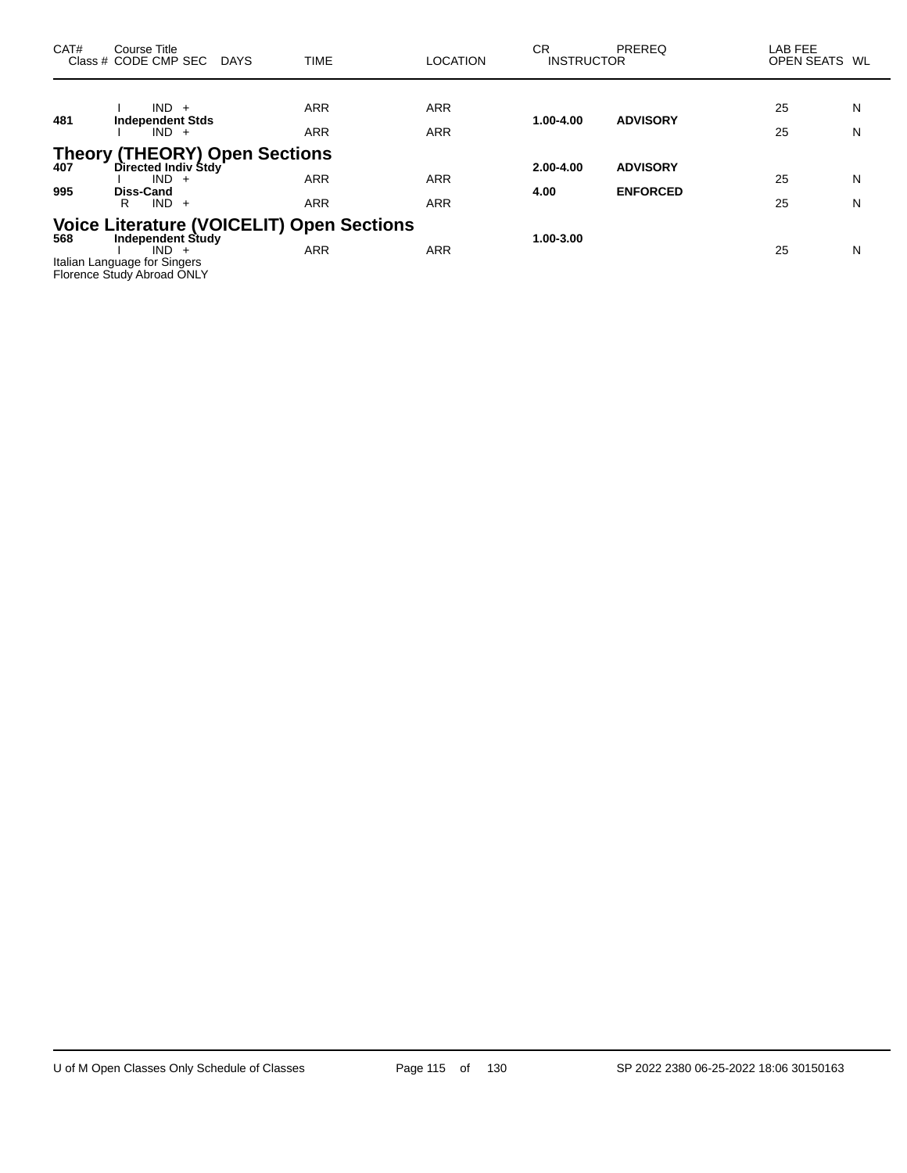| CAT#       | Course Title<br>Class # CODE CMP SEC DAYS                                                                  | <b>TIME</b>                                             | <b>LOCATION</b>          | CR<br><b>INSTRUCTOR</b> | <b>PREREQ</b>                      | LAB FEE<br>OPEN SEATS WL |        |
|------------|------------------------------------------------------------------------------------------------------------|---------------------------------------------------------|--------------------------|-------------------------|------------------------------------|--------------------------|--------|
| 481        | $IND +$<br><b>Independent Stds</b><br>$IND +$                                                              | <b>ARR</b><br>ARR                                       | <b>ARR</b><br><b>ARR</b> | 1.00-4.00               | <b>ADVISORY</b>                    | 25<br>25                 | N<br>N |
| 407<br>995 | <b>Theory (THEORY) Open Sections</b><br>Directed Indiv Stdy<br>$IND +$<br><b>Diss-Cand</b><br>$IND +$<br>R | <b>ARR</b><br>ARR                                       | <b>ARR</b><br><b>ARR</b> | 2.00-4.00<br>4.00       | <b>ADVISORY</b><br><b>ENFORCED</b> | 25<br>25                 | N<br>N |
| 568        | <b>Independent Study</b><br>$IND +$<br>Italian Language for Singers<br>Florence Study Abroad ONLY          | <b>Voice Literature (VOICELIT) Open Sections</b><br>ARR | <b>ARR</b>               | 1.00-3.00               |                                    | 25                       | N      |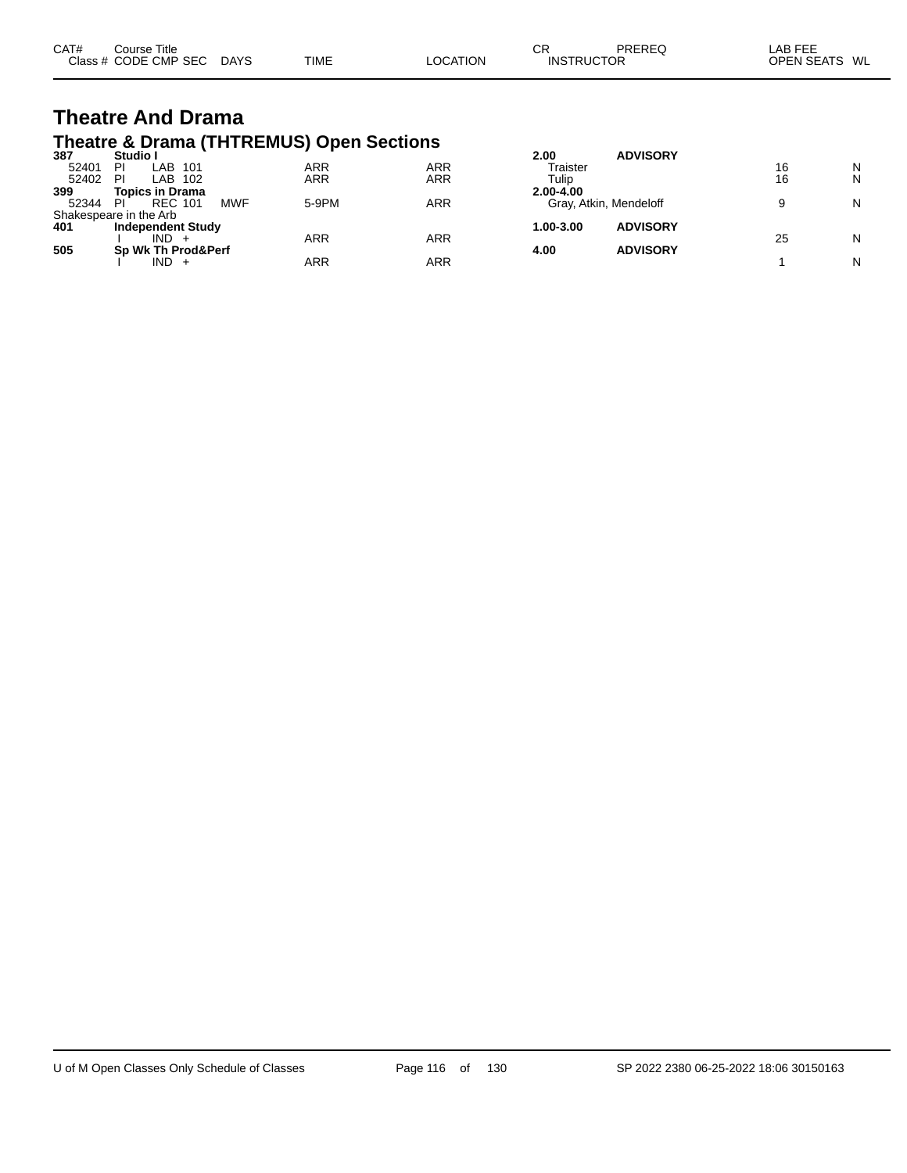| CAT# | Course Title<br>Class # CODE CMP SEC | DAYS | TIME | LOCATION | СF<br><b>INSTRUCTOR</b> | PREREQ | LAB FEE<br>OPEN SEATS WL |  |
|------|--------------------------------------|------|------|----------|-------------------------|--------|--------------------------|--|
|      |                                      |      |      |          |                         |        |                          |  |

# **Theatre And Drama Theatre & Drama (THTREMUS) Open Sections 387 Studio I 2.00 ADVISORY**

| 387   | Studio I                            |       |     | 2.UU          | <b>ADVISORY</b>        |    |   |
|-------|-------------------------------------|-------|-----|---------------|------------------------|----|---|
| 52401 | _AB<br>PI<br>101                    | ARR   | ARR | Traister      |                        | 16 | N |
| 52402 | -PI<br>102<br>LAB                   | ARR   | ARR | Tulip         |                        | 16 | N |
| 399   | Topics in Drama                     |       |     | $2.00 - 4.00$ |                        |    |   |
| 52344 | <b>MWF</b><br><b>REC 101</b><br>-PI | 5-9PM | ARR |               | Gray, Atkin, Mendeloff |    | N |
|       | Shakespeare in the Arb              |       |     |               |                        |    |   |
| 401   | <b>Independent Study</b>            |       |     | 1.00-3.00     | <b>ADVISORY</b>        |    |   |
|       | $IND +$                             | ARR   | ARR |               |                        | 25 | N |
| 505   | Sp Wk Th Prod&Perf                  |       |     | 4.00          | <b>ADVISORY</b>        |    |   |
|       | $IND +$                             | ARR   | ARR |               |                        |    | N |
|       |                                     |       |     |               |                        |    |   |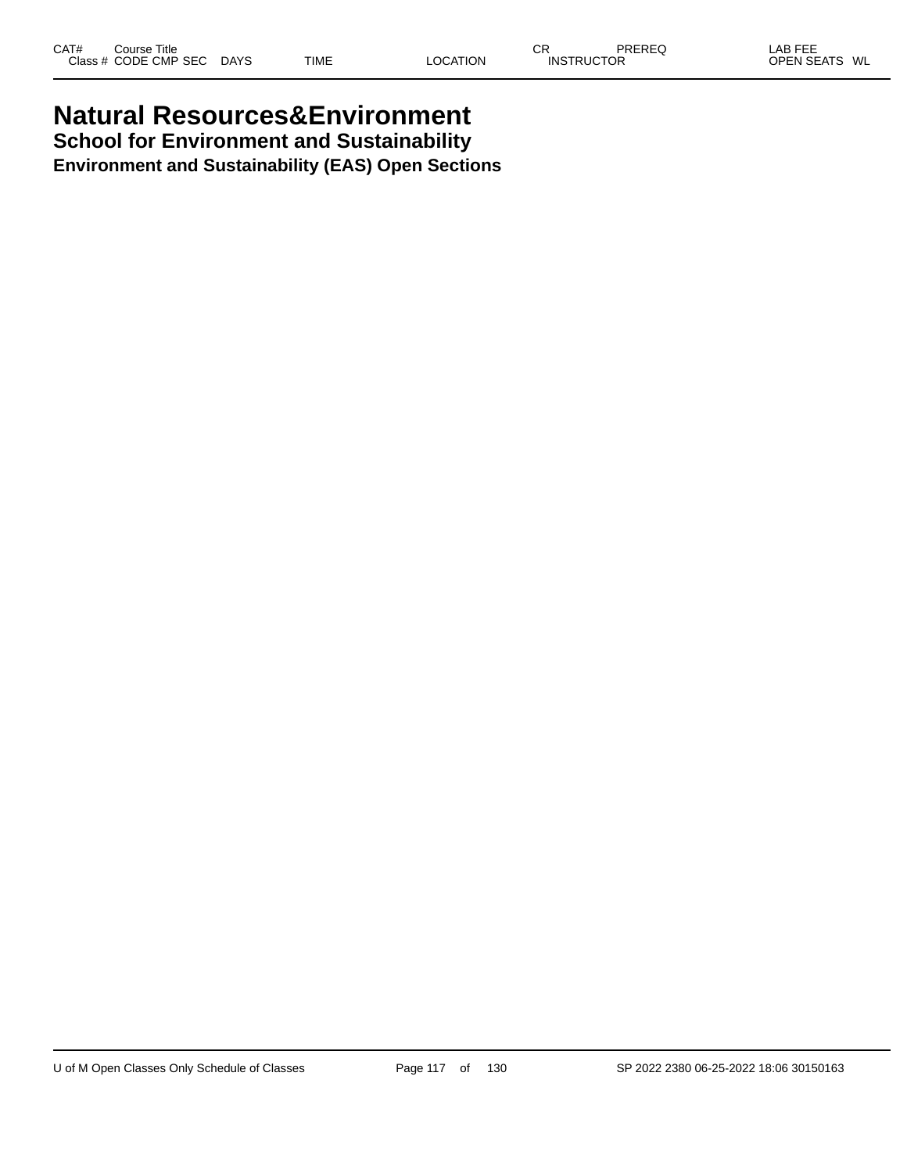# **Natural Resources&Environment School for Environment and Sustainability**

**Environment and Sustainability (EAS) Open Sections**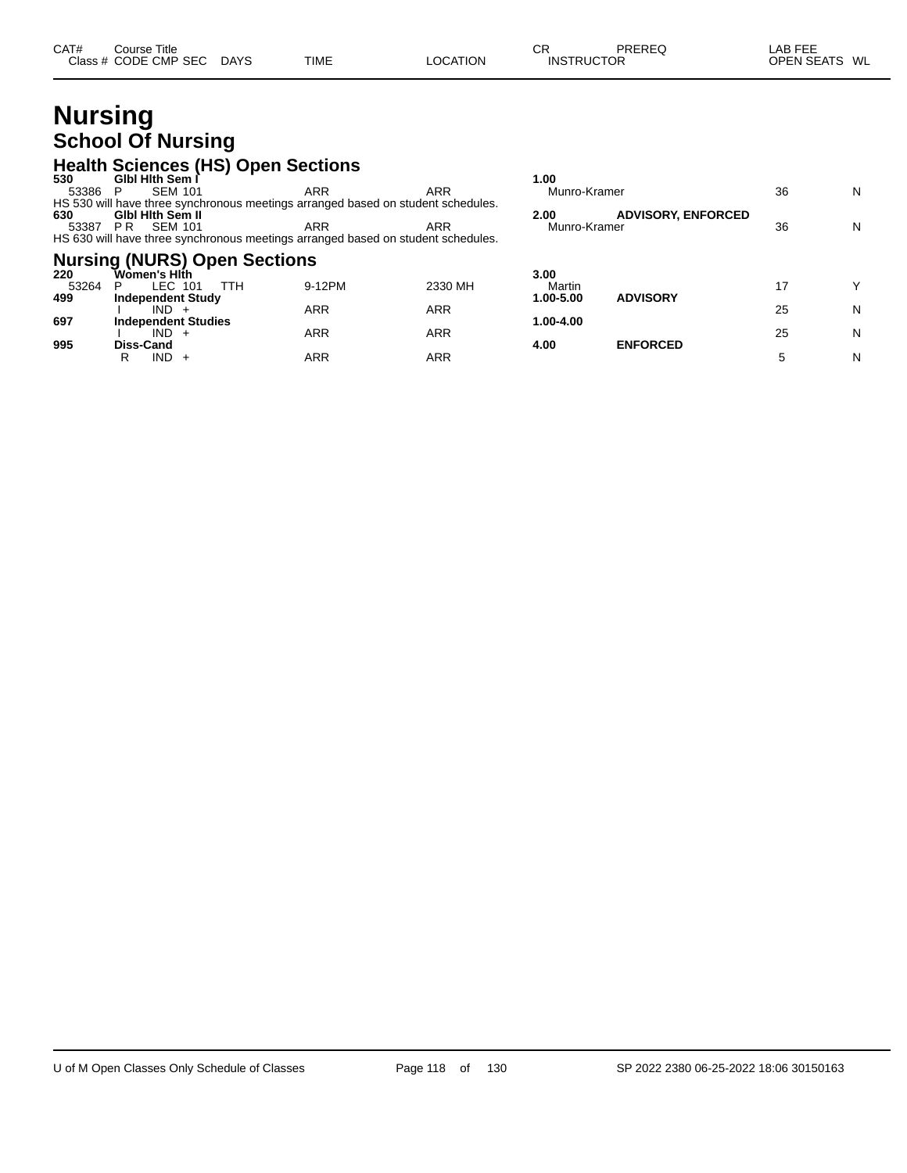# **Nursing School Of Nursing**

#### **Health Sciences (HS) Open Sections**

| 530   | Gibi Hith Sem I                                                                  |            |            | 1.00         |                           |    |   |
|-------|----------------------------------------------------------------------------------|------------|------------|--------------|---------------------------|----|---|
| 53386 | <b>SEM 101</b><br>Р                                                              | <b>ARR</b> | ARR        | Munro-Kramer |                           | 36 | N |
|       | HS 530 will have three synchronous meetings arranged based on student schedules. |            |            |              |                           |    |   |
| 630   | <b>GIbl Hith Sem II</b>                                                          |            |            | 2.00         | <b>ADVISORY, ENFORCED</b> |    |   |
| 53387 | <b>SEM 101</b><br>PR.                                                            | ARR        | ARR        | Munro-Kramer |                           | 36 | N |
|       | HS 630 will have three synchronous meetings arranged based on student schedules. |            |            |              |                           |    |   |
|       | <b>Nursing (NURS) Open Sections</b>                                              |            |            |              |                           |    |   |
| 220   | Women's Hith                                                                     |            |            | 3.00         |                           |    |   |
| 53264 | LEC 101<br>TTH<br>P                                                              | 9-12PM     | 2330 MH    | Martin       |                           | 17 | Y |
| 499   | <b>Independent Study</b>                                                         |            |            | 1.00-5.00    | <b>ADVISORY</b>           |    |   |
|       | $IND +$                                                                          | ARR        | <b>ARR</b> |              |                           | 25 | N |
| 697   | <b>Independent Studies</b>                                                       |            |            | 1.00-4.00    |                           |    |   |
|       | $IND +$                                                                          | ARR        | <b>ARR</b> |              |                           | 25 | N |
| 995   | Diss-Cand                                                                        |            |            | 4.00         | <b>ENFORCED</b>           |    |   |
|       | IND.<br>R<br>$\ddot{}$                                                           | ARR        | <b>ARR</b> |              |                           |    | N |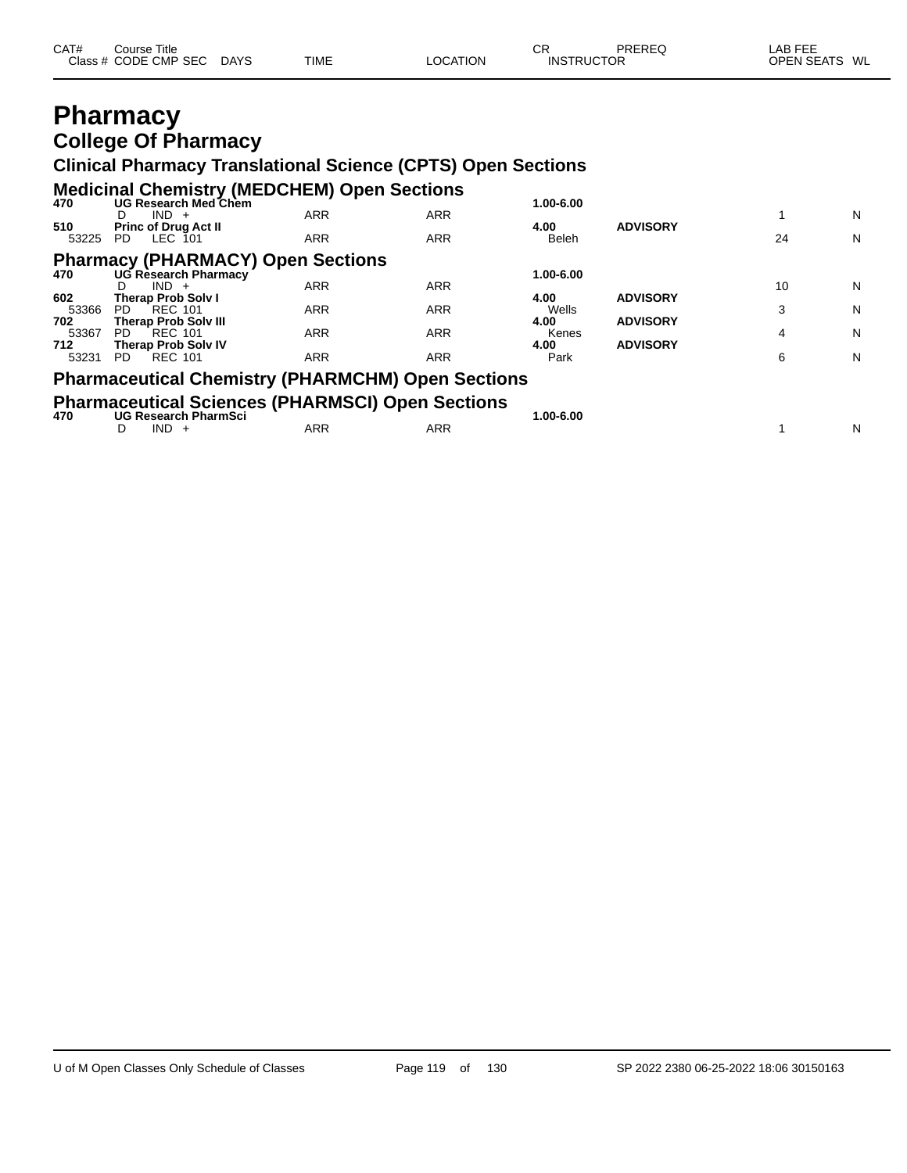| CAT#<br>СR<br>Title<br>Course<br>: CMP<br>SE <sub>C</sub><br><b>TIME</b><br>Class<br>DAYS<br>TION<br>INS <sup>-</sup><br>$\sim$<br>FRI IC<br>,,,,,<br>. .<br>$\sim$ $\sim$ $\sim$ $\sim$ $\sim$ $\sim$ $\sim$ $\sim$ | DDEDEC<br>---<br>neres.<br>WL |
|----------------------------------------------------------------------------------------------------------------------------------------------------------------------------------------------------------------------|-------------------------------|
|----------------------------------------------------------------------------------------------------------------------------------------------------------------------------------------------------------------------|-------------------------------|

## **Pharmacy College Of Pharmacy**

#### **Clinical Pharmacy Translational Science (CPTS) Open Sections**

|              | <u>UMMU HUMMU HUMMUHUM UVIVIIVU (UT TUJ UPUN UUUNUU</u>                           |            |            |               |                 |    |   |
|--------------|-----------------------------------------------------------------------------------|------------|------------|---------------|-----------------|----|---|
| 470          | <b>Medicinal Chemistry (MEDCHEM) Open Sections</b><br><b>UG Research Med Chem</b> |            |            | 1.00-6.00     |                 |    |   |
|              | $IND +$                                                                           | <b>ARR</b> | <b>ARR</b> |               |                 |    | N |
| 510          | <b>Princ of Drug Act II</b>                                                       |            |            | 4.00          | <b>ADVISORY</b> |    |   |
| 53225        | LEC 101<br>PD.                                                                    | <b>ARR</b> | <b>ARR</b> | Beleh         |                 | 24 | N |
|              | <b>Pharmacy (PHARMACY) Open Sections</b>                                          |            |            |               |                 |    |   |
| 470          | UG Rèsearch Pharmacy                                                              |            |            | $1.00 - 6.00$ |                 |    |   |
|              | $IND +$                                                                           | <b>ARR</b> | <b>ARR</b> |               |                 | 10 | N |
| 602<br>53366 | <b>Therap Prob Solv I</b><br><b>REC 101</b><br>PD.                                | <b>ARR</b> | <b>ARR</b> | 4.00<br>Wells | <b>ADVISORY</b> | 3  | N |
| 702          | <b>Therap Prob Solv III</b>                                                       |            |            | 4.00          | <b>ADVISORY</b> |    |   |
| 53367        | <b>REC 101</b><br>PD.                                                             | <b>ARR</b> | <b>ARR</b> | Kenes         |                 | 4  | N |
| 712          | <b>Therap Prob Solv IV</b>                                                        |            |            | 4.00          | <b>ADVISORY</b> |    |   |
| 53231        | <b>REC 101</b><br>PD.                                                             | <b>ARR</b> | ARR        | Park          |                 | 6  | N |
|              | <b>Pharmaceutical Chemistry (PHARMCHM) Open Sections</b>                          |            |            |               |                 |    |   |
|              | <b>Dharmacoutical Coicpace (DUADMCCI) Open Cootions</b>                           |            |            |               |                 |    |   |

# **Pharmaceutical Sciences (PHARMSCI) Open Sections 470 UG Research PharmSci 1.00-6.00**

| 47 V | <u>UG Research Fharmocl</u> |            | טט.ס-טט.ו  |  |  |    |
|------|-----------------------------|------------|------------|--|--|----|
|      | <b>IND</b>                  | <b>ARR</b> | <b>ARR</b> |  |  | NL |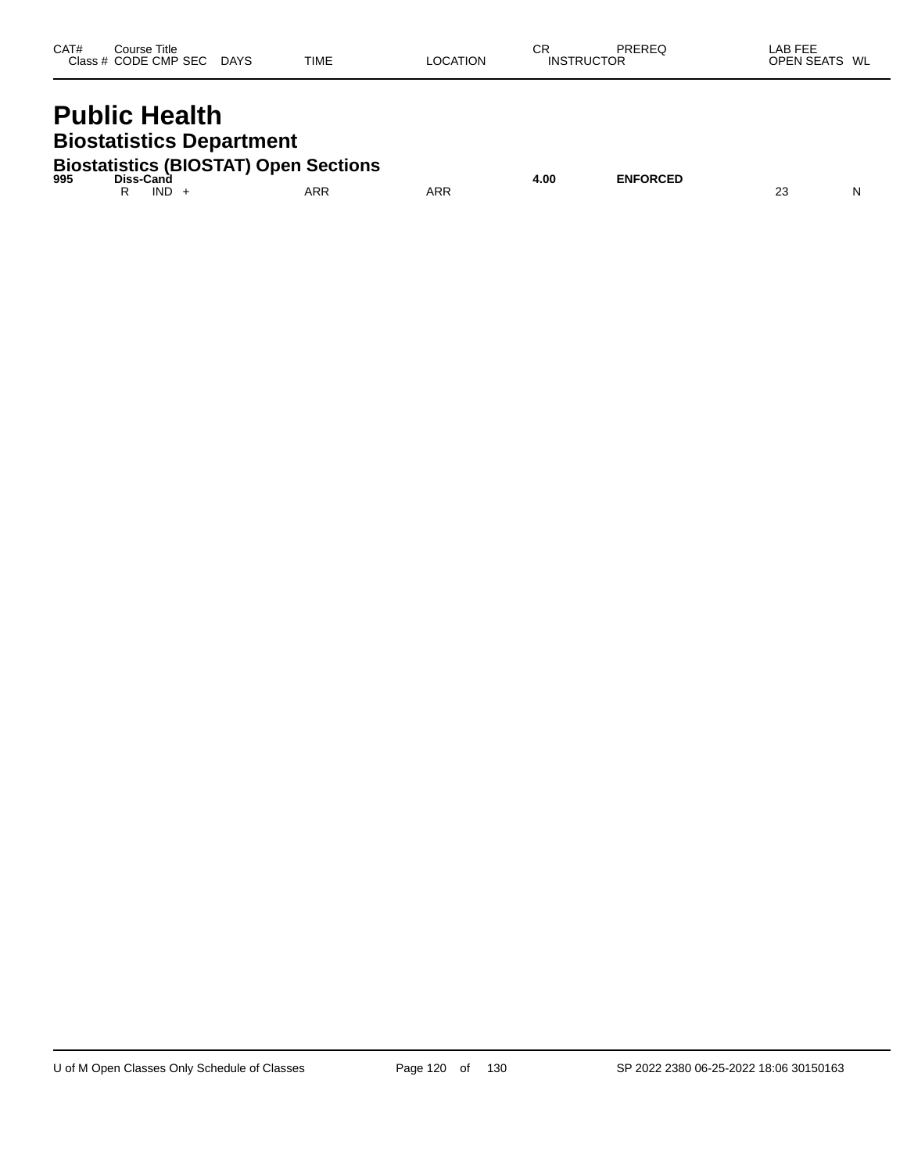| CAT# | Course Title         |             |             |          | ◠⊏<br>◡┍          | PREREQ | LAB FEE          |
|------|----------------------|-------------|-------------|----------|-------------------|--------|------------------|
|      | Class # CODE CMP SEC | <b>DAYS</b> | <b>TIME</b> | LOCATION | <b>INSTRUCTOR</b> |        | OPEN SEATS<br>WL |
|      |                      |             |             |          |                   |        |                  |

# **Public Health Biostatistics Department**

|     | <b>Biostatistics (BIOSTAT) Open Sections</b> |     |     |      |                 |  |
|-----|----------------------------------------------|-----|-----|------|-----------------|--|
| 995 | Diss-Cand                                    |     |     | 4.00 | <b>ENFORCED</b> |  |
|     | IND                                          | ARR | ARR |      |                 |  |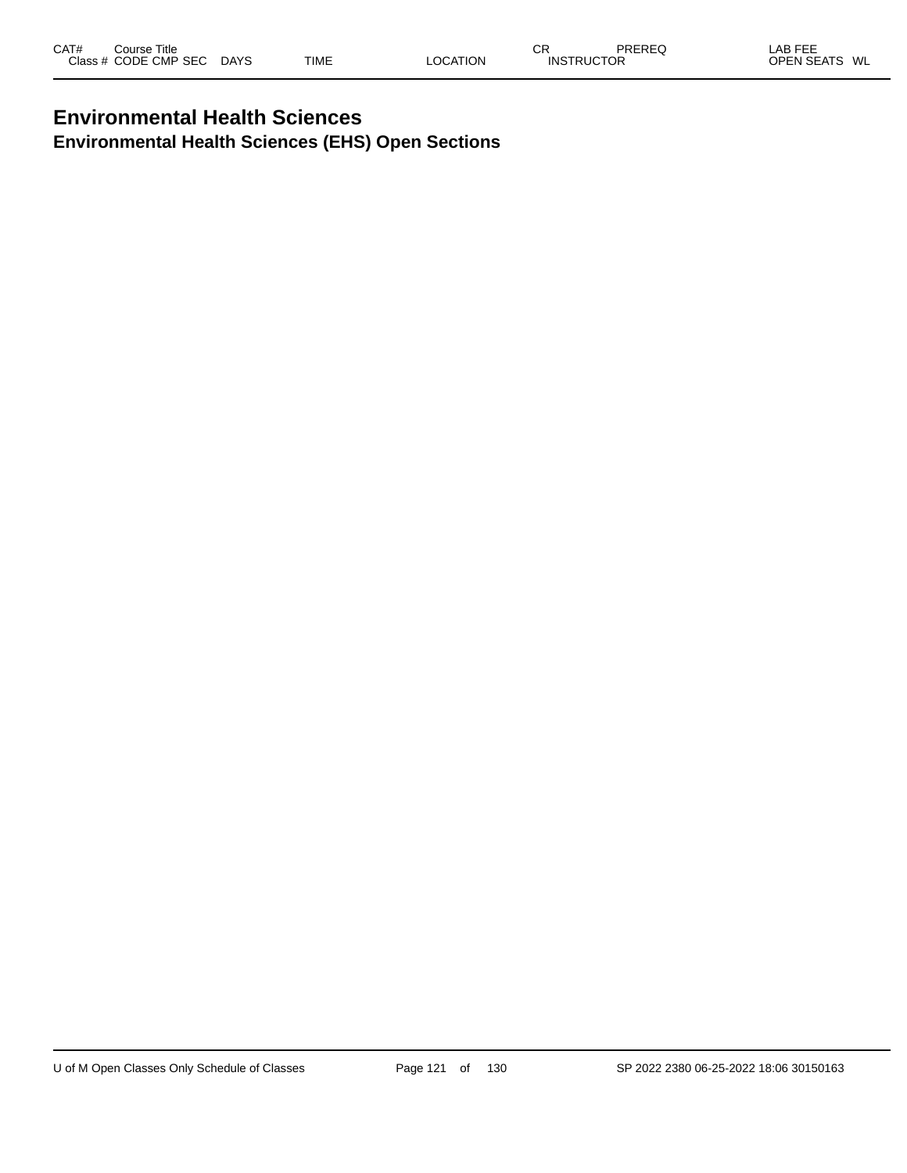#### **Environmental Health Sciences Environmental Health Sciences (EHS) Open Sections**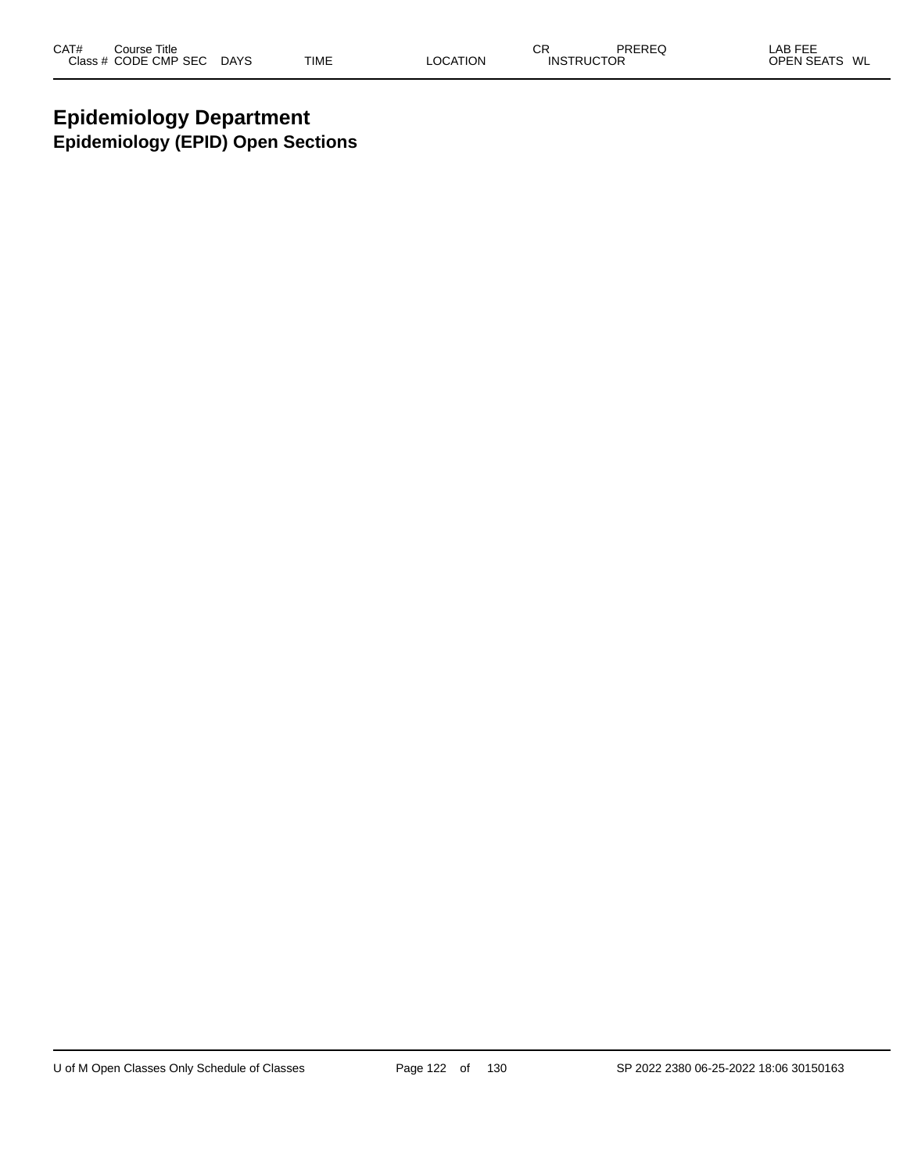#### **Epidemiology Department Epidemiology (EPID) Open Sections**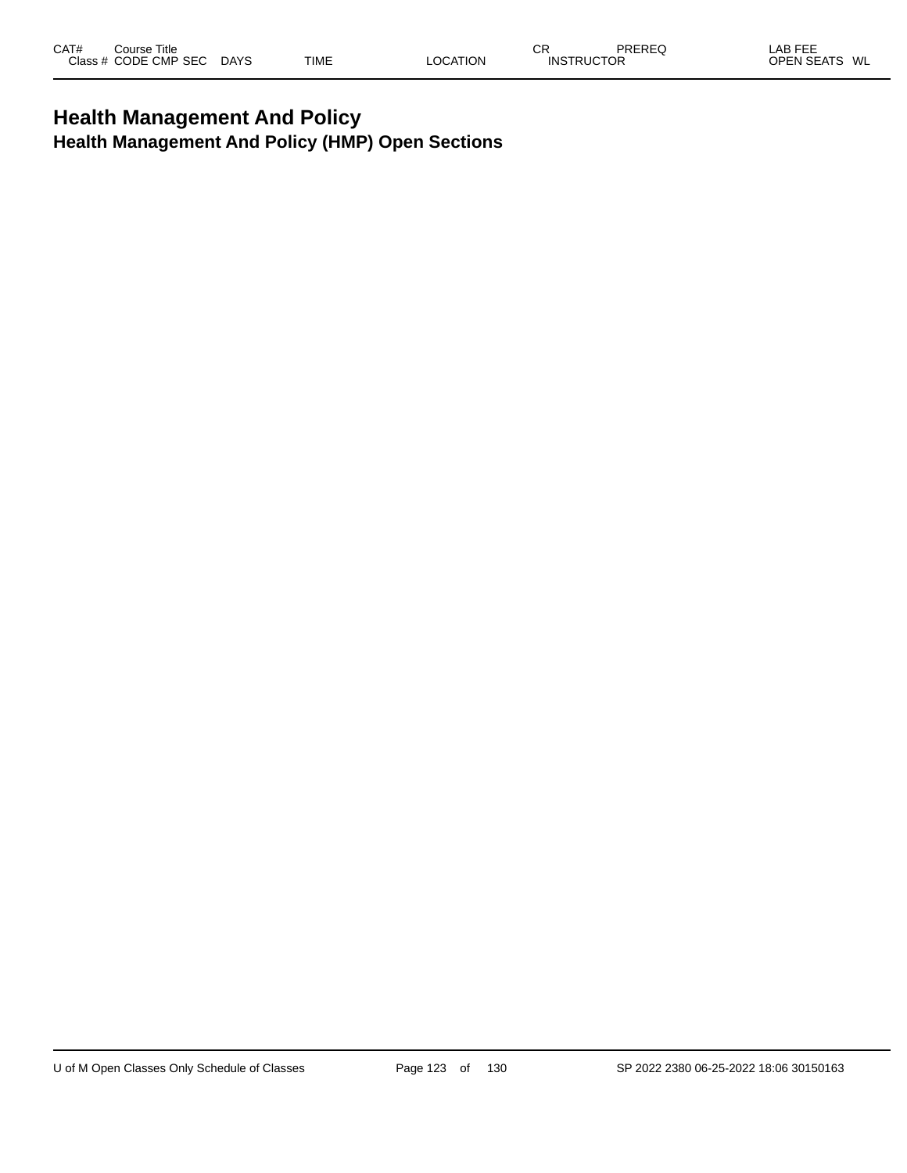#### **Health Management And Policy Health Management And Policy (HMP) Open Sections**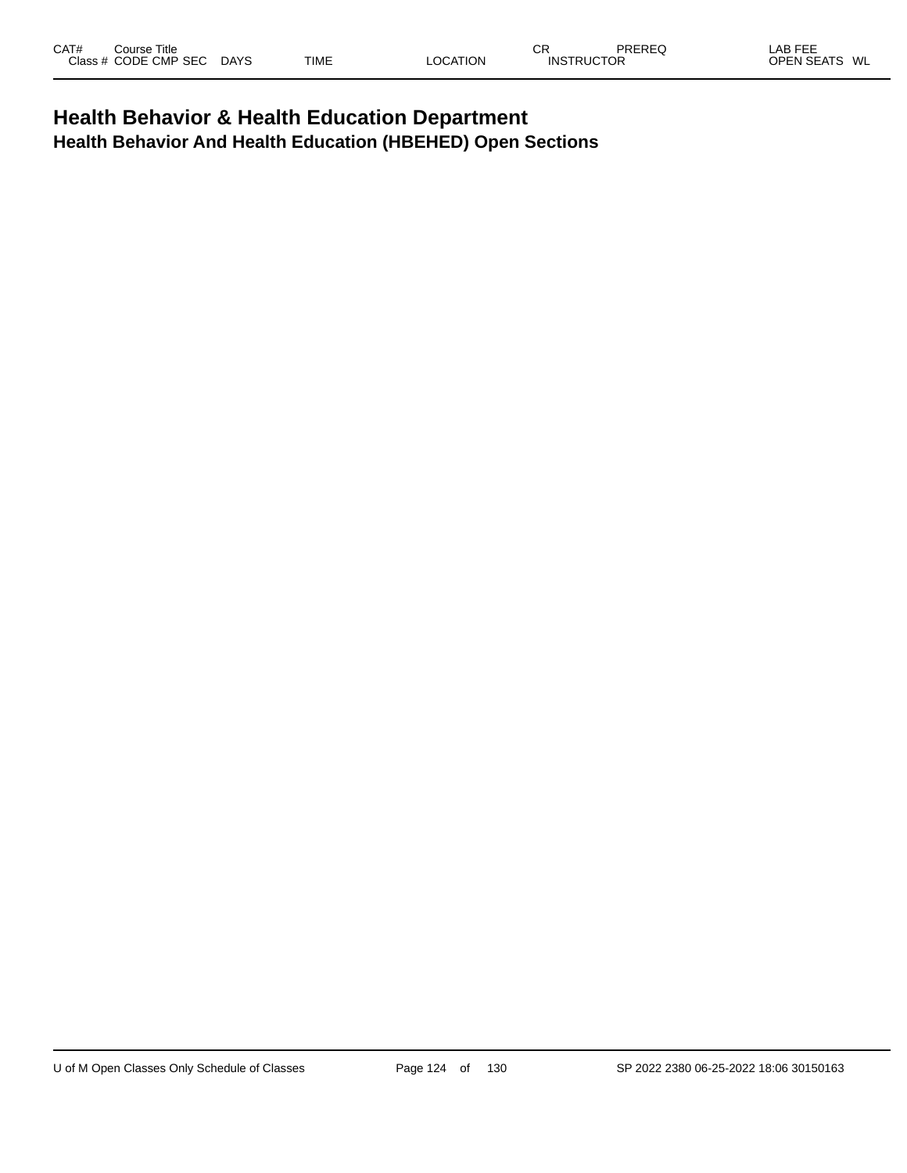#### **Health Behavior & Health Education Department Health Behavior And Health Education (HBEHED) Open Sections**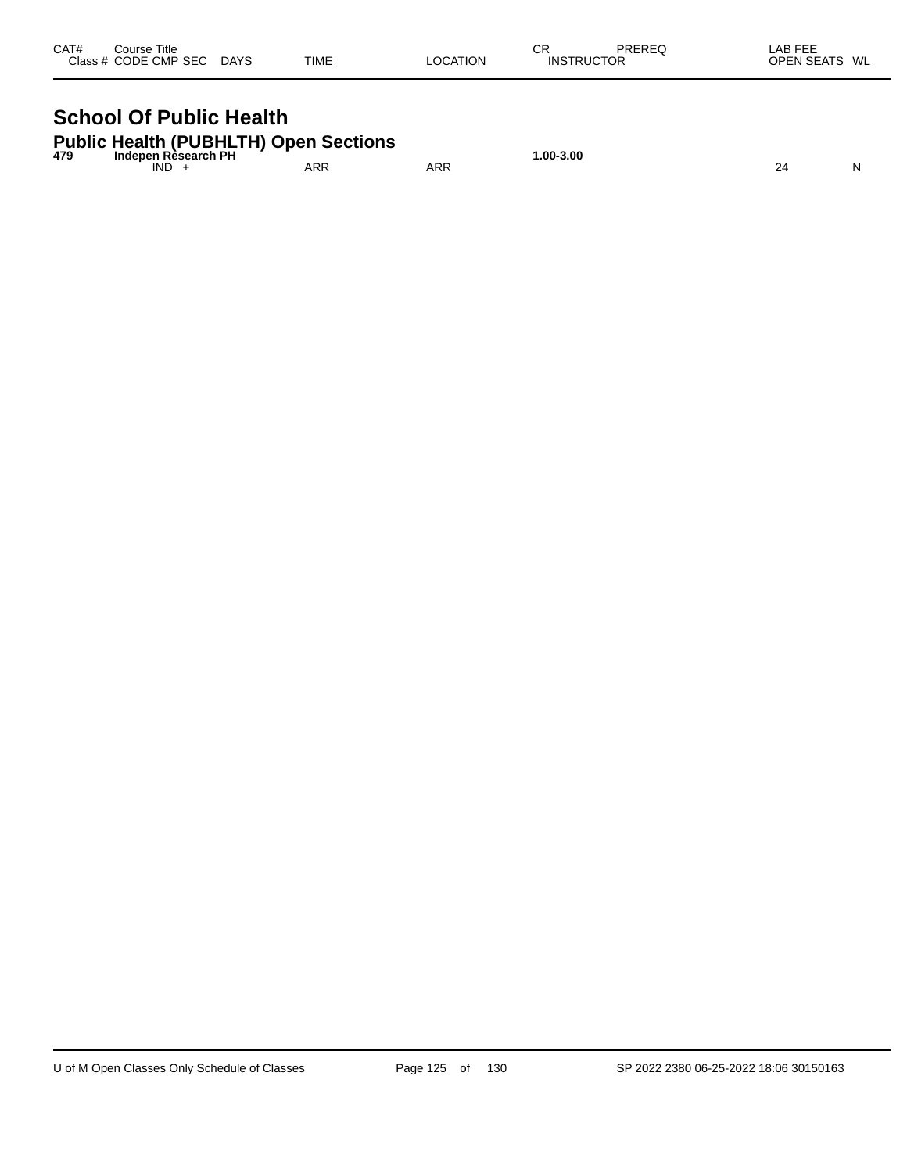| CAT# | Course Title<br>Class # CODE CMP SEC | <b>DAYS</b> | <b>TIME</b> | LOCATION | СR<br><b>INSTRUCTOR</b> | PREREQ | LAB FEE<br>OPEN SEATS | WL |
|------|--------------------------------------|-------------|-------------|----------|-------------------------|--------|-----------------------|----|
|      |                                      |             |             |          |                         |        |                       |    |

# **School Of Public Health**

| 479 | <b>Public Health (PUBHLTH) Open Sections</b><br>Indepen Rèsearch PH |     | $.00 - 3.00$ |  |  |
|-----|---------------------------------------------------------------------|-----|--------------|--|--|
|     | IND                                                                 | ARR | ARR          |  |  |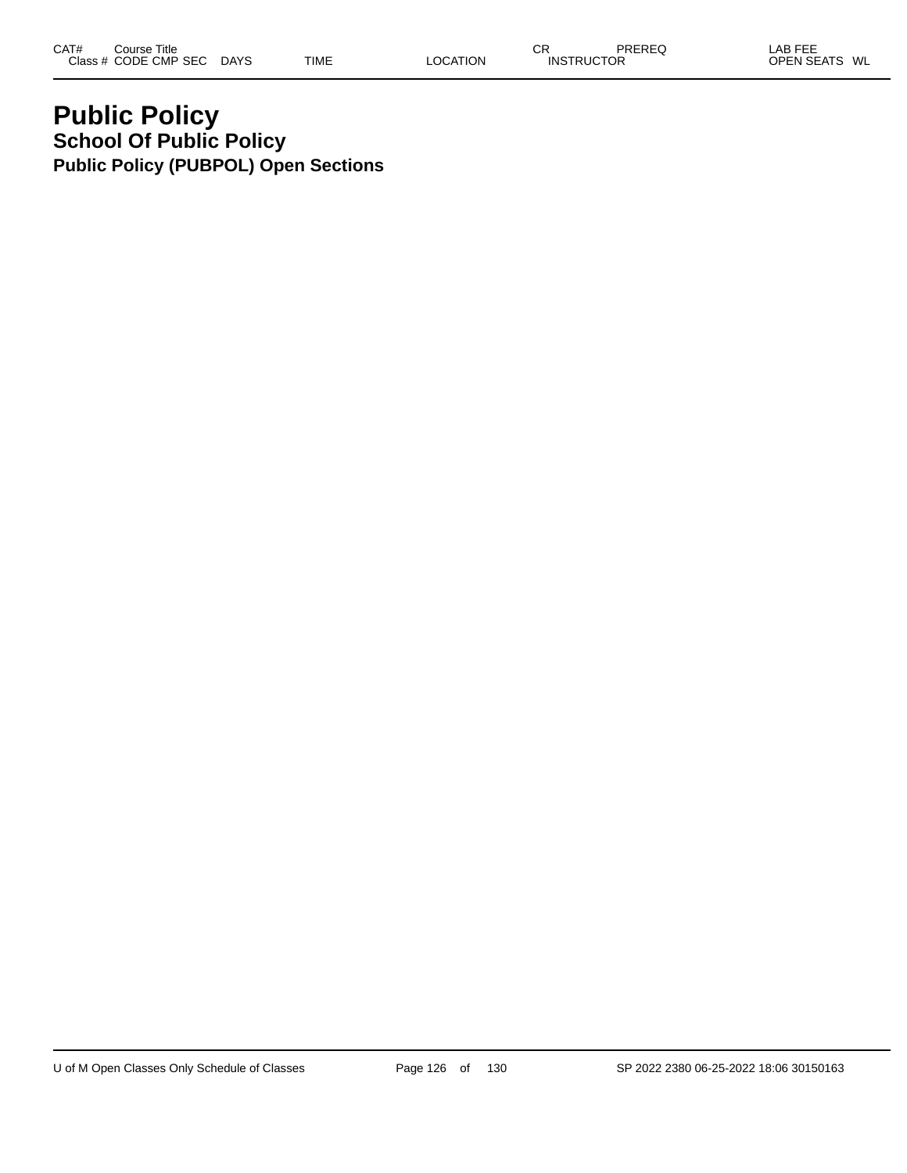### **Public Policy School Of Public Policy Public Policy (PUBPOL) Open Sections**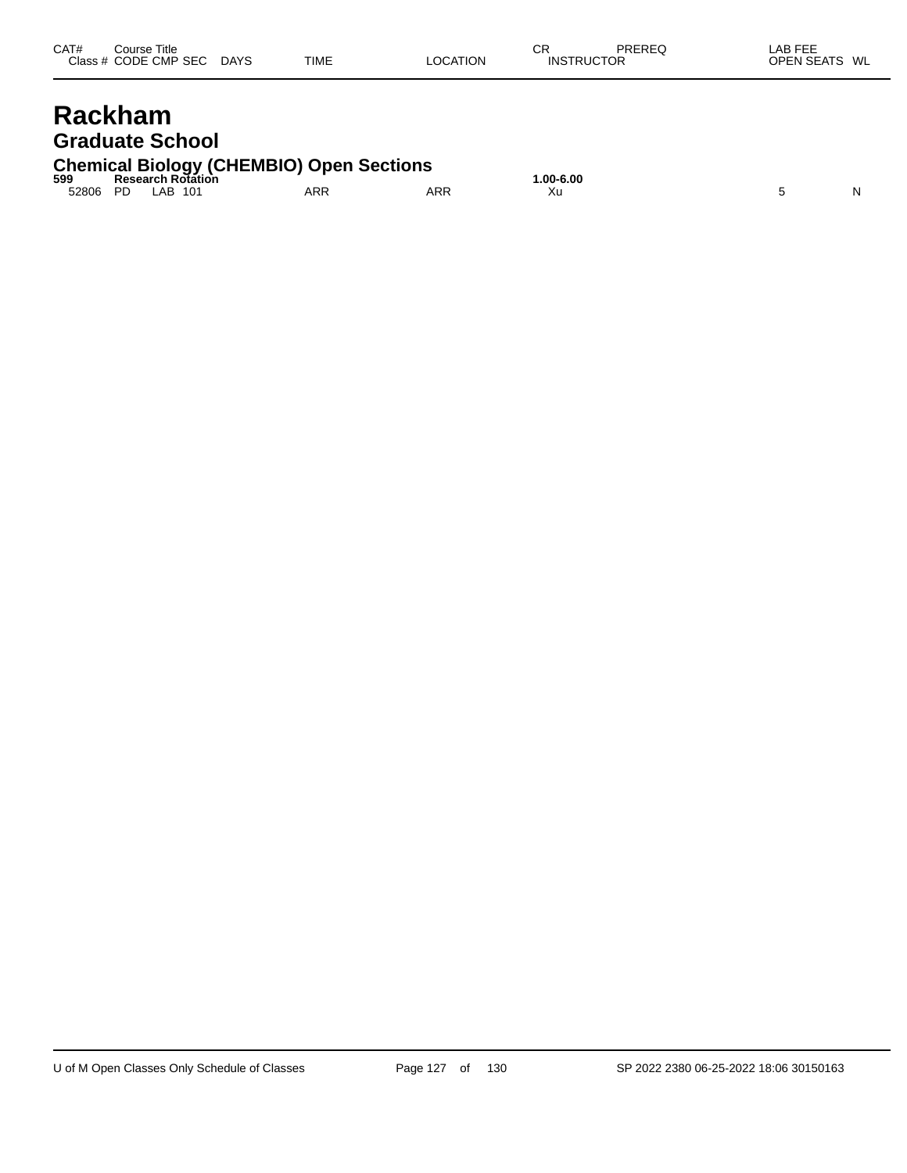| CAT#<br>Class $#$ | Title<br>Course<br><b>SEC</b><br>CODE CMP | <b>DAYS</b> | <b>TIME</b> | LOCATION | $\sim$<br>◡<br>TRUCTOR<br>INS <sup>-</sup> | PREREQ | _AB FEF<br>--<br><b>EN SEA</b><br>ЭPГ | WL |
|-------------------|-------------------------------------------|-------------|-------------|----------|--------------------------------------------|--------|---------------------------------------|----|
|                   |                                           |             |             |          |                                            |        |                                       |    |

## **Rackham Graduate School**

# **Chemical Biology (CHEMBIO) Open Sections 599 Research Rotation 1.00-6.00**

52806 PD LAB 101 ARR ARR Xu 5 N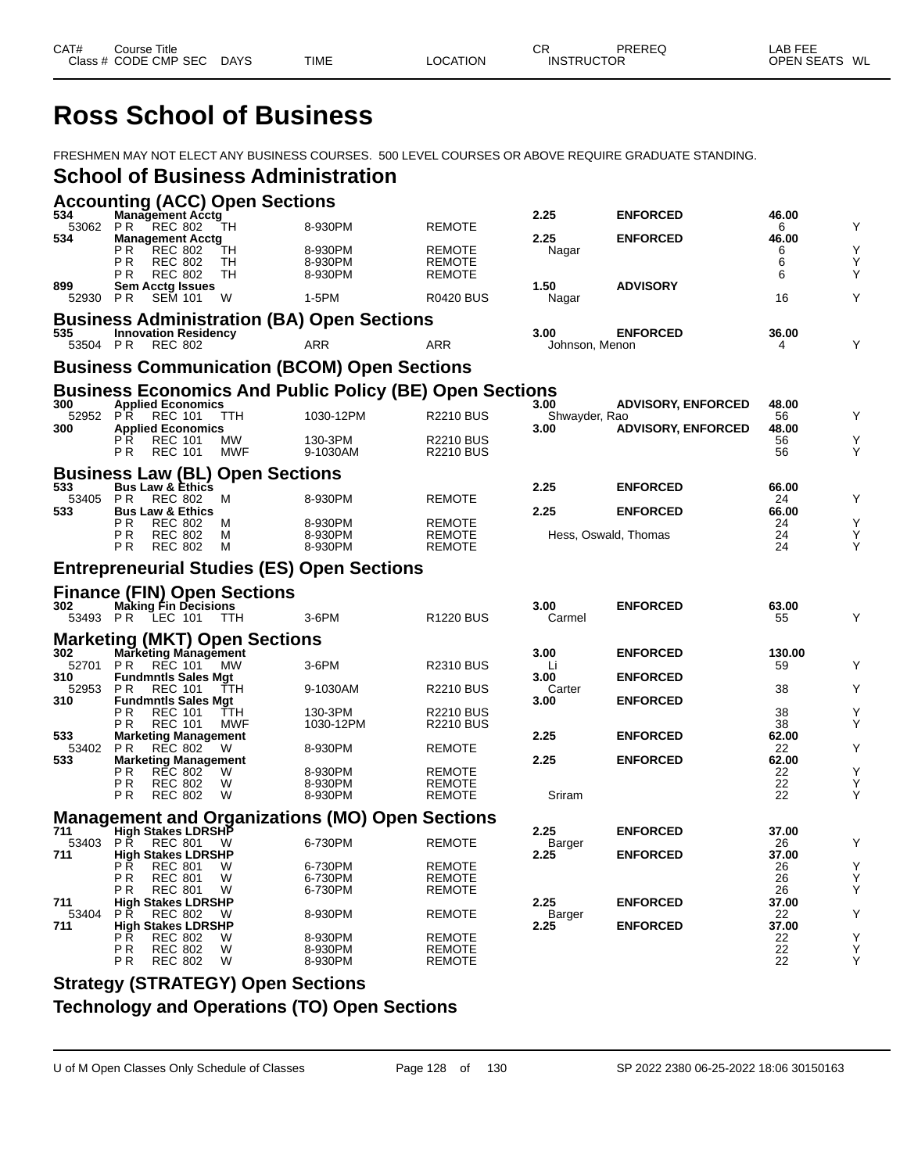# **Ross School of Business**

FRESHMEN MAY NOT ELECT ANY BUSINESS COURSES. 500 LEVEL COURSES OR ABOVE REQUIRE GRADUATE STANDING.

#### **School of Business Administration**

|                 |                |                                               | <b>Accounting (ACC) Open Sections</b>  |                                                                |                                |                       |                           |             |        |
|-----------------|----------------|-----------------------------------------------|----------------------------------------|----------------------------------------------------------------|--------------------------------|-----------------------|---------------------------|-------------|--------|
| 534<br>53062 PR |                | <b>Management Acctg</b><br><b>REC 802</b>     | ΤH                                     | 8-930PM                                                        | <b>REMOTE</b>                  | 2.25                  | <b>ENFORCED</b>           | 46.00<br>6  |        |
| 534             |                | <b>Management Acctg</b>                       |                                        |                                                                |                                | 2.25                  | <b>ENFORCED</b>           | 46.00       |        |
|                 | P R<br>ΡR      | <b>REC 802</b><br><b>REC 802</b>              | TН<br>TН                               | 8-930PM<br>8-930PM                                             | <b>REMOTE</b>                  | Nagar                 |                           | 6<br>6      | Y      |
|                 | P R            | <b>REC 802</b>                                | TН                                     | 8-930PM                                                        | <b>REMOTE</b><br><b>REMOTE</b> |                       |                           | 6           |        |
| 899             |                | <b>Sem Acctg Issues</b>                       |                                        |                                                                |                                | 1.50                  | <b>ADVISORY</b>           |             |        |
| 52930 PR        |                | <b>SEM 101</b>                                | W                                      | 1-5PM                                                          | <b>R0420 BUS</b>               | Nagar                 |                           | 16          |        |
|                 |                |                                               |                                        | <b>Business Administration (BA) Open Sections</b>              |                                |                       |                           |             |        |
| 535             |                | <b>Innovation Residency</b>                   |                                        |                                                                |                                | 3.00                  | <b>ENFORCED</b>           | 36.00       |        |
| 53504 PR        |                | <b>REC 802</b>                                |                                        | <b>ARR</b>                                                     | <b>ARR</b>                     | Johnson, Menon        |                           | Δ           |        |
|                 |                |                                               |                                        | <b>Business Communication (BCOM) Open Sections</b>             |                                |                       |                           |             |        |
|                 |                |                                               |                                        | <b>Business Economics And Public Policy (BE) Open Sections</b> |                                |                       |                           |             |        |
| 300             |                | 0 Applied Economics<br>52952 PR REC 101 T     | <b>TTH</b>                             | 1030-12PM                                                      | <b>R2210 BUS</b>               | 3.00<br>Shwayder, Rao | <b>ADVISORY, ENFORCED</b> | 48.00       |        |
| 300             |                | <b>Applied Economics</b>                      |                                        |                                                                |                                | 3.00                  | <b>ADVISORY, ENFORCED</b> | 56<br>48.00 |        |
|                 | P <sup>R</sup> | <b>REC 101</b>                                | МW                                     | 130-3PM                                                        | <b>R2210 BUS</b>               |                       |                           | 56          |        |
|                 | P <sub>R</sub> | <b>REC 101</b>                                | <b>MWF</b>                             | 9-1030AM                                                       | R2210 BUS                      |                       |                           | 56          |        |
|                 |                |                                               | <b>Business Law (BL) Open Sections</b> |                                                                |                                |                       |                           |             |        |
| 533             |                | <b>Bus Law &amp; Ethics</b>                   |                                        |                                                                |                                | 2.25                  | <b>ENFORCED</b>           | 66.00       |        |
| 53405<br>533    | PR             | <b>REC 802</b><br><b>Bus Law &amp; Ethics</b> | M                                      | 8-930PM                                                        | <b>REMOTE</b>                  | 2.25                  | <b>ENFORCED</b>           | 24<br>66.00 |        |
|                 | P <sub>R</sub> | <b>REC 802</b>                                | м                                      | 8-930PM                                                        | <b>REMOTE</b>                  |                       |                           | 24          |        |
|                 | ΡR             | <b>REC 802</b>                                | М                                      | 8-930PM                                                        | <b>REMOTE</b>                  | Hess, Oswald, Thomas  |                           | 24          |        |
|                 | P <sub>R</sub> | <b>REC 802</b>                                | M                                      | 8-930PM                                                        | <b>REMOTE</b>                  |                       |                           | 24          |        |
|                 |                |                                               |                                        | <b>Entrepreneurial Studies (ES) Open Sections</b>              |                                |                       |                           |             |        |
|                 |                |                                               |                                        |                                                                |                                |                       |                           |             |        |
|                 |                |                                               |                                        |                                                                |                                |                       |                           |             |        |
| 302             |                | <b>Making Fin Decisions</b>                   | <b>Finance (FIN) Open Sections</b>     |                                                                |                                | 3.00                  | <b>ENFORCED</b>           | 63.00       |        |
| 53493 PR        |                | LEC 101                                       | TTH                                    | 3-6PM                                                          | <b>R1220 BUS</b>               | Carmel                |                           | 55          |        |
|                 |                |                                               |                                        |                                                                |                                |                       |                           |             |        |
| 302             |                | <b>Marketing Management</b>                   | <b>Marketing (MKT) Open Sections</b>   |                                                                |                                | 3.00                  | <b>ENFORCED</b>           | 130.00      |        |
| 52701           | <b>PR</b>      | REC 101                                       | MW                                     | 3-6PM                                                          | <b>R2310 BUS</b>               | Li                    |                           | 59          |        |
| 310<br>52953    | P <sub>R</sub> | <b>Fundmntls Sales Mgt</b><br><b>REC 101</b>  | TTH                                    | 9-1030AM                                                       |                                | 3.00<br>Carter        | <b>ENFORCED</b>           | 38          |        |
| 310             |                | <b>Fundmntls Sales Mgt</b>                    |                                        |                                                                | <b>R2210 BUS</b>               | 3.00                  | <b>ENFORCED</b>           |             |        |
|                 | РR             | <b>REC 101</b>                                | TTH                                    | 130-3PM                                                        | <b>R2210 BUS</b>               |                       |                           | 38          | Y      |
| 533             | P R            | <b>REC 101</b><br><b>Marketing Management</b> | <b>MWF</b>                             | 1030-12PM                                                      | <b>R2210 BUS</b>               | 2.25                  | <b>ENFORCED</b>           | 38          |        |
| 53402           | P <sub>R</sub> | <b>REC 802</b>                                | W                                      | 8-930PM                                                        | <b>REMOTE</b>                  |                       |                           | 62.00<br>22 | Y      |
| 533             |                | <b>Marketing Management</b>                   |                                        |                                                                |                                | 2.25                  | <b>ENFORCED</b>           | 62.00       |        |
|                 | P R<br>ΡR      | <b>REC 802</b><br><b>REC 802</b>              | W<br>W                                 | 8-930PM<br>8-930PM                                             | <b>REMOTE</b><br><b>REMOTE</b> |                       |                           | 22<br>22    | Y<br>Υ |
|                 | P R            | <b>REC 802</b>                                | W                                      | 8-930PM                                                        | <b>REMOTE</b>                  | Sriram                |                           | 22          | Y      |
|                 |                |                                               |                                        |                                                                |                                |                       |                           |             |        |
| 711             |                | High Stakes LDRSHP                            |                                        | <b>Management and Organizations (MO) Open Sections</b>         |                                | 2.25                  | <b>ENFORCED</b>           | 37.00       |        |
| 53403           | PŘ             | <b>REC 801</b>                                | W                                      | 6-730PM                                                        | <b>REMOTE</b>                  | Barger                |                           | 26          | Y      |
| 711             | P R            | <b>High Stakes LDRSHP</b><br><b>REC 801</b>   | W                                      | 6-730PM                                                        | <b>REMOTE</b>                  | 2.25                  | <b>ENFORCED</b>           | 37.00<br>26 |        |
|                 | P <sub>R</sub> | <b>REC 801</b>                                | W                                      | 6-730PM                                                        | <b>REMOTE</b>                  |                       |                           | 26          | Υ      |
|                 | P R            | <b>REC 801</b>                                | W                                      | 6-730PM                                                        | <b>REMOTE</b>                  |                       |                           | 26          |        |
| 711<br>53404    | P R            | <b>High Stakes LDRSHP</b><br><b>REC 802</b>   | w                                      | 8-930PM                                                        | <b>REMOTE</b>                  | 2.25<br>Barger        | <b>ENFORCED</b>           | 37.00<br>22 | Y      |
| 711             |                | <b>High Stakes LDRSHP</b>                     |                                        |                                                                |                                | 2.25                  | <b>ENFORCED</b>           | 37.00       |        |
|                 | РR<br>РR       | <b>REC 802</b><br><b>REC 802</b>              | W<br>W                                 | 8-930PM<br>8-930PM                                             | <b>REMOTE</b><br><b>REMOTE</b> |                       |                           | 22<br>22    | Υ<br>Υ |

#### **Strategy (STRATEGY) Open Sections Technology and Operations (TO) Open Sections**

U of M Open Classes Only Schedule of Classes Page 128 of 130 SP 2022 2380 06-25-2022 18:06 30150163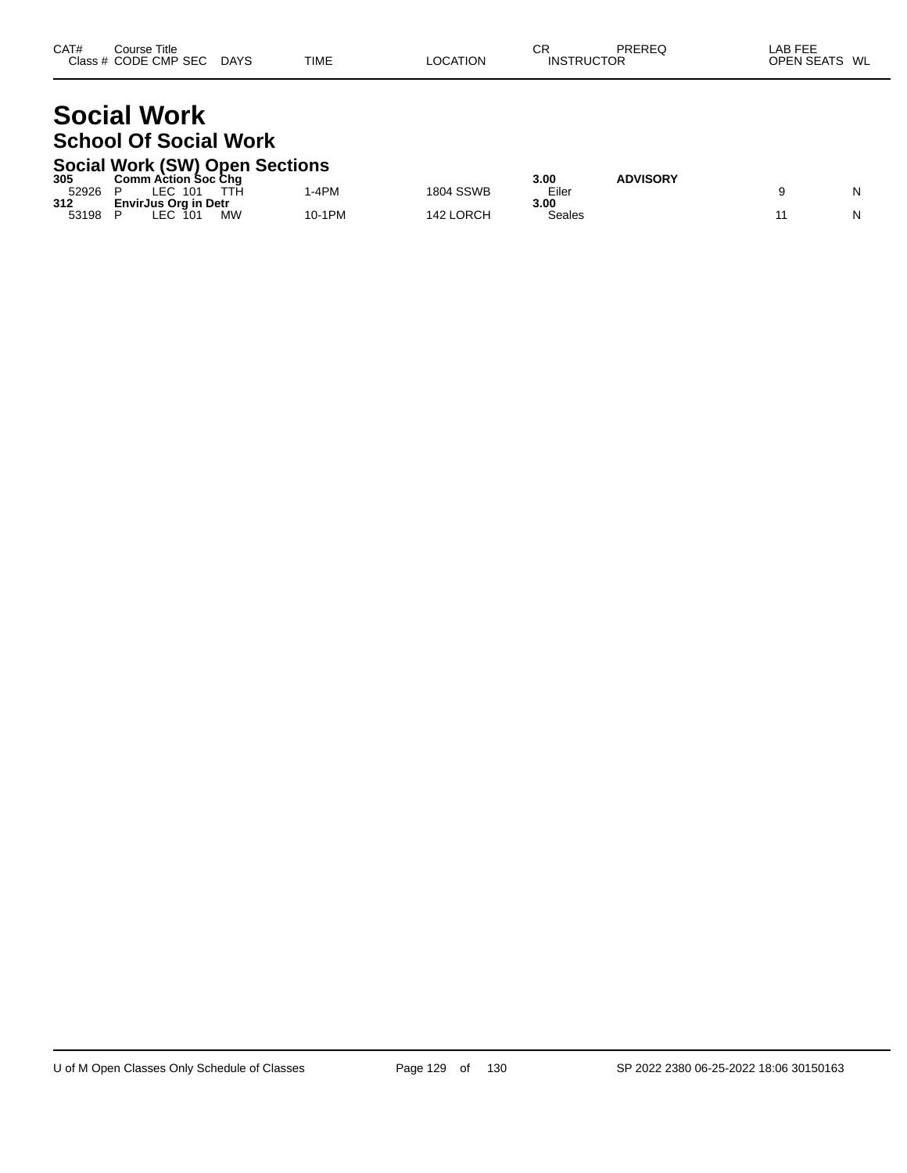| CAT# | ourse Titleٽ         |             |             |          | СR                | PREREQ | _AB FEE       |  |
|------|----------------------|-------------|-------------|----------|-------------------|--------|---------------|--|
|      | Class # CODE CMP SEC | <b>DAYS</b> | <b>TIME</b> | LOCATION | <b>INSTRUCTOR</b> |        | OPEN SEATS WL |  |

#### **Social Work School Of Social Work**

#### **Social Work (SW) Open Sections**

| 305   | <b>Comm Action Soc Cha</b>  |           |        |                  | 3.00   | <b>ADVISORY</b> |   |
|-------|-----------------------------|-----------|--------|------------------|--------|-----------------|---|
| 52926 | LEC.<br>101                 | TTH.      | -4PM   | <b>1804 SSWB</b> | Eiler  |                 | N |
| 312   | <b>EnvirJus Org in Detr</b> |           |        |                  | 3.00   |                 |   |
| 53198 | ∟EC<br>101                  | <b>MW</b> | 10-1PM | 142 LORCH        | Seales |                 | N |